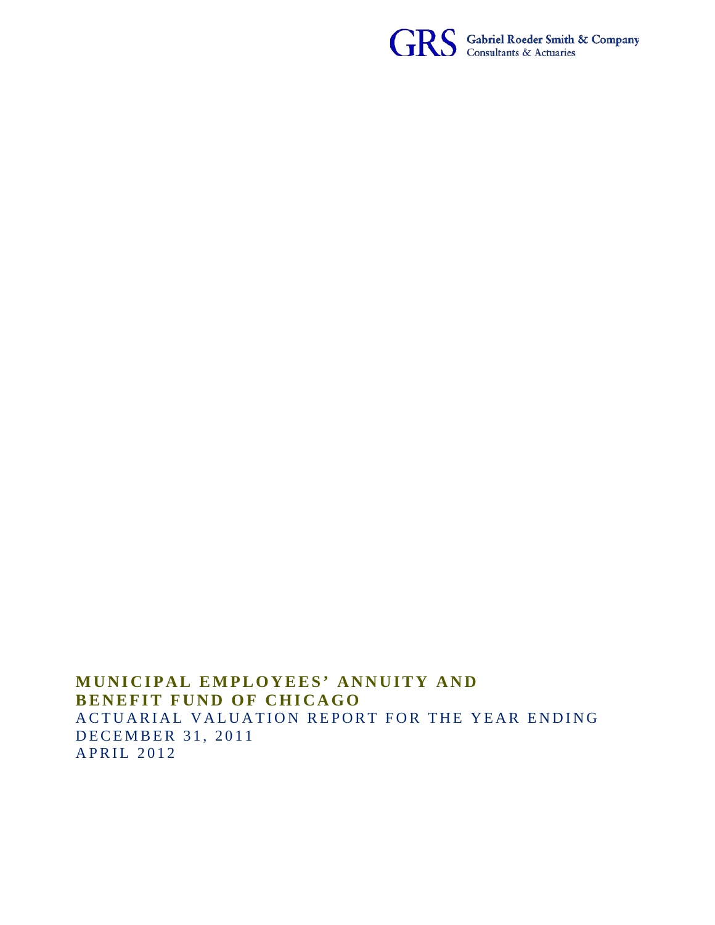

**MUNICIPAL EMPLOYEES' ANNUITY AND BENEFIT FUND OF CHICAGO** ACTUARIAL VALUATION REPORT FOR THE YEAR ENDING DECEMBER 31, 2011 APRIL 2012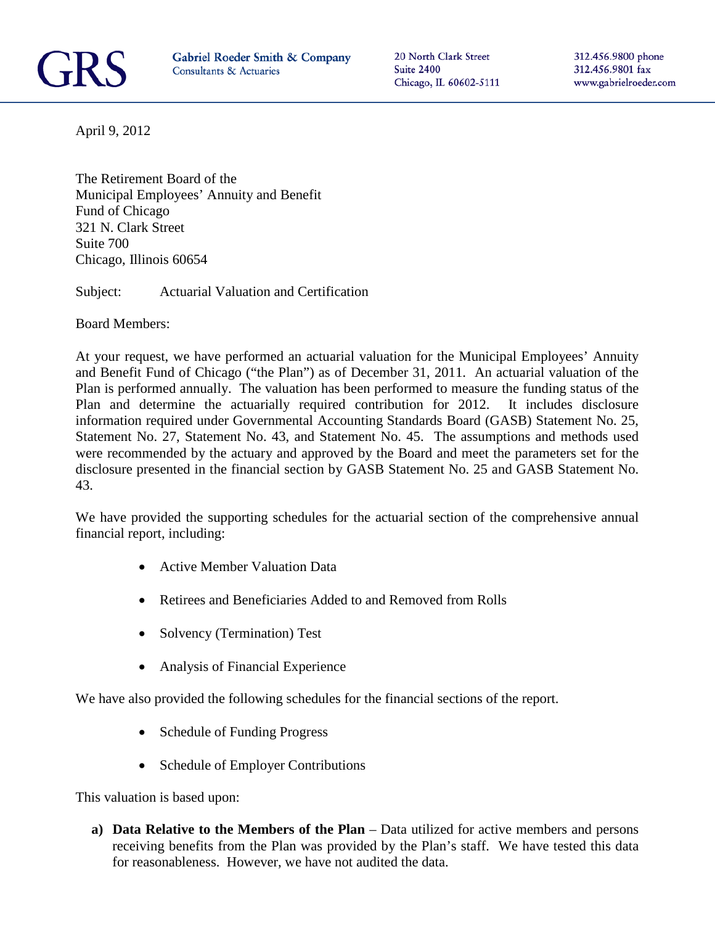

20 North Clark Street Suite 2400 Chicago, IL 60602-5111 312.456.9800 phone 312.456.9801 fax www.gabrielroeder.com

April 9, 2012

The Retirement Board of the Municipal Employees' Annuity and Benefit Fund of Chicago 321 N. Clark Street Suite 700 Chicago, Illinois 60654

Subject: Actuarial Valuation and Certification

Board Members:

At your request, we have performed an actuarial valuation for the Municipal Employees' Annuity and Benefit Fund of Chicago ("the Plan") as of December 31, 2011. An actuarial valuation of the Plan is performed annually. The valuation has been performed to measure the funding status of the Plan and determine the actuarially required contribution for 2012. It includes disclosure information required under Governmental Accounting Standards Board (GASB) Statement No. 25, Statement No. 27, Statement No. 43, and Statement No. 45. The assumptions and methods used were recommended by the actuary and approved by the Board and meet the parameters set for the disclosure presented in the financial section by GASB Statement No. 25 and GASB Statement No. 43.

We have provided the supporting schedules for the actuarial section of the comprehensive annual financial report, including:

- Active Member Valuation Data
- Retirees and Beneficiaries Added to and Removed from Rolls
- Solvency (Termination) Test
- Analysis of Financial Experience

We have also provided the following schedules for the financial sections of the report.

- Schedule of Funding Progress
- Schedule of Employer Contributions

This valuation is based upon:

**a) Data Relative to the Members of the Plan** – Data utilized for active members and persons receiving benefits from the Plan was provided by the Plan's staff. We have tested this data for reasonableness. However, we have not audited the data.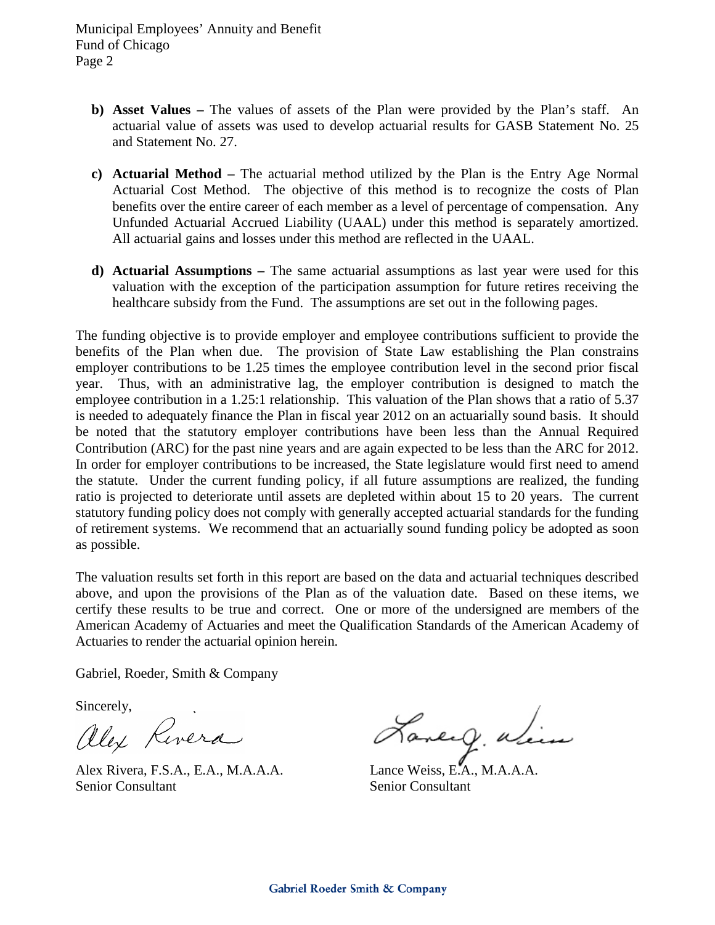Municipal Employees' Annuity and Benefit Fund of Chicago Page 2

- **b) Asset Values –** The values of assets of the Plan were provided by the Plan's staff. An actuarial value of assets was used to develop actuarial results for GASB Statement No. 25 and Statement No. 27.
- **c) Actuarial Method –** The actuarial method utilized by the Plan is the Entry Age Normal Actuarial Cost Method. The objective of this method is to recognize the costs of Plan benefits over the entire career of each member as a level of percentage of compensation. Any Unfunded Actuarial Accrued Liability (UAAL) under this method is separately amortized. All actuarial gains and losses under this method are reflected in the UAAL.
- **d) Actuarial Assumptions –** The same actuarial assumptions as last year were used for this valuation with the exception of the participation assumption for future retires receiving the healthcare subsidy from the Fund. The assumptions are set out in the following pages.

The funding objective is to provide employer and employee contributions sufficient to provide the benefits of the Plan when due. The provision of State Law establishing the Plan constrains employer contributions to be 1.25 times the employee contribution level in the second prior fiscal year. Thus, with an administrative lag, the employer contribution is designed to match the employee contribution in a 1.25:1 relationship. This valuation of the Plan shows that a ratio of 5.37 is needed to adequately finance the Plan in fiscal year 2012 on an actuarially sound basis. It should be noted that the statutory employer contributions have been less than the Annual Required Contribution (ARC) for the past nine years and are again expected to be less than the ARC for 2012. In order for employer contributions to be increased, the State legislature would first need to amend the statute. Under the current funding policy, if all future assumptions are realized, the funding ratio is projected to deteriorate until assets are depleted within about 15 to 20 years. The current statutory funding policy does not comply with generally accepted actuarial standards for the funding of retirement systems. We recommend that an actuarially sound funding policy be adopted as soon as possible.

The valuation results set forth in this report are based on the data and actuarial techniques described above, and upon the provisions of the Plan as of the valuation date. Based on these items, we certify these results to be true and correct. One or more of the undersigned are members of the American Academy of Actuaries and meet the Qualification Standards of the American Academy of Actuaries to render the actuarial opinion herein.

Gabriel, Roeder, Smith & Company

Sincerely,<br>allex Rivera

Senior Consultant Senior Consultant

Alex Rivera<br>Alex Rivera, F.S.A., E.A., M.A.A.A. Lance Weiss, E.A., M.A.A.A.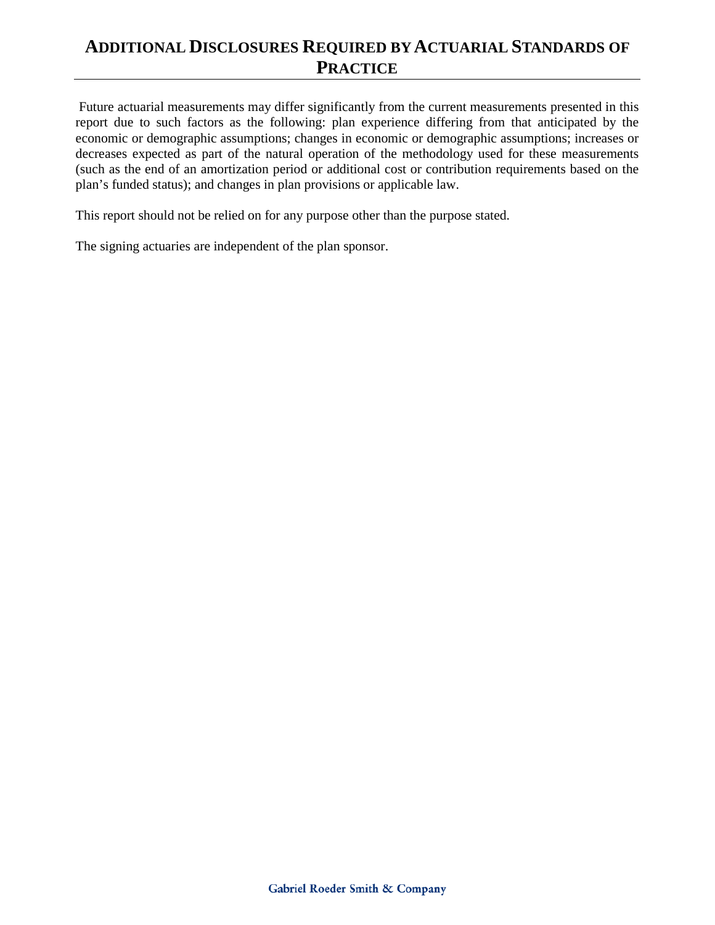## **ADDITIONAL DISCLOSURES REQUIRED BY ACTUARIAL STANDARDS OF PRACTICE**

Future actuarial measurements may differ significantly from the current measurements presented in this report due to such factors as the following: plan experience differing from that anticipated by the economic or demographic assumptions; changes in economic or demographic assumptions; increases or decreases expected as part of the natural operation of the methodology used for these measurements (such as the end of an amortization period or additional cost or contribution requirements based on the plan's funded status); and changes in plan provisions or applicable law.

This report should not be relied on for any purpose other than the purpose stated.

The signing actuaries are independent of the plan sponsor.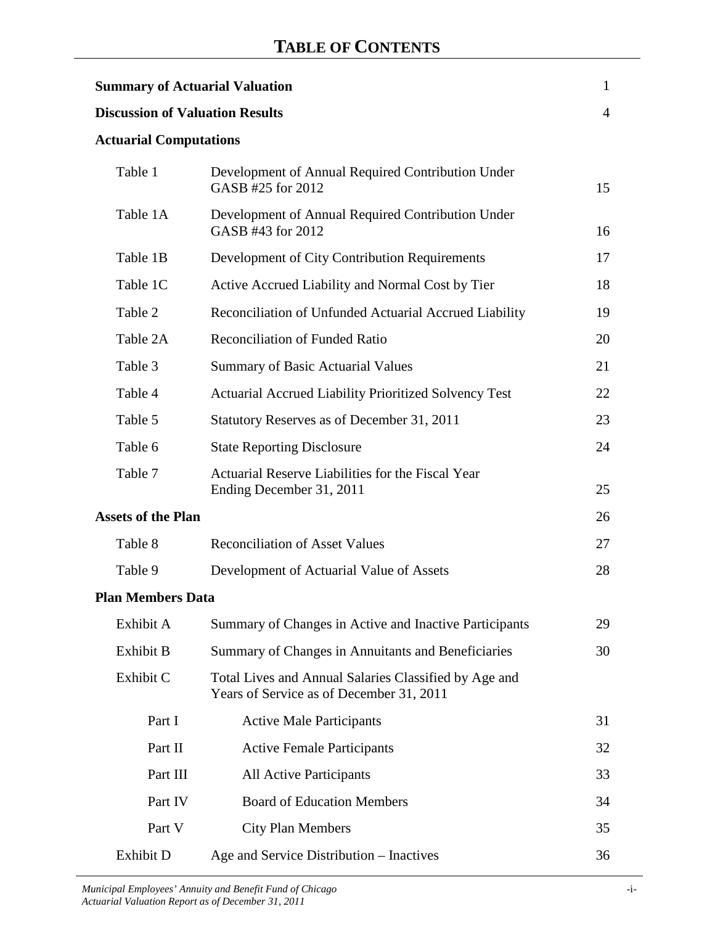| <b>Summary of Actuarial Valuation</b>                            |                                                                                                   | $\mathbf{1}$   |  |  |  |  |  |
|------------------------------------------------------------------|---------------------------------------------------------------------------------------------------|----------------|--|--|--|--|--|
| <b>Discussion of Valuation Results</b>                           |                                                                                                   | $\overline{4}$ |  |  |  |  |  |
|                                                                  | <b>Actuarial Computations</b>                                                                     |                |  |  |  |  |  |
| Table 1                                                          | Development of Annual Required Contribution Under<br>GASB #25 for 2012                            | 15             |  |  |  |  |  |
| Table 1A                                                         | Development of Annual Required Contribution Under<br>GASB #43 for 2012                            | 16             |  |  |  |  |  |
| Table 1B                                                         | Development of City Contribution Requirements                                                     | 17             |  |  |  |  |  |
| Table 1C                                                         | Active Accrued Liability and Normal Cost by Tier                                                  | 18             |  |  |  |  |  |
| Table 2                                                          | Reconciliation of Unfunded Actuarial Accrued Liability                                            | 19             |  |  |  |  |  |
| Table 2A                                                         | <b>Reconciliation of Funded Ratio</b>                                                             | 20             |  |  |  |  |  |
| Table 3                                                          | <b>Summary of Basic Actuarial Values</b>                                                          | 21             |  |  |  |  |  |
| Table 4<br>Actuarial Accrued Liability Prioritized Solvency Test |                                                                                                   |                |  |  |  |  |  |
| Table 5                                                          | Statutory Reserves as of December 31, 2011                                                        | 23             |  |  |  |  |  |
| Table 6                                                          | <b>State Reporting Disclosure</b>                                                                 | 24             |  |  |  |  |  |
| Table 7                                                          | Actuarial Reserve Liabilities for the Fiscal Year<br>Ending December 31, 2011                     | 25             |  |  |  |  |  |
| <b>Assets of the Plan</b>                                        |                                                                                                   | 26             |  |  |  |  |  |
| Table 8                                                          | <b>Reconciliation of Asset Values</b>                                                             | 27             |  |  |  |  |  |
| Table 9                                                          | Development of Actuarial Value of Assets                                                          | 28             |  |  |  |  |  |
| <b>Plan Members Data</b>                                         |                                                                                                   |                |  |  |  |  |  |
| Exhibit A                                                        | Summary of Changes in Active and Inactive Participants                                            | 29             |  |  |  |  |  |
| <b>Exhibit B</b>                                                 | Summary of Changes in Annuitants and Beneficiaries                                                | 30             |  |  |  |  |  |
| Exhibit C                                                        | Total Lives and Annual Salaries Classified by Age and<br>Years of Service as of December 31, 2011 |                |  |  |  |  |  |
| Part I                                                           | <b>Active Male Participants</b>                                                                   | 31             |  |  |  |  |  |
| Part II                                                          | <b>Active Female Participants</b>                                                                 | 32             |  |  |  |  |  |
| Part III                                                         | <b>All Active Participants</b>                                                                    | 33             |  |  |  |  |  |
| Part IV                                                          | <b>Board of Education Members</b>                                                                 | 34             |  |  |  |  |  |
| Part V                                                           | <b>City Plan Members</b>                                                                          | 35             |  |  |  |  |  |
| Exhibit D                                                        | Age and Service Distribution – Inactives                                                          | 36             |  |  |  |  |  |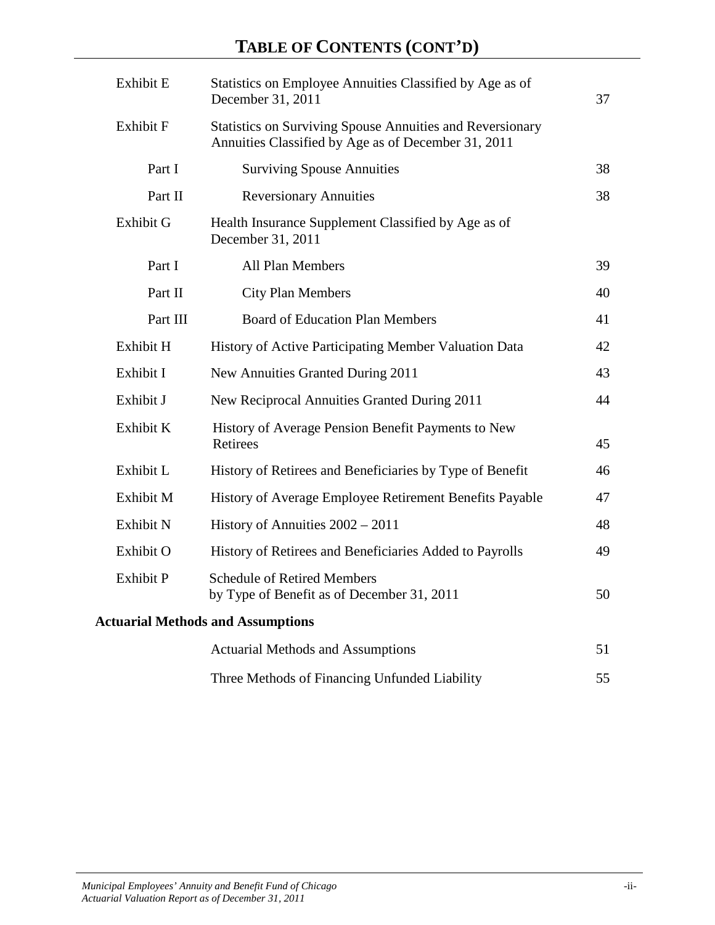# **TABLE OF CONTENTS (CONT'D)**

| Exhibit E        | Statistics on Employee Annuities Classified by Age as of<br>December 31, 2011                                           | 37 |
|------------------|-------------------------------------------------------------------------------------------------------------------------|----|
| Exhibit F        | <b>Statistics on Surviving Spouse Annuities and Reversionary</b><br>Annuities Classified by Age as of December 31, 2011 |    |
| Part I           | <b>Surviving Spouse Annuities</b>                                                                                       | 38 |
| Part II          | <b>Reversionary Annuities</b>                                                                                           | 38 |
| Exhibit G        | Health Insurance Supplement Classified by Age as of<br>December 31, 2011                                                |    |
| Part I           | <b>All Plan Members</b>                                                                                                 | 39 |
| Part II          | <b>City Plan Members</b>                                                                                                | 40 |
| Part III         | <b>Board of Education Plan Members</b>                                                                                  | 41 |
| Exhibit H        | History of Active Participating Member Valuation Data                                                                   | 42 |
| Exhibit I        | New Annuities Granted During 2011                                                                                       | 43 |
| Exhibit J        | New Reciprocal Annuities Granted During 2011                                                                            | 44 |
| Exhibit K        | History of Average Pension Benefit Payments to New<br>Retirees                                                          | 45 |
| Exhibit L        | History of Retirees and Beneficiaries by Type of Benefit                                                                | 46 |
| Exhibit M        | History of Average Employee Retirement Benefits Payable                                                                 | 47 |
| Exhibit N        | History of Annuities $2002 - 2011$                                                                                      | 48 |
| Exhibit O        | History of Retirees and Beneficiaries Added to Payrolls                                                                 | 49 |
| <b>Exhibit P</b> | <b>Schedule of Retired Members</b><br>by Type of Benefit as of December 31, 2011                                        | 50 |
|                  | <b>Actuarial Methods and Assumptions</b>                                                                                |    |
|                  | <b>Actuarial Methods and Assumptions</b>                                                                                | 51 |
|                  | Three Methods of Financing Unfunded Liability                                                                           | 55 |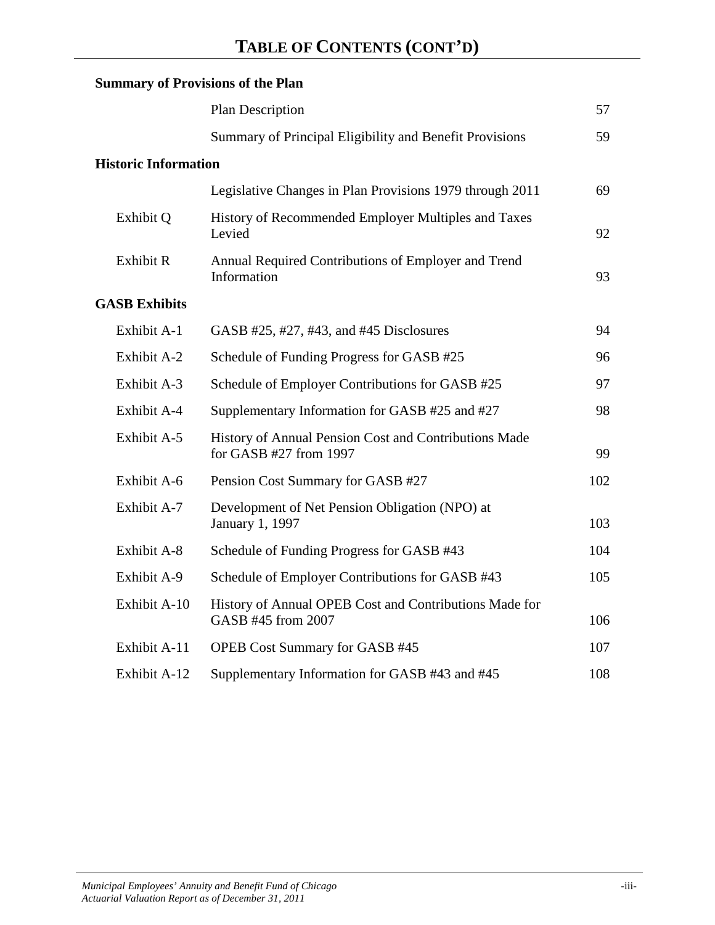|                             | <b>Summary of Provisions of the Plan</b>                                          |     |
|-----------------------------|-----------------------------------------------------------------------------------|-----|
|                             | Plan Description                                                                  | 57  |
|                             | Summary of Principal Eligibility and Benefit Provisions                           | 59  |
| <b>Historic Information</b> |                                                                                   |     |
|                             | Legislative Changes in Plan Provisions 1979 through 2011                          | 69  |
| Exhibit Q                   | History of Recommended Employer Multiples and Taxes<br>Levied                     | 92  |
| <b>Exhibit R</b>            | Annual Required Contributions of Employer and Trend<br>Information                | 93  |
| <b>GASB Exhibits</b>        |                                                                                   |     |
| Exhibit A-1                 | GASB #25, #27, #43, and #45 Disclosures                                           | 94  |
| Exhibit A-2                 | Schedule of Funding Progress for GASB #25                                         | 96  |
| Exhibit A-3                 | Schedule of Employer Contributions for GASB #25                                   | 97  |
| Exhibit A-4                 | Supplementary Information for GASB #25 and #27                                    | 98  |
| Exhibit A-5                 | History of Annual Pension Cost and Contributions Made<br>for GASB $#27$ from 1997 | 99  |
| Exhibit A-6                 | Pension Cost Summary for GASB #27                                                 | 102 |
| Exhibit A-7                 | Development of Net Pension Obligation (NPO) at<br>January 1, 1997                 | 103 |
| Exhibit A-8                 | Schedule of Funding Progress for GASB #43                                         | 104 |
| Exhibit A-9                 | Schedule of Employer Contributions for GASB #43                                   | 105 |
| Exhibit A-10                | History of Annual OPEB Cost and Contributions Made for<br>GASB #45 from 2007      | 106 |
| Exhibit A-11                | <b>OPEB Cost Summary for GASB #45</b>                                             | 107 |
| Exhibit A-12                | Supplementary Information for GASB #43 and #45                                    | 108 |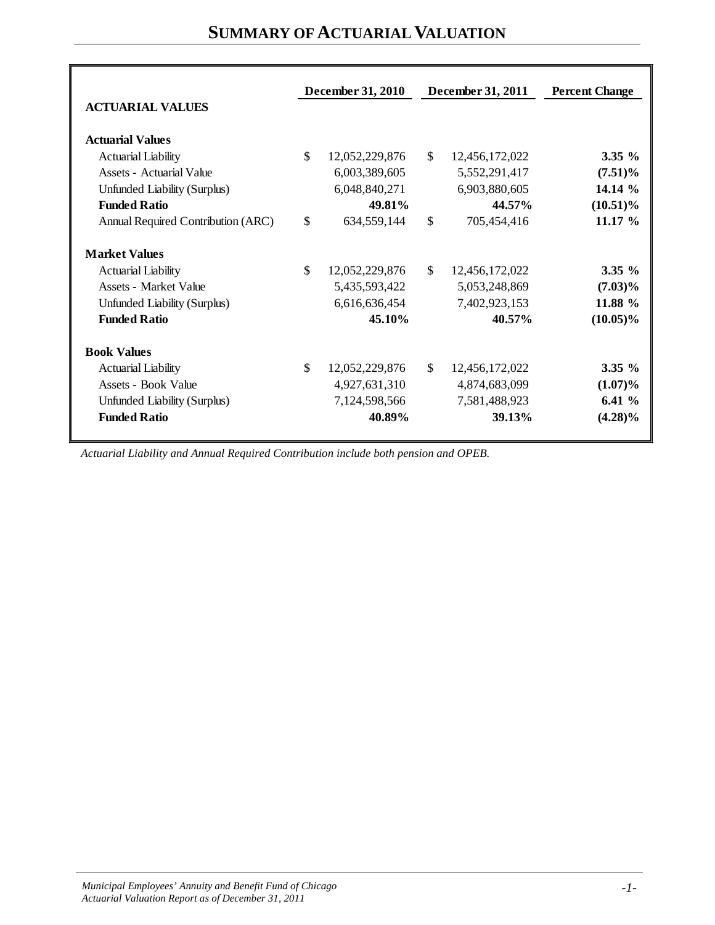# **SUMMARY OF ACTUARIAL VALUATION**

|                                    |               | December 31, 2010 |              | December 31, 2011 | <b>Percent Change</b> |
|------------------------------------|---------------|-------------------|--------------|-------------------|-----------------------|
| <b>ACTUARIAL VALUES</b>            |               |                   |              |                   |                       |
| <b>Actuarial Values</b>            |               |                   |              |                   |                       |
| <b>Actuarial Liability</b>         | \$            | 12,052,229,876    | \$           | 12,456,172,022    | $3.35 \%$             |
| Assets - Actuarial Value           |               | 6,003,389,605     |              | 5,552,291,417     | $(7.51)\%$            |
| Unfunded Liability (Surplus)       |               | 6,048,840,271     |              | 6,903,880,605     | 14.14 %               |
| <b>Funded Ratio</b>                |               | 49.81%            |              | 44.57%            | $(10.51)\%$           |
| Annual Required Contribution (ARC) | $\mathcal{S}$ | 634,559,144       | \$           | 705,454,416       | 11.17 %               |
| <b>Market Values</b>               |               |                   |              |                   |                       |
| <b>Actuarial Liability</b>         | $\mathbb{S}$  | 12,052,229,876    | $\mathbb{S}$ | 12,456,172,022    | $3.35 \%$             |
| <b>Assets - Market Value</b>       |               | 5,435,593,422     |              | 5,053,248,869     | $(7.03)\%$            |
| Unfunded Liability (Surplus)       |               | 6,616,636,454     |              | 7,402,923,153     | 11.88 %               |
| <b>Funded Ratio</b>                |               | 45.10%            |              | 40.57%            | $(10.05)\%$           |
| <b>Book Values</b>                 |               |                   |              |                   |                       |
| <b>Actuarial Liability</b>         | $\mathbb{S}$  | 12,052,229,876    | $\mathbb{S}$ | 12,456,172,022    | $3.35 \%$             |
| Assets - Book Value                |               | 4,927,631,310     |              | 4,874,683,099     | $(1.07)\%$            |
| Unfunded Liability (Surplus)       |               | 7,124,598,566     |              | 7,581,488,923     | 6.41%                 |
| <b>Funded Ratio</b>                |               | 40.89%            |              | 39.13%            | $(4.28)\%$            |

*Actuarial Liability and Annual Required Contribution include both pension and OPEB.*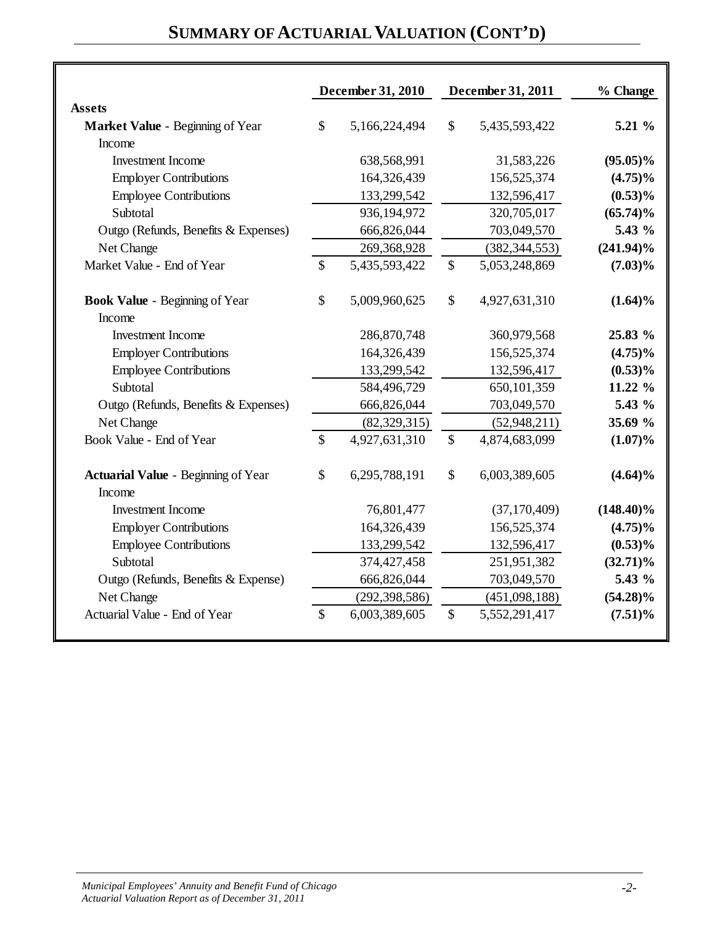# **SUMMARY OF ACTUARIAL VALUATION (CONT'D)**

|                                                      |               | December 31, 2010 |               | December 31, 2011 | % Change     |
|------------------------------------------------------|---------------|-------------------|---------------|-------------------|--------------|
| <b>Assets</b>                                        |               |                   |               |                   |              |
| Market Value - Beginning of Year                     | \$            | 5,166,224,494     | $\mathbb{S}$  | 5,435,593,422     | $5.21\%$     |
| Income                                               |               |                   |               |                   |              |
| <b>Investment Income</b>                             |               | 638,568,991       |               | 31,583,226        | $(95.05)\%$  |
| <b>Employer Contributions</b>                        |               | 164,326,439       |               | 156,525,374       | $(4.75)\%$   |
| <b>Employee Contributions</b>                        |               | 133,299,542       |               | 132,596,417       | $(0.53)\%$   |
| Subtotal                                             |               | 936,194,972       |               | 320,705,017       | $(65.74)\%$  |
| Outgo (Refunds, Benefits & Expenses)                 |               | 666,826,044       |               | 703,049,570       | 5.43 %       |
| Net Change                                           |               | 269,368,928       |               | (382, 344, 553)   | $(241.94)\%$ |
| Market Value - End of Year                           | $\mathbb{S}$  | 5,435,593,422     | $\mathcal{S}$ | 5,053,248,869     | $(7.03)\%$   |
| <b>Book Value - Beginning of Year</b>                | \$            | 5,009,960,625     | $\mathsf{\$}$ | 4,927,631,310     | $(1.64)\%$   |
| Income                                               |               |                   |               |                   |              |
| <b>Investment Income</b>                             |               | 286,870,748       |               | 360,979,568       | 25.83 %      |
| <b>Employer Contributions</b>                        |               | 164,326,439       |               | 156,525,374       | $(4.75)\%$   |
| <b>Employee Contributions</b>                        |               | 133,299,542       |               | 132,596,417       | $(0.53)\%$   |
| Subtotal                                             |               | 584,496,729       |               | 650,101,359       | 11.22 %      |
| Outgo (Refunds, Benefits & Expenses)                 |               | 666,826,044       |               | 703,049,570       | 5.43 %       |
| Net Change                                           |               | (82, 329, 315)    |               | (52,948,211)      | 35.69 %      |
| Book Value - End of Year                             | \$            | 4,927,631,310     | $\mathsf{\$}$ | 4,874,683,099     | $(1.07)\%$   |
| <b>Actuarial Value - Beginning of Year</b><br>Income | \$            | 6,295,788,191     | $\mathsf{\$}$ | 6,003,389,605     | $(4.64)\%$   |
| <b>Investment Income</b>                             |               | 76,801,477        |               | (37, 170, 409)    | $(148.40)\%$ |
| <b>Employer Contributions</b>                        |               | 164,326,439       |               | 156,525,374       | $(4.75)\%$   |
| <b>Employee Contributions</b>                        |               | 133,299,542       |               | 132,596,417       | $(0.53)\%$   |
| Subtotal                                             |               | 374,427,458       |               | 251,951,382       | $(32.71)\%$  |
| Outgo (Refunds, Benefits & Expense)                  |               | 666,826,044       |               | 703,049,570       | 5.43 %       |
| Net Change                                           |               | (292, 398, 586)   |               | (451,098,188)     | $(54.28)\%$  |
| Actuarial Value - End of Year                        | $\mathcal{S}$ | 6,003,389,605     | $\mathcal{S}$ | 5,552,291,417     | $(7.51)\%$   |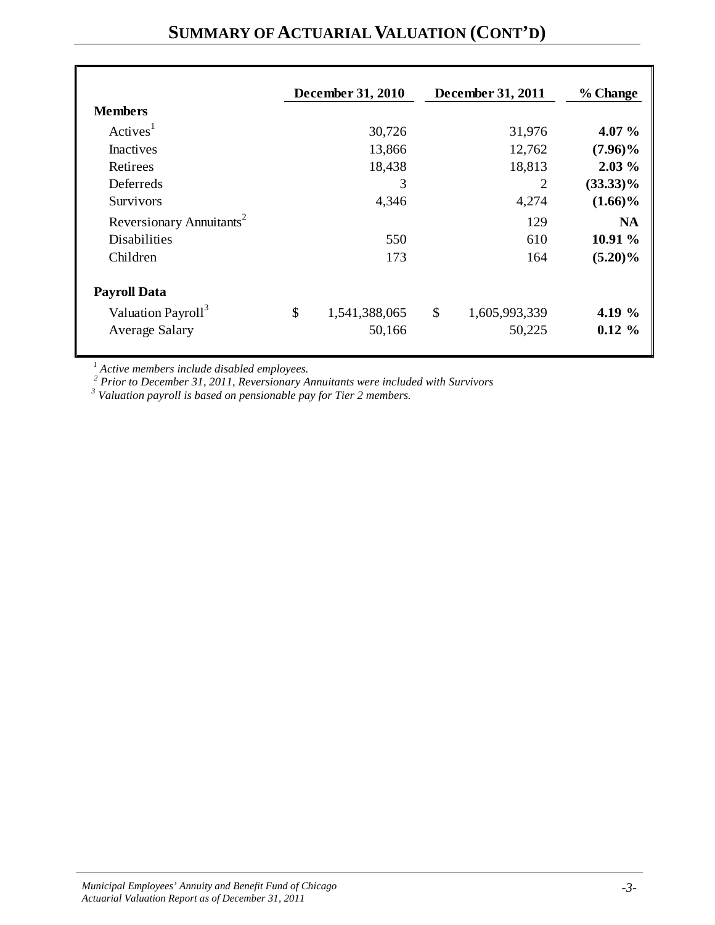|                                      | December 31, 2010   | December 31, 2011   | % Change    |
|--------------------------------------|---------------------|---------------------|-------------|
| <b>Members</b>                       |                     |                     |             |
| Actives <sup>1</sup>                 | 30,726              | 31,976              | 4.07 $\%$   |
| Inactives                            | 13,866              | 12,762              | $(7.96)\%$  |
| Retirees                             | 18,438              | 18,813              | $2.03\%$    |
| Deferreds                            | 3                   | 2                   | $(33.33)\%$ |
| <b>Survivors</b>                     | 4,346               | 4,274               | $(1.66)\%$  |
| Reversionary Annuitants <sup>2</sup> |                     | 129                 | <b>NA</b>   |
| <b>Disabilities</b>                  | 550                 | 610                 | 10.91 %     |
| Children                             | 173                 | 164                 | $(5.20)\%$  |
| <b>Payroll Data</b>                  |                     |                     |             |
| Valuation Payroll <sup>3</sup>       | \$<br>1,541,388,065 | \$<br>1,605,993,339 | 4.19 $%$    |
| <b>Average Salary</b>                | 50,166              | 50,225              | $0.12 \%$   |

# **SUMMARY OF ACTUARIAL VALUATION (CONT'D)**

<sup>1</sup> Active members include disabled employees.<br><sup>2</sup> Prior to December 31, 2011, Reversionary Annuitants were included with Survivors<sup>3</sup> Valuation payroll is based on pensionable pay for Tier 2 members.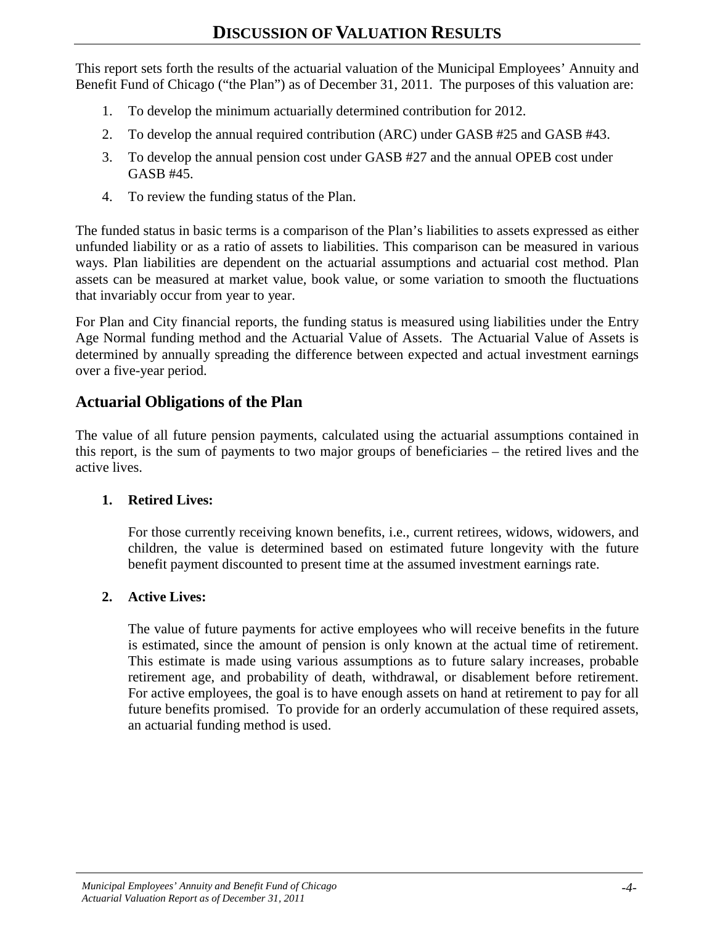This report sets forth the results of the actuarial valuation of the Municipal Employees' Annuity and Benefit Fund of Chicago ("the Plan") as of December 31, 2011. The purposes of this valuation are:

- 1. To develop the minimum actuarially determined contribution for 2012.
- 2. To develop the annual required contribution (ARC) under GASB #25 and GASB #43.
- 3. To develop the annual pension cost under GASB #27 and the annual OPEB cost under GASB #45.
- 4. To review the funding status of the Plan.

The funded status in basic terms is a comparison of the Plan's liabilities to assets expressed as either unfunded liability or as a ratio of assets to liabilities. This comparison can be measured in various ways. Plan liabilities are dependent on the actuarial assumptions and actuarial cost method. Plan assets can be measured at market value, book value, or some variation to smooth the fluctuations that invariably occur from year to year.

For Plan and City financial reports, the funding status is measured using liabilities under the Entry Age Normal funding method and the Actuarial Value of Assets. The Actuarial Value of Assets is determined by annually spreading the difference between expected and actual investment earnings over a five-year period.

#### **Actuarial Obligations of the Plan**

The value of all future pension payments, calculated using the actuarial assumptions contained in this report, is the sum of payments to two major groups of beneficiaries – the retired lives and the active lives.

#### **1. Retired Lives:**

For those currently receiving known benefits, i.e., current retirees, widows, widowers, and children, the value is determined based on estimated future longevity with the future benefit payment discounted to present time at the assumed investment earnings rate.

#### **2. Active Lives:**

The value of future payments for active employees who will receive benefits in the future is estimated, since the amount of pension is only known at the actual time of retirement. This estimate is made using various assumptions as to future salary increases, probable retirement age, and probability of death, withdrawal, or disablement before retirement. For active employees, the goal is to have enough assets on hand at retirement to pay for all future benefits promised. To provide for an orderly accumulation of these required assets, an actuarial funding method is used.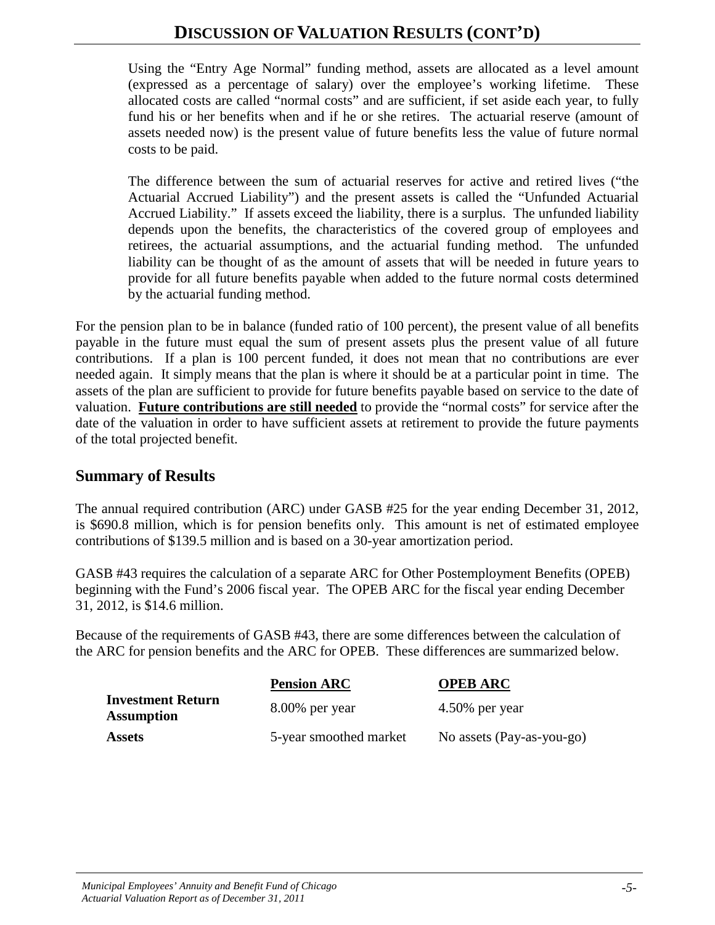Using the "Entry Age Normal" funding method, assets are allocated as a level amount (expressed as a percentage of salary) over the employee's working lifetime. These allocated costs are called "normal costs" and are sufficient, if set aside each year, to fully fund his or her benefits when and if he or she retires. The actuarial reserve (amount of assets needed now) is the present value of future benefits less the value of future normal costs to be paid.

The difference between the sum of actuarial reserves for active and retired lives ("the Actuarial Accrued Liability") and the present assets is called the "Unfunded Actuarial Accrued Liability." If assets exceed the liability, there is a surplus. The unfunded liability depends upon the benefits, the characteristics of the covered group of employees and retirees, the actuarial assumptions, and the actuarial funding method. The unfunded liability can be thought of as the amount of assets that will be needed in future years to provide for all future benefits payable when added to the future normal costs determined by the actuarial funding method.

For the pension plan to be in balance (funded ratio of 100 percent), the present value of all benefits payable in the future must equal the sum of present assets plus the present value of all future contributions. If a plan is 100 percent funded, it does not mean that no contributions are ever needed again. It simply means that the plan is where it should be at a particular point in time. The assets of the plan are sufficient to provide for future benefits payable based on service to the date of valuation. **Future contributions are still needed** to provide the "normal costs" for service after the date of the valuation in order to have sufficient assets at retirement to provide the future payments of the total projected benefit.

#### **Summary of Results**

The annual required contribution (ARC) under GASB #25 for the year ending December 31, 2012, is \$690.8 million, which is for pension benefits only. This amount is net of estimated employee contributions of \$139.5 million and is based on a 30-year amortization period.

GASB #43 requires the calculation of a separate ARC for Other Postemployment Benefits (OPEB) beginning with the Fund's 2006 fiscal year. The OPEB ARC for the fiscal year ending December 31, 2012, is \$14.6 million.

Because of the requirements of GASB #43, there are some differences between the calculation of the ARC for pension benefits and the ARC for OPEB. These differences are summarized below.

|                                               | <b>Pension ARC</b>     | <b>OPEB ARC</b>           |
|-----------------------------------------------|------------------------|---------------------------|
| <b>Investment Return</b><br><b>Assumption</b> | $8.00\%$ per year      | $4.50\%$ per year         |
| <b>Assets</b>                                 | 5-year smoothed market | No assets (Pay-as-you-go) |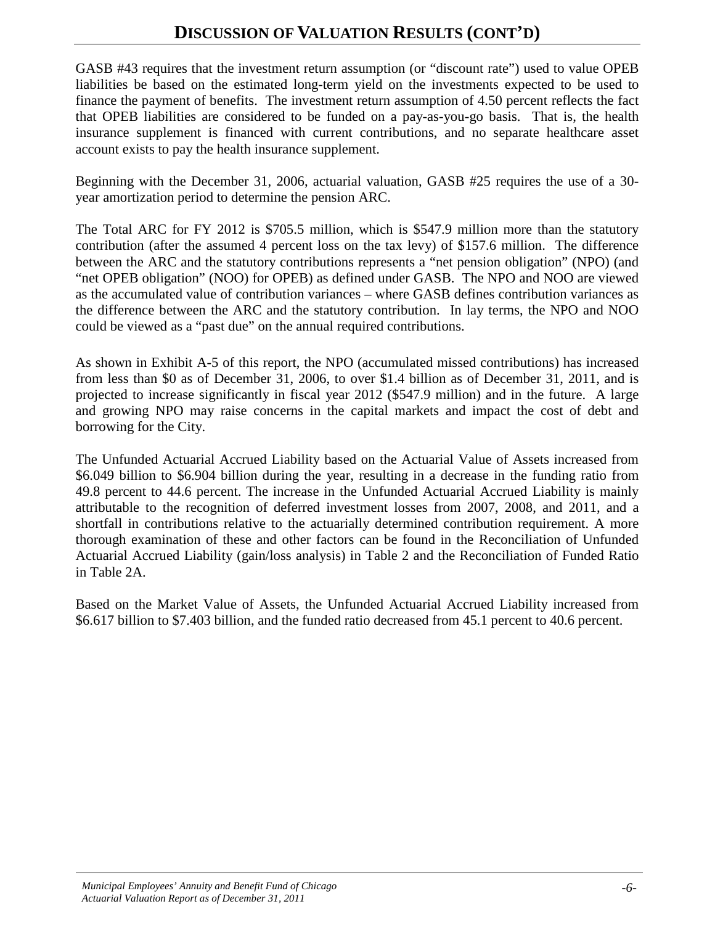GASB #43 requires that the investment return assumption (or "discount rate") used to value OPEB liabilities be based on the estimated long-term yield on the investments expected to be used to finance the payment of benefits. The investment return assumption of 4.50 percent reflects the fact that OPEB liabilities are considered to be funded on a pay-as-you-go basis. That is, the health insurance supplement is financed with current contributions, and no separate healthcare asset account exists to pay the health insurance supplement.

Beginning with the December 31, 2006, actuarial valuation, GASB #25 requires the use of a 30 year amortization period to determine the pension ARC.

The Total ARC for FY 2012 is \$705.5 million, which is \$547.9 million more than the statutory contribution (after the assumed 4 percent loss on the tax levy) of \$157.6 million. The difference between the ARC and the statutory contributions represents a "net pension obligation" (NPO) (and "net OPEB obligation" (NOO) for OPEB) as defined under GASB. The NPO and NOO are viewed as the accumulated value of contribution variances – where GASB defines contribution variances as the difference between the ARC and the statutory contribution. In lay terms, the NPO and NOO could be viewed as a "past due" on the annual required contributions.

As shown in Exhibit A-5 of this report, the NPO (accumulated missed contributions) has increased from less than \$0 as of December 31, 2006, to over \$1.4 billion as of December 31, 2011, and is projected to increase significantly in fiscal year 2012 (\$547.9 million) and in the future. A large and growing NPO may raise concerns in the capital markets and impact the cost of debt and borrowing for the City.

The Unfunded Actuarial Accrued Liability based on the Actuarial Value of Assets increased from \$6.049 billion to \$6.904 billion during the year, resulting in a decrease in the funding ratio from 49.8 percent to 44.6 percent. The increase in the Unfunded Actuarial Accrued Liability is mainly attributable to the recognition of deferred investment losses from 2007, 2008, and 2011, and a shortfall in contributions relative to the actuarially determined contribution requirement. A more thorough examination of these and other factors can be found in the Reconciliation of Unfunded Actuarial Accrued Liability (gain/loss analysis) in Table 2 and the Reconciliation of Funded Ratio in Table 2A.

Based on the Market Value of Assets, the Unfunded Actuarial Accrued Liability increased from \$6.617 billion to \$7.403 billion, and the funded ratio decreased from 45.1 percent to 40.6 percent.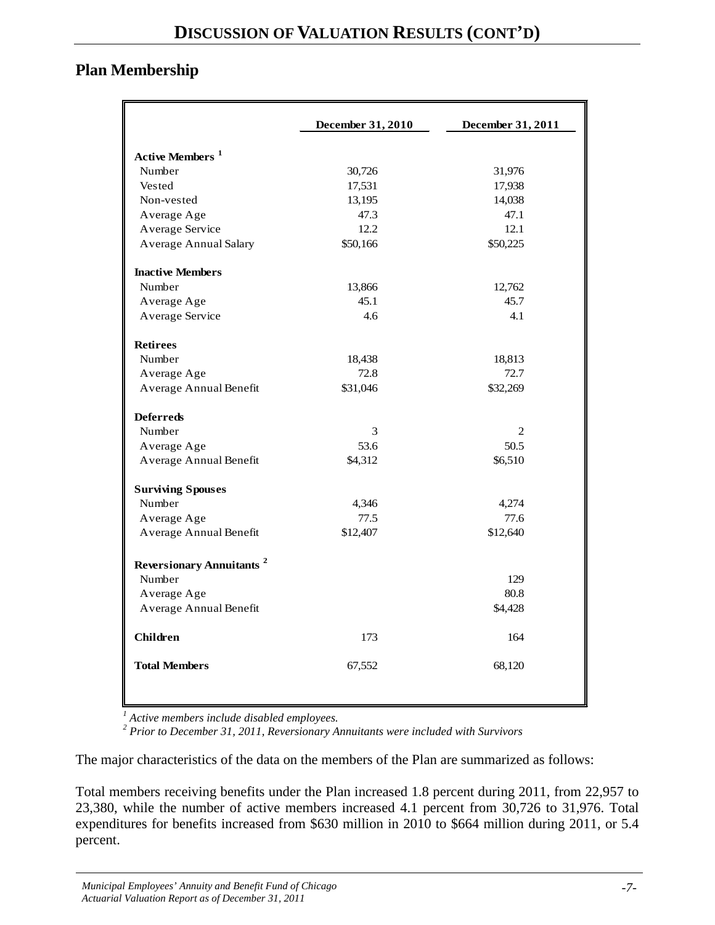### **Plan Membership**

|                                            | December 31, 2010 | December 31, 2011 |
|--------------------------------------------|-------------------|-------------------|
| <b>Active Members</b> <sup>1</sup>         |                   |                   |
| Number                                     | 30,726            | 31,976            |
| Vested                                     | 17,531            | 17,938            |
| Non-vested                                 | 13,195            | 14,038            |
| Average Age                                | 47.3              | 47.1              |
| Average Service                            | 12.2              | 12.1              |
| <b>Average Annual Salary</b>               | \$50,166          | \$50,225          |
| <b>Inactive Members</b>                    |                   |                   |
| Number                                     | 13,866            | 12,762            |
| Average Age                                | 45.1              | 45.7              |
| Average Service                            | 4.6               | 4.1               |
| <b>Retirees</b>                            |                   |                   |
| Number                                     | 18,438            | 18,813            |
| Average Age                                | 72.8              | 72.7              |
| Average Annual Benefit                     | \$31,046          | \$32,269          |
| <b>Deferreds</b>                           |                   |                   |
| Number                                     | 3                 | $\overline{c}$    |
| Average Age                                | 53.6              | 50.5              |
| Average Annual Benefit                     | \$4,312           | \$6,510           |
| <b>Surviving Spouses</b>                   |                   |                   |
| Number                                     | 4,346             | 4,274             |
| Average Age                                | 77.5              | 77.6              |
| Average Annual Benefit                     | \$12,407          | \$12,640          |
| <b>Reversionary Annuitants<sup>2</sup></b> |                   |                   |
| Number                                     |                   | 129               |
| Average Age                                |                   | 80.8              |
| Average Annual Benefit                     |                   | \$4,428           |
| <b>Children</b>                            | 173               | 164               |
| <b>Total Members</b>                       | 67,552            | 68,120            |
|                                            |                   |                   |

*<sup>1</sup> Active members include disabled employees.*

*<sup>2</sup> Prior to December 31, 2011, Reversionary Annuitants were included with Survivors*

The major characteristics of the data on the members of the Plan are summarized as follows:

Total members receiving benefits under the Plan increased 1.8 percent during 2011, from 22,957 to 23,380, while the number of active members increased 4.1 percent from 30,726 to 31,976. Total expenditures for benefits increased from \$630 million in 2010 to \$664 million during 2011, or 5.4 percent.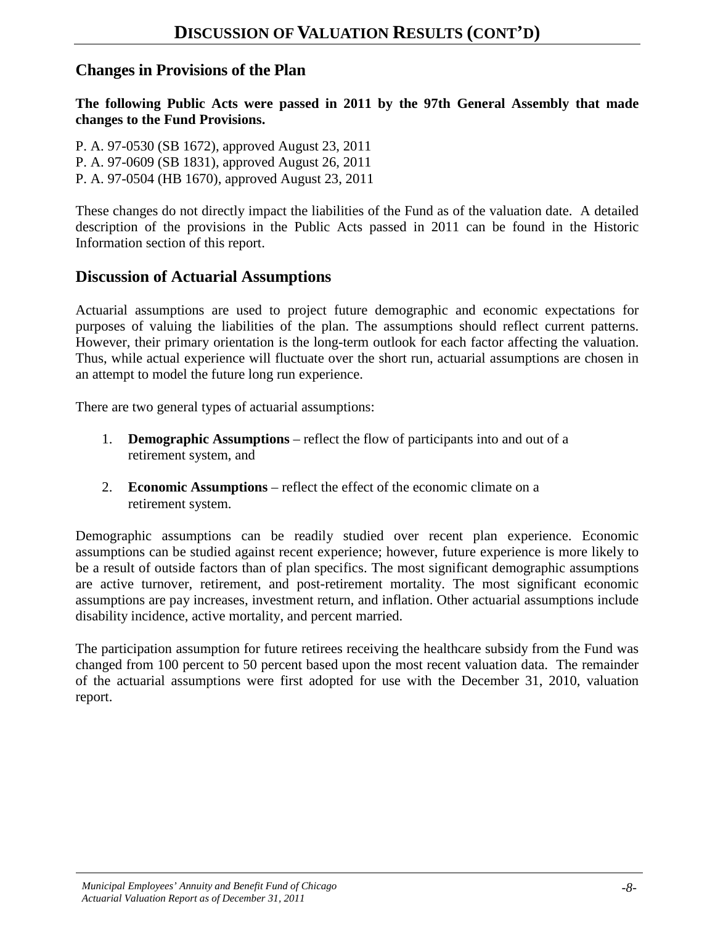#### **Changes in Provisions of the Plan**

**The following Public Acts were passed in 2011 by the 97th General Assembly that made changes to the Fund Provisions.**

P. A. 97-0530 (SB 1672), approved August 23, 2011 P. A. 97-0609 (SB 1831), approved August 26, 2011 P. A. 97-0504 (HB 1670), approved August 23, 2011

These changes do not directly impact the liabilities of the Fund as of the valuation date. A detailed description of the provisions in the Public Acts passed in 2011 can be found in the Historic Information section of this report.

#### **Discussion of Actuarial Assumptions**

Actuarial assumptions are used to project future demographic and economic expectations for purposes of valuing the liabilities of the plan. The assumptions should reflect current patterns. However, their primary orientation is the long-term outlook for each factor affecting the valuation. Thus, while actual experience will fluctuate over the short run, actuarial assumptions are chosen in an attempt to model the future long run experience.

There are two general types of actuarial assumptions:

- 1. **Demographic Assumptions** reflect the flow of participants into and out of a retirement system, and
- 2. **Economic Assumptions** reflect the effect of the economic climate on a retirement system.

Demographic assumptions can be readily studied over recent plan experience. Economic assumptions can be studied against recent experience; however, future experience is more likely to be a result of outside factors than of plan specifics. The most significant demographic assumptions are active turnover, retirement, and post-retirement mortality. The most significant economic assumptions are pay increases, investment return, and inflation. Other actuarial assumptions include disability incidence, active mortality, and percent married.

The participation assumption for future retirees receiving the healthcare subsidy from the Fund was changed from 100 percent to 50 percent based upon the most recent valuation data. The remainder of the actuarial assumptions were first adopted for use with the December 31, 2010, valuation report.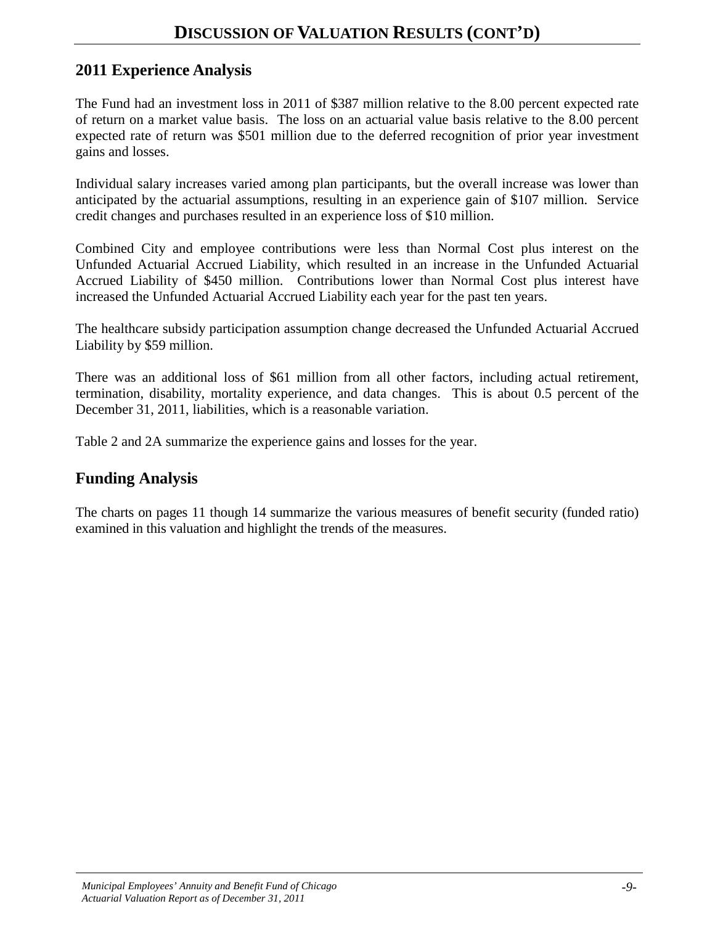### **2011 Experience Analysis**

The Fund had an investment loss in 2011 of \$387 million relative to the 8.00 percent expected rate of return on a market value basis. The loss on an actuarial value basis relative to the 8.00 percent expected rate of return was \$501 million due to the deferred recognition of prior year investment gains and losses.

Individual salary increases varied among plan participants, but the overall increase was lower than anticipated by the actuarial assumptions, resulting in an experience gain of \$107 million. Service credit changes and purchases resulted in an experience loss of \$10 million.

Combined City and employee contributions were less than Normal Cost plus interest on the Unfunded Actuarial Accrued Liability, which resulted in an increase in the Unfunded Actuarial Accrued Liability of \$450 million. Contributions lower than Normal Cost plus interest have increased the Unfunded Actuarial Accrued Liability each year for the past ten years.

The healthcare subsidy participation assumption change decreased the Unfunded Actuarial Accrued Liability by \$59 million.

There was an additional loss of \$61 million from all other factors, including actual retirement, termination, disability, mortality experience, and data changes. This is about 0.5 percent of the December 31, 2011, liabilities, which is a reasonable variation.

Table 2 and 2A summarize the experience gains and losses for the year.

#### **Funding Analysis**

The charts on pages 11 though 14 summarize the various measures of benefit security (funded ratio) examined in this valuation and highlight the trends of the measures.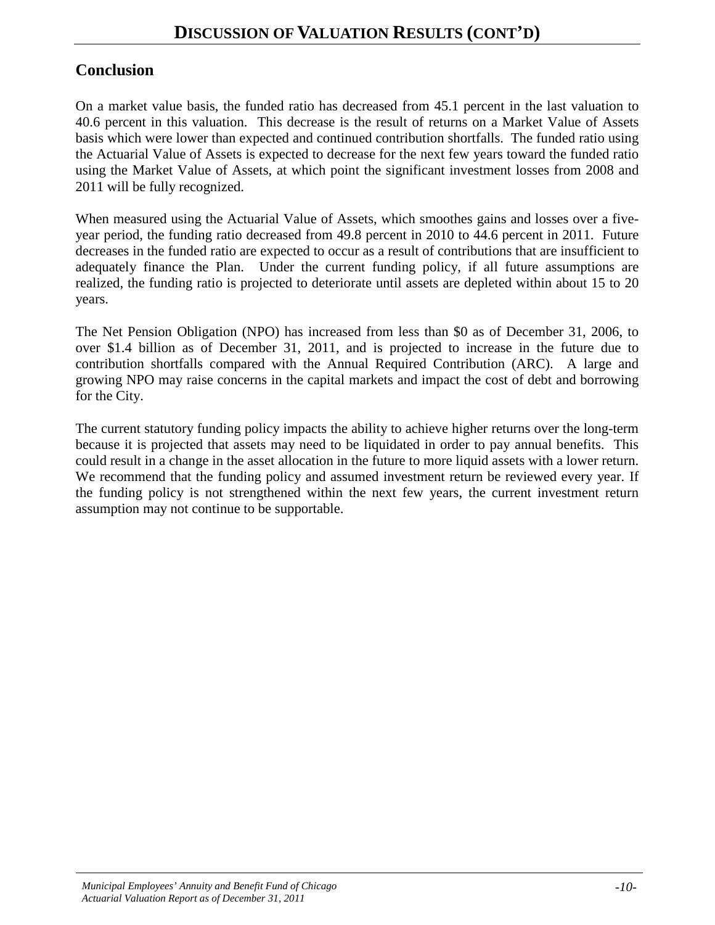### **Conclusion**

On a market value basis, the funded ratio has decreased from 45.1 percent in the last valuation to 40.6 percent in this valuation. This decrease is the result of returns on a Market Value of Assets basis which were lower than expected and continued contribution shortfalls. The funded ratio using the Actuarial Value of Assets is expected to decrease for the next few years toward the funded ratio using the Market Value of Assets, at which point the significant investment losses from 2008 and 2011 will be fully recognized.

When measured using the Actuarial Value of Assets, which smoothes gains and losses over a fiveyear period, the funding ratio decreased from 49.8 percent in 2010 to 44.6 percent in 2011. Future decreases in the funded ratio are expected to occur as a result of contributions that are insufficient to adequately finance the Plan.Under the current funding policy, if all future assumptions are realized, the funding ratio is projected to deteriorate until assets are depleted within about 15 to 20 years.

The Net Pension Obligation (NPO) has increased from less than \$0 as of December 31, 2006, to over \$1.4 billion as of December 31, 2011, and is projected to increase in the future due to contribution shortfalls compared with the Annual Required Contribution (ARC). A large and growing NPO may raise concerns in the capital markets and impact the cost of debt and borrowing for the City.

The current statutory funding policy impacts the ability to achieve higher returns over the long-term because it is projected that assets may need to be liquidated in order to pay annual benefits. This could result in a change in the asset allocation in the future to more liquid assets with a lower return. We recommend that the funding policy and assumed investment return be reviewed every year. If the funding policy is not strengthened within the next few years, the current investment return assumption may not continue to be supportable.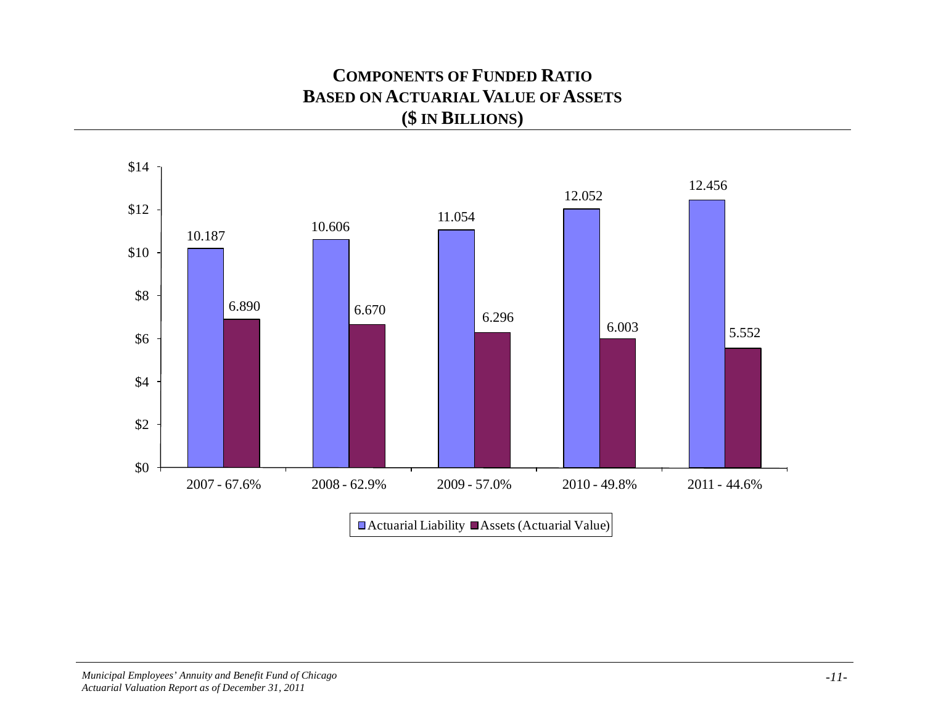## **COMPONENTS OF FUNDED RATIO BASED ON ACTUARIAL VALUE OF ASSETS (\$ IN BILLIONS)**

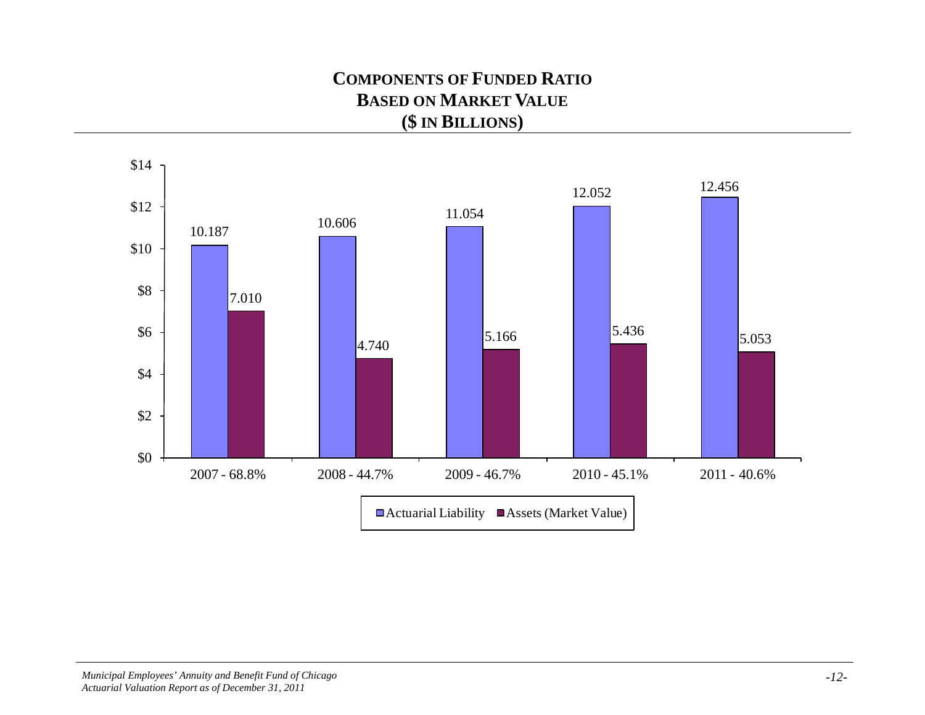## **COMPONENTS OF FUNDED RATIO BASED ON MARKET VALUE (\$ IN BILLIONS)**

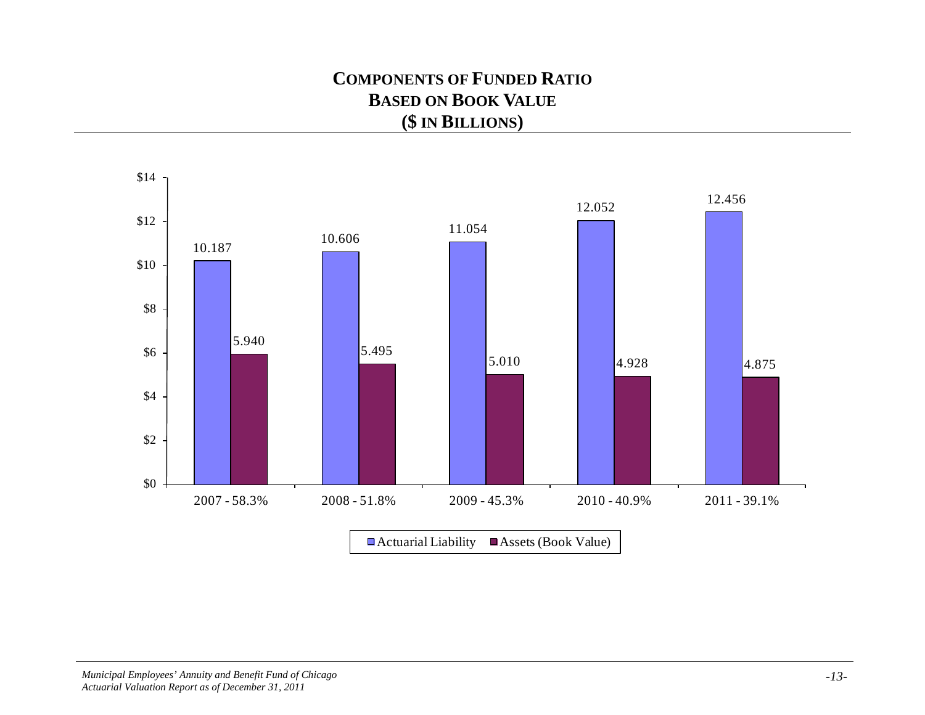# **COMPONENTS OF FUNDED RATIO BASED ON BOOK VALUE (\$ IN BILLIONS)**

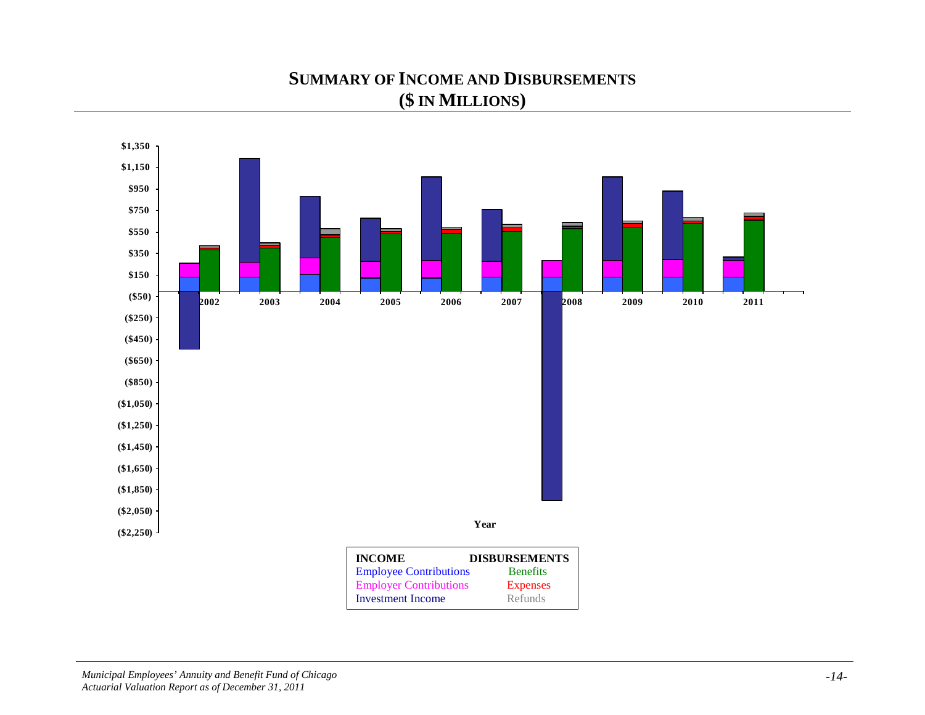## **SUMMARY OF INCOME AND DISBURSEMENTS (\$ IN MILLIONS)**

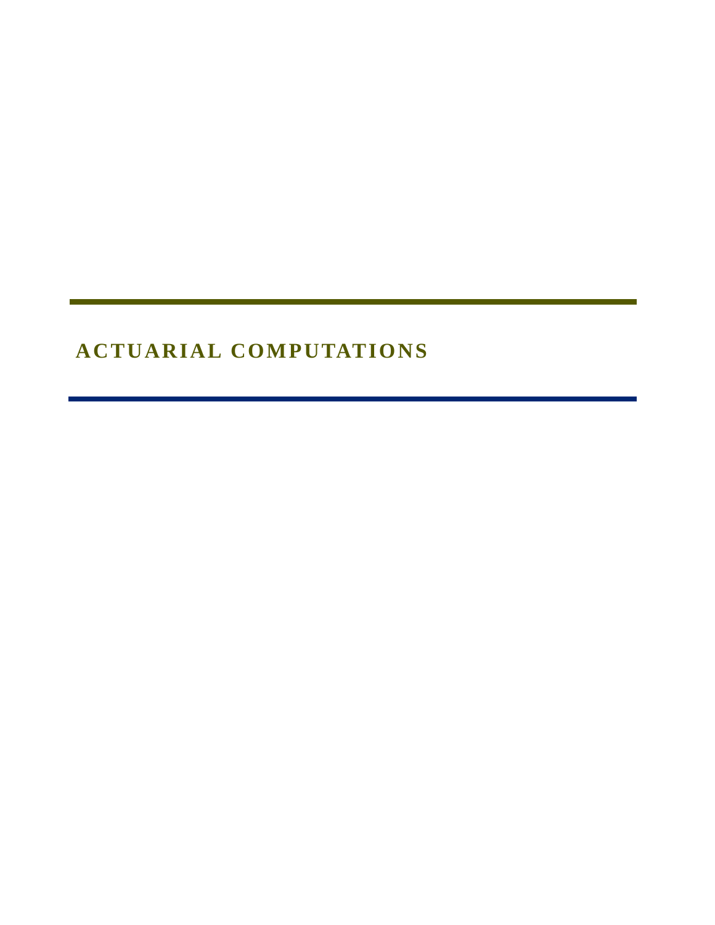# **ACTUARIAL COMPUTATIONS**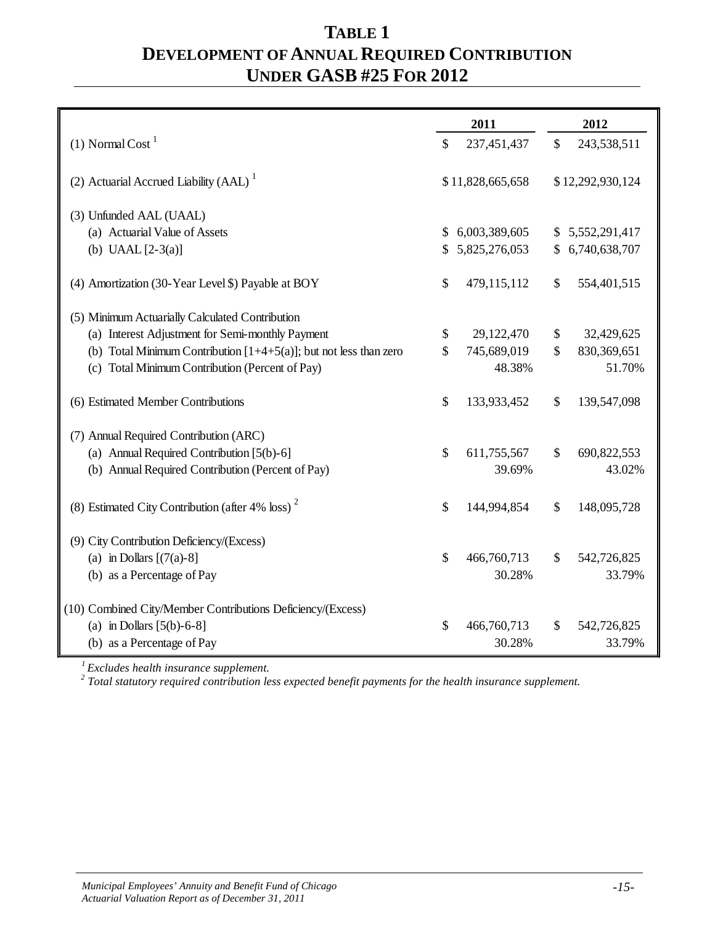## **TABLE 1 DEVELOPMENT OF ANNUAL REQUIRED CONTRIBUTION UNDER GASB #25 FOR 2012**

|                                                                      | 2011                |              | 2012             |
|----------------------------------------------------------------------|---------------------|--------------|------------------|
| (1) Normal Cost <sup>1</sup>                                         | \$<br>237,451,437   | \$           | 243,538,511      |
| (2) Actuarial Accrued Liability (AAL) $\frac{1}{1}$                  | \$11,828,665,658    |              | \$12,292,930,124 |
|                                                                      |                     |              |                  |
| (3) Unfunded AAL (UAAL)                                              |                     |              |                  |
| (a) Actuarial Value of Assets                                        | \$<br>6,003,389,605 |              | 5,552,291,417    |
| (b) UAAL $[2-3(a)]$                                                  | \$<br>5,825,276,053 | \$           | 6,740,638,707    |
| (4) Amortization (30-Year Level \$) Payable at BOY                   | \$<br>479,115,112   | \$           | 554,401,515      |
| (5) Minimum Actuarially Calculated Contribution                      |                     |              |                  |
| (a) Interest Adjustment for Semi-monthly Payment                     | \$<br>29,122,470    | \$           | 32,429,625       |
| (b) Total Minimum Contribution $[1+4+5(a)]$ ; but not less than zero | \$<br>745,689,019   | \$           | 830,369,651      |
| (c) Total Minimum Contribution (Percent of Pay)                      | 48.38%              |              | 51.70%           |
| (6) Estimated Member Contributions                                   | \$<br>133,933,452   | \$           | 139,547,098      |
| (7) Annual Required Contribution (ARC)                               |                     |              |                  |
| (a) Annual Required Contribution [5(b)-6]                            | \$<br>611,755,567   | \$           | 690,822,553      |
| (b) Annual Required Contribution (Percent of Pay)                    | 39.69%              |              | 43.02%           |
| (8) Estimated City Contribution (after 4% loss) <sup>2</sup>         | \$<br>144,994,854   | \$           | 148,095,728      |
| (9) City Contribution Deficiency/(Excess)                            |                     |              |                  |
| (a) in Dollars $[(7(a)-8)]$                                          | \$<br>466,760,713   | $\mathbb{S}$ | 542,726,825      |
| (b) as a Percentage of Pay                                           | 30.28%              |              | 33.79%           |
| (10) Combined City/Member Contributions Deficiency/(Excess)          |                     |              |                  |
| (a) in Dollars $[5(b)-6-8]$                                          | \$<br>466,760,713   | \$           | 542,726,825      |
| (b) as a Percentage of Pay                                           | 30.28%              |              | 33.79%           |

*1 Excludes health insurance supplement.*

*<sup>2</sup> Total statutory required contribution less expected benefit payments for the health insurance supplement.*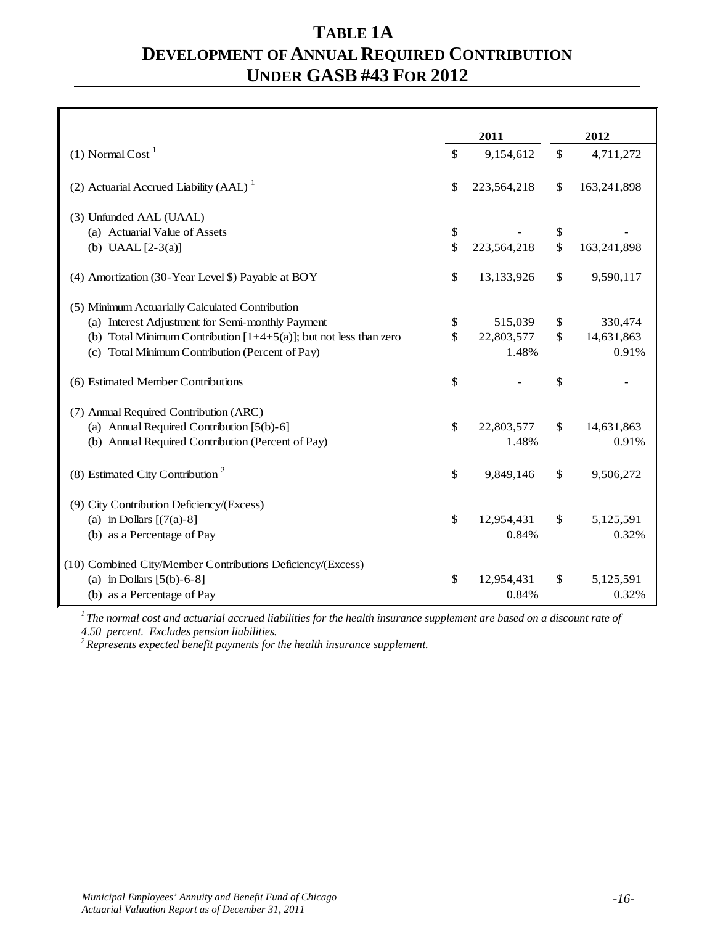## **TABLE 1A DEVELOPMENT OF ANNUAL REQUIRED CONTRIBUTION UNDER GASB #43 FOR 2012**

|                                                                      |                    | 2011        | 2012              |
|----------------------------------------------------------------------|--------------------|-------------|-------------------|
| $(1)$ Normal Cost <sup>1</sup>                                       | \$                 | 9,154,612   | \$<br>4,711,272   |
| (2) Actuarial Accrued Liability (AAL) <sup>1</sup>                   | \$                 | 223,564,218 | \$<br>163,241,898 |
| (3) Unfunded AAL (UAAL)                                              |                    |             |                   |
| (a) Actuarial Value of Assets                                        | \$                 |             | \$                |
| (b) UAAL $[2-3(a)]$                                                  | $\mathbf{\hat{S}}$ | 223,564,218 | \$<br>163,241,898 |
| (4) Amortization (30-Year Level \$) Payable at BOY                   | \$                 | 13,133,926  | \$<br>9,590,117   |
| (5) Minimum Actuarially Calculated Contribution                      |                    |             |                   |
| (a) Interest Adjustment for Semi-monthly Payment                     | \$                 | 515,039     | \$<br>330,474     |
| (b) Total Minimum Contribution $[1+4+5(a)]$ ; but not less than zero | \$                 | 22,803,577  | \$<br>14,631,863  |
| (c) Total Minimum Contribution (Percent of Pay)                      |                    | 1.48%       | 0.91%             |
| (6) Estimated Member Contributions                                   | \$                 |             | \$                |
| (7) Annual Required Contribution (ARC)                               |                    |             |                   |
| (a) Annual Required Contribution [5(b)-6]                            | \$                 | 22,803,577  | \$<br>14,631,863  |
| (b) Annual Required Contribution (Percent of Pay)                    |                    | 1.48%       | 0.91%             |
| (8) Estimated City Contribution <sup>2</sup>                         | \$                 | 9,849,146   | \$<br>9,506,272   |
| (9) City Contribution Deficiency/(Excess)                            |                    |             |                   |
| (a) in Dollars $[(7(a)-8)]$                                          | \$                 | 12,954,431  | \$<br>5,125,591   |
| (b) as a Percentage of Pay                                           |                    | 0.84%       | 0.32%             |
| (10) Combined City/Member Contributions Deficiency/(Excess)          |                    |             |                   |
| (a) in Dollars $[5(b)-6-8]$                                          | \$                 | 12,954,431  | \$<br>5,125,591   |
| (b) as a Percentage of Pay                                           |                    | 0.84%       | 0.32%             |

*1 The normal cost and actuarial accrued liabilities for the health insurance supplement are based on a discount rate of 4.50 percent. Excludes pension liabilities.*

*2 Represents expected benefit payments for the health insurance supplement.*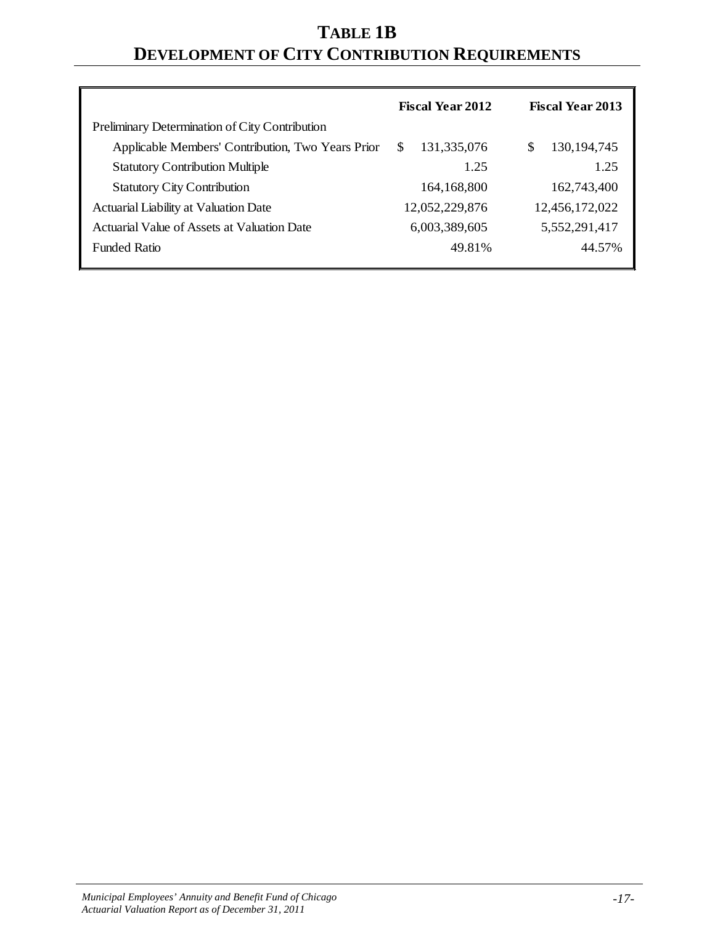# **TABLE 1B DEVELOPMENT OF CITY CONTRIBUTION REQUIREMENTS**

|                                                   | <b>Fiscal Year 2012</b> | <b>Fiscal Year 2013</b> |
|---------------------------------------------------|-------------------------|-------------------------|
| Preliminary Determination of City Contribution    |                         |                         |
| Applicable Members' Contribution, Two Years Prior | 131,335,076<br>\$.      | 130, 194, 745<br>\$     |
| <b>Statutory Contribution Multiple</b>            | 1.25                    | 1.25                    |
| <b>Statutory City Contribution</b>                | 164,168,800             | 162,743,400             |
| Actuarial Liability at Valuation Date             | 12,052,229,876          | 12,456,172,022          |
| Actuarial Value of Assets at Valuation Date       | 6,003,389,605           | 5,552,291,417           |
| <b>Funded Ratio</b>                               | 49.81%                  | 44.57%                  |
|                                                   |                         |                         |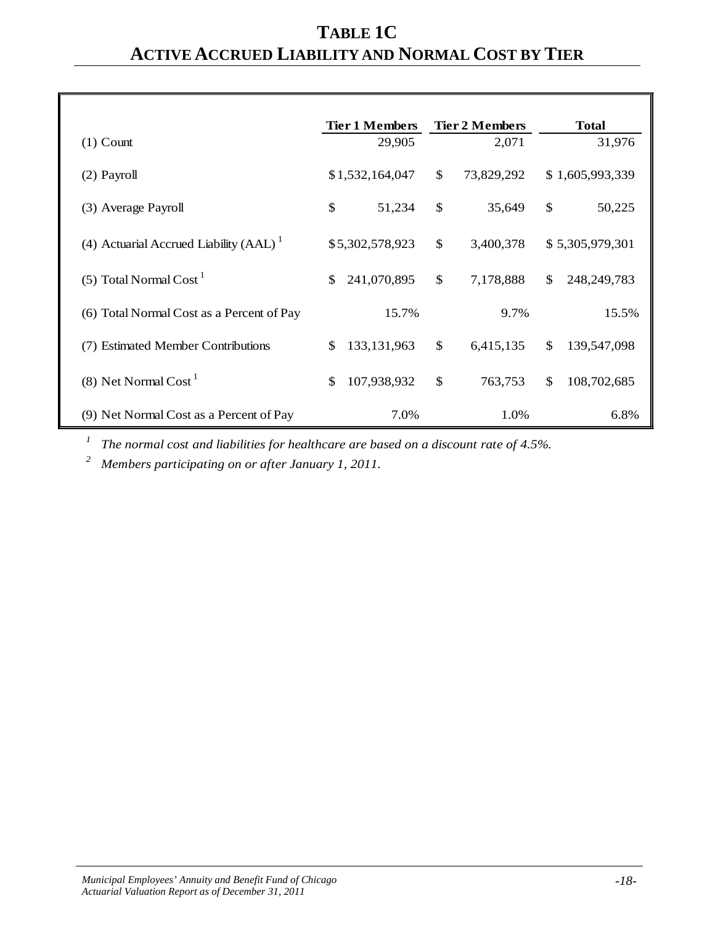# **TABLE 1C ACTIVE ACCRUED LIABILITY AND NORMAL COST BY TIER**

|                                           | <b>Tier 1 Members</b>          | <b>Tier 2 Members</b>      | <b>Total</b>                |
|-------------------------------------------|--------------------------------|----------------------------|-----------------------------|
| $(1)$ Count                               | 29,905                         | 2,071                      | 31,976                      |
| (2) Payroll                               | \$1,532,164,047                | $\mathbb{S}$<br>73,829,292 | \$1,605,993,339             |
| (3) Average Payroll                       | $\mathcal{S}$<br>51,234        | \$<br>35,649               | $\mathcal{S}$<br>50,225     |
| (4) Actuarial Accrued Liability (AAL) $1$ | \$5,302,578,923                | \$<br>3,400,378            | \$5,305,979,301             |
| $(5)$ Total Normal Cost <sup>1</sup>      | $\mathcal{S}$<br>241,070,895   | \$<br>7,178,888            | \$<br>248, 249, 783         |
| (6) Total Normal Cost as a Percent of Pay | 15.7%                          | 9.7%                       | 15.5%                       |
| (7) Estimated Member Contributions        | 133, 131, 963<br><sup>\$</sup> | $\mathcal{S}$<br>6,415,135 | $\mathbb{S}$<br>139,547,098 |
| $(8)$ Net Normal Cost <sup>1</sup>        | 107,938,932<br>\$              | \$<br>763,753              | \$<br>108,702,685           |
| (9) Net Normal Cost as a Percent of Pay   | 7.0%                           | 1.0%                       | 6.8%                        |

*<sup>1</sup> The normal cost and liabilities for healthcare are based on a discount rate of 4.5%.*

*<sup>2</sup> Members participating on or after January 1, 2011.*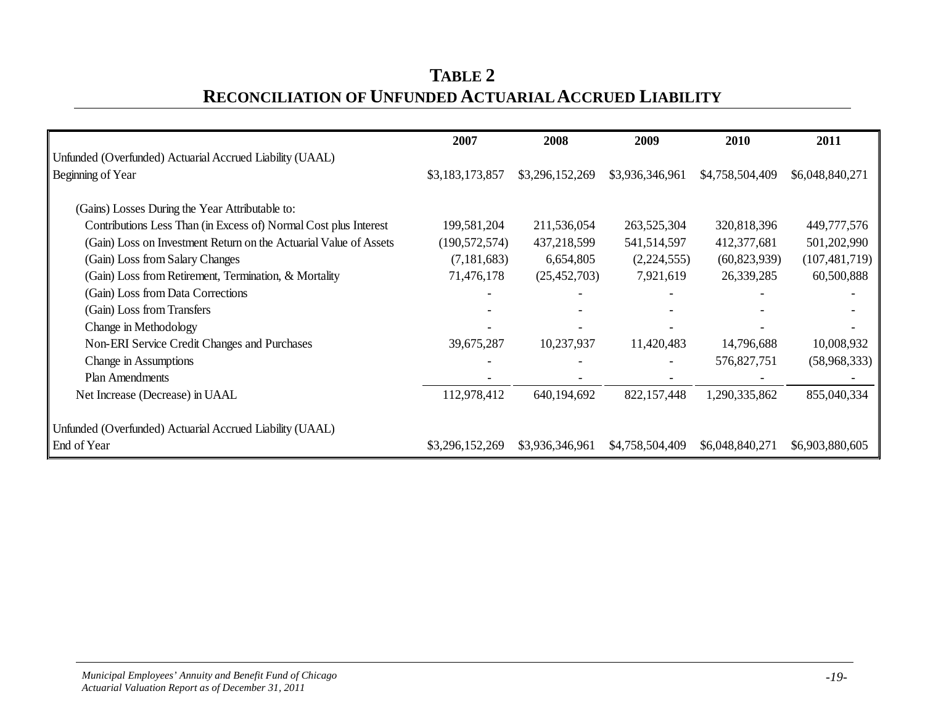| TABLE 2                                                       |
|---------------------------------------------------------------|
| <b>RECONCILIATION OF UNFUNDED ACTUARIAL ACCRUED LIABILITY</b> |

|                                                                   | 2007            | 2008            | 2009            | 2010            | 2011            |
|-------------------------------------------------------------------|-----------------|-----------------|-----------------|-----------------|-----------------|
| Unfunded (Overfunded) Actuarial Accrued Liability (UAAL)          |                 |                 |                 |                 |                 |
| Beginning of Year                                                 | \$3,183,173,857 | \$3,296,152,269 | \$3,936,346,961 | \$4,758,504,409 | \$6,048,840,271 |
|                                                                   |                 |                 |                 |                 |                 |
| (Gains) Losses During the Year Attributable to:                   |                 |                 |                 |                 |                 |
| Contributions Less Than (in Excess of) Normal Cost plus Interest  | 199,581,204     | 211,536,054     | 263,525,304     | 320,818,396     | 449,777,576     |
| (Gain) Loss on Investment Return on the Actuarial Value of Assets | (190, 572, 574) | 437,218,599     | 541,514,597     | 412,377,681     | 501,202,990     |
| (Gain) Loss from Salary Changes                                   | (7, 181, 683)   | 6,654,805       | (2,224,555)     | (60, 823, 939)  | (107, 481, 719) |
| (Gain) Loss from Retirement, Termination, & Mortality             | 71,476,178      | (25, 452, 703)  | 7,921,619       | 26,339,285      | 60,500,888      |
| (Gain) Loss from Data Corrections                                 |                 |                 |                 |                 |                 |
| (Gain) Loss from Transfers                                        |                 |                 |                 |                 |                 |
| Change in Methodology                                             |                 |                 |                 |                 |                 |
| Non-ERI Service Credit Changes and Purchases                      | 39,675,287      | 10,237,937      | 11,420,483      | 14,796,688      | 10,008,932      |
| Change in Assumptions                                             |                 |                 |                 | 576,827,751     | (58,968,333)    |
| <b>Plan Amendments</b>                                            |                 |                 |                 |                 |                 |
| Net Increase (Decrease) in UAAL                                   | 112,978,412     | 640,194,692     | 822,157,448     | 1,290,335,862   | 855,040,334     |
| Unfunded (Overfunded) Actuarial Accrued Liability (UAAL)          |                 |                 |                 |                 |                 |
| End of Year                                                       | \$3,296,152,269 | \$3,936,346,961 | \$4,758,504,409 | \$6,048,840,271 | \$6,903,880,605 |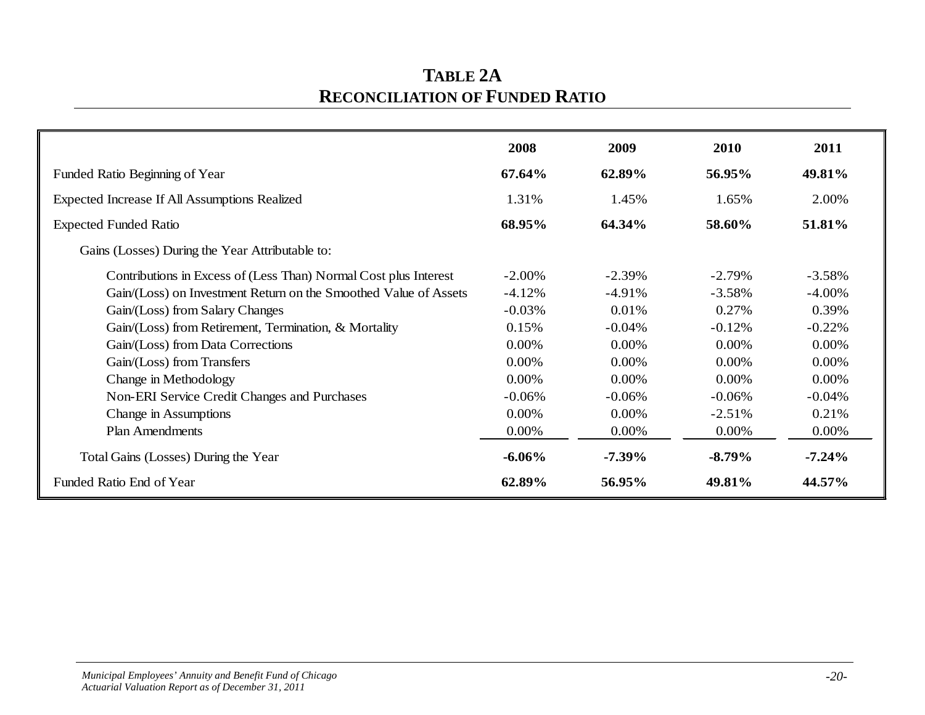| <b>TABLE 2A</b>                       |
|---------------------------------------|
| <b>RECONCILIATION OF FUNDED RATIO</b> |

|                                                                  | 2008      | 2009      | 2010      | 2011      |
|------------------------------------------------------------------|-----------|-----------|-----------|-----------|
| Funded Ratio Beginning of Year                                   | 67.64%    | 62.89%    | 56.95%    | 49.81%    |
| Expected Increase If All Assumptions Realized                    | 1.31%     | 1.45%     | 1.65%     | 2.00%     |
| <b>Expected Funded Ratio</b>                                     | 68.95%    | 64.34%    | 58.60%    | 51.81%    |
| Gains (Losses) During the Year Attributable to:                  |           |           |           |           |
| Contributions in Excess of (Less Than) Normal Cost plus Interest | $-2.00\%$ | $-2.39\%$ | $-2.79\%$ | $-3.58%$  |
| Gain/(Loss) on Investment Return on the Smoothed Value of Assets | $-4.12%$  | $-4.91%$  | $-3.58%$  | $-4.00\%$ |
| Gain/(Loss) from Salary Changes                                  | $-0.03\%$ | 0.01%     | 0.27%     | 0.39%     |
| Gain/(Loss) from Retirement, Termination, & Mortality            | 0.15%     | $-0.04\%$ | $-0.12%$  | $-0.22%$  |
| Gain/(Loss) from Data Corrections                                | 0.00%     | 0.00%     | 0.00%     | $0.00\%$  |
| Gain/(Loss) from Transfers                                       | 0.00%     | 0.00%     | 0.00%     | $0.00\%$  |
| Change in Methodology                                            | 0.00%     | 0.00%     | 0.00%     | $0.00\%$  |
| Non-ERI Service Credit Changes and Purchases                     | $-0.06\%$ | $-0.06\%$ | $-0.06\%$ | $-0.04\%$ |
| Change in Assumptions                                            | 0.00%     | 0.00%     | $-2.51%$  | 0.21%     |
| <b>Plan Amendments</b>                                           | 0.00%     | 0.00%     | 0.00%     | 0.00%     |
| Total Gains (Losses) During the Year                             | $-6.06\%$ | $-7.39\%$ | $-8.79\%$ | $-7.24%$  |
| Funded Ratio End of Year                                         | 62.89%    | 56.95%    | 49.81%    | 44.57%    |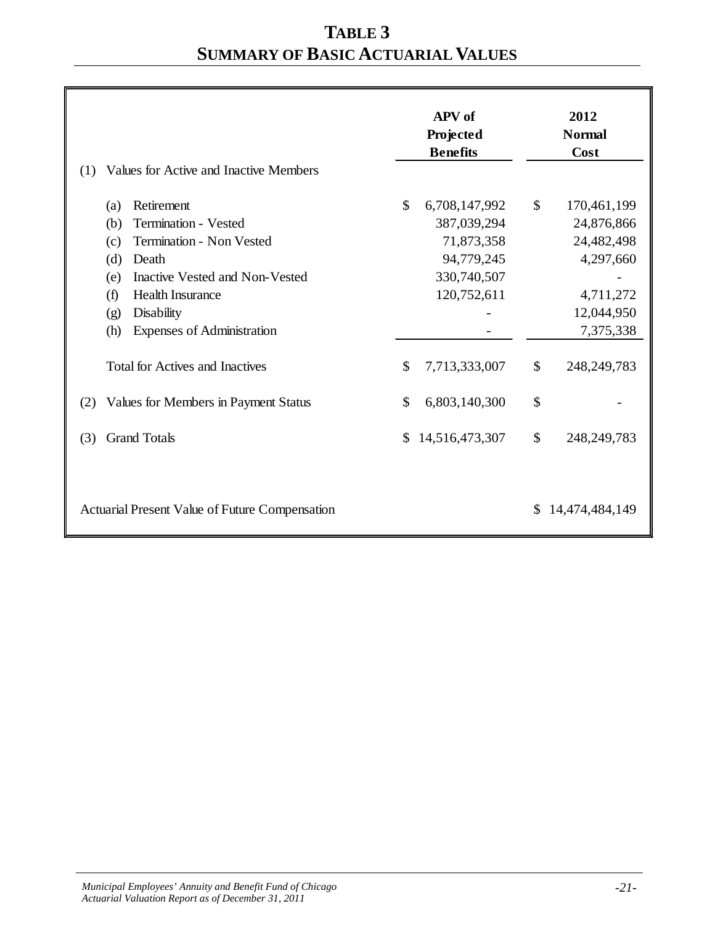# **TABLE 3 SUMMARY OF BASIC ACTUARIAL VALUES**

| Values for Active and Inactive Members<br>(1)         | <b>APV</b> of<br>Projected<br><b>Benefits</b> | 2012<br><b>Normal</b><br>Cost |
|-------------------------------------------------------|-----------------------------------------------|-------------------------------|
| Retirement<br>(a)                                     | \$<br>6,708,147,992                           | $\mathbb{S}$<br>170,461,199   |
| Termination - Vested<br>(b)                           | 387,039,294                                   | 24,876,866                    |
| Termination - Non Vested<br>(c)                       | 71,873,358                                    | 24,482,498                    |
| (d)<br>Death                                          | 94,779,245                                    | 4,297,660                     |
| Inactive Vested and Non-Vested<br>(e)                 | 330,740,507                                   |                               |
| <b>Health Insurance</b><br>(f)                        | 120,752,611                                   | 4,711,272                     |
| <b>Disability</b><br>(g)                              |                                               | 12,044,950                    |
| (h)<br>Expenses of Administration                     |                                               | 7,375,338                     |
| <b>Total for Actives and Inactives</b>                | \$<br>7,713,333,007                           | \$<br>248, 249, 783           |
| Values for Members in Payment Status<br>(2)           | \$<br>6,803,140,300                           | \$                            |
| <b>Grand Totals</b><br>(3)                            | 14,516,473,307<br>\$                          | \$<br>248, 249, 783           |
| <b>Actuarial Present Value of Future Compensation</b> |                                               | 14,474,484,149                |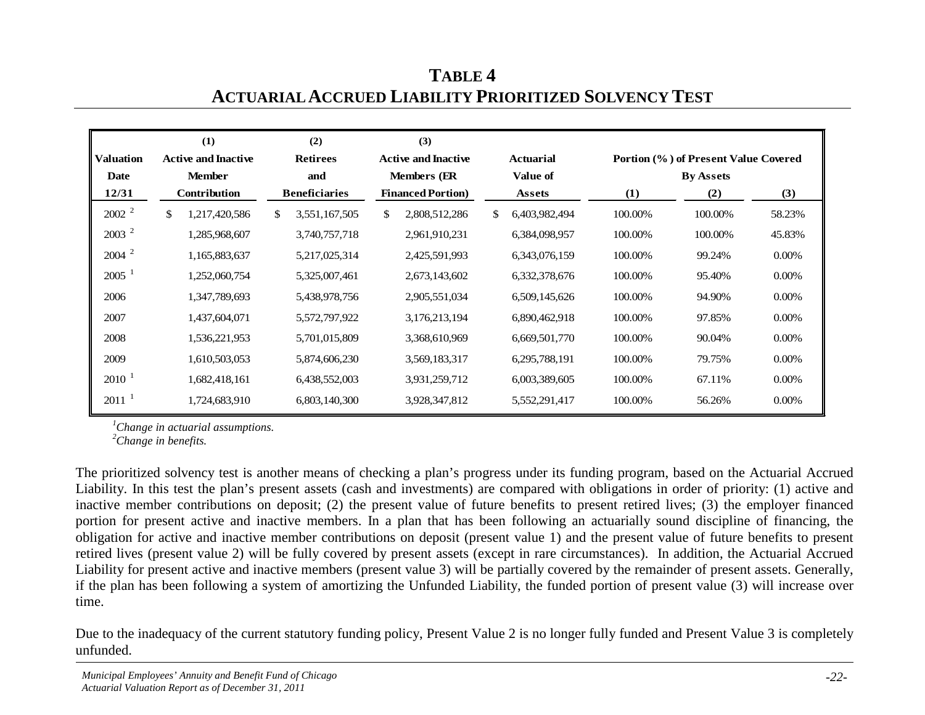| <b>Valuation</b> | (1)<br><b>Active and Inactive</b> | (2)<br><b>Retirees</b> | (3)<br><b>Active and Inactive</b> |                           |          |                  |                  | <b>Actuarial</b> |        | Portion (%) of Present Value Covered |  |
|------------------|-----------------------------------|------------------------|-----------------------------------|---------------------------|----------|------------------|------------------|------------------|--------|--------------------------------------|--|
| <b>Date</b>      | <b>Member</b>                     | and                    |                                   | <b>Members</b> (ER        | Value of |                  | <b>By Assets</b> |                  |        |                                      |  |
| 12/31            | Contribution                      | <b>Beneficiaries</b>   |                                   | <b>Financed Portion</b> ) |          | Assets           | $\bf(1)$         | (2)              | (3)    |                                      |  |
| $2002^2$         | \$<br>1,217,420,586               | S.<br>3,551,167,505    | \$                                | 2,808,512,286             | \$       | 6,403,982,494    | 100.00%          | 100.00%          | 58.23% |                                      |  |
| $2003^2$         | 1,285,968,607                     | 3,740,757,718          |                                   | 2,961,910,231             |          | 6,384,098,957    | 100.00%          | 100.00%          | 45.83% |                                      |  |
| $2004$ $^{2}$    | 1,165,883,637                     | 5,217,025,314          |                                   | 2,425,591,993             |          | 6, 343, 076, 159 | 100.00%          | 99.24%           | 0.00%  |                                      |  |
| $2005^{-1}$      | 1,252,060,754                     | 5,325,007,461          |                                   | 2,673,143,602             |          | 6,332,378,676    | 100.00%          | 95.40%           | 0.00%  |                                      |  |
| 2006             | 1,347,789,693                     | 5,438,978,756          |                                   | 2,905,551,034             |          | 6,509,145,626    | 100.00%          | 94.90%           | 0.00%  |                                      |  |
| 2007             | 1,437,604,071                     | 5,572,797,922          |                                   | 3,176,213,194             |          | 6,890,462,918    | 100.00%          | 97.85%           | 0.00%  |                                      |  |
| 2008             | 1,536,221,953                     | 5,701,015,809          |                                   | 3,368,610,969             |          | 6,669,501,770    | 100.00%          | 90.04%           | 0.00%  |                                      |  |
| 2009             | 1,610,503,053                     | 5,874,606,230          |                                   | 3,569,183,317             |          | 6,295,788,191    | 100.00%          | 79.75%           | 0.00%  |                                      |  |
| $2010^{-1}$      | 1,682,418,161                     | 6,438,552,003          |                                   | 3,931,259,712             |          | 6,003,389,605    | 100.00%          | 67.11%           | 0.00%  |                                      |  |
| $2011^{-1}$      | 1,724,683,910                     | 6,803,140,300          |                                   | 3,928,347,812             |          | 5,552,291,417    | 100.00%          | 56.26%           | 0.00%  |                                      |  |

**TABLE 4 ACTUARIAL ACCRUED LIABILITY PRIORITIZED SOLVENCY TEST**

*1 Change in actuarial assumptions.*

*2 Change in benefits.*

The prioritized solvency test is another means of checking a plan's progress under its funding program, based on the Actuarial Accrued Liability. In this test the plan's present assets (cash and investments) are compared with obligations in order of priority: (1) active and inactive member contributions on deposit; (2) the present value of future benefits to present retired lives; (3) the employer financed portion for present active and inactive members. In a plan that has been following an actuarially sound discipline of financing, the obligation for active and inactive member contributions on deposit (present value 1) and the present value of future benefits to present retired lives (present value 2) will be fully covered by present assets (except in rare circumstances). In addition, the Actuarial Accrued Liability for present active and inactive members (present value 3) will be partially covered by the remainder of present assets. Generally, if the plan has been following a system of amortizing the Unfunded Liability, the funded portion of present value (3) will increase over time.

Due to the inadequacy of the current statutory funding policy, Present Value 2 is no longer fully funded and Present Value 3 is completely unfunded.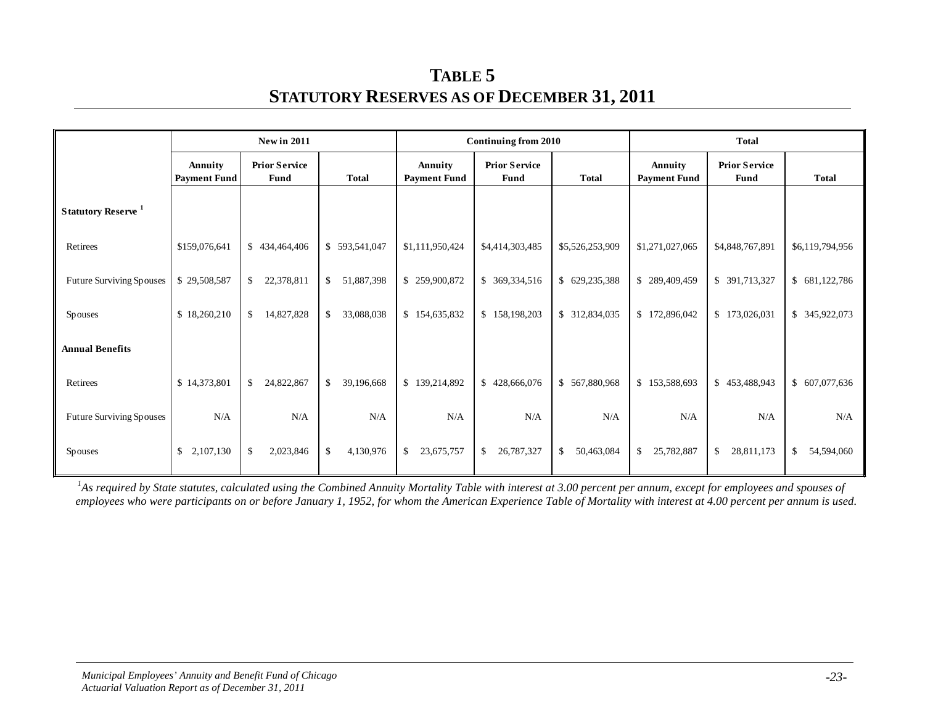**TABLE 5 STATUTORY RESERVES AS OF DECEMBER 31, 2011**

|                                       |                                | <b>New in 2011</b><br><b>Continuing from 2010</b><br><b>Total</b> |                  |                                |                                              |                            |                                |                              |                  |
|---------------------------------------|--------------------------------|-------------------------------------------------------------------|------------------|--------------------------------|----------------------------------------------|----------------------------|--------------------------------|------------------------------|------------------|
|                                       | Annuity<br><b>Payment Fund</b> | <b>Prior Service</b><br><b>Fund</b>                               | <b>Total</b>     | Annuity<br><b>Payment Fund</b> | <b>Prior Service</b><br><b>Total</b><br>Fund |                            | Annuity<br><b>Payment Fund</b> | <b>Prior Service</b><br>Fund | <b>Total</b>     |
| <b>Statutory Reserve</b> <sup>1</sup> |                                |                                                                   |                  |                                |                                              |                            |                                |                              |                  |
| Retirees                              | \$159,076,641                  | \$434,464,406                                                     | \$593,541,047    | \$1,111,950,424                | \$4,414,303,485                              | \$5,526,253,909            | \$1,271,027,065                | \$4,848,767,891              | \$6,119,794,956  |
| Future Surviving Spouses              | \$29,508,587                   | \$<br>22,378,811                                                  | \$<br>51,887,398 | \$259,900,872                  | \$ 369,334,516                               | \$629,235,388              | \$289,409,459                  | \$ 391,713,327               | \$681,122,786    |
| <b>Spouses</b>                        | \$18,260,210                   | 14,827,828<br>\$                                                  | \$<br>33,088,038 | \$154,635,832                  | \$158,198,203                                | \$ 312,834,035             | \$172,896,042                  | \$173,026,031                | \$ 345,922,073   |
| <b>Annual Benefits</b>                |                                |                                                                   |                  |                                |                                              |                            |                                |                              |                  |
| Retirees                              | \$14,373,801                   | 24,822,867<br>\$                                                  | \$<br>39,196,668 | \$139,214,892                  | \$428,666,076                                | \$567,880,968              | \$153,588,693                  | \$<br>453,488,943            | \$ 607,077,636   |
| <b>Future Surviving Spouses</b>       | N/A                            | N/A                                                               | N/A              | N/A                            | N/A                                          | N/A                        | N/A                            | N/A                          | N/A              |
| Spouses                               | $\mathbb{S}$<br>2,107,130      | 2,023,846<br>\$                                                   | \$<br>4,130,976  | 23,675,757<br>\$               | $\mathbb{S}$<br>26,787,327                   | 50,463,084<br>$\mathbb{S}$ | 25,782,887<br>\$               | \$<br>28,811,173             | 54,594,060<br>\$ |

<sup>1</sup>As required by State statutes, calculated using the Combined Annuity Mortality Table with interest at 3.00 percent per annum, except for employees and spouses of employees who were participants on or before January 1, 1952, for whom the American Experience Table of Mortality with interest at 4.00 percent per annum is used.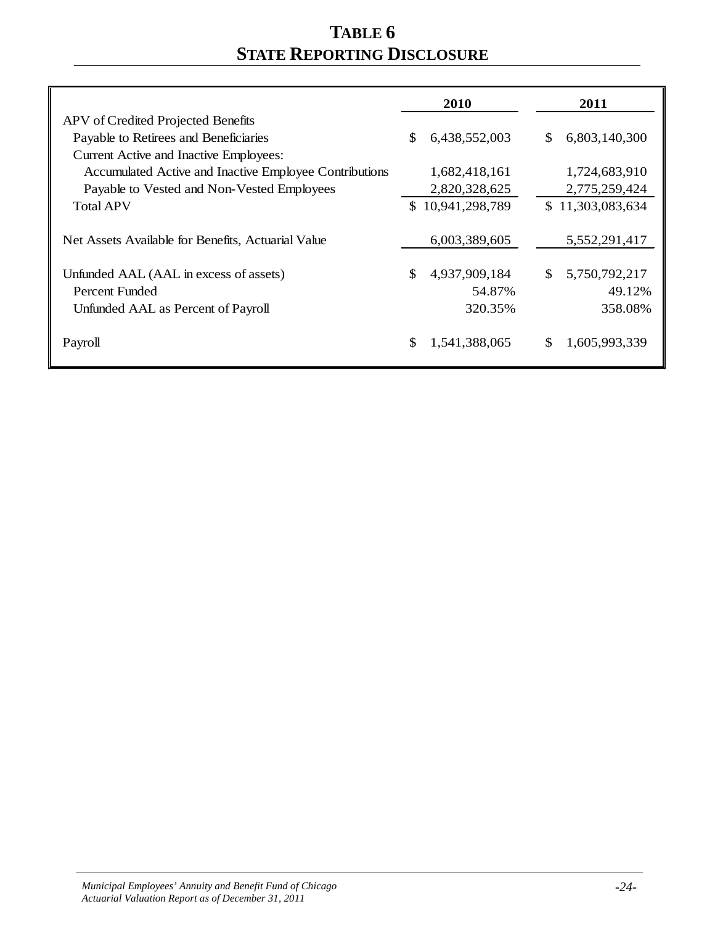# **TABLE 6 STATE REPORTING DISCLOSURE**

|                                                        | 2010                 | 2011                 |
|--------------------------------------------------------|----------------------|----------------------|
| APV of Credited Projected Benefits                     |                      |                      |
| Payable to Retirees and Beneficiaries                  | \$.<br>6,438,552,003 | 6,803,140,300<br>\$. |
| Current Active and Inactive Employees:                 |                      |                      |
| Accumulated Active and Inactive Employee Contributions | 1,682,418,161        | 1,724,683,910        |
| Payable to Vested and Non-Vested Employees             | 2,820,328,625        | 2,775,259,424        |
| <b>Total APV</b>                                       | \$10,941,298,789     | \$11,303,083,634     |
|                                                        |                      |                      |
| Net Assets Available for Benefits, Actuarial Value     | 6,003,389,605        | 5,552,291,417        |
|                                                        |                      |                      |
| Unfunded AAL (AAL in excess of assets)                 | \$<br>4,937,909,184  | 5,750,792,217<br>\$. |
| Percent Funded                                         | 54.87%               | 49.12%               |
| Unfunded AAL as Percent of Payroll                     | 320.35%              | 358.08%              |
|                                                        |                      |                      |
| Payroll                                                | \$<br>1,541,388,065  | S<br>1,605,993,339   |
|                                                        |                      |                      |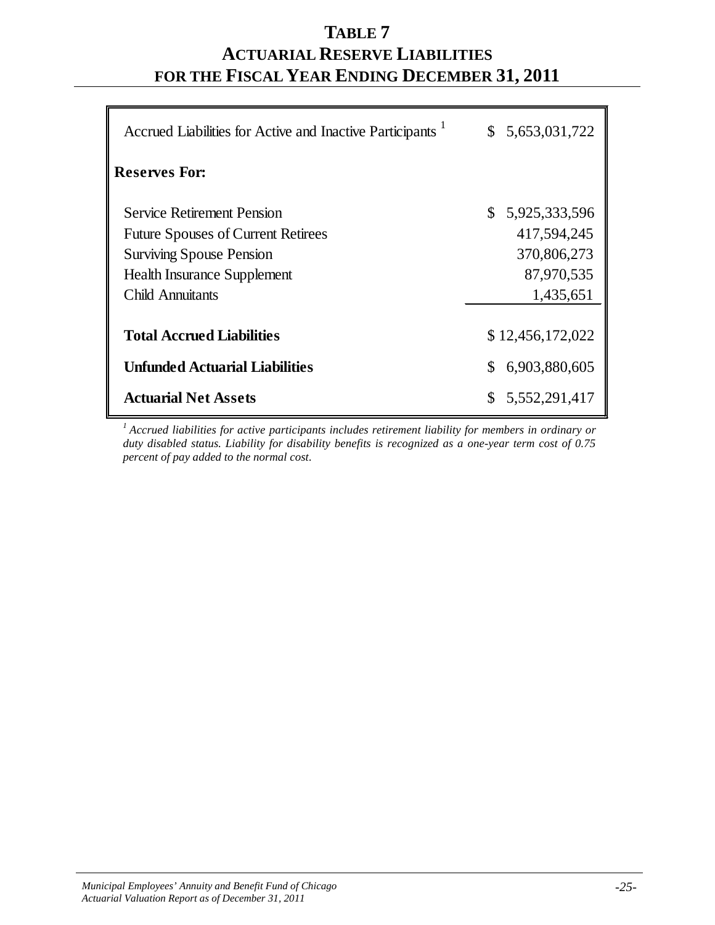## **TABLE 7 ACTUARIAL RESERVE LIABILITIES FOR THE FISCAL YEAR ENDING DECEMBER 31, 2011**

| Accrued Liabilities for Active and Inactive Participants | \$5,653,031,722     |
|----------------------------------------------------------|---------------------|
| <b>Reserves For:</b>                                     |                     |
| Service Retirement Pension                               | \$5,925,333,596     |
| <b>Future Spouses of Current Retirees</b>                | 417,594,245         |
| <b>Surviving Spouse Pension</b>                          | 370,806,273         |
| <b>Health Insurance Supplement</b>                       | 87,970,535          |
| <b>Child Annuitants</b>                                  | 1,435,651           |
|                                                          |                     |
| <b>Total Accrued Liabilities</b>                         | \$12,456,172,022    |
| <b>Unfunded Actuarial Liabilities</b>                    | 6,903,880,605<br>\$ |
| <b>Actuarial Net Assets</b>                              | 5,552,291,417       |

*1 Accrued liabilities for active participants includes retirement liability for members in ordinary or duty disabled status. Liability for disability benefits is recognized as a one-year term cost of 0.75 percent of pay added to the normal cost*.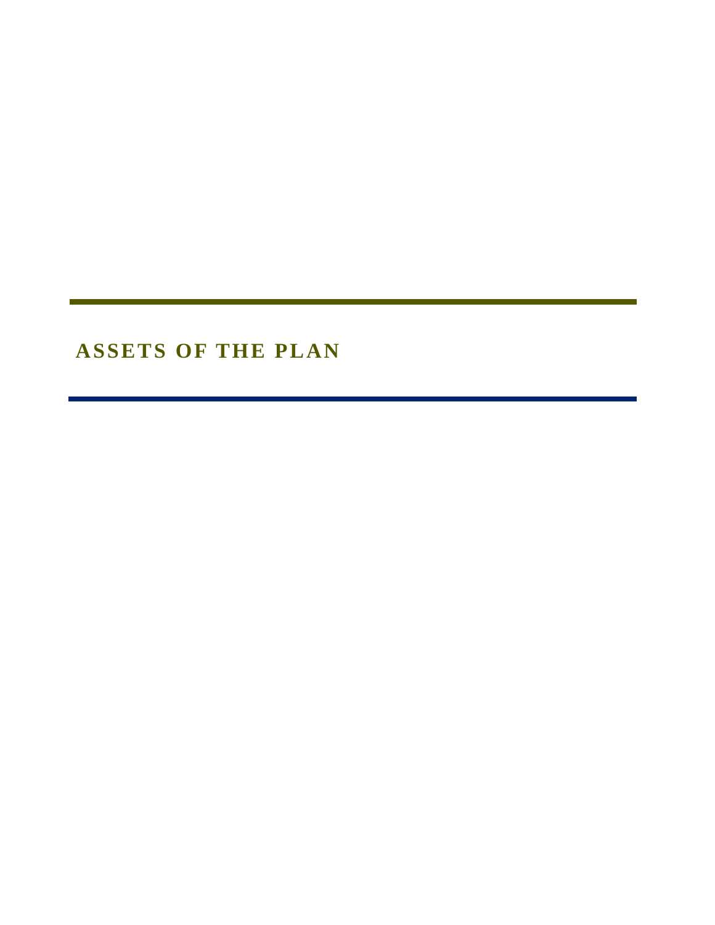# **ASSETS OF THE PLAN**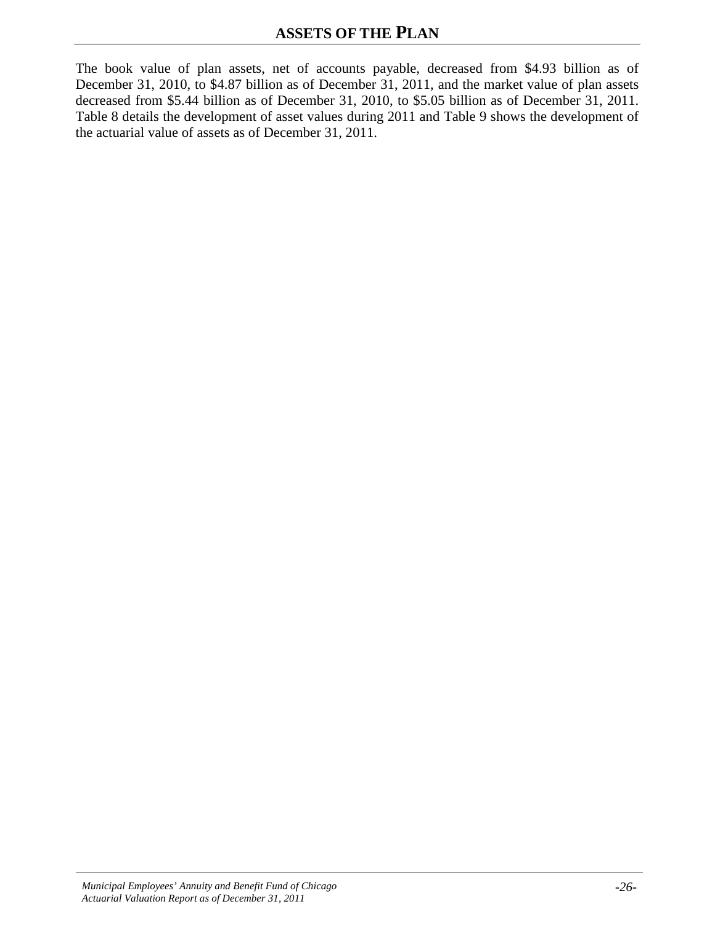The book value of plan assets, net of accounts payable, decreased from \$4.93 billion as of December 31, 2010, to \$4.87 billion as of December 31, 2011, and the market value of plan assets decreased from \$5.44 billion as of December 31, 2010, to \$5.05 billion as of December 31, 2011. Table 8 details the development of asset values during 2011 and Table 9 shows the development of the actuarial value of assets as of December 31, 2011.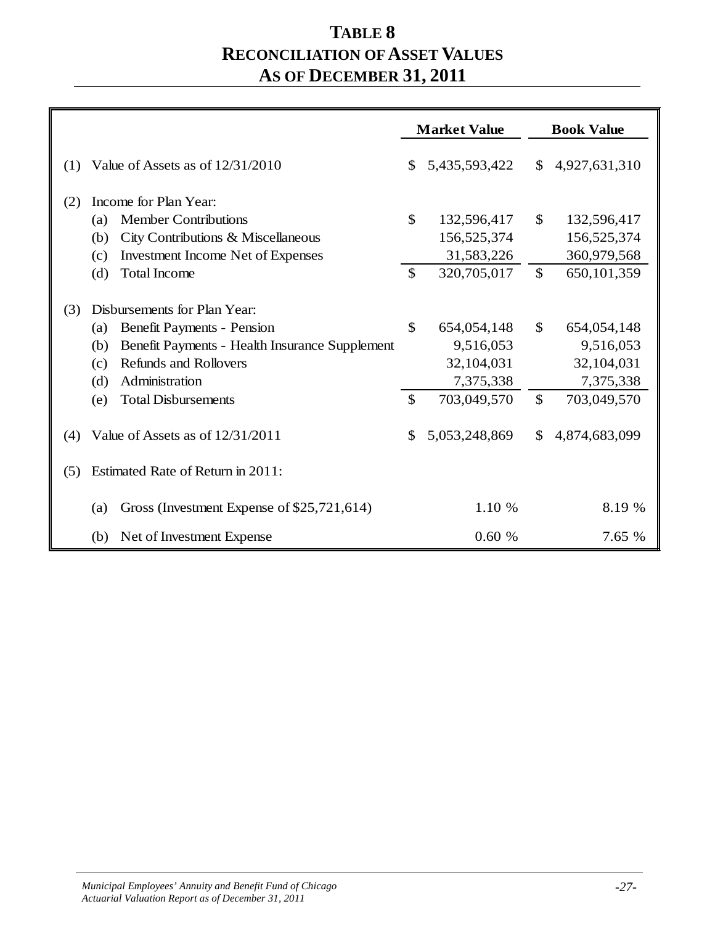## **TABLE 8 RECONCILIATION OF ASSET VALUES AS OF DECEMBER 31, 2011**

|     |                                                                                                                                                                                                                                 | <b>Market Value</b>            |                                                                    |                              | <b>Book Value</b>                                                  |
|-----|---------------------------------------------------------------------------------------------------------------------------------------------------------------------------------------------------------------------------------|--------------------------------|--------------------------------------------------------------------|------------------------------|--------------------------------------------------------------------|
| (1) | Value of Assets as of $12/31/2010$                                                                                                                                                                                              | \$                             | 5,435,593,422                                                      | $\mathbb{S}$                 | 4,927,631,310                                                      |
| (2) | Income for Plan Year:                                                                                                                                                                                                           |                                |                                                                    |                              |                                                                    |
|     | <b>Member Contributions</b><br>(a)                                                                                                                                                                                              | \$                             | 132,596,417                                                        | $\mathbb{S}$                 | 132,596,417                                                        |
|     | City Contributions & Miscellaneous<br>(b)                                                                                                                                                                                       |                                | 156,525,374                                                        |                              | 156,525,374                                                        |
|     | <b>Investment Income Net of Expenses</b><br>(c)                                                                                                                                                                                 |                                | 31,583,226                                                         |                              | 360,979,568                                                        |
|     | <b>Total Income</b><br>(d)                                                                                                                                                                                                      | $\mathcal{S}$                  | 320,705,017                                                        | $\mathbb{S}$                 | 650,101,359                                                        |
| (3) | Disbursements for Plan Year:<br><b>Benefit Payments - Pension</b><br>(a)<br>Benefit Payments - Health Insurance Supplement<br>(b)<br>Refunds and Rollovers<br>(c)<br>Administration<br>(d)<br><b>Total Disbursements</b><br>(e) | $\mathcal{S}$<br>$\mathcal{S}$ | 654,054,148<br>9,516,053<br>32,104,031<br>7,375,338<br>703,049,570 | $\mathbb{S}$<br>$\mathbb{S}$ | 654,054,148<br>9,516,053<br>32,104,031<br>7,375,338<br>703,049,570 |
| (4) | Value of Assets as of 12/31/2011                                                                                                                                                                                                | $\mathcal{S}$                  | 5,053,248,869                                                      | $\mathbb{S}$                 | 4,874,683,099                                                      |
| (5) | Estimated Rate of Return in 2011:                                                                                                                                                                                               |                                |                                                                    |                              |                                                                    |
|     | Gross (Investment Expense of \$25,721,614)<br>(a)                                                                                                                                                                               |                                | 1.10 %                                                             |                              | 8.19 %                                                             |
|     | Net of Investment Expense<br>(b)                                                                                                                                                                                                |                                | 0.60%                                                              |                              | 7.65 %                                                             |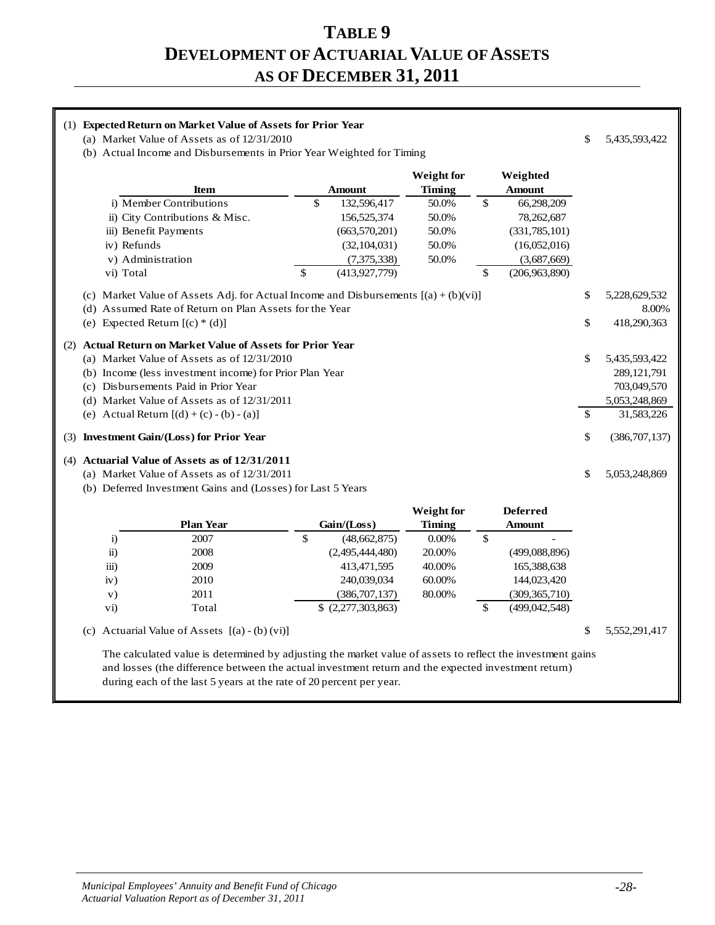#### **TABLE 9 DEVELOPMENT OF ACTUARIAL VALUE OF ASSETS AS OF DECEMBER 31, 2011**

#### (1) **Expected Return on Market Value of Assets for Prior Year** (a) Market Value of Assets as of  $12/31/2010$   $\qquad$  5,435,593,422 (b) Actual Income and Disbursements in Prior Year Weighted for Timing **Weight for Weighted Item Amount Timing Amount** i) Member Contributions \$ 132,596,417 50.0% \$ 66,298,209 ii) City Contributions & Misc. 156,525,374 50.0% 78,262,687 iii) Benefit Payments (663,570,201) 50.0% (331,785,101) iv) Refunds (32,104,031) 50.0% (16,052,016) v) Administration (7,375,338) 50.0% (3,687,669) vi) Total  $\qquad \qquad \mathcal{S} \qquad (413,927,779) \qquad \qquad \mathcal{S} \qquad (206,963,890)$ (c) Market Value of Assets Adj. for Actual Income and Disbursements  $[(a) + (b)(vi)]$  \$ 5,228,629,532 (d) Assumed Rate of Return on Plan Assets for the Year 8.00% (e) Expected Return  $[(c) * (d)]$   $\qquad \qquad$  418,290,363 (2) **Actual Return on Market Value of Assets for Prior Year** (a) Market Value of Assets as of  $12/31/2010$  \$ 5,435,593,422 (b) Income (less investment income) for Prior Plan Year 289,121,791 (c) Disbursements Paid in Prior Year 703,049,570 (d) Market Value of Assets as of 12/31/2011 5,053,248,869 (e) Actual Return  $[(d) + (c) - (b) - (a)]$  \$ 31,583,226 (3) **Investment Gain/(Loss) for Prior Year** \$ (386,707,137) (4) **Actuarial Value of Assets as of 12/31/2011** (a) Market Value of Assets as of  $12/31/2011$   $\qquad \qquad$  5,053,248,869 (b) Deferred Investment Gains and (Losses) for Last 5 Years **Weight for Deferred Plan Year Gain/(Loss) Timing Amount**

|                     | <b>Plan Year</b> | Gain / (Loss)         | Timing   |   | Amount          |
|---------------------|------------------|-----------------------|----------|---|-----------------|
| 1)                  | 2007             | (48, 662, 875)<br>\$  | $0.00\%$ | S |                 |
| $\ddot{\text{ii}})$ | 2008             | (2,495,444,480)       | 20.00%   |   | (499,088,896)   |
| $\overline{iii}$    | 2009             | 413,471,595           | 40.00%   |   | 165,388,638     |
| iv)                 | 2010             | 240,039,034           | 60.00%   |   | 144,023,420     |
| V)                  | 2011             | (386, 707, 137)       | 80.00%   |   | (309, 365, 710) |
| $\mathbf{v}$ i)     | Total            | $$$ $(2,277,303,863)$ |          |   | (499, 042, 548) |
|                     |                  |                       |          |   |                 |

(c) Actuarial Value of Assets  $[(a) - (b) (vi)]$   $\qquad \qquad$  5,552,291,417

The calculated value is determined by adjusting the market value of assets to reflect the investment gains and losses (the difference between the actual investment return and the expected investment return) during each of the last 5 years at the rate of 20 percent per year.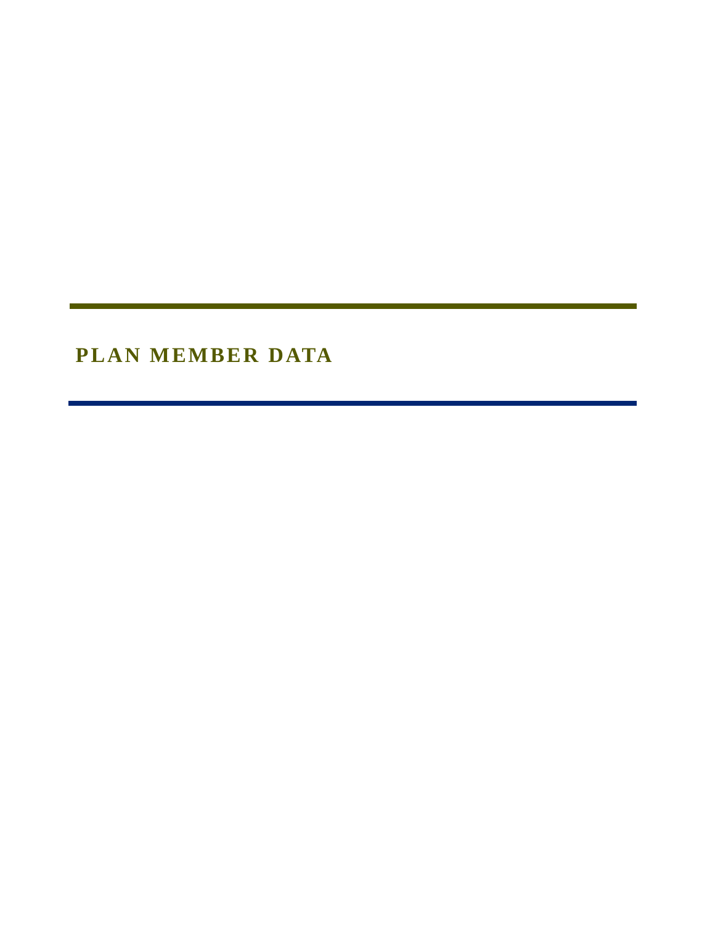# **PLAN MEMBER DATA**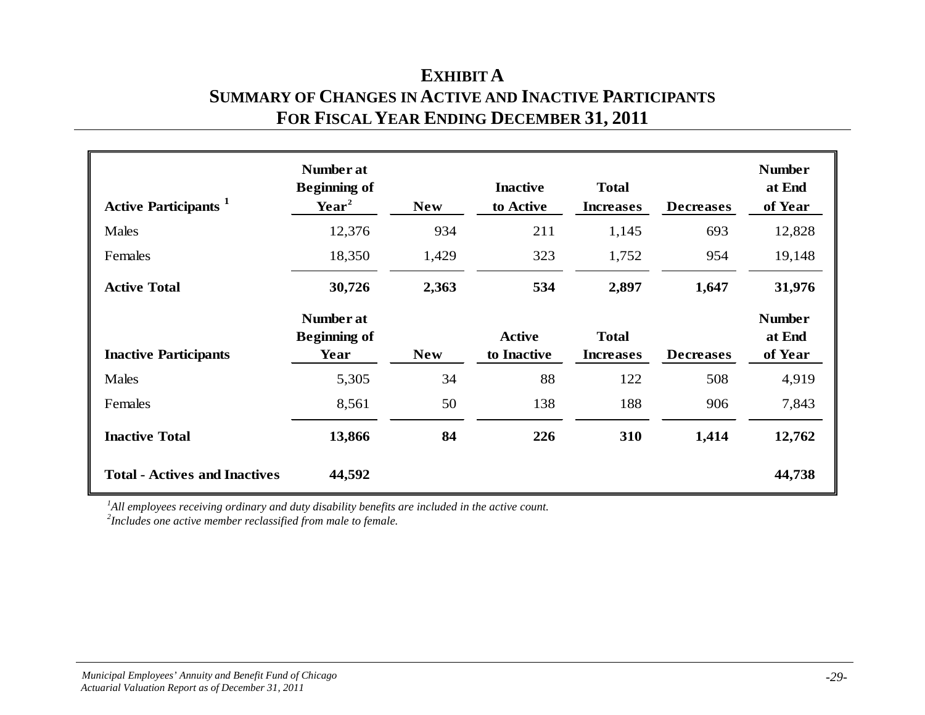### **EXHIBIT A SUMMARY OF CHANGES IN ACTIVE AND INACTIVE PARTICIPANTS FOR FISCAL YEAR ENDING DECEMBER 31, 2011**

| <b>Active Participants</b> <sup>1</sup> | Number at<br><b>Beginning of</b><br>$\text{Year}^2$ | <b>New</b> | <b>Inactive</b><br>to Active | <b>Total</b><br><b>Increases</b> | <b>Decreases</b> | <b>Number</b><br>at End<br>of Year |
|-----------------------------------------|-----------------------------------------------------|------------|------------------------------|----------------------------------|------------------|------------------------------------|
| Males                                   | 12,376                                              | 934        | 211                          | 1,145                            | 693              | 12,828                             |
| Females                                 | 18,350                                              | 1,429      | 323                          | 1,752                            | 954              | 19,148                             |
| <b>Active Total</b>                     | 30,726                                              | 2,363      | 534                          | 2,897                            | 1,647            | 31,976                             |
| <b>Inactive Participants</b>            | Number at<br><b>Beginning of</b><br>Year            | <b>New</b> | <b>Active</b><br>to Inactive | <b>Total</b><br><b>Increases</b> | <b>Decreases</b> | <b>Number</b><br>at End<br>of Year |
| Males                                   | 5,305                                               | 34         | 88                           | 122                              | 508              | 4,919                              |
| Females                                 | 8,561                                               | 50         | 138                          | 188                              | 906              | 7,843                              |
| <b>Inactive Total</b>                   | 13,866                                              | 84         | 226                          | 310                              | 1,414            | 12,762                             |
| <b>Total - Actives and Inactives</b>    | 44,592                                              |            |                              |                                  |                  | 44,738                             |

*1 All employees receiving ordinary and duty disability benefits are included in the active count.*

*2 Includes one active member reclassified from male to female.*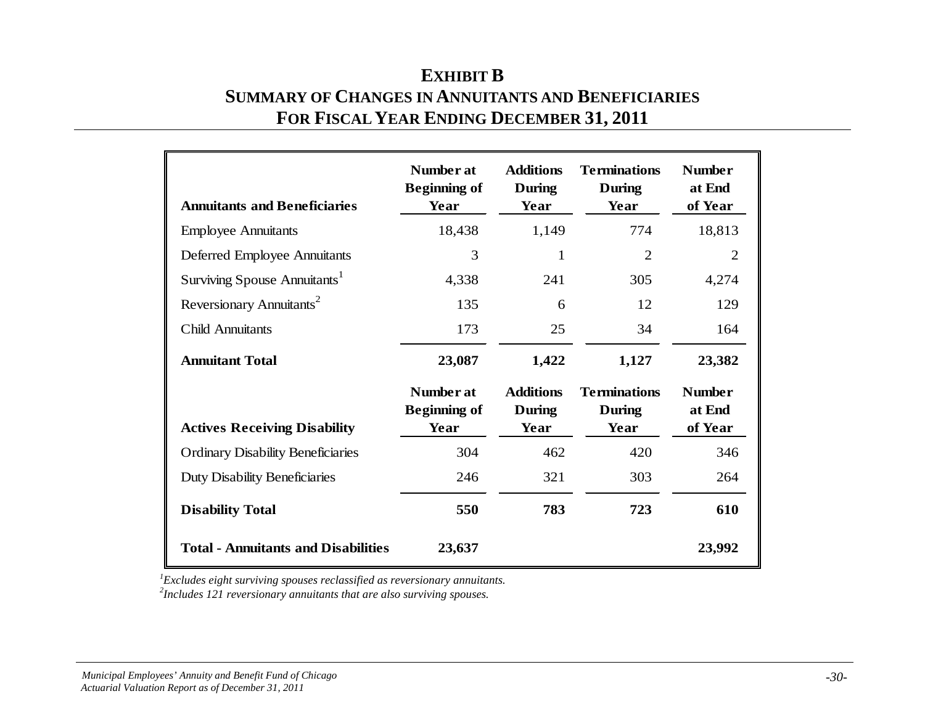| <b>EXHIBIT B</b>                                   |
|----------------------------------------------------|
| SUMMARY OF CHANGES IN ANNUITANTS AND BENEFICIARIES |
| FOR FISCAL YEAR ENDING DECEMBER 31, 2011           |

| <b>Annuitants and Beneficiaries</b>        | Number at<br><b>Beginning of</b><br>Year | <b>Additions</b><br>During<br>Year | <b>Terminations</b><br><b>During</b><br>Year | <b>Number</b><br>at End<br>of Year |
|--------------------------------------------|------------------------------------------|------------------------------------|----------------------------------------------|------------------------------------|
| <b>Employee Annuitants</b>                 | 18,438                                   | 1,149                              | 774                                          | 18,813                             |
| Deferred Employee Annuitants               | 3                                        | 1                                  | $\overline{2}$                               | $\overline{2}$                     |
| Surviving Spouse Annuitants <sup>1</sup>   | 4,338                                    | 241                                | 305                                          | 4,274                              |
| Reversionary Annuitants <sup>2</sup>       | 135                                      | 6                                  | 12                                           | 129                                |
| <b>Child Annuitants</b>                    | 173                                      | 25                                 | 34                                           | 164                                |
| <b>Annuitant Total</b>                     | 23,087                                   | 1,422                              | 1,127                                        | 23,382                             |
|                                            | Number at<br><b>Beginning of</b>         | <b>Additions</b><br>During         | <b>Terminations</b><br>During                | <b>Number</b><br>at End            |
| <b>Actives Receiving Disability</b>        | Year                                     | Year                               | Year                                         | of Year                            |
| <b>Ordinary Disability Beneficiaries</b>   | 304                                      | 462                                | 420                                          | 346                                |
| <b>Duty Disability Beneficiaries</b>       | 246                                      | 321                                | 303                                          | 264                                |
| <b>Disability Total</b>                    | 550                                      | 783                                | 723                                          | 610                                |
| <b>Total - Annuitants and Disabilities</b> | 23,637                                   |                                    |                                              | 23,992                             |

*1 Excludes eight surviving spouses reclassified as reversionary annuitants. 2 Includes 121 reversionary annuitants that are also surviving spouses.*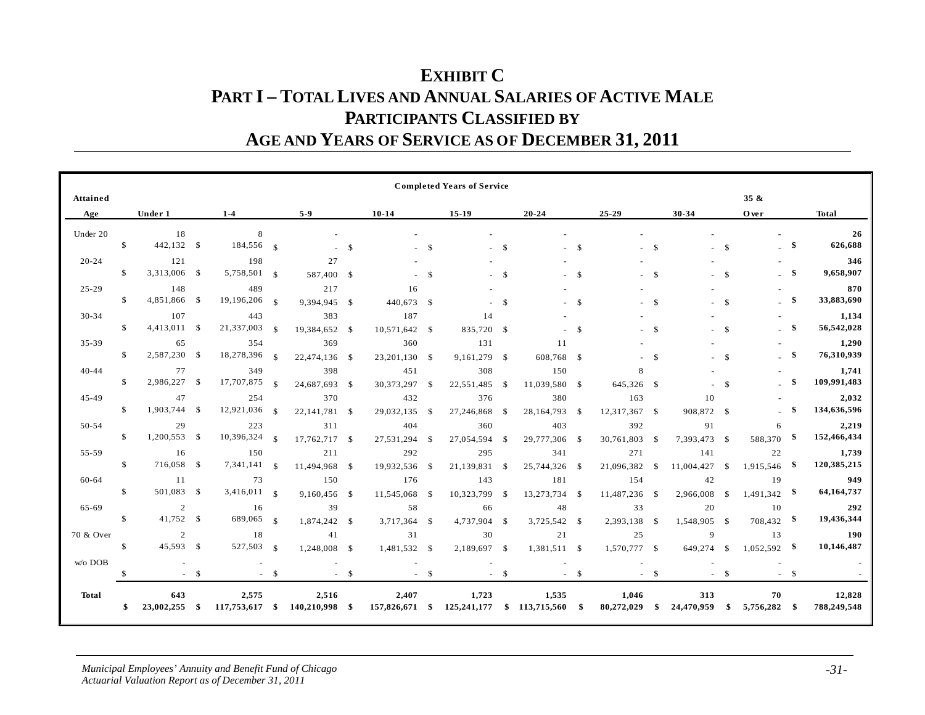## **EXHIBIT C PART I – TOTAL LIVES AND ANNUAL SALARIES OF ACTIVE MALE PARTICIPANTS CLASSIFIED BY AGE AND YEARS OF SERVICE AS OF DECEMBER 31, 2011**

|              |               |               |        |                 |                    |                 |       |                |               | <b>Completed Years of Service</b> |               |                               |               |               |               |              |               |                |      |              |
|--------------|---------------|---------------|--------|-----------------|--------------------|-----------------|-------|----------------|---------------|-----------------------------------|---------------|-------------------------------|---------------|---------------|---------------|--------------|---------------|----------------|------|--------------|
| Attained     |               |               |        |                 |                    |                 |       |                |               |                                   |               |                               |               |               |               |              |               | 35 &           |      |              |
| Age          |               | Under 1       |        | $1 - 4$         |                    | $5-9$           |       | $10 - 14$      |               | $15-19$                           |               | $20 - 24$                     |               | $25 - 29$     |               | 30-34        |               | Over           |      | <b>Total</b> |
| Under 20     |               | 18            |        | 8               |                    |                 |       |                |               |                                   |               |                               |               |               |               |              |               |                |      | 26           |
|              | \$            | 442,132 \$    |        | 184,556 \$      |                    |                 | \$.   |                | -S            |                                   | -S            |                               | <sup>\$</sup> |               | -\$           |              | <sup>\$</sup> |                | - \$ | 626,688      |
| $20 - 24$    |               | 121           |        | 198             |                    | 27              |       |                |               |                                   |               |                               |               |               |               |              |               |                |      | 346          |
|              | S             | 3,313,006 \$  |        | $5,758,501$ \$  |                    | 587,400 \$      |       |                | $\mathcal{S}$ |                                   | $\mathcal{S}$ |                               | $\mathcal{S}$ |               | $\mathcal{S}$ |              | $\mathbb{S}$  |                | -\$  | 9,658,907    |
| $25 - 29$    |               | 148           |        | 489             |                    | 217             |       | 16             |               |                                   |               |                               |               |               |               |              |               |                |      | 870          |
|              | S             | 4,851,866 \$  |        | $19,196,206$ §  |                    | 9,394,945 \$    |       | 440,673 \$     |               |                                   | -S            |                               | -S            |               | -\$           |              | <sup>\$</sup> |                | -\$  | 33,883,690   |
| 30-34        |               | 107           |        | 443             |                    | 383             |       | 187            |               | 14                                |               |                               |               |               |               |              |               |                |      | 1,134        |
|              | \$            | 4,413,011 \$  |        | 21,337,003      | $\mathbf{s}$       | 19,384,652 \$   |       | 10,571,642     | - \$          | 835,720 \$                        |               |                               | $\mathbb{S}$  |               | $\mathcal{S}$ |              | $\mathbb{S}$  |                | -9   | 56,542,028   |
| 35-39        |               | 65            |        | 354             |                    | 369             |       | 360            |               | 131                               |               | 11                            |               |               |               |              |               |                |      | 1,290        |
|              | S             | 2,587,230 \$  |        | 18,278,396      | $\mathcal{S}$      | 22,474,136 \$   |       | 23,201,130 \$  |               | 9,161,279 \$                      |               | 608,768 \$                    |               |               | -S            |              | $\mathbf S$   |                | -\$  | 76,310,939   |
| 40-44        |               | 77            |        | 349             |                    | 398             |       | 451            |               | 308                               |               | 150                           |               | 8             |               |              |               |                |      | 1,741        |
|              | S             | 2,986,227 \$  |        | 17,707,875      | $\mathbf{\hat{s}}$ | 24,687,693 \$   |       | 30,373,297 \$  |               | 22,551,485                        | - \$          | 11,039,580 \$                 |               | 645,326 \$    |               |              | $\mathbf S$   |                | -9   | 109,991,483  |
| 45-49        |               | 47            |        | 254             |                    | 370             |       | 432            |               | 376                               |               | 380                           |               | 163           |               | 10           |               |                |      | 2,032        |
|              | <sup>\$</sup> | 1,903,744 \$  |        | 12,921,036      | - \$               | 22, 141, 781 \$ |       | 29,032,135     | - \$          | 27,246,868                        | - \$          | 28,164,793 \$                 |               | 12,317,367 \$ |               | 908,872 \$   |               |                |      | 134,636,596  |
| 50-54        |               | 29            |        | 223             |                    | 311             |       | 404            |               | 360                               |               | 403                           |               | 392           |               | 91           |               | 6              |      | 2,219        |
|              | <sup>\$</sup> | 1,200,553 \$  |        | $10,396,324$ \$ |                    | 17,762,717 \$   |       | 27,531,294     | -S            | 27,054,594                        | - \$          | 29,777,306 \$                 |               | 30,761,803    | -S            | 7,393,473 \$ |               | 588,370        | - \$ | 152,466,434  |
| 55-59        |               | 16            |        | 150             |                    | 211             |       | 292            |               | 295                               |               | 341                           |               | 271           |               | 141          |               | 22             |      | 1,739        |
|              | $\mathbb{S}$  | 716,058 \$    |        | 7,341,141       | - \$               | 11,494,968 \$   |       | 19,932,536 \$  |               | 21,139,831                        | - \$          | 25,744,326 \$                 |               | 21,096,382    | -S            | 11,004,427   | \$            | 1,915,546      | - \$ | 120,385,215  |
| 60-64        |               | 11            |        | 73              |                    | 150             |       | 176            |               | 143                               |               | 181                           |               | 154           |               | 42           |               | 19             |      | 949          |
|              | $\mathbb{S}$  | 501,083 \$    |        | $3,416,011$ s   |                    | 9,160,456 \$    |       | 11,545,068     | - \$          | 10,323,799                        | - \$          | 13,273,734 \$                 |               | 11,487,236    | - \$          | 2,966,008    | -S            | $1,491,342$ \$ |      | 64,164,737   |
| 65-69        |               | 2             |        | 16              |                    | 39              |       | 58             |               | 66                                |               | 48                            |               | 33            |               | 20           |               | 10             |      | 292          |
|              | $\mathbb{S}$  | 41,752 \$     |        | 689,065         | - \$               | 1,874,242 \$    |       | 3,717,364      | - \$          | 4,737,904                         | -S            | 3,725,542 \$                  |               | 2,393,138     | -S            | 1,548,905 \$ |               | $708,432$ \$   |      | 19,436,344   |
| 70 & Over    |               | 2             |        | 18              |                    | 41              |       | 31             |               | 30                                |               | 21                            |               | 25            |               | 9            |               | 13             |      | 190          |
|              | \$            | 45,593 \$     |        | 527,503         | - \$               | 1,248,008 \$    |       | 1,481,532 \$   |               | 2,189,697 \$                      |               | 1,381,511 \$                  |               | 1,570,777 \$  |               | 649,274      | $\mathcal{S}$ | $1,052,592$ \$ |      | 10,146,487   |
|              |               |               |        |                 |                    |                 |       |                |               |                                   |               |                               |               |               |               |              |               |                |      |              |
|              |               |               |        |                 |                    |                 |       |                |               |                                   |               |                               |               |               |               |              |               |                |      |              |
| <b>Total</b> |               | 643           |        | 2,575           |                    | 2,516           |       | 2,407          |               | 1,723                             |               | 1,535                         |               | 1,046         |               | 313          |               | 70             |      | 12,828       |
|              |               | 23,002,255 \$ |        | 117,753,617 \$  |                    | 140,210,998 \$  |       | 157,826,671 \$ |               |                                   |               | 125,241,177 \$ 113,715,560 \$ |               | 80,272,029    | \$            | 24,470,959   | \$            | 5,756,282 \$   |      | 788,249,548  |
| $w/o$ DOB    | $\mathcal{S}$ | $\sim$        | $-$ \$ |                 | $-$ \$             |                 | $- S$ |                | $-$ \$        |                                   | $-$ \$        |                               | $- S$         |               | $-$ \$        |              | -S            |                | $-5$ |              |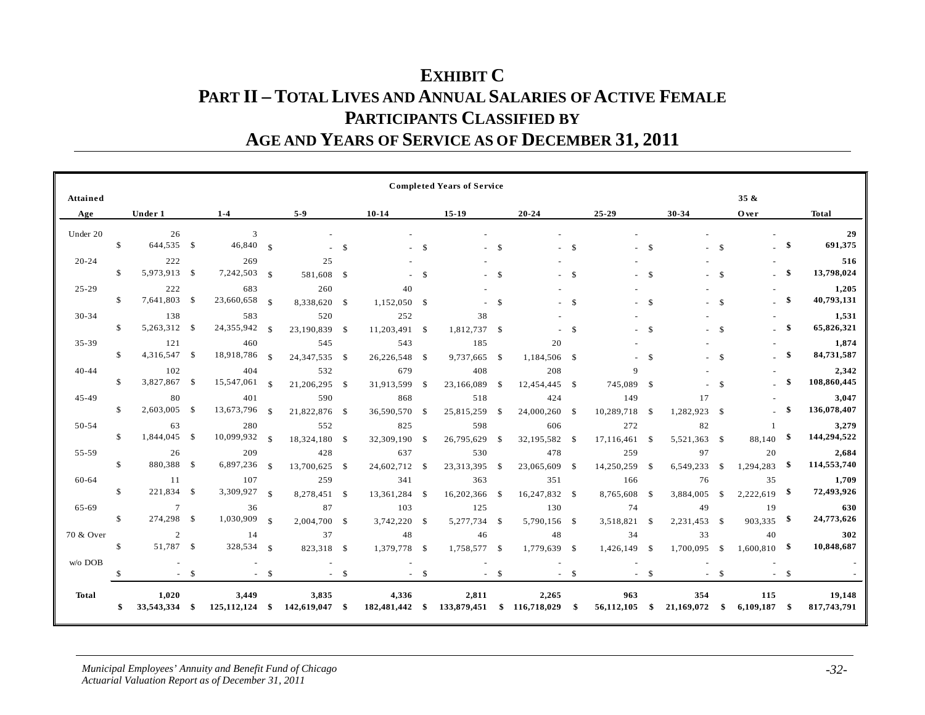### **EXHIBIT C PART II – TOTAL LIVES AND ANNUAL SALARIES OF ACTIVE FEMALE PARTICIPANTS CLASSIFIED BY AGE AND YEARS OF SERVICE AS OF DECEMBER 31, 2011**

|              |               |                |       |                  |               |                 |               |                |              | <b>Completed Years of Service</b> |               |                   |               |                |               |              |               |                |           |              |
|--------------|---------------|----------------|-------|------------------|---------------|-----------------|---------------|----------------|--------------|-----------------------------------|---------------|-------------------|---------------|----------------|---------------|--------------|---------------|----------------|-----------|--------------|
| Attained     |               |                |       |                  |               |                 |               |                |              |                                   |               |                   |               |                |               |              |               | $35 \&$        |           |              |
| Age          |               | Under 1        |       | $1 - 4$          |               | $5-9$           |               | $10 - 14$      |              | $15-19$                           |               | $20 - 24$         |               | $25 - 29$      |               | 30-34        |               | Over           |           | <b>Total</b> |
| Under 20     |               | 26             |       | 3                |               |                 |               |                |              |                                   |               |                   |               |                |               |              |               |                |           | 29           |
|              | $\mathbb{S}$  | 644,535 \$     |       | $46,840$ \$      |               |                 | $\mathcal{S}$ |                | -\$          |                                   | <sup>\$</sup> |                   | $\mathcal{S}$ |                | -S            |              | $\mathcal{S}$ |                | -\$       | 691,375      |
| $20 - 24$    |               | 222            |       | 269              |               | 25              |               |                |              |                                   |               |                   |               |                |               |              |               |                |           | 516          |
|              | $\mathbb{S}$  | 5,973,913 \$   |       | $7,242,503$ \$   |               | 581,608 \$      |               |                | $\mathbf S$  |                                   | $\mathcal{S}$ |                   | $\mathcal{S}$ |                | <sup>\$</sup> |              | $\mathcal{S}$ |                | -\$       | 13,798,024   |
| $25 - 29$    |               | 222            |       | 683              |               | 260             |               | 40             |              |                                   |               |                   |               |                |               |              |               |                |           | 1,205        |
|              | \$            | 7,641,803 \$   |       | 23,660,658       | $\mathcal{S}$ | 8,338,620 \$    |               | 1,152,050      | -\$          |                                   | $\mathcal{S}$ |                   | -S            |                | -S            |              | <sup>\$</sup> |                | -\$       | 40,793,131   |
| 30-34        |               | 138            |       | 583              |               | 520             |               | 252            |              | 38                                |               |                   |               |                |               |              |               |                |           | 1,531        |
|              | $\mathbb{S}$  | 5,263,312 \$   |       | 24,355,942       | $\mathcal{S}$ | 23,190,839 \$   |               | 11,203,491 \$  |              | 1,812,737 \$                      |               |                   | $\mathcal{S}$ |                | $\mathcal{S}$ |              | $\mathcal{S}$ |                | -S        | 65,826,321   |
| 35-39        |               | 121            |       | 460              |               | 545             |               | 543            |              | 185                               |               | 20                |               |                |               |              |               |                |           | 1,874        |
|              | $\mathbb{S}$  | 4,316,547 \$   |       | 18,918,786       | $\mathcal{S}$ | 24, 347, 535 \$ |               | 26,226,548     | - \$         | 9,737,665                         | - \$          | 1,184,506 \$      |               |                | $\mathcal{S}$ |              | <sup>\$</sup> |                | -S        | 84,731,587   |
| $40 - 44$    |               | 102            |       | 404              |               | 532             |               | 679            |              | 408                               |               | 208               |               | $\overline{Q}$ |               |              |               |                |           | 2,342        |
|              | $\mathbb{S}$  | 3,827,867 \$   |       | 15,547,061       | $\mathcal{L}$ | 21,206,295 \$   |               | 31,913,599     | $\mathbf{s}$ | 23,166,089                        | - \$          | 12,454,445 \$     |               | 745,089        | - \$          |              | $\mathcal{S}$ |                | -\$       | 108,860,445  |
| $45 - 49$    |               | 80             |       | 401              |               | 590             |               | 868            |              | 518                               |               | 424               |               | 149            |               | 17           |               |                |           | 3,047        |
|              | \$            | 2,603,005 \$   |       | 13,673,796       | $\mathcal{S}$ | 21,822,876 \$   |               | 36,590,570     | -S           | 25,815,259                        | - \$          | 24,000,260 \$     |               | 10,289,718     | -S            | 1,282,923 \$ |               |                | \$        | 136,078,407  |
| 50-54        |               | 63             |       | 280              |               | 552             |               | 825            |              | 598                               |               | 606               |               | 272            |               | 82           |               | $\mathbf{1}$   |           | 3,279        |
|              | $\mathcal{S}$ | 1,844,045 \$   |       | $10,099,932$ \$  |               | 18,324,180 \$   |               | 32,309,190     | -S           | 26,795,629                        | -S            | 32,195,582 \$     |               | 17,116,461     | -S            | 5,521,363 \$ |               | 88,140         | -\$       | 144,294,522  |
| 55-59        |               | 26             |       | 209              |               | 428             |               | 637            |              | 530                               |               | 478               |               | 259            |               | 97           |               | 20             |           | 2,684        |
|              | $\mathbb{S}$  | 880,388 \$     |       | 6,897,236        | $\mathbf{s}$  | 13,700,625 \$   |               | 24,602,712     | - \$         | 23,313,395                        | - \$          | 23,065,609        | - \$          | 14,250,259     | -\$           | 6,549,233    | - \$          | 1,294,283      | - \$      | 114,553,740  |
| 60-64        |               | 11             |       | 107              |               | 259             |               | 341            |              | 363                               |               | 351               |               | 166            |               | 76           |               | 35             |           | 1,709        |
|              | $\mathbb{S}$  | 221,834 \$     |       | 3,309,927        | $\mathbf{s}$  | 8,278,451 \$    |               | 13,361,284 \$  |              | 16,202,366                        | - \$          | 16,247,832 \$     |               | 8,765,608      | -\$           | 3,884,005    | -S            | 2,222,619      | - \$      | 72,493,926   |
| 65-69        |               | $\tau$         |       | 36               |               | 87              |               | 103            |              | 125                               |               | 130               |               | 74             |               | 49           |               | 19             |           | 630          |
|              | $\mathbb{S}$  | 274,298 \$     |       | 1,030,909        | -\$           | 2,004,700 \$    |               | 3,742,220      | - \$         | 5,277,734                         | - \$          | 5,790,156 \$      |               | 3,518,821      | -S            | 2,231,453    | <b>S</b>      | 903,335        | $\bullet$ | 24,773,626   |
| 70 & Over    |               | $\overline{2}$ |       | 14               |               | 37              |               | 48             |              | 46                                |               | 48                |               | 34             |               | 33           |               | 40             |           | 302          |
|              | \$            | 51,787 \$      |       | 328,534 §        |               | 823,318 \$      |               | 1,379,778 \$   |              | 1,758,577 \$                      |               | 1,779,639 \$      |               | 1,426,149      | -S            | 1,700,095    | -\$           | $1,600,810$ \$ |           | 10,848,687   |
| w/o DOB      |               | $\sim$         |       |                  |               |                 |               |                |              |                                   |               |                   |               |                |               |              |               |                |           |              |
|              | $\mathcal{S}$ |                | $- S$ |                  | <sup>\$</sup> |                 | $- S$         |                | $-$ \$       |                                   | $-$ \$        |                   | $-$ \$        |                | $\mathcal{S}$ |              | <sup>\$</sup> |                | $-$ \$    |              |
| <b>Total</b> |               | 1,020          |       | 3,449            |               | 3,835           |               | 4,336          |              | 2,811                             |               | 2,265             |               | 963            |               | 354          |               | 115            |           | 19,148       |
|              | \$            | 33,543,334 \$  |       | $125,112,124$ \$ |               | 142,619,047 \$  |               | 182,481,442 \$ |              | 133,879,451                       |               | $$116,718,029$ \$ |               | 56,112,105     | -\$           | 21,169,072   | \$            | $6,109,187$ \$ |           | 817,743,791  |
|              |               |                |       |                  |               |                 |               |                |              |                                   |               |                   |               |                |               |              |               |                |           |              |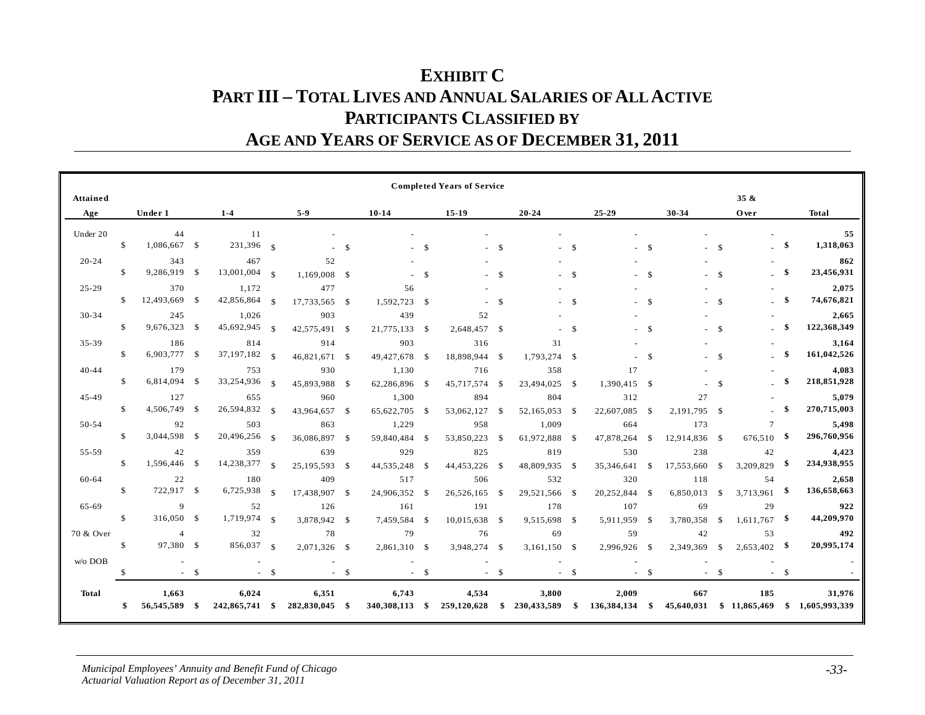## **EXHIBIT C PART III – TOTAL LIVES AND ANNUAL SALARIES OF ALL ACTIVE PARTICIPANTS CLASSIFIED BY AGE AND YEARS OF SERVICE AS OF DECEMBER 31, 2011**

|           |               |                             |        |                         |               |                         |        |                         |               | <b>Completed Years of Service</b> |               |                      |               |                      |               |                      |               |                           |        |                         |
|-----------|---------------|-----------------------------|--------|-------------------------|---------------|-------------------------|--------|-------------------------|---------------|-----------------------------------|---------------|----------------------|---------------|----------------------|---------------|----------------------|---------------|---------------------------|--------|-------------------------|
| Attained  |               |                             |        |                         |               |                         |        |                         |               |                                   |               |                      |               |                      |               |                      |               | $35 \&$                   |        |                         |
| Age       |               | Under 1                     |        | $1 - 4$                 |               | $5-9$                   |        | $10 - 14$               |               | 15-19                             |               | $20 - 24$            |               | 25-29                |               | 30-34                |               | Over                      |        | <b>Total</b>            |
| Under 20  | \$            | 44<br>1,086,667 \$          |        | 11<br>231,396 \$        |               |                         | \$     |                         | $\mathcal{S}$ |                                   | <sup>\$</sup> |                      | $-$ \$        |                      | - S           |                      | $\mathcal{S}$ |                           | -\$    | 55<br>1,318,063         |
| $20 - 24$ | <sup>\$</sup> | 343<br>9,286,919 \$         |        | 467<br>$13,001,004$ \$  |               | 52<br>1,169,008 \$      |        |                         | $\mathbf{s}$  |                                   | $\mathcal{S}$ |                      | $\mathbf{s}$  |                      | - \$          |                      | $\mathcal{S}$ |                           | \$     | 862<br>23,456,931       |
| $25 - 29$ | <sup>\$</sup> | 370<br>12,493,669 \$        |        | 1,172<br>42,856,864     | - \$          | 477<br>17,733,565 \$    |        | 56<br>1,592,723         | $\mathbb{S}$  |                                   | $\mathcal{S}$ |                      | $\mathbf{s}$  |                      | <sup>\$</sup> |                      | $\mathcal{S}$ |                           | \$     | 2,075<br>74,676,821     |
| $30 - 34$ | \$            | 245<br>9,676,323 \$         |        | 1,026<br>45,692,945     | - \$          | 903<br>42,575,491 \$    |        | 439<br>21,775,133       | $\mathbb{S}$  | 52<br>2,648,457 \$                |               |                      | <sup>\$</sup> |                      | $\mathcal{S}$ |                      | $\mathcal{S}$ |                           |        | 2,665<br>122,368,349    |
| 35-39     | \$            | 186<br>6,903,777 \$         |        | 814<br>37, 197, 182     | $^{\circ}$    | 914<br>46,821,671 \$    |        | 903<br>49,427,678       | -S            | 316<br>18,898,944                 | - \$          | 31<br>1,793,274 \$   |               |                      | $\mathcal{S}$ |                      | $\mathcal{S}$ |                           | \$     | 3,164<br>161,042,526    |
| $40 - 44$ | $\mathcal{S}$ | 179<br>6,814,094 \$         |        | 753<br>33,254,936       | $\mathcal{S}$ | 930<br>45,893,988 \$    |        | 1,130<br>62,286,896     | -S            | 716<br>45,717,574                 | -S            | 358<br>23,494,025 \$ |               | 17<br>1,390,415 \$   |               |                      | $\mathbf S$   |                           | \$     | 4,083<br>218,851,928    |
| 45-49     | <sup>\$</sup> | 127<br>4,506,749 \$         |        | 655<br>26,594,832       | - \$          | 960<br>43,964,657 \$    |        | 1,300<br>65,622,705     | -\$           | 894<br>53,062,127                 | \$            | 804<br>52,165,053    | -S            | 312<br>22,607,085    | -S            | 27<br>2,191,795      | - \$          |                           | -\$    | 5,079<br>270,715,003    |
| 50-54     | S             | 92<br>3,044,598 \$          |        | 503<br>20,496,256       | -\$           | 863<br>36,086,897 \$    |        | 1,229<br>59,840,484     | -S            | 958<br>53,850,223                 | -S            | 1,009<br>61,972,888  | -S            | 664<br>47,878,264    | \$            | 173<br>12,914,836 \$ |               | $\overline{7}$<br>676,510 |        | 5,498<br>296,760,956    |
| 55-59     | $\mathbb{S}$  | 42<br>1,596,446 \$          |        | 359<br>14,238,377       | - \$          | 639<br>25,195,593 \$    |        | 929<br>44,535,248       | -S            | 825<br>44,453,226                 | -S            | 819<br>48,809,935    | - \$          | 530<br>35,346,641    | $\mathbb{S}$  | 238<br>17,553,660    | -S            | 42<br>3,209,829           | -\$    | 4,423<br>234,938,955    |
| 60-64     | $\mathbb{S}$  | 22<br>722,917 \$            |        | 180<br>6,725,938        | $\mathcal{S}$ | 409<br>17,438,907 \$    |        | 517<br>24,906,352       | -S            | 506<br>26,526,165                 | -S            | 532<br>29,521,566 \$ |               | 320<br>20,252,844    | -S            | 118<br>6,850,013     | -S            | 54<br>3,713,961           |        | 2,658<br>136,658,663    |
| 65-69     | $\mathbb{S}$  | 9<br>316,050 \$             |        | 52<br>1,719,974         | $\mathbf{s}$  | 126<br>3,878,942 \$     |        | 161<br>7,459,584        | $\mathbf s$   | 191<br>10,015,638                 | - \$          | 178<br>9,515,698 \$  |               | 107<br>5,911,959     | <sup>\$</sup> | 69<br>3,780,358      | \$            | 29<br>$1,611,767$ \$      |        | 922<br>44,209,970       |
| 70 & Over | <sup>\$</sup> | $\overline{4}$<br>97,380 \$ |        | 32<br>856,037 \$        |               | 78<br>2,071,326 \$      |        | 79<br>2,861,310         | <sup>\$</sup> | 76<br>3,948,274                   | - \$          | 69<br>3,161,150 \$   |               | 59<br>2,996,926      | - \$          | 42<br>2,349,369      | <sup>\$</sup> | 53<br>$2,653,402$ \$      |        | 492<br>20,995,174       |
| w/o DOB   |               |                             | $-$ \$ |                         | $-$ \$        |                         | $-$ \$ |                         | $-$ \$        |                                   | $-$ \$        |                      | $-$ \$        |                      | $- S$         |                      | $-$ \$        |                           | $-$ \$ |                         |
| Total     | \$            | 1,663<br>56,545,589         | -\$    | 6,024<br>242,865,741 \$ |               | 6,351<br>282,830,045 \$ |        | 6,743<br>340,308,113 \$ |               | 4,534<br>259,120,628              | \$            | 3,800<br>230,433,589 | \$            | 2,009<br>136,384,134 | -\$           | 667<br>45,640,031    |               | 185<br>\$11,865,469       | \$     | 31,976<br>1,605,993,339 |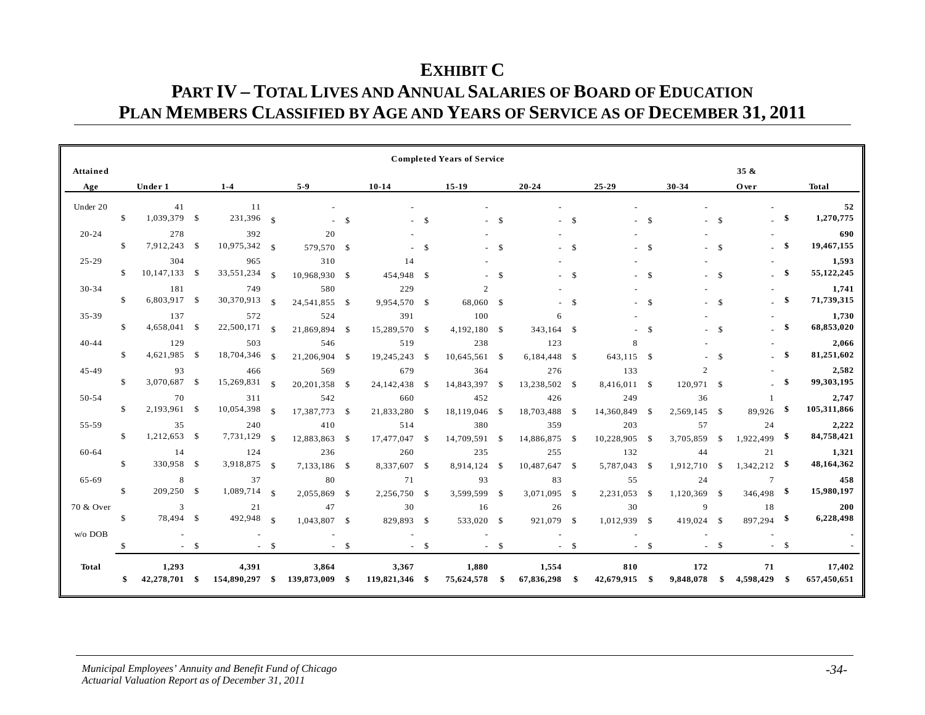### **EXHIBIT C PART IV – TOTAL LIVES AND ANNUAL SALARIES OF BOARD OF EDUCATION PLAN MEMBERS CLASSIFIED BY AGE AND YEARS OF SERVICE AS OF DECEMBER 31, 2011**

|              |               |                        |        |                         |               |                         |           |                         |               | <b>Completed Years of Service</b> |               |                      |               |                      |               |                                      |               |                        |             |                       |
|--------------|---------------|------------------------|--------|-------------------------|---------------|-------------------------|-----------|-------------------------|---------------|-----------------------------------|---------------|----------------------|---------------|----------------------|---------------|--------------------------------------|---------------|------------------------|-------------|-----------------------|
| Attained     |               |                        |        |                         |               |                         |           |                         |               |                                   |               |                      |               |                      |               |                                      |               | 35 &                   |             |                       |
| Age          |               | Under 1                |        | $1 - 4$                 |               | $5-9$                   |           | $10 - 14$               |               | $15-19$                           |               | $20 - 24$            |               | $25 - 29$            |               | 30-34                                |               | Over                   |             | <b>Total</b>          |
| Under 20     | <sup>\$</sup> | 41<br>1,039,379 \$     |        | 11<br>231,396 \$        |               | $\sim$                  | - \$      |                         | <sup>\$</sup> |                                   | -S            |                      | $\mathbf{s}$  | ÷                    | - \$          |                                      | $\mathcal{S}$ |                        | -\$         | 52<br>1,270,775       |
| $20 - 24$    | S             | 278<br>7,912,243 \$    |        | 392<br>$10,975,342$ \$  |               | 20<br>579,570 \$        |           |                         | $\mathcal{S}$ |                                   | $\mathcal{S}$ |                      | $\mathcal{S}$ |                      | - \$          |                                      | $\mathcal{S}$ |                        | -\$         | 690<br>19,467,155     |
| $25 - 29$    | \$.           | 304<br>$10,147,133$ \$ |        | 965<br>33,551,234       | - \$          | 310<br>10,968,930 \$    |           | 14<br>454,948           | -S            |                                   | <sup>\$</sup> |                      | - \$          |                      | -S            |                                      | -S            |                        | $\mathbf s$ | 1,593<br>55, 122, 245 |
| $30 - 34$    | \$            | 181<br>6,803,917 \$    |        | 749<br>30,370,913       | $\mathbf{s}$  | 580<br>24,541,855 \$    |           | 229<br>9,954,570 \$     |               | $\mathcal{D}$<br>68,060 \$        |               |                      | $\mathcal{S}$ |                      | - \$          |                                      | $\mathcal{S}$ |                        | -\$         | 1,741<br>71,739,315   |
| 35-39        | <sup>\$</sup> | 137<br>4,658,041 \$    |        | 572<br>22,500,171       | - \$          | 524<br>21,869,894 \$    |           | 391<br>15,289,570 \$    |               | 100<br>4,192,180                  | - \$          | 6<br>343,164 \$      |               |                      | $\mathcal{S}$ |                                      | $\mathbf S$   |                        | -\$         | 1,730<br>68,853,020   |
| $40 - 44$    | -S            | 129<br>4,621,985 \$    |        | 503<br>18,704,346       | $\mathcal{S}$ | 546<br>21,206,904 \$    |           | 519<br>19,245,243       | - \$          | 238<br>10,645,561                 | - \$          | 123<br>6,184,448 \$  |               | 8<br>643,115 \$      |               |                                      | ${\mathbb S}$ |                        | -96         | 2,066<br>81,251,602   |
| 45-49        | S             | 93<br>3,070,687 \$     |        | 466<br>$15,269,831$ §   |               | 569<br>20,201,358 \$    |           | 679<br>24,142,438       | - \$          | 364<br>14,843,397                 | -S            | 276<br>13,238,502 \$ |               | 133<br>8,416,011 \$  |               | $\mathcal{D}_{\alpha}$<br>120,971 \$ |               |                        | -\$         | 2,582<br>99,303,195   |
| 50-54        | <sup>\$</sup> | 70<br>2,193,961 \$     |        | 311<br>10,054,398       | -\$           | 542<br>17,387,773 \$    |           | 660<br>21,833,280       | -S            | 452<br>18,119,046                 | S.            | 426<br>18,703,488 \$ |               | 249<br>14,360,849    | - \$          | 36<br>2,569,145 \$                   |               | 1<br>89,926            | - \$        | 2,747<br>105,311,866  |
| 55-59        | S             | 35<br>1,212,653 \$     |        | 240<br>7,731,129        | - \$          | 410<br>12,883,863 \$    |           | 514<br>17,477,047       | - \$          | 380<br>14,709,591                 | -S            | 359<br>14,886,875 \$ |               | 203<br>10,228,905    | - \$          | 57<br>3,705,859                      | -S            | 24<br>$1,922,499$ \$   |             | 2,222<br>84,758,421   |
| 60-64        | <sup>\$</sup> | 14<br>330,958 \$       |        | 124<br>3,918,875 §      |               | 236<br>7,133,186 \$     |           | 260<br>8,337,607 \$     |               | 235<br>8,914,124                  | S.            | 255<br>10,487,647 \$ |               | 132<br>5,787,043     | -S            | 44<br>1,912,710                      | -S            | 21<br>$1,342,212$ \$   |             | 1,321<br>48,164,362   |
| 65-69        | $\mathbb{S}$  | 8<br>209,250 \$        |        | 37<br>1,089,714         | $\mathbf{s}$  | 80<br>2,055,869         | $\sim$ \$ | 71<br>2,256,750         | <sup>\$</sup> | 93<br>3,599,599                   | -S            | 83<br>3,071,095      | $\mathbf{s}$  | 55<br>2,231,053      | -S            | 24<br>1,120,369                      | $\mathbf{s}$  | $\tau$<br>$346,498$ \$ |             | 458<br>15,980,197     |
| 70 & Over    | S             | 3<br>78,494 \$         |        | 21<br>492,948           | - \$          | 47<br>1,043,807 \$      |           | 30<br>829,893 \$        |               | 16<br>533,020                     | - \$          | 26<br>921,079 \$     |               | 30<br>1,012,939      | <b>S</b>      | 9<br>419,024 \$                      |               | 18<br>$897,294$ \$     |             | 200<br>6,228,498      |
| w/o DOB      | $\mathcal{S}$ |                        | $-$ \$ |                         | $- S$         |                         | $- S$     |                         | $-$ \$        |                                   | $- S$         |                      | $-$ \$        |                      | $-$ \$        |                                      | $- S$         |                        | $-$ \$      |                       |
| <b>Total</b> | \$            | 1,293<br>42,278,701 \$ |        | 4,391<br>154,890,297 \$ |               | 3,864<br>139,873,009 \$ |           | 3,367<br>119,821,346 \$ |               | 1,880<br>75,624,578               | - \$          | 1,554<br>67,836,298  | - \$          | 810<br>42,679,915 \$ |               | 172<br>9,848,078                     | \$            | 71<br>4,598,429 \$     |             | 17,402<br>657,450,651 |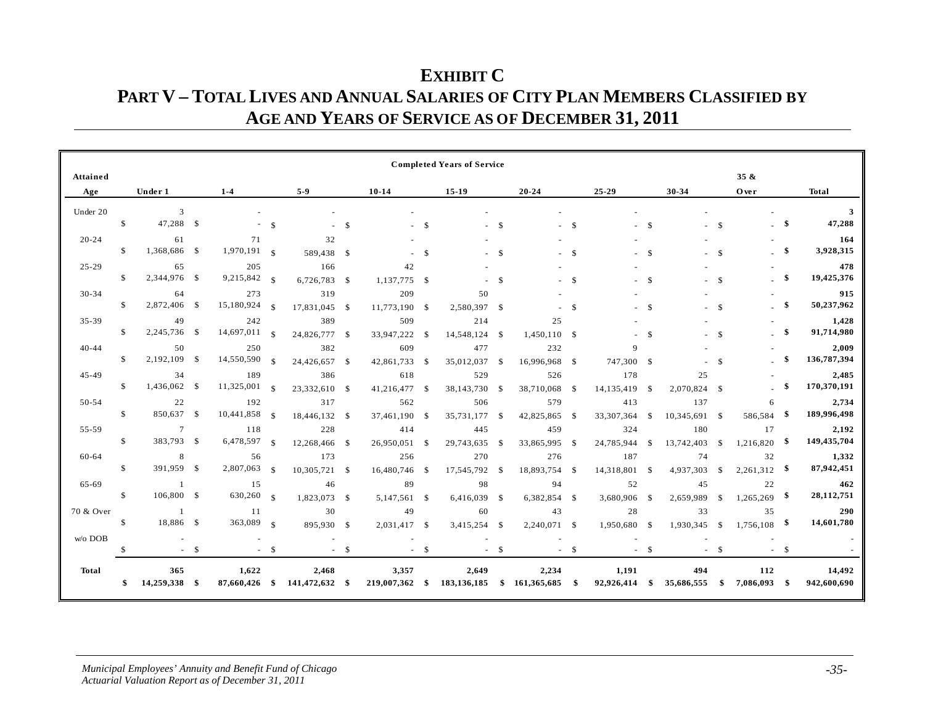### **EXHIBIT C PART V – TOTAL LIVES AND ANNUAL SALARIES OF CITY PLAN MEMBERS CLASSIFIED BY AGE AND YEARS OF SERVICE AS OF DECEMBER 31, 2011**

|              |               |                      |        |                        |               |                         |               |                         |               | <b>Completed Years of Service</b> |               |                                        |              |                     |               |                   |               |                     |        |                       |
|--------------|---------------|----------------------|--------|------------------------|---------------|-------------------------|---------------|-------------------------|---------------|-----------------------------------|---------------|----------------------------------------|--------------|---------------------|---------------|-------------------|---------------|---------------------|--------|-----------------------|
| Attained     |               |                      |        |                        |               |                         |               |                         |               |                                   |               |                                        |              |                     |               |                   |               | $35 \&$             |        |                       |
| Age          |               | Under 1              |        | $1 - 4$                |               | $5-9$                   |               | $10 - 14$               |               | $15-19$                           |               | $20 - 24$                              |              | $25 - 29$           |               | 30-34             |               | Over                |        | <b>Total</b>          |
| Under 20     |               | 3                    |        |                        |               |                         |               |                         |               |                                   |               |                                        |              |                     |               |                   |               |                     |        | 3                     |
|              | $\mathbb{S}$  | 47,288 \$            |        |                        | $\mathcal{S}$ |                         | <sup>\$</sup> |                         | -S            |                                   | -S            |                                        | - \$         |                     | - \$          |                   | $\mathcal{S}$ |                     | -\$    | 47,288                |
| $20 - 24$    |               | 61                   |        | 71                     |               | 32                      |               |                         |               |                                   |               |                                        |              |                     |               |                   |               |                     |        | 164                   |
|              | $\mathbb{S}$  | 1,368,686 \$         |        | $1,970,191$ \$         |               | 589,438 \$              |               |                         | $\mathcal{S}$ |                                   | $\mathcal{S}$ |                                        | - \$         |                     | - \$          |                   | $\mathcal{S}$ |                     | \$     | 3,928,315             |
| $25 - 29$    |               | 65                   |        | 205                    |               | 166                     |               | 42                      |               |                                   |               |                                        |              |                     |               |                   |               |                     |        | 478                   |
|              | \$            | 2,344,976 \$         |        | 9,215,842 \$           |               | 6,726,783 \$            |               | 1,137,775 \$            |               |                                   | $\mathcal{S}$ |                                        | $\mathbf{s}$ |                     | $\mathbf s$   |                   | $\mathbf{s}$  |                     | \$     | 19,425,376            |
| 30-34        |               | 64                   |        | 273                    |               | 319                     |               | 209                     |               | 50                                |               |                                        |              |                     |               |                   |               |                     |        | 915                   |
|              | $\mathbb{S}$  | 2,872,406 \$         |        | 15,180,924             | $\mathcal{S}$ | 17,831,045 \$           |               | 11,773,190 \$           |               | 2,580,397                         | -\$           |                                        | -S           |                     | $\mathcal{S}$ |                   | $\mathcal{S}$ |                     | -\$    | 50,237,962            |
| 35-39        |               | 49                   |        | 242                    |               | 389                     |               | 509                     |               | 214                               |               | 25                                     |              |                     |               |                   |               |                     |        | 1,428                 |
|              | $\mathbb{S}$  | 2,245,736 \$         |        | 14,697,011             | $\mathcal{S}$ | 24,826,777 \$           |               | 33,947,222 \$           |               | 14,548,124 \$                     |               | 1,450,110 \$                           |              |                     | $\mathbf S$   |                   | $\mathbf{s}$  |                     | \$     | 91,714,980            |
| $40 - 44$    |               | 50                   |        | 250                    |               | 382                     |               | 609                     |               | 477                               |               | 232                                    |              | $\Omega$            |               |                   |               |                     |        | 2,009                 |
|              | $\mathbb{S}$  | 2,192,109 \$         |        | 14,550,590             | $\mathcal{S}$ | 24,426,657 \$           |               | 42,861,733 \$           |               | 35,012,037                        | -S            | 16,996,968 \$                          |              | 747,300 \$          |               |                   | $\mathbf S$   |                     |        | 136,787,394           |
| $45 - 49$    |               | 34                   |        | 189                    |               | 386                     |               | 618                     |               | 529                               |               | 526                                    |              | 178                 |               | 25                |               |                     |        | 2,485                 |
|              | $\mathbb{S}$  | 1,436,062 \$         |        | 11,325,001             | $\mathcal{S}$ | 23,332,610 \$           |               | 41,216,477              | -\$           | 38,143,730                        | -S            | 38,710,068                             | - \$         | 14,135,419          | -S            | 2,070,824 \$      |               |                     | -\$    | 170,370,191           |
| 50-54        |               | 22                   |        | 192                    |               | 317                     |               | 562                     |               | 506                               |               | 579                                    |              | 413                 |               | 137               |               | 6                   |        | 2,734                 |
|              | $\mathbb{S}$  | 850,637 \$           |        | 10,441,858             | - \$          | 18,446,132 \$           |               | 37,461,190              | -\$           | 35,731,177                        | -S            | 42,825,865                             | - \$         | 33, 307, 364        | \$            | 10,345,691 \$     |               | 586,584             |        | 189,996,498           |
| 55-59        |               | $7\phantom{.0}$      |        | 118                    |               | 228                     |               | 414                     |               | 445                               |               | 459                                    |              | 324                 |               | 180               |               | 17                  |        | 2,192                 |
|              | $\mathbb{S}$  | 383,793 \$           |        | 6,478,597              | $\mathcal{S}$ | 12,268,466 \$           |               | 26,950,051              | <sup>\$</sup> | 29,743,635                        | $\mathcal{S}$ | 33,865,995                             | - \$         | 24,785,944          | $\mathcal{S}$ | 13,742,403        | - \$          | $1,216,820$ \$      |        | 149,435,704           |
| 60-64        |               | 8                    |        | 56                     |               | 173                     |               | 256                     |               | 270                               |               | 276                                    |              | 187                 |               | 74                |               | 32                  |        | 1,332                 |
|              | $\mathbb{S}$  | 391,959 \$           |        | 2,807,063              | $\mathcal{S}$ | 10,305,721 \$           |               | 16,480,746              | -S            | 17,545,792                        | -S            | 18,893,754 \$                          |              | 14,318,801          | <sup>\$</sup> | 4,937,303         | <sup>\$</sup> | $2,261,312$ \$      |        | 87,942,451            |
| 65-69        |               | $\overline{1}$       |        | 15                     |               | 46                      |               | 89                      |               | 98                                |               | 94                                     |              | 52                  |               | 45                |               | 22                  |        | 462                   |
|              | $\mathbb{S}$  | 106,800 \$           |        | 630,260 \$             |               | 1,823,073 \$            |               | 5,147,561 \$            |               | 6,416,039                         | - \$          | 6,382,854 \$                           |              | 3,680,906           | -S            | 2,659,989         | - \$          | $1,265,269$ \$      |        | 28,112,751            |
| 70 & Over    |               | $\mathbf{1}$         |        | 11                     |               | 30                      |               | 49                      |               | 60                                |               | 43                                     |              | 28                  |               | 33                |               | 35                  |        | 290                   |
|              | S.            | 18,886 \$            |        | 363,089 \$             |               | 895,930 \$              |               | 2,031,417 \$            |               | 3,415,254 \$                      |               | 2,240,071 \$                           |              | 1,950,680 \$        |               | 1,930,345 \$      |               | $1,756,108$ \$      |        | 14,601,780            |
| w/o DOB      |               |                      |        |                        |               |                         |               |                         |               |                                   |               |                                        |              |                     |               |                   |               |                     |        |                       |
|              | $\mathcal{S}$ |                      | $-$ \$ |                        | $-$ \$        |                         | $-$ \$        |                         | $-$ \$        |                                   | $-$ \$        |                                        | $-$ \$       |                     | $-$ \$        |                   | $-$ \$        |                     | $-$ \$ |                       |
| <b>Total</b> | \$            | 365<br>14,259,338 \$ |        | 1,622<br>87,660,426 \$ |               | 2,468<br>141,472,632 \$ |               | 3,357<br>219,007,362 \$ |               | 2,649                             |               | 2,234<br>183,136,185 \$ 161,365,685 \$ |              | 1,191<br>92,926,414 | - \$          | 494<br>35,686,555 | -\$           | 112<br>7,086,093 \$ |        | 14,492<br>942,600,690 |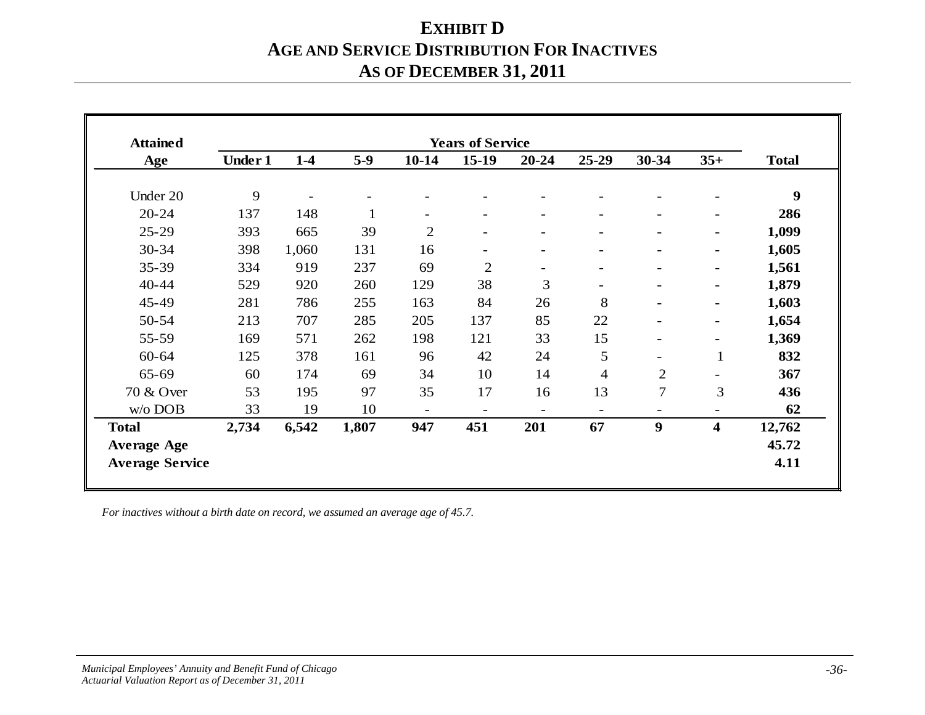## **EXHIBIT D AGE AND SERVICE DISTRIBUTION FOR INACTIVES AS OF DECEMBER 31, 2011**

| <b>Attained</b>        |                |       |              |                          | <b>Years of Service</b>  |                          |                          |                          |                          |                  |
|------------------------|----------------|-------|--------------|--------------------------|--------------------------|--------------------------|--------------------------|--------------------------|--------------------------|------------------|
| Age                    | <b>Under 1</b> | $1-4$ | $5-9$        | $10-14$                  | $15-19$                  | $20 - 24$                | 25-29                    | 30-34                    | $35+$                    | <b>Total</b>     |
| Under 20               | 9              |       |              |                          |                          |                          |                          |                          |                          | $\boldsymbol{9}$ |
| $20 - 24$              | 137            | 148   | $\mathbf{1}$ | $\overline{\phantom{0}}$ | $\overline{\phantom{0}}$ | $\blacksquare$           | $\blacksquare$           | $\blacksquare$           | $\overline{\phantom{a}}$ | 286              |
| $25 - 29$              | 393            | 665   | 39           | $\overline{c}$           | $\overline{\phantom{a}}$ | $\blacksquare$           | $\overline{\phantom{a}}$ | $\overline{\phantom{0}}$ | $\overline{\phantom{a}}$ | 1,099            |
| 30-34                  | 398            | 1,060 | 131          | 16                       |                          | $\overline{\phantom{0}}$ |                          |                          | $\overline{\phantom{0}}$ | 1,605            |
| 35-39                  | 334            | 919   | 237          | 69                       | $\overline{2}$           | $\overline{\phantom{a}}$ | $\overline{\phantom{a}}$ | $\overline{\phantom{0}}$ | $\overline{\phantom{a}}$ | 1,561            |
| 40-44                  | 529            | 920   | 260          | 129                      | 38                       | 3                        | $\overline{\phantom{a}}$ | $\overline{\phantom{0}}$ | $\blacksquare$           | 1,879            |
| 45-49                  | 281            | 786   | 255          | 163                      | 84                       | 26                       | 8                        |                          | $\overline{\phantom{a}}$ | 1,603            |
| 50-54                  | 213            | 707   | 285          | 205                      | 137                      | 85                       | 22                       |                          | $\overline{\phantom{0}}$ | 1,654            |
| 55-59                  | 169            | 571   | 262          | 198                      | 121                      | 33                       | 15                       | $\blacksquare$           | $\overline{\phantom{a}}$ | 1,369            |
| $60 - 64$              | 125            | 378   | 161          | 96                       | 42                       | 24                       | 5                        | $\blacksquare$           | 1                        | 832              |
| 65-69                  | 60             | 174   | 69           | 34                       | 10                       | 14                       | $\overline{4}$           | $\overline{2}$           |                          | 367              |
| 70 & Over              | 53             | 195   | 97           | 35                       | 17                       | 16                       | 13                       | $\overline{7}$           | 3                        | 436              |
| w/o DOB                | 33             | 19    | 10           | $\overline{\phantom{0}}$ |                          | $\overline{\phantom{0}}$ | $\overline{\phantom{0}}$ | $\overline{\phantom{0}}$ |                          | 62               |
| <b>Total</b>           | 2,734          | 6,542 | 1,807        | 947                      | 451                      | 201                      | 67                       | 9                        | 4                        | 12,762           |
| <b>Average Age</b>     |                |       |              |                          |                          |                          |                          |                          |                          | 45.72            |
| <b>Average Service</b> |                |       |              |                          |                          |                          |                          |                          |                          | 4.11             |

*For inactives without a birth date on record, we assumed an average age of 45.7.*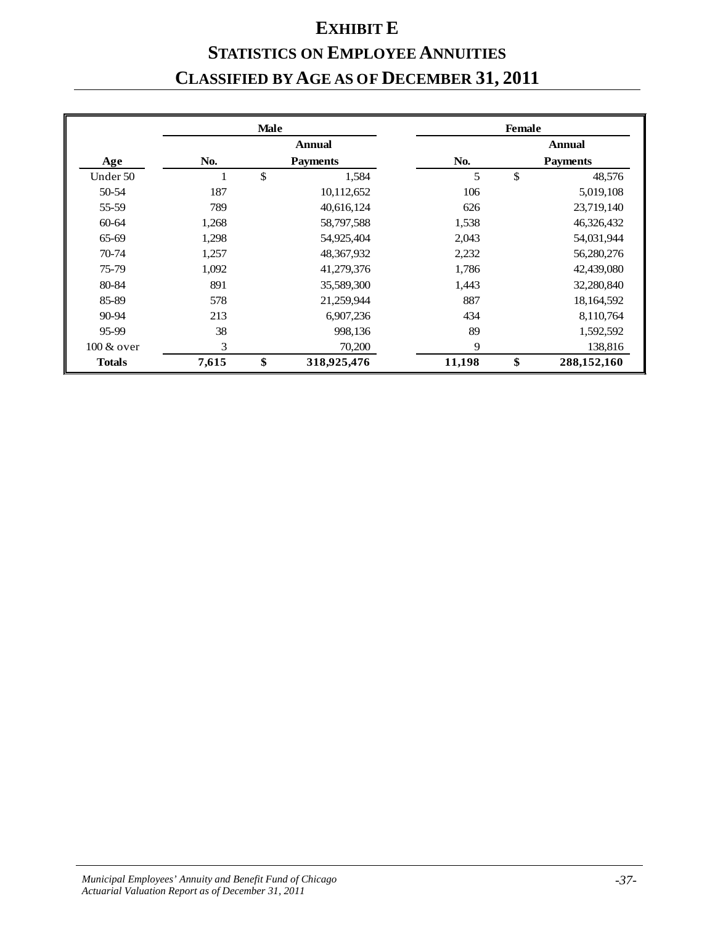# **EXHIBIT E**

# **STATISTICS ON EMPLOYEE ANNUITIES CLASSIFIED BY AGE AS OF DECEMBER 31, 2011**

|               |       | <b>Male</b> |                 |        | <b>Female</b> |                 |
|---------------|-------|-------------|-----------------|--------|---------------|-----------------|
|               |       |             | <b>Annual</b>   |        |               | <b>Annual</b>   |
| Age           | No.   |             | <b>Payments</b> | No.    |               | <b>Payments</b> |
| Under 50      | T     | \$          | 1,584           | 5      | \$            | 48,576          |
| 50-54         | 187   |             | 10,112,652      | 106    |               | 5,019,108       |
| 55-59         | 789   |             | 40,616,124      | 626    |               | 23,719,140      |
| 60-64         | 1,268 |             | 58,797,588      | 1,538  |               | 46,326,432      |
| 65-69         | 1,298 |             | 54,925,404      | 2,043  |               | 54,031,944      |
| 70-74         | 1,257 |             | 48,367,932      | 2,232  |               | 56,280,276      |
| 75-79         | 1,092 |             | 41,279,376      | 1,786  |               | 42,439,080      |
| 80-84         | 891   |             | 35,589,300      | 1,443  |               | 32,280,840      |
| 85-89         | 578   |             | 21,259,944      | 887    |               | 18,164,592      |
| 90-94         | 213   |             | 6,907,236       | 434    |               | 8,110,764       |
| 95-99         | 38    |             | 998,136         | 89     |               | 1,592,592       |
| 100 & over    | 3     |             | 70,200          | 9      |               | 138,816         |
| <b>Totals</b> | 7,615 | \$          | 318,925,476     | 11,198 | \$            | 288,152,160     |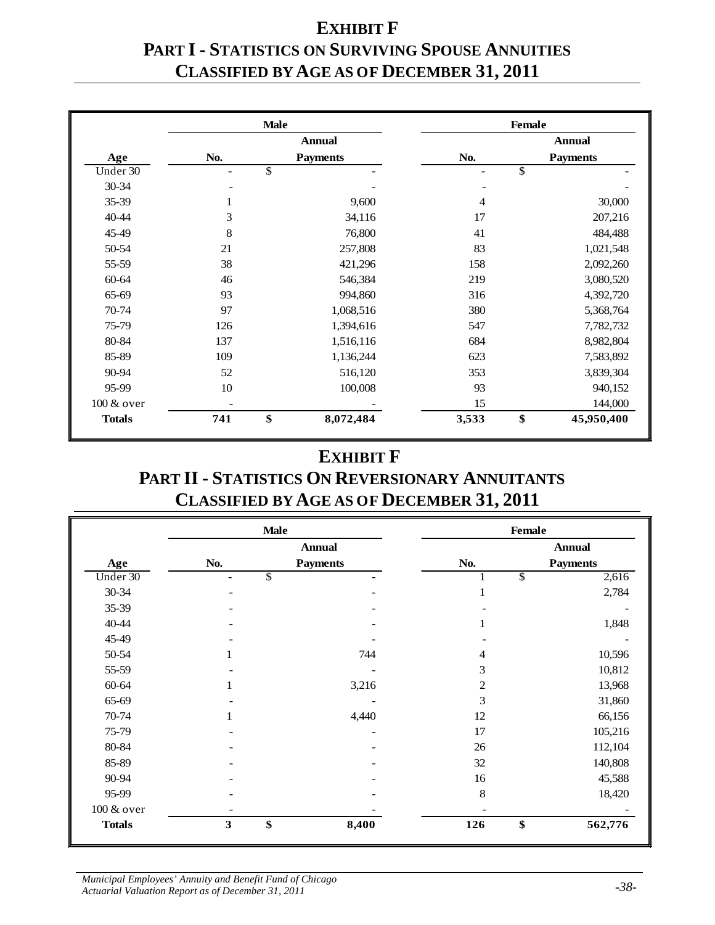# **EXHIBIT F PART I - STATISTICS ON SURVIVING SPOUSE ANNUITIES CLASSIFIED BY AGE AS OF DECEMBER 31, 2011**

|               |                          | <b>Male</b>              |       | <b>Female</b>            |
|---------------|--------------------------|--------------------------|-------|--------------------------|
|               |                          | <b>Annual</b>            |       | <b>Annual</b>            |
| Age           | No.                      | <b>Payments</b>          | No.   | <b>Payments</b>          |
| Under $30$    | $\overline{\phantom{a}}$ | $\overline{\mathcal{S}}$ | ۰     | $\overline{\mathcal{S}}$ |
| 30-34         | $\overline{a}$           |                          | -     |                          |
| 35-39         | 1                        | 9,600                    | 4     | 30,000                   |
| 40-44         | 3                        | 34,116                   | 17    | 207,216                  |
| 45-49         | 8                        | 76,800                   | 41    | 484,488                  |
| 50-54         | 21                       | 257,808                  | 83    | 1,021,548                |
| 55-59         | 38                       | 421,296                  | 158   | 2,092,260                |
| 60-64         | 46                       | 546,384                  | 219   | 3,080,520                |
| 65-69         | 93                       | 994,860                  | 316   | 4,392,720                |
| 70-74         | 97                       | 1,068,516                | 380   | 5,368,764                |
| 75-79         | 126                      | 1,394,616                | 547   | 7,782,732                |
| 80-84         | 137                      | 1,516,116                | 684   | 8,982,804                |
| 85-89         | 109                      | 1,136,244                | 623   | 7,583,892                |
| 90-94         | 52                       | 516,120                  | 353   | 3,839,304                |
| 95-99         | 10                       | 100,008                  | 93    | 940,152                  |
| 100 & over    |                          |                          | 15    | 144,000                  |
| <b>Totals</b> | 741                      | \$<br>8,072,484          | 3,533 | \$<br>45,950,400         |

#### **EXHIBIT F**

#### **PART II - STATISTICS ON REVERSIONARY ANNUITANTS CLASSIFIED BY AGE AS OF DECEMBER 31, 2011**

|               |                               | <b>Male</b>     |                | <b>Female</b>                     |
|---------------|-------------------------------|-----------------|----------------|-----------------------------------|
|               |                               | <b>Annual</b>   |                | <b>Annual</b>                     |
| Age           | No.                           | <b>Payments</b> | No.            | <b>Payments</b>                   |
| Under 30      | $\overline{\mathcal{S}}$<br>۰ |                 |                | $\overline{\mathcal{E}}$<br>2,616 |
| 30-34         |                               |                 | 1              | 2,784                             |
| 35-39         |                               |                 |                |                                   |
| 40-44         | ۰                             |                 | 1              | 1,848                             |
| 45-49         |                               |                 |                |                                   |
| 50-54         | 1                             | 744             | 4              | 10,596                            |
| 55-59         |                               |                 | 3              | 10,812                            |
| 60-64         | 1                             | 3,216           | $\overline{2}$ | 13,968                            |
| 65-69         | $\overline{\phantom{0}}$      |                 | 3              | 31,860                            |
| 70-74         | 1                             | 4,440           | 12             | 66,156                            |
| 75-79         |                               |                 | 17             | 105,216                           |
| 80-84         |                               |                 | 26             | 112,104                           |
| 85-89         |                               |                 | 32             | 140,808                           |
| 90-94         |                               |                 | 16             | 45,588                            |
| 95-99         |                               |                 | 8              | 18,420                            |
| 100 & over    |                               |                 |                |                                   |
| <b>Totals</b> | \$<br>3                       | 8,400           | 126            | \$<br>562,776                     |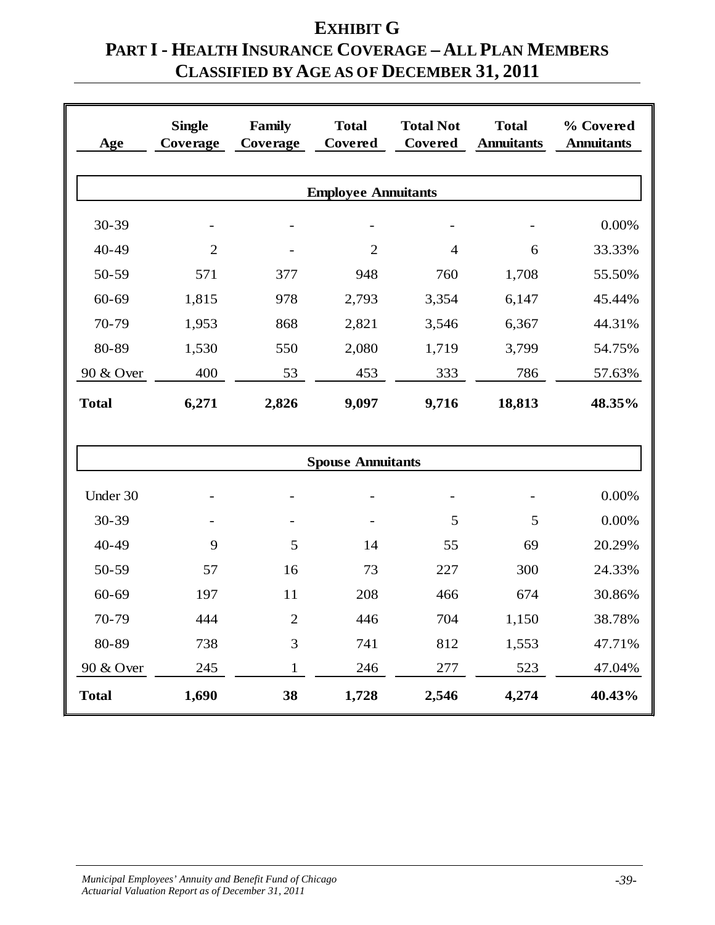# **EXHIBIT G PART I - HEALTH INSURANCE COVERAGE – ALL PLAN MEMBERS CLASSIFIED BY AGE AS OF DECEMBER 31, 2011**

| Age          | <b>Single</b><br>Coverage | <b>Family</b><br>Coverage | <b>Total</b><br>Covered    | <b>Total Not</b><br>Covered | <b>Total</b><br><b>Annuitants</b> | % Covered<br><b>Annuitants</b> |  |
|--------------|---------------------------|---------------------------|----------------------------|-----------------------------|-----------------------------------|--------------------------------|--|
|              |                           |                           | <b>Employee Annuitants</b> |                             |                                   |                                |  |
| 30-39        |                           |                           |                            |                             |                                   | 0.00%                          |  |
| 40-49        | $\overline{2}$            |                           | $\overline{2}$             | $\overline{4}$              | 6                                 | 33.33%                         |  |
| 50-59        | 571                       | 377                       | 948                        | 760                         | 1,708                             | 55.50%                         |  |
| 60-69        | 1,815                     | 978                       | 2,793                      | 3,354                       | 6,147                             | 45.44%                         |  |
| 70-79        | 1,953                     | 868                       | 2,821                      | 3,546                       | 6,367                             | 44.31%                         |  |
| 80-89        | 1,530                     | 550                       | 2,080                      | 1,719                       | 3,799                             | 54.75%                         |  |
| 90 & Over    | 400                       | 53                        | 453                        | 333                         | 786                               | 57.63%                         |  |
| <b>Total</b> | 6,271                     | 2,826                     | 9,097                      | 9,716                       | 18,813                            | 48.35%                         |  |
|              |                           |                           |                            |                             |                                   |                                |  |
|              |                           |                           | <b>Spouse Annuitants</b>   |                             |                                   |                                |  |
| Under 30     |                           |                           | $\overline{a}$             |                             |                                   | 0.00%                          |  |
| 30-39        |                           |                           |                            | 5                           | 5                                 | 0.00%                          |  |
| 40-49        | 9                         | 5                         | 14                         | 55                          | 69                                | 20.29%                         |  |
| 50-59        | 57                        | 16                        | 73                         | 227                         | 300                               | 24.33%                         |  |
| $60 - 69$    | 197                       | 11                        | 208                        | 466                         | 674                               | 30.86%                         |  |
| 70-79        | 444                       | $\overline{2}$            | 446                        | 704                         | 1,150                             | 38.78%                         |  |
| 80-89        | 738                       | 3                         | 741                        | 812                         | 1,553                             | 47.71%                         |  |
| 90 & Over    | 245                       | 1                         | 246                        | 277                         | 523                               | 47.04%                         |  |
| <b>Total</b> | 1,690                     | 38                        | 1,728                      | 2,546                       | 4,274                             | 40.43%                         |  |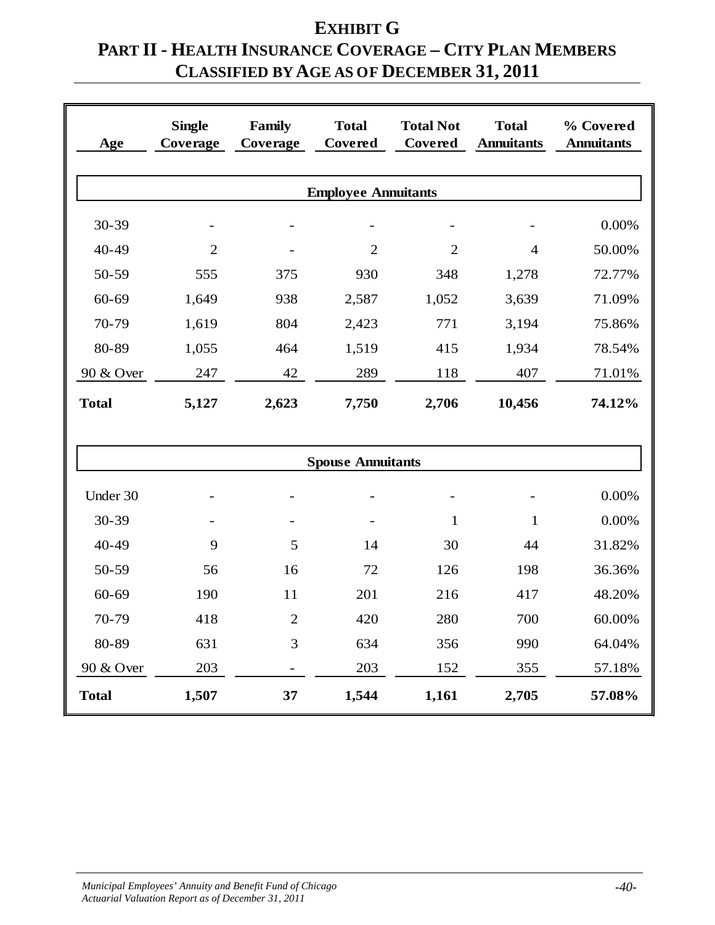# **EXHIBIT G PART II - HEALTH INSURANCE COVERAGE – CITY PLAN MEMBERS CLASSIFIED BY AGE AS OF DECEMBER 31, 2011**

| Age          | <b>Single</b><br>Coverage | Family<br>Coverage | <b>Total</b><br>Covered    | <b>Total Not</b><br>Covered | <b>Total</b><br><b>Annuitants</b> | % Covered<br><b>Annuitants</b> |
|--------------|---------------------------|--------------------|----------------------------|-----------------------------|-----------------------------------|--------------------------------|
|              |                           |                    |                            |                             |                                   |                                |
|              |                           |                    | <b>Employee Annuitants</b> |                             |                                   |                                |
| 30-39        |                           |                    |                            |                             |                                   | 0.00%                          |
| 40-49        | $\overline{2}$            |                    | $\overline{2}$             | $\overline{2}$              | $\overline{4}$                    | 50.00%                         |
| 50-59        | 555                       | 375                | 930                        | 348                         | 1,278                             | 72.77%                         |
| 60-69        | 1,649                     | 938                | 2,587                      | 1,052                       | 3,639                             | 71.09%                         |
| 70-79        | 1,619                     | 804                | 2,423                      | 771                         | 3,194                             | 75.86%                         |
| 80-89        | 1,055                     | 464                | 1,519                      | 415                         | 1,934                             | 78.54%                         |
| 90 & Over    | 247                       | 42                 | 289                        | 118                         | 407                               | 71.01%                         |
| <b>Total</b> | 5,127                     | 2,623              | 7,750                      | 2,706                       | 10,456                            | 74.12%                         |
|              |                           |                    |                            |                             |                                   |                                |
|              |                           |                    | <b>Spouse Annuitants</b>   |                             |                                   |                                |
| Under 30     |                           |                    |                            |                             |                                   | 0.00%                          |
| 30-39        |                           |                    |                            | $\mathbf{1}$                | $\mathbf{1}$                      | 0.00%                          |
| 40-49        | 9                         | 5                  | 14                         | 30                          | 44                                | 31.82%                         |
| 50-59        | 56                        | 16                 | 72                         | 126                         | 198                               | 36.36%                         |
| $60 - 69$    | 190                       | 11                 | 201                        | 216                         | 417                               | 48.20%                         |
| 70-79        | 418                       | $\overline{2}$     | 420                        | 280                         | 700                               | 60.00%                         |
| 80-89        | 631                       | 3                  | 634                        | 356                         | 990                               | 64.04%                         |
| 90 & Over    | 203                       |                    | 203                        | 152                         | 355                               | 57.18%                         |
| <b>Total</b> | 1,507                     | 37                 | 1,544                      | 1,161                       | 2,705                             | 57.08%                         |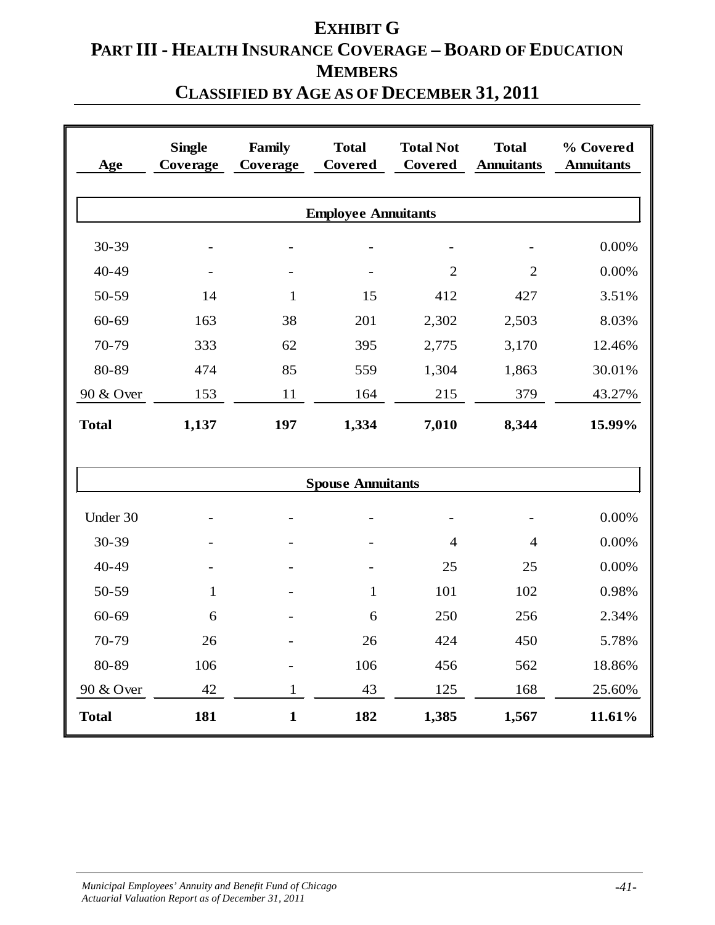# **EXHIBIT G PART III - HEALTH INSURANCE COVERAGE – BOARD OF EDUCATION MEMBERS**

## **CLASSIFIED BY AGE AS OF DECEMBER 31, 2011**

| Age          | <b>Single</b><br>Coverage | Family<br>Coverage | <b>Total</b><br>Covered    | <b>Total Not</b><br>Covered | <b>Total</b><br><b>Annuitants</b> | % Covered<br><b>Annuitants</b> |
|--------------|---------------------------|--------------------|----------------------------|-----------------------------|-----------------------------------|--------------------------------|
|              |                           |                    | <b>Employee Annuitants</b> |                             |                                   |                                |
| 30-39        |                           |                    |                            | $\equiv$                    |                                   | 0.00%                          |
| 40-49        |                           |                    |                            | $\overline{2}$              | $\overline{2}$                    | 0.00%                          |
| 50-59        | 14                        | $\mathbf{1}$       | 15                         | 412                         | 427                               | 3.51%                          |
| $60 - 69$    | 163                       | 38                 | 201                        | 2,302                       | 2,503                             | 8.03%                          |
| 70-79        | 333                       | 62                 | 395                        | 2,775                       | 3,170                             | 12.46%                         |
| 80-89        | 474                       | 85                 | 559                        | 1,304                       | 1,863                             | 30.01%                         |
| 90 & Over    | 153                       | 11                 | 164                        | 215                         | 379                               | 43.27%                         |
| <b>Total</b> | 1,137                     | 197                | 1,334                      | 7,010                       | 8,344                             | 15.99%                         |
|              |                           |                    | <b>Spouse Annuitants</b>   |                             |                                   |                                |
| Under 30     |                           |                    |                            | $\overline{\phantom{a}}$    |                                   | 0.00%                          |
| 30-39        |                           |                    |                            | $\overline{4}$              | $\overline{4}$                    | 0.00%                          |
| 40-49        |                           |                    |                            | 25                          | 25                                | 0.00%                          |
| 50-59        | $\mathbf{1}$              |                    | 1                          | 101                         | 102                               | 0.98%                          |
| $60 - 69$    | 6                         |                    | 6                          | 250                         | 256                               | 2.34%                          |
| 70-79        | 26                        |                    | 26                         | 424                         | 450                               | 5.78%                          |
| 80-89        | 106                       |                    | 106                        | 456                         | 562                               | 18.86%                         |
| 90 & Over    | 42                        | $\mathbf{1}$       | 43                         | 125                         | 168                               | 25.60%                         |
| <b>Total</b> | 181                       | $\mathbf{1}$       | 182                        | 1,385                       | 1,567                             | 11.61%                         |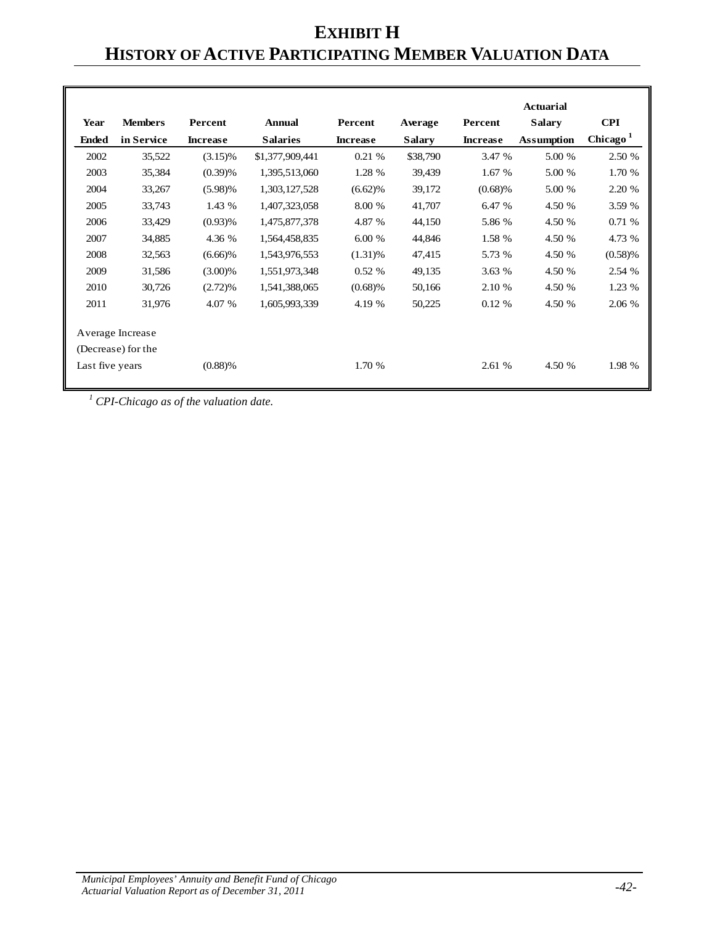# **EXHIBIT H HISTORY OF ACTIVE PARTICIPATING MEMBER VALUATION DATA**

|                 |                                        |                 |                 |                 |               |                 | <b>Actuarial</b>  |                      |
|-----------------|----------------------------------------|-----------------|-----------------|-----------------|---------------|-----------------|-------------------|----------------------|
| Year            | <b>Members</b>                         | Percent         | <b>Annual</b>   | Percent         | Average       | Percent         | <b>Salary</b>     | <b>CPI</b>           |
| <b>Ended</b>    | in Service                             | <b>Increase</b> | <b>Salaries</b> | <b>Increase</b> | <b>Salary</b> | <b>Increase</b> | <b>Assumption</b> | Chicago <sup>1</sup> |
| 2002            | 35,522                                 | $(3.15)\%$      | \$1,377,909,441 | 0.21%           | \$38,790      | 3.47 %          | 5.00 %            | 2.50 %               |
| 2003            | 35,384                                 | (0.39)%         | 1,395,513,060   | 1.28 %          | 39,439        | 1.67 %          | 5.00 %            | 1.70 %               |
| 2004            | 33,267                                 | $(5.98)\%$      | 1,303,127,528   | $(6.62)\%$      | 39,172        | (0.68)%         | 5.00 %            | 2.20 %               |
| 2005            | 33,743                                 | 1.43 %          | 1,407,323,058   | 8.00 %          | 41,707        | 6.47 %          | 4.50 %            | 3.59 %               |
| 2006            | 33,429                                 | $(0.93)$ %      | 1,475,877,378   | 4.87 %          | 44,150        | 5.86 %          | 4.50 %            | 0.71%                |
| 2007            | 34,885                                 | 4.36 %          | 1,564,458,835   | 6.00 %          | 44,846        | 1.58 %          | 4.50 %            | 4.73 %               |
| 2008            | 32,563                                 | $(6.66)\%$      | 1,543,976,553   | $(1.31)$ %      | 47,415        | 5.73 %          | 4.50 %            | (0.58)%              |
| 2009            | 31,586                                 | $(3.00)\%$      | 1,551,973,348   | 0.52%           | 49,135        | 3.63 %          | 4.50 %            | 2.54 %               |
| 2010            | 30,726                                 | $(2.72)\%$      | 1,541,388,065   | $(0.68)$ %      | 50,166        | 2.10 %          | 4.50 %            | 1.23 %               |
| 2011            | 31,976                                 | 4.07 %          | 1,605,993,339   | 4.19 %          | 50,225        | 0.12%           | 4.50 %            | 2.06 %               |
|                 | Average Increase<br>(Decrease) for the |                 |                 |                 |               |                 |                   |                      |
| Last five years |                                        | (0.88)%         |                 | 1.70 %          |               | 2.61 %          | 4.50 %            | 1.98 %               |

*<sup>1</sup> CPI-Chicago as of the valuation date.*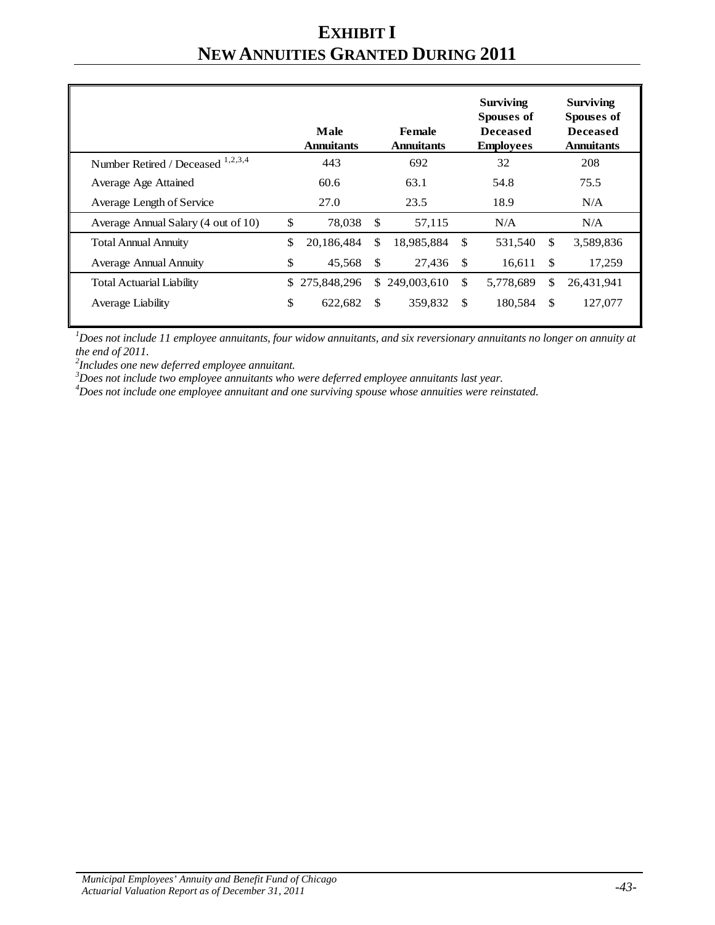# **EXHIBIT I NEW ANNUITIES GRANTED DURING 2011**

|                                     |     | Male<br><b>Annuitants</b> |               | Female<br><b>Annuitants</b> |               | <b>Surviving</b><br>Spouses of<br><b>Deceased</b><br><b>Employees</b> |               | <b>Surviving</b><br>Spouses of<br><b>Deceased</b><br><b>Annuitants</b> |
|-------------------------------------|-----|---------------------------|---------------|-----------------------------|---------------|-----------------------------------------------------------------------|---------------|------------------------------------------------------------------------|
| Number Retired / Deceased 1,2,3,4   |     | 443                       |               | 692                         |               | 32                                                                    |               | 208                                                                    |
| Average Age Attained                |     | 60.6                      |               | 63.1                        |               | 54.8                                                                  |               | 75.5                                                                   |
| Average Length of Service           |     | 27.0                      |               | 23.5                        |               | 18.9                                                                  |               | N/A                                                                    |
| Average Annual Salary (4 out of 10) | \$  | 78,038                    | \$            | 57,115                      |               | N/A                                                                   |               | N/A                                                                    |
| <b>Total Annual Annuity</b>         | \$. | 20,186,484                | \$            | 18,985,884                  | \$            | 531,540                                                               | \$            | 3,589,836                                                              |
| <b>Average Annual Annuity</b>       | \$  | 45,568                    | $\mathbf{\$}$ | 27,436                      | -\$           | 16,611                                                                | \$            | 17,259                                                                 |
| <b>Total Actuarial Liability</b>    |     | \$275,848,296             |               | \$249,003,610               | <sup>\$</sup> | 5,778,689                                                             | \$            | 26,431,941                                                             |
| Average Liability                   | \$  | 622,682                   | \$            | 359,832                     | \$            | 180,584                                                               | <sup>\$</sup> | 127,077                                                                |

*1 Does not include 11 employee annuitants, four widow annuitants, and six reversionary annuitants no longer on annuity at the end of 2011. <sup>2</sup>*

*Includes one new deferred employee annuitant.*

*3 Does not include two employee annuitants who were deferred employee annuitants last year. <sup>4</sup>*

*Does not include one employee annuitant and one surviving spouse whose annuities were reinstated.*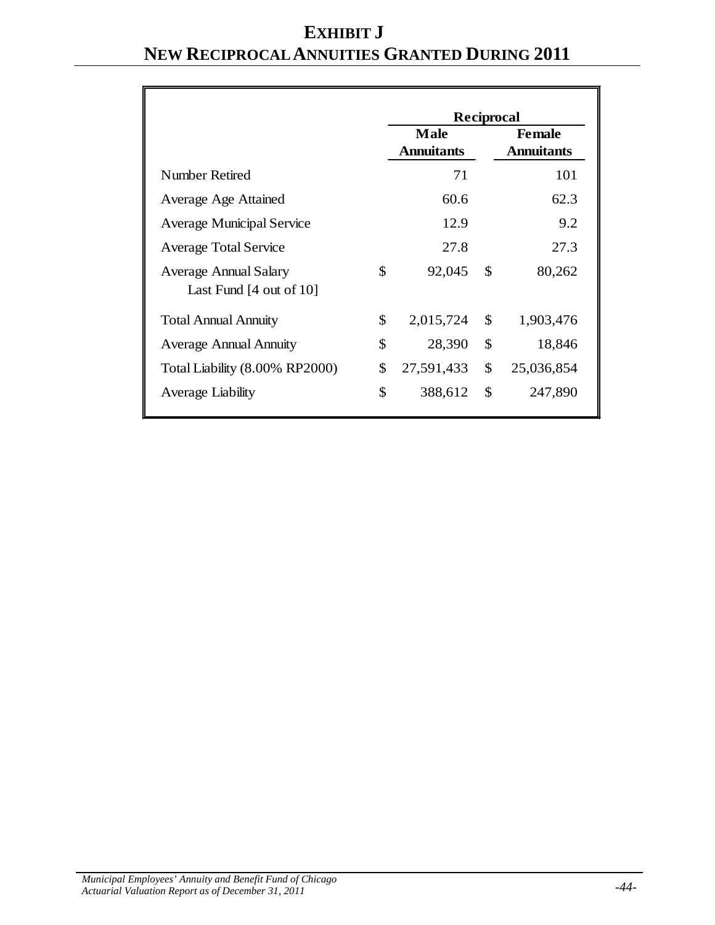# **EXHIBIT J NEW RECIPROCAL ANNUITIES GRANTED DURING 2011**

|                                                                    | Reciprocal                                                             |    |            |  |  |  |
|--------------------------------------------------------------------|------------------------------------------------------------------------|----|------------|--|--|--|
|                                                                    | <b>Male</b><br><b>Female</b><br><b>Annuitants</b><br><b>Annuitants</b> |    |            |  |  |  |
| Number Retired                                                     | 71                                                                     |    | 101        |  |  |  |
| Average Age Attained                                               | 60.6                                                                   |    | 62.3       |  |  |  |
| <b>Average Municipal Service</b>                                   | 12.9                                                                   |    | 9.2        |  |  |  |
| <b>Average Total Service</b>                                       | 27.8                                                                   |    | 27.3       |  |  |  |
| <b>Average Annual Salary</b><br>Last Fund $[4 \text{ out of } 10]$ | \$<br>92,045                                                           | \$ | 80,262     |  |  |  |
| <b>Total Annual Annuity</b>                                        | \$<br>2,015,724                                                        | \$ | 1,903,476  |  |  |  |
| <b>Average Annual Annuity</b>                                      | \$<br>28,390                                                           | \$ | 18,846     |  |  |  |
| Total Liability (8.00% RP2000)                                     | \$<br>27,591,433                                                       | \$ | 25,036,854 |  |  |  |
| Average Liability                                                  | \$<br>388,612                                                          | \$ | 247,890    |  |  |  |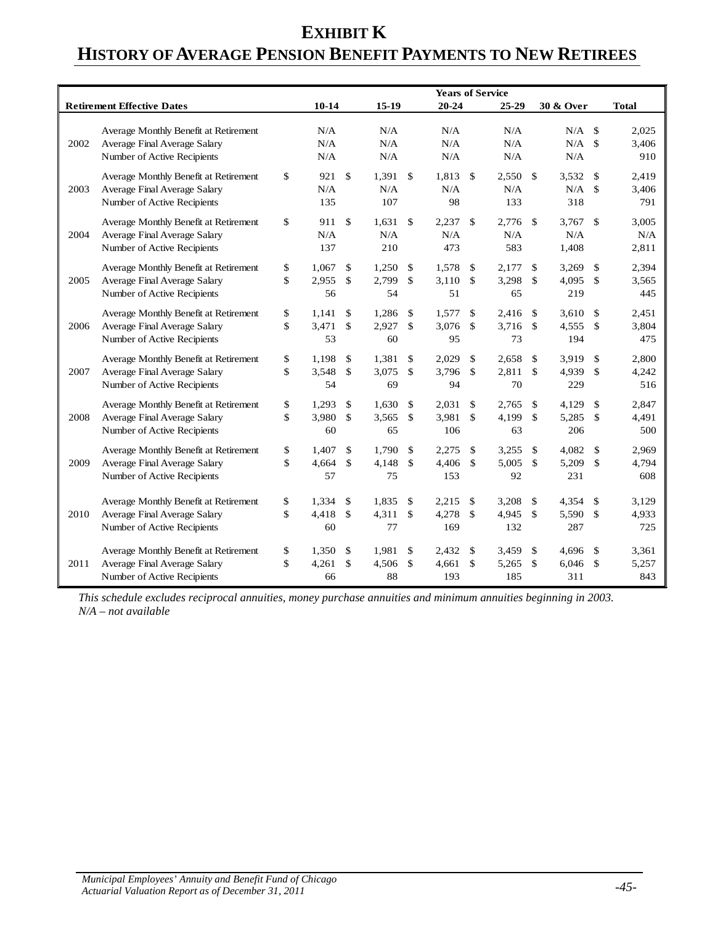## **EXHIBIT K HISTORY OF AVERAGE PENSION BENEFIT PAYMENTS TO NEW RETIREES**

|      |                                                                                                      |          |                      |                                     |                      |                             | <b>Years of Service</b> |          |                       |                                |                             |                                |                       |
|------|------------------------------------------------------------------------------------------------------|----------|----------------------|-------------------------------------|----------------------|-----------------------------|-------------------------|----------|-----------------------|--------------------------------|-----------------------------|--------------------------------|-----------------------|
|      | <b>Retirement Effective Dates</b>                                                                    |          | $10-14$              |                                     | $15-19$              |                             | $20 - 24$               |          | 25-29                 |                                | 30 & Over                   |                                | <b>Total</b>          |
| 2002 | Average Monthly Benefit at Retirement<br>Average Final Average Salary<br>Number of Active Recipients |          | N/A<br>N/A<br>N/A    |                                     | N/A<br>N/A<br>N/A    |                             | N/A<br>N/A<br>N/A       |          | N/A<br>N/A<br>N/A     |                                | $N/A$ \$<br>$N/A$ \$<br>N/A |                                | 2.025<br>3,406<br>910 |
| 2003 | Average Monthly Benefit at Retirement<br>Average Final Average Salary<br>Number of Active Recipients | \$       | 921<br>N/A<br>135    | $\mathcal{S}$                       | 1,391<br>N/A<br>107  | $\mathbb{S}$                | 1,813<br>N/A<br>98      | \$       | 2,550<br>N/A<br>133   | -\$                            | 3,532<br>N/A<br>318         | \$<br>\$                       | 2.419<br>3,406<br>791 |
| 2004 | Average Monthly Benefit at Retirement<br>Average Final Average Salary<br>Number of Active Recipients | \$       | 911<br>N/A<br>137    | $\mathbf{\hat{s}}$                  | 1.631<br>N/A<br>210  | <sup>\$</sup>               | 2,237<br>N/A<br>473     | \$       | 2.776<br>N/A<br>583   | -\$                            | 3.767<br>N/A<br>1.408       | \$                             | 3.005<br>N/A<br>2,811 |
| 2005 | Average Monthly Benefit at Retirement<br>Average Final Average Salary<br>Number of Active Recipients | \$<br>\$ | 1,067<br>2,955<br>56 | \$<br>\$                            | 1,250<br>2,799<br>54 | \$<br>\$                    | 1,578<br>3,110<br>51    | \$<br>\$ | 2,177<br>3,298<br>65  | \$<br>$\mathbb{S}$             | 3,269<br>4,095<br>219       | \$<br>\$                       | 2,394<br>3,565<br>445 |
| 2006 | Average Monthly Benefit at Retirement<br>Average Final Average Salary<br>Number of Active Recipients | \$<br>\$ | 1,141<br>3,471<br>53 | \$<br>\$                            | 1,286<br>2,927<br>60 | \$<br>\$                    | 1,577<br>3,076<br>95    | \$<br>\$ | 2,416<br>3,716<br>73  | \$<br>$\mathbb{S}$             | 3,610<br>4,555<br>194       | \$<br>\$                       | 2,451<br>3,804<br>475 |
| 2007 | Average Monthly Benefit at Retirement<br>Average Final Average Salary<br>Number of Active Recipients | \$<br>\$ | 1.198<br>3,548<br>54 | $\mathcal{S}$<br>$\mathbf{\hat{S}}$ | 1,381<br>3.075<br>69 | \$<br>\$                    | 2,029<br>3,796<br>94    | \$<br>\$ | 2,658<br>2,811<br>70  | \$<br>$\mathbb{S}$             | 3,919<br>4,939<br>229       | $\mathcal{S}$<br>$\mathcal{S}$ | 2.800<br>4,242<br>516 |
| 2008 | Average Monthly Benefit at Retirement<br>Average Final Average Salary<br>Number of Active Recipients | \$<br>\$ | 1,293<br>3,980<br>60 | $\mathbb{S}$<br>$\mathcal{S}$       | 1.630<br>3,565<br>65 | $\mathbb{S}$<br>$\mathbf S$ | 2.031<br>3,981<br>106   | \$<br>\$ | 2.765<br>4,199<br>63  | <sup>\$</sup><br>$\mathcal{S}$ | 4.129<br>5,285<br>206       | $\mathcal{S}$<br>$\mathcal{S}$ | 2.847<br>4,491<br>500 |
| 2009 | Average Monthly Benefit at Retirement<br>Average Final Average Salary<br>Number of Active Recipients | \$<br>\$ | 1,407<br>4,664<br>57 | \$<br>\$                            | 1,790<br>4,148<br>75 | \$<br>\$                    | 2,275<br>4,406<br>153   | \$<br>\$ | 3,255<br>5,005<br>92  | \$<br>\$                       | 4,082<br>5,209<br>231       | \$<br>\$                       | 2,969<br>4,794<br>608 |
| 2010 | Average Monthly Benefit at Retirement<br>Average Final Average Salary<br>Number of Active Recipients | \$<br>\$ | 1,334<br>4,418<br>60 | \$<br>$\mathcal{S}$                 | 1,835<br>4,311<br>77 | \$<br>\$                    | 2,215<br>4,278<br>169   | \$<br>\$ | 3,208<br>4,945<br>132 | \$<br>$\mathbf{s}$             | 4,354<br>5,590<br>287       | \$<br>\$                       | 3,129<br>4,933<br>725 |
| 2011 | Average Monthly Benefit at Retirement<br>Average Final Average Salary<br>Number of Active Recipients | \$<br>\$ | 1,350<br>4,261<br>66 | $\mathcal{S}$<br>$\mathcal{S}$      | 1,981<br>4.506<br>88 | \$<br>\$                    | 2,432<br>4.661<br>193   | \$<br>\$ | 3,459<br>5,265<br>185 | \$<br>\$                       | 4.696<br>6,046<br>311       | \$<br>\$                       | 3,361<br>5,257<br>843 |

*This schedule excludes reciprocal annuities, money purchase annuities and minimum annuities beginning in 2003. N/A – not available*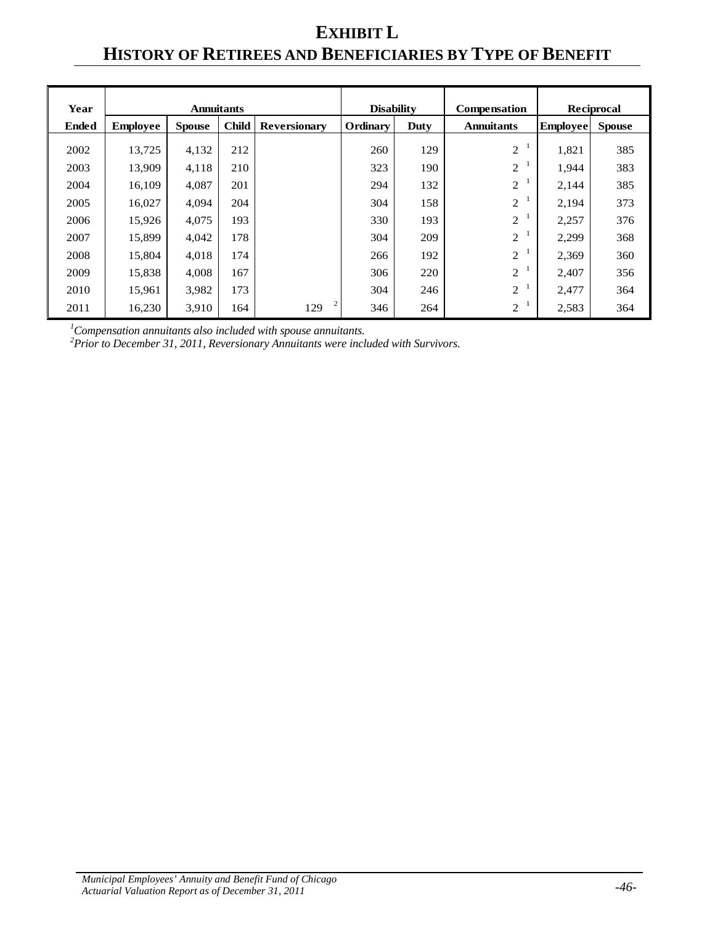# **EXHIBIT L HISTORY OF RETIREES AND BENEFICIARIES BY TYPE OF BENEFIT**

| Year         |                 | <b>Annuitants</b> |              |                     | <b>Disability</b> |      | <b>Compensation</b> |                 | <b>Reciprocal</b> |
|--------------|-----------------|-------------------|--------------|---------------------|-------------------|------|---------------------|-----------------|-------------------|
| <b>Ended</b> | <b>Employee</b> | <b>Spouse</b>     | <b>Child</b> | <b>Reversionary</b> | Ordinary          | Duty | <b>Annuitants</b>   | <b>Employee</b> | <b>Spouse</b>     |
| 2002         | 13,725          | 4,132             | 212          |                     | 260               | 129  | $\mathbf{2}$        | 1,821           | 385               |
| 2003         | 13,909          | 4,118             | 210          |                     | 323               | 190  | 2                   | 1,944           | 383               |
| 2004         | 16,109          | 4,087             | 201          |                     | 294               | 132  | $\mathbf{2}$        | 2,144           | 385               |
| 2005         | 16,027          | 4,094             | 204          |                     | 304               | 158  | $\overline{2}$      | 2,194           | 373               |
| 2006         | 15,926          | 4,075             | 193          |                     | 330               | 193  | 2                   | 2,257           | 376               |
| 2007         | 15,899          | 4,042             | 178          |                     | 304               | 209  | $\overline{2}$      | 2,299           | 368               |
| 2008         | 15,804          | 4,018             | 174          |                     | 266               | 192  | $\overline{2}$      | 2,369           | 360               |
| 2009         | 15,838          | 4,008             | 167          |                     | 306               | 220  | $\overline{2}$      | 2,407           | 356               |
| 2010         | 15,961          | 3,982             | 173          |                     | 304               | 246  | 2                   | 2,477           | 364               |
| 2011         | 16,230          | 3,910             | 164          | 2<br>129            | 346               | 264  | 2                   | 2,583           | 364               |

*1 Compensation annuitants also included with spouse annuitants. 2 Prior to December 31, 2011, Reversionary Annuitants were included with Survivors.*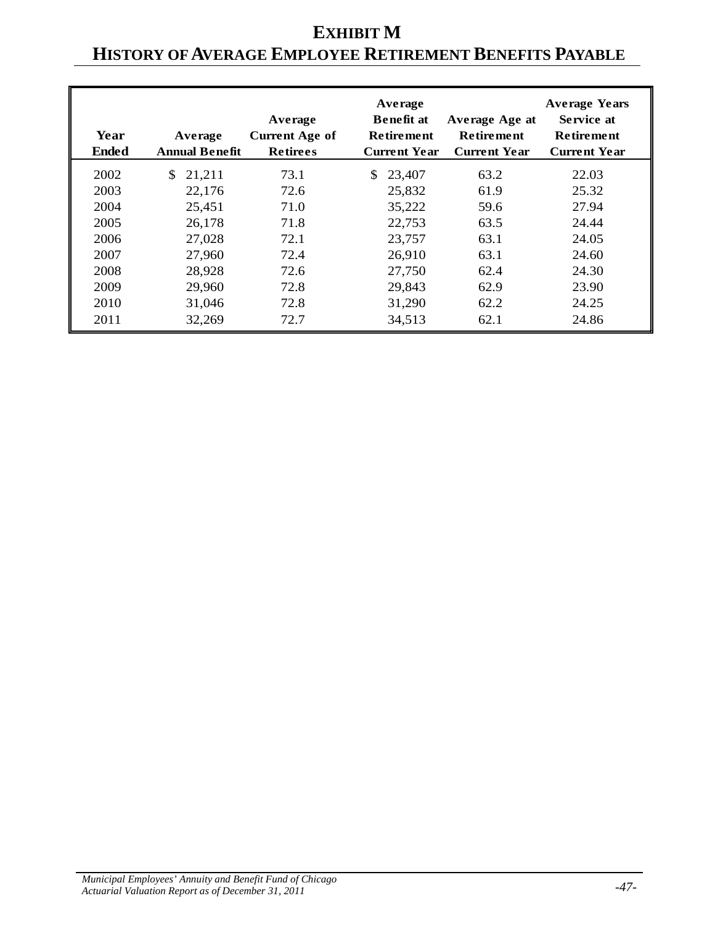# **EXHIBIT M HISTORY OF AVERAGE EMPLOYEE RETIREMENT BENEFITS PAYABLE**

| Year<br><b>Ended</b> | Average<br><b>Annual Benefit</b> | Average<br><b>Current Age of</b><br><b>Retirees</b> | Average<br><b>Benefit at</b><br><b>Retirement</b><br><b>Current Year</b> | Average Age at<br><b>Retirement</b><br><b>Current Year</b> | <b>Average Years</b><br>Service at<br><b>Retirement</b><br><b>Current Year</b> |
|----------------------|----------------------------------|-----------------------------------------------------|--------------------------------------------------------------------------|------------------------------------------------------------|--------------------------------------------------------------------------------|
| 2002                 | 21,211<br><sup>S</sup>           | 73.1                                                | 23,407<br>S.                                                             | 63.2                                                       | 22.03                                                                          |
| 2003                 | 22,176                           | 72.6                                                | 25,832                                                                   | 61.9                                                       | 25.32                                                                          |
| 2004                 | 25,451                           | 71.0                                                | 35,222                                                                   | 59.6                                                       | 27.94                                                                          |
| 2005                 | 26,178                           | 71.8                                                | 22,753                                                                   | 63.5                                                       | 24.44                                                                          |
| 2006                 | 27,028                           | 72.1                                                | 23,757                                                                   | 63.1                                                       | 24.05                                                                          |
| 2007                 | 27,960                           | 72.4                                                | 26,910                                                                   | 63.1                                                       | 24.60                                                                          |
| 2008                 | 28,928                           | 72.6                                                | 27,750                                                                   | 62.4                                                       | 24.30                                                                          |
| 2009                 | 29,960                           | 72.8                                                | 29,843                                                                   | 62.9                                                       | 23.90                                                                          |
| 2010                 | 31,046                           | 72.8                                                | 31,290                                                                   | 62.2                                                       | 24.25                                                                          |
| 2011                 | 32,269                           | 72.7                                                | 34,513                                                                   | 62.1                                                       | 24.86                                                                          |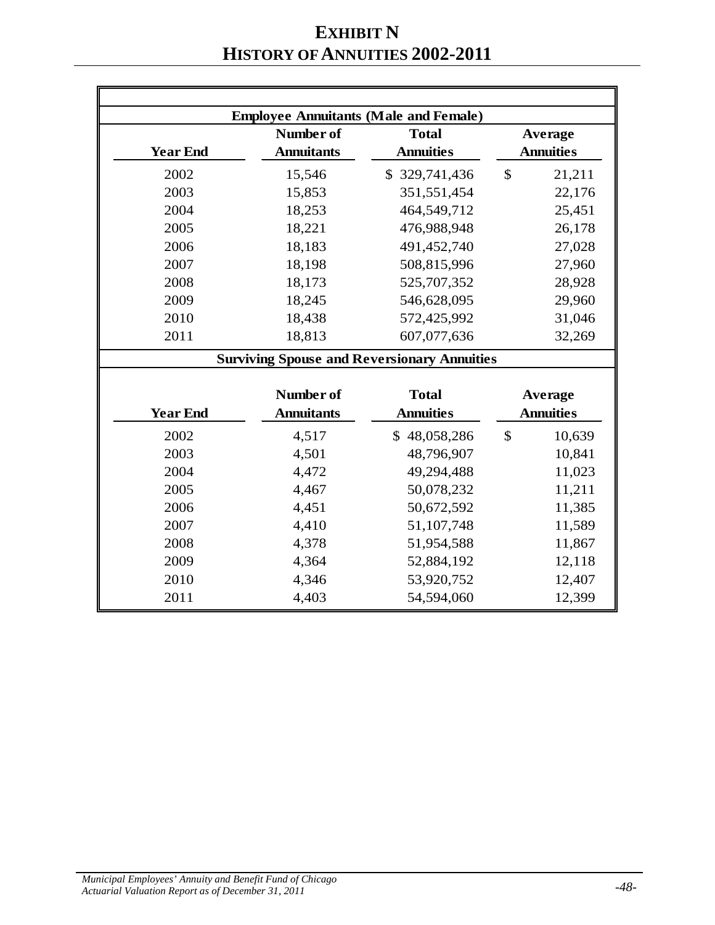# **EXHIBIT N HISTORY OF ANNUITIES 2002-2011**

|                 | <b>Employee Annuitants (Male and Female)</b>       |                  |               |                  |
|-----------------|----------------------------------------------------|------------------|---------------|------------------|
|                 | Number of                                          | <b>Total</b>     |               | Average          |
| <b>Year End</b> | <b>Annuitants</b>                                  | <b>Annuities</b> |               | <b>Annuities</b> |
| 2002            | 15,546                                             | \$329,741,436    | $\mathbb{S}$  | 21,211           |
| 2003            | 15,853                                             | 351,551,454      |               | 22,176           |
| 2004            | 18,253                                             | 464,549,712      |               | 25,451           |
| 2005            | 18,221                                             | 476,988,948      |               | 26,178           |
| 2006            | 18,183                                             | 491,452,740      |               | 27,028           |
| 2007            | 18,198                                             | 508,815,996      |               | 27,960           |
| 2008            | 18,173                                             | 525,707,352      |               | 28,928           |
| 2009            | 18,245                                             | 546,628,095      |               | 29,960           |
| 2010            | 18,438                                             | 572,425,992      |               | 31,046           |
| 2011            | 18,813                                             | 607,077,636      |               | 32,269           |
|                 | <b>Surviving Spouse and Reversionary Annuities</b> |                  |               |                  |
|                 |                                                    |                  |               |                  |
|                 | Number of                                          | <b>Total</b>     |               | Average          |
| <b>Year End</b> | <b>Annuitants</b>                                  | <b>Annuities</b> |               | <b>Annuities</b> |
| 2002            | 4,517                                              | \$48,058,286     | $\mathcal{S}$ | 10,639           |
| 2003            | 4,501                                              | 48,796,907       |               | 10,841           |
| 2004            | 4,472                                              | 49,294,488       |               | 11,023           |
| 2005            | 4,467                                              | 50,078,232       |               | 11,211           |
| 2006            | 4,451                                              | 50,672,592       |               | 11,385           |
| 2007            | 4,410                                              | 51,107,748       |               | 11,589           |
| 2008            | 4,378                                              | 51,954,588       |               | 11,867           |
| 2009            | 4,364                                              | 52,884,192       |               | 12,118           |
| 2010            | 4,346                                              | 53,920,752       |               | 12,407           |
| 2011            | 4,403                                              | 54,594,060       |               | 12,399           |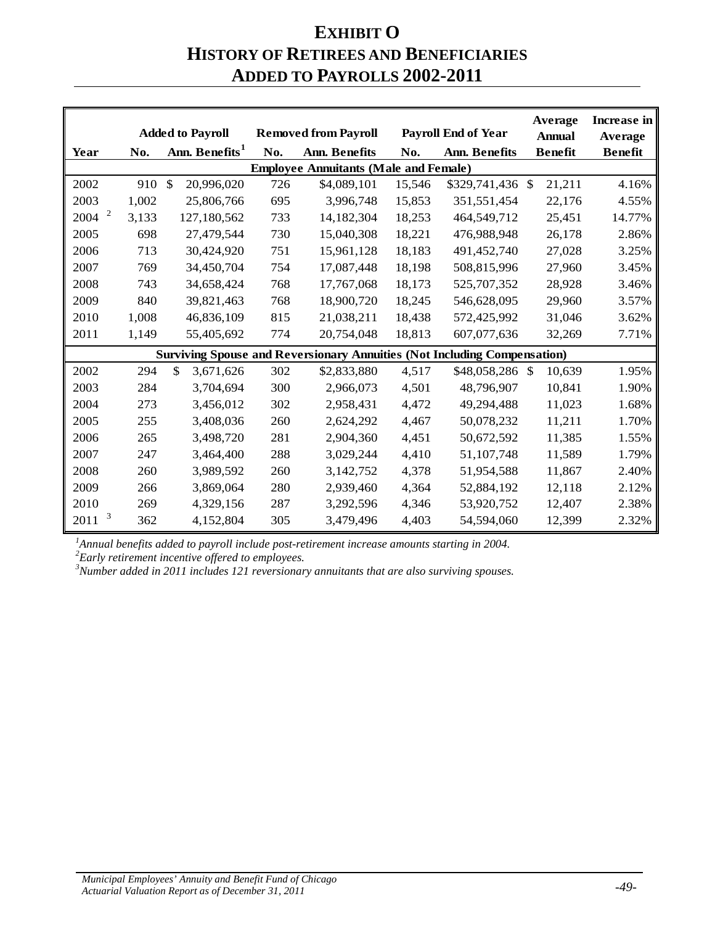## **EXHIBIT O HISTORY OF RETIREES AND BENEFICIARIES ADDED TO PAYROLLS 2002-2011**

|                                 |       | <b>Added to Payroll</b>     |     | <b>Removed from Payroll</b>                                                     |        | <b>Payroll End of Year</b> | Average<br><b>Annual</b> | Increase in<br>Average |
|---------------------------------|-------|-----------------------------|-----|---------------------------------------------------------------------------------|--------|----------------------------|--------------------------|------------------------|
| Year                            | No.   | Ann. Benefits <sup>1</sup>  | No. | <b>Ann. Benefits</b>                                                            | No.    | <b>Ann. Benefits</b>       | <b>Benefit</b>           | <b>Benefit</b>         |
|                                 |       |                             |     | <b>Employee Annuitants (Male and Female)</b>                                    |        |                            |                          |                        |
| 2002                            | 910   | $\mathcal{S}$<br>20,996,020 | 726 | \$4,089,101                                                                     | 15,546 | \$329,741,436 \$           | 21,211                   | 4.16%                  |
| 2003                            | 1,002 | 25,806,766                  | 695 | 3,996,748                                                                       | 15,853 | 351,551,454                | 22,176                   | 4.55%                  |
| $\overline{\mathbf{c}}$<br>2004 | 3,133 | 127,180,562                 | 733 | 14,182,304                                                                      | 18,253 | 464,549,712                | 25,451                   | 14.77%                 |
| 2005                            | 698   | 27,479,544                  | 730 | 15,040,308                                                                      | 18,221 | 476,988,948                | 26,178                   | 2.86%                  |
| 2006                            | 713   | 30,424,920                  | 751 | 15,961,128                                                                      | 18,183 | 491,452,740                | 27,028                   | 3.25%                  |
| 2007                            | 769   | 34,450,704                  | 754 | 17,087,448                                                                      | 18,198 | 508,815,996                | 27,960                   | 3.45%                  |
| 2008                            | 743   | 34,658,424                  | 768 | 17,767,068                                                                      | 18,173 | 525,707,352                | 28,928                   | 3.46%                  |
| 2009                            | 840   | 39,821,463                  | 768 | 18,900,720                                                                      | 18,245 | 546,628,095                | 29,960                   | 3.57%                  |
| 2010                            | 1,008 | 46,836,109                  | 815 | 21,038,211                                                                      | 18,438 | 572,425,992                | 31,046                   | 3.62%                  |
| 2011                            | 1,149 | 55,405,692                  | 774 | 20,754,048                                                                      | 18,813 | 607,077,636                | 32,269                   | 7.71%                  |
|                                 |       |                             |     | <b>Surviving Spouse and Reversionary Annuities (Not Including Compensation)</b> |        |                            |                          |                        |
| 2002                            | 294   | \$<br>3,671,626             | 302 | \$2,833,880                                                                     | 4,517  | \$48,058,286 \$            | 10,639                   | 1.95%                  |
| 2003                            | 284   | 3,704,694                   | 300 | 2,966,073                                                                       | 4,501  | 48,796,907                 | 10,841                   | 1.90%                  |
| 2004                            | 273   | 3,456,012                   | 302 | 2,958,431                                                                       | 4,472  | 49,294,488                 | 11,023                   | 1.68%                  |
| 2005                            | 255   | 3,408,036                   | 260 | 2,624,292                                                                       | 4,467  | 50,078,232                 | 11,211                   | 1.70%                  |
| 2006                            | 265   | 3,498,720                   | 281 | 2,904,360                                                                       | 4,451  | 50,672,592                 | 11,385                   | 1.55%                  |
| 2007                            | 247   | 3,464,400                   | 288 | 3,029,244                                                                       | 4,410  | 51,107,748                 | 11,589                   | 1.79%                  |
| 2008                            | 260   | 3,989,592                   | 260 | 3,142,752                                                                       | 4,378  | 51,954,588                 | 11,867                   | 2.40%                  |
| 2009                            | 266   | 3,869,064                   | 280 | 2,939,460                                                                       | 4,364  | 52,884,192                 | 12,118                   | 2.12%                  |
| 2010                            | 269   | 4,329,156                   | 287 | 3,292,596                                                                       | 4,346  | 53,920,752                 | 12,407                   | 2.38%                  |
| 3<br>2011                       | 362   | 4,152,804                   | 305 | 3,479,496                                                                       | 4,403  | 54,594,060                 | 12,399                   | 2.32%                  |

<sup>1</sup>Annual benefits added to payroll include post-retirement increase amounts starting in 2004.

*Early retirement incentive offered to employees. <sup>3</sup> Number added in 2011 includes 121 reversionary annuitants that are also surviving spouses.*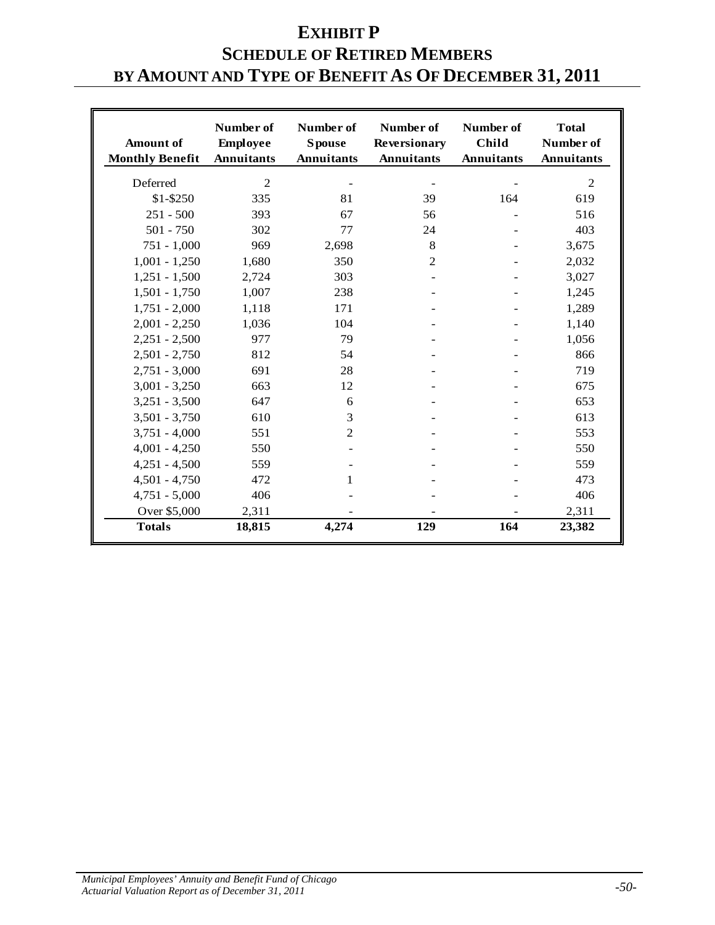# **EXHIBIT P SCHEDULE OF RETIRED MEMBERS BY AMOUNT AND TYPE OF BENEFIT AS OF DECEMBER 31, 2011**

| <b>Amount</b> of<br><b>Monthly Benefit</b> | Number of<br><b>Employee</b><br><b>Annuitants</b> | Number of<br><b>Spouse</b><br><b>Annuitants</b> | Number of<br><b>Reversionary</b><br><b>Annuitants</b> | Number of<br><b>Child</b><br><b>Annuitants</b> | <b>Total</b><br>Number of<br><b>Annuitants</b> |
|--------------------------------------------|---------------------------------------------------|-------------------------------------------------|-------------------------------------------------------|------------------------------------------------|------------------------------------------------|
| Deferred                                   | $\overline{2}$                                    |                                                 |                                                       |                                                | $\overline{2}$                                 |
| $$1 - $250$                                | 335                                               | 81                                              | 39                                                    | 164                                            | 619                                            |
| $251 - 500$                                | 393                                               | 67                                              | 56                                                    |                                                | 516                                            |
| $501 - 750$                                | 302                                               | 77                                              | 24                                                    |                                                | 403                                            |
| $751 - 1,000$                              | 969                                               | 2,698                                           | 8                                                     |                                                | 3,675                                          |
| $1,001 - 1,250$                            | 1,680                                             | 350                                             | $\overline{2}$                                        |                                                | 2,032                                          |
| $1,251 - 1,500$                            | 2,724                                             | 303                                             |                                                       |                                                | 3,027                                          |
| $1,501 - 1,750$                            | 1,007                                             | 238                                             |                                                       |                                                | 1,245                                          |
| $1,751 - 2,000$                            | 1,118                                             | 171                                             |                                                       |                                                | 1,289                                          |
| $2,001 - 2,250$                            | 1,036                                             | 104                                             |                                                       |                                                | 1,140                                          |
| $2,251 - 2,500$                            | 977                                               | 79                                              |                                                       |                                                | 1,056                                          |
| $2,501 - 2,750$                            | 812                                               | 54                                              |                                                       |                                                | 866                                            |
| $2,751 - 3,000$                            | 691                                               | 28                                              |                                                       |                                                | 719                                            |
| $3,001 - 3,250$                            | 663                                               | 12                                              |                                                       |                                                | 675                                            |
| $3,251 - 3,500$                            | 647                                               | 6                                               |                                                       |                                                | 653                                            |
| $3,501 - 3,750$                            | 610                                               | 3                                               |                                                       |                                                | 613                                            |
| $3,751 - 4,000$                            | 551                                               | $\overline{2}$                                  |                                                       |                                                | 553                                            |
| $4,001 - 4,250$                            | 550                                               |                                                 |                                                       |                                                | 550                                            |
| $4,251 - 4,500$                            | 559                                               |                                                 |                                                       |                                                | 559                                            |
| $4,501 - 4,750$                            | 472                                               | 1                                               |                                                       |                                                | 473                                            |
| $4,751 - 5,000$                            | 406                                               |                                                 |                                                       |                                                | 406                                            |
| Over \$5,000                               | 2,311                                             |                                                 |                                                       |                                                | 2,311                                          |
| <b>Totals</b>                              | 18,815                                            | 4,274                                           | 129                                                   | 164                                            | 23,382                                         |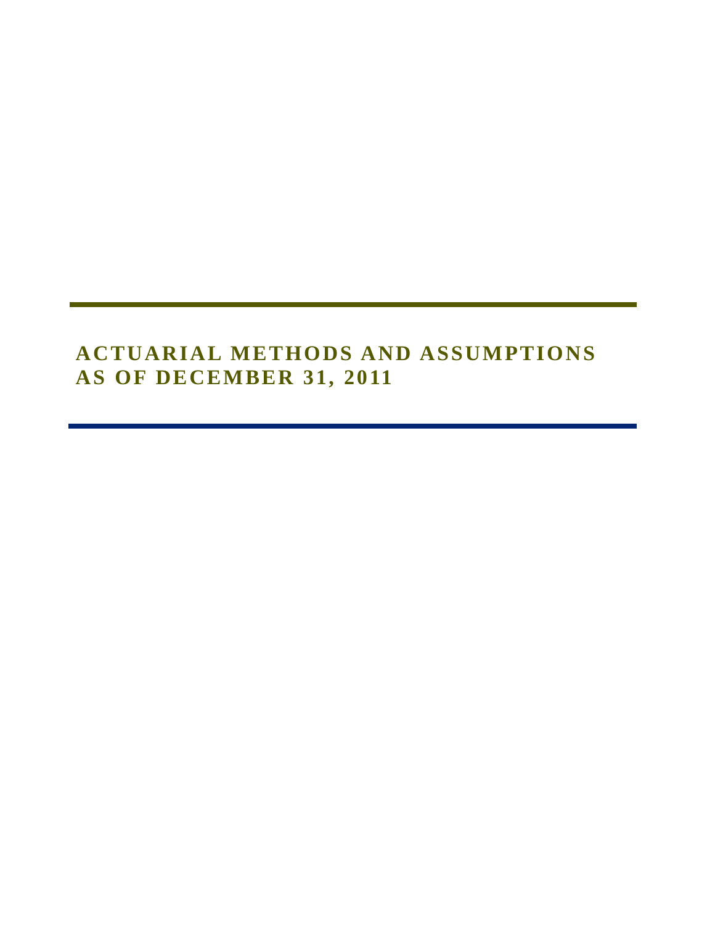# **ACTUARIAL METHODS AND ASSUMPTIONS AS OF DECEMBER 31, 2011**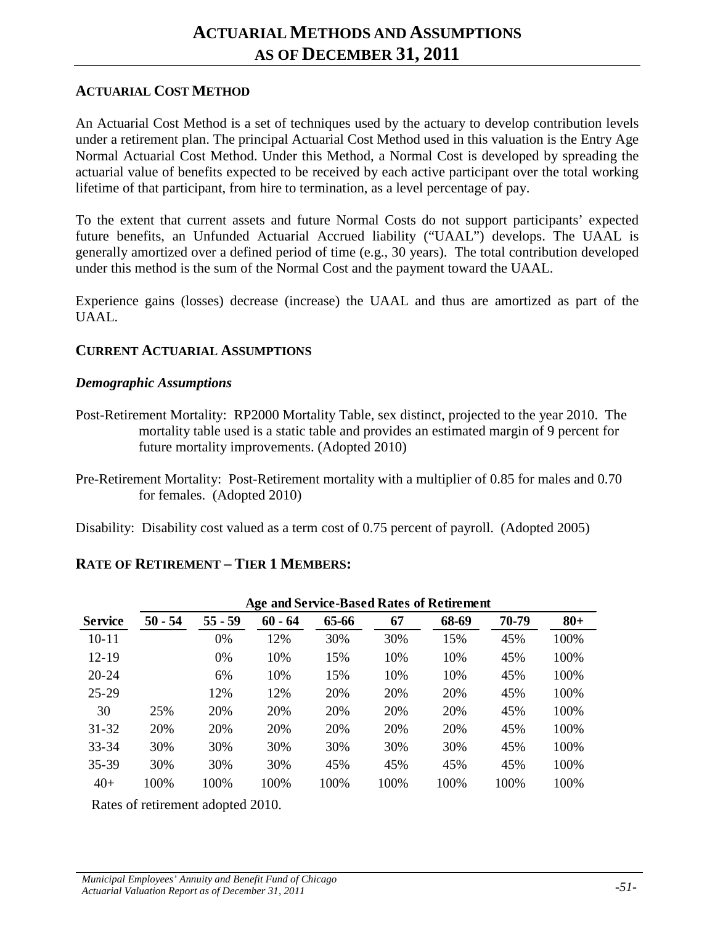#### **ACTUARIAL COST METHOD**

An Actuarial Cost Method is a set of techniques used by the actuary to develop contribution levels under a retirement plan. The principal Actuarial Cost Method used in this valuation is the Entry Age Normal Actuarial Cost Method. Under this Method, a Normal Cost is developed by spreading the actuarial value of benefits expected to be received by each active participant over the total working lifetime of that participant, from hire to termination, as a level percentage of pay.

To the extent that current assets and future Normal Costs do not support participants' expected future benefits, an Unfunded Actuarial Accrued liability ("UAAL") develops. The UAAL is generally amortized over a defined period of time (e.g., 30 years). The total contribution developed under this method is the sum of the Normal Cost and the payment toward the UAAL.

Experience gains (losses) decrease (increase) the UAAL and thus are amortized as part of the UAAL.

#### **CURRENT ACTUARIAL ASSUMPTIONS**

#### *Demographic Assumptions*

- Post-Retirement Mortality: RP2000 Mortality Table, sex distinct, projected to the year 2010. The mortality table used is a static table and provides an estimated margin of 9 percent for future mortality improvements. (Adopted 2010)
- Pre-Retirement Mortality: Post-Retirement mortality with a multiplier of 0.85 for males and 0.70 for females. (Adopted 2010)

Disability: Disability cost valued as a term cost of 0.75 percent of payroll. (Adopted 2005)

#### **RATE OF RETIREMENT – TIER 1 MEMBERS:**

|                | Age and Service-Based Rates of Retirement |           |           |       |      |       |       |        |
|----------------|-------------------------------------------|-----------|-----------|-------|------|-------|-------|--------|
| <b>Service</b> | $50 - 54$                                 | $55 - 59$ | $60 - 64$ | 65-66 | 67   | 68-69 | 70-79 | $80 +$ |
| $10 - 11$      |                                           | 0%        | 12%       | 30%   | 30%  | 15%   | 45%   | 100%   |
| $12 - 19$      |                                           | 0%        | 10%       | 15%   | 10%  | 10%   | 45%   | 100%   |
| $20 - 24$      |                                           | 6%        | 10%       | 15%   | 10%  | 10%   | 45%   | 100%   |
| $25 - 29$      |                                           | 12%       | 12%       | 20%   | 20%  | 20%   | 45%   | 100%   |
| 30             | 25%                                       | 20%       | 20%       | 20%   | 20%  | 20%   | 45%   | 100%   |
| $31 - 32$      | 20%                                       | 20%       | 20%       | 20%   | 20%  | 20%   | 45%   | 100%   |
| $33 - 34$      | 30%                                       | 30%       | 30%       | 30%   | 30%  | 30%   | 45%   | 100%   |
| $35 - 39$      | 30%                                       | 30%       | 30%       | 45%   | 45%  | 45%   | 45%   | 100%   |
| $40+$          | 100%                                      | 100%      | 100%      | 100%  | 100% | 100%  | 100%  | 100%   |

Rates of retirement adopted 2010.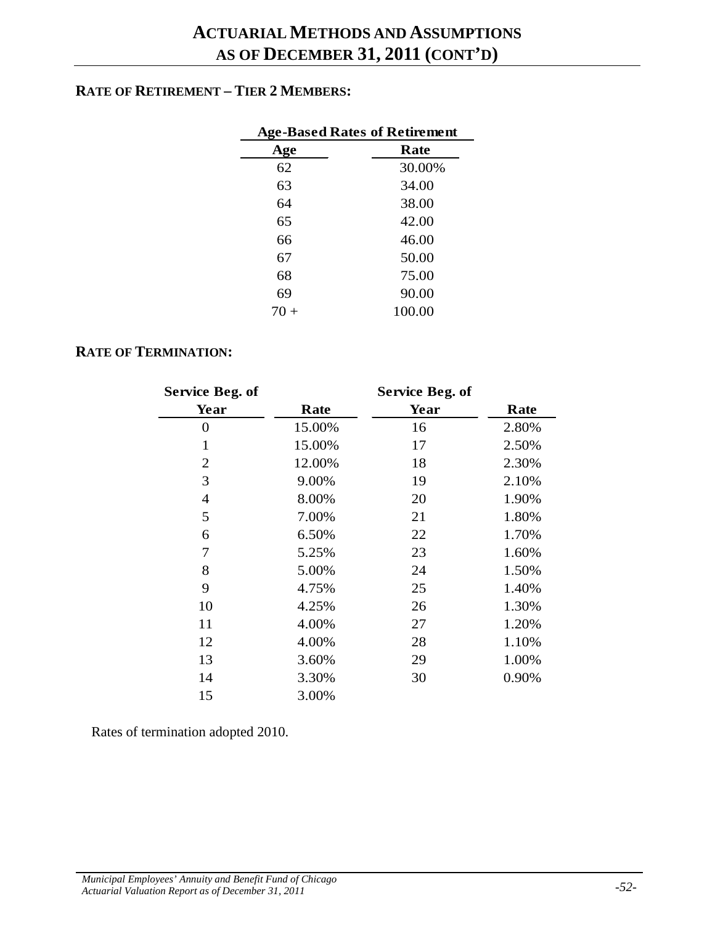#### **RATE OF RETIREMENT – TIER 2 MEMBERS:**

| <b>Age-Based Rates of Retirement</b> |        |  |  |  |
|--------------------------------------|--------|--|--|--|
| Age                                  | Rate   |  |  |  |
| 62                                   | 30.00% |  |  |  |
| 63                                   | 34.00  |  |  |  |
| 64                                   | 38.00  |  |  |  |
| 65                                   | 42.00  |  |  |  |
| 66                                   | 46.00  |  |  |  |
| 67                                   | 50.00  |  |  |  |
| 68                                   | 75.00  |  |  |  |
| 69                                   | 90.00  |  |  |  |
| 70                                   | 100.00 |  |  |  |

#### **RATE OF TERMINATION:**

| <b>Service Beg. of</b> |        | Service Beg. of |       |
|------------------------|--------|-----------------|-------|
| Year                   | Rate   | Year            | Rate  |
| $\overline{0}$         | 15.00% | 16              | 2.80% |
| $\mathbf{1}$           | 15.00% | 17              | 2.50% |
| $\overline{2}$         | 12.00% | 18              | 2.30% |
| 3                      | 9.00%  | 19              | 2.10% |
| $\overline{4}$         | 8.00%  | 20              | 1.90% |
| 5                      | 7.00%  | 21              | 1.80% |
| 6                      | 6.50%  | 22              | 1.70% |
| 7                      | 5.25%  | 23              | 1.60% |
| 8                      | 5.00%  | 24              | 1.50% |
| 9                      | 4.75%  | 25              | 1.40% |
| 10                     | 4.25%  | 26              | 1.30% |
| 11                     | 4.00%  | 27              | 1.20% |
| 12                     | 4.00%  | 28              | 1.10% |
| 13                     | 3.60%  | 29              | 1.00% |
| 14                     | 3.30%  | 30              | 0.90% |
| 15                     | 3.00%  |                 |       |

Rates of termination adopted 2010.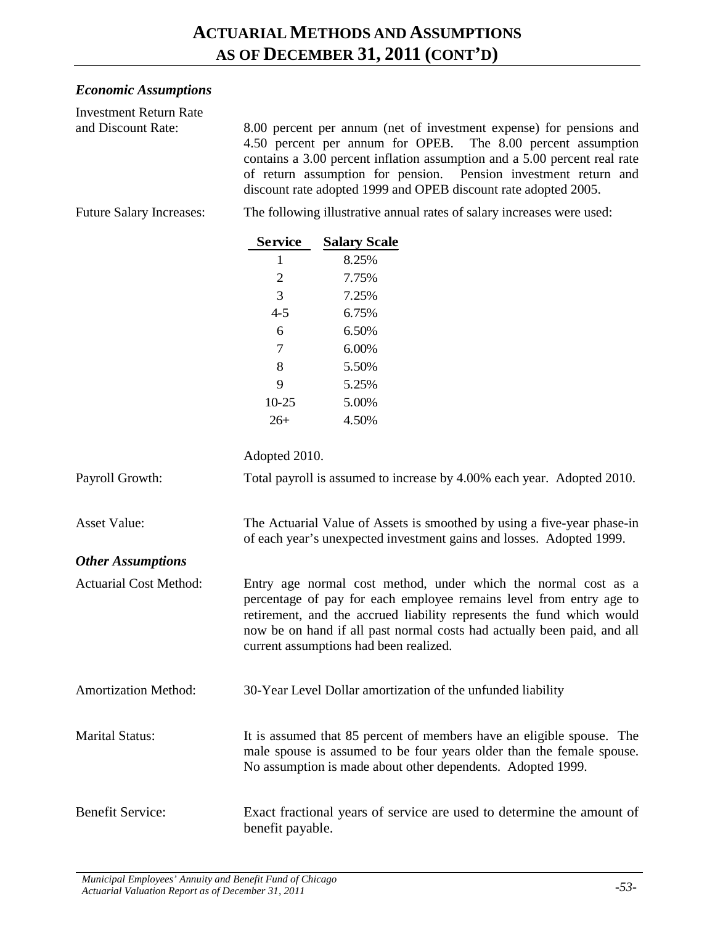#### *Economic Assumptions*

| <b>Investment Return Rate</b><br>and Discount Rate: | 8.00 percent per annum (net of investment expense) for pensions and<br>4.50 percent per annum for OPEB.<br>The 8.00 percent assumption<br>contains a 3.00 percent inflation assumption and a 5.00 percent real rate<br>of return assumption for pension. Pension investment return and<br>discount rate adopted 1999 and OPEB discount rate adopted 2005. |                                                                                                                                                 |  |
|-----------------------------------------------------|-----------------------------------------------------------------------------------------------------------------------------------------------------------------------------------------------------------------------------------------------------------------------------------------------------------------------------------------------------------|-------------------------------------------------------------------------------------------------------------------------------------------------|--|
| <b>Future Salary Increases:</b>                     | The following illustrative annual rates of salary increases were used:                                                                                                                                                                                                                                                                                    |                                                                                                                                                 |  |
|                                                     | <b>Service</b>                                                                                                                                                                                                                                                                                                                                            | <b>Salary Scale</b>                                                                                                                             |  |
|                                                     | 1                                                                                                                                                                                                                                                                                                                                                         | 8.25%                                                                                                                                           |  |
|                                                     | $\overline{c}$                                                                                                                                                                                                                                                                                                                                            | 7.75%                                                                                                                                           |  |
|                                                     | 3                                                                                                                                                                                                                                                                                                                                                         | 7.25%                                                                                                                                           |  |
|                                                     | $4 - 5$                                                                                                                                                                                                                                                                                                                                                   | 6.75%                                                                                                                                           |  |
|                                                     | 6                                                                                                                                                                                                                                                                                                                                                         | 6.50%                                                                                                                                           |  |
|                                                     | 7                                                                                                                                                                                                                                                                                                                                                         | 6.00%                                                                                                                                           |  |
|                                                     | 8                                                                                                                                                                                                                                                                                                                                                         | 5.50%                                                                                                                                           |  |
|                                                     | 9                                                                                                                                                                                                                                                                                                                                                         | 5.25%                                                                                                                                           |  |
|                                                     | $10 - 25$                                                                                                                                                                                                                                                                                                                                                 | 5.00%                                                                                                                                           |  |
|                                                     | $26+$                                                                                                                                                                                                                                                                                                                                                     | 4.50%                                                                                                                                           |  |
|                                                     | Adopted 2010.                                                                                                                                                                                                                                                                                                                                             |                                                                                                                                                 |  |
| Payroll Growth:                                     |                                                                                                                                                                                                                                                                                                                                                           | Total payroll is assumed to increase by 4.00% each year. Adopted 2010.                                                                          |  |
| <b>Asset Value:</b>                                 |                                                                                                                                                                                                                                                                                                                                                           | The Actuarial Value of Assets is smoothed by using a five-year phase-in<br>of each year's unexpected investment gains and losses. Adopted 1999. |  |
| <b>Other Assumptions</b>                            |                                                                                                                                                                                                                                                                                                                                                           |                                                                                                                                                 |  |
| <b>Actuarial Cost Method:</b>                       | Entry age normal cost method, under which the normal cost as a<br>percentage of pay for each employee remains level from entry age to<br>retirement, and the accrued liability represents the fund which would<br>now be on hand if all past normal costs had actually been paid, and all<br>current assumptions had been realized.                       |                                                                                                                                                 |  |
| <b>Amortization Method:</b>                         |                                                                                                                                                                                                                                                                                                                                                           | 30-Year Level Dollar amortization of the unfunded liability                                                                                     |  |
| <b>Marital Status:</b>                              | It is assumed that 85 percent of members have an eligible spouse. The<br>male spouse is assumed to be four years older than the female spouse.<br>No assumption is made about other dependents. Adopted 1999.                                                                                                                                             |                                                                                                                                                 |  |
| <b>Benefit Service:</b>                             | benefit payable.                                                                                                                                                                                                                                                                                                                                          | Exact fractional years of service are used to determine the amount of                                                                           |  |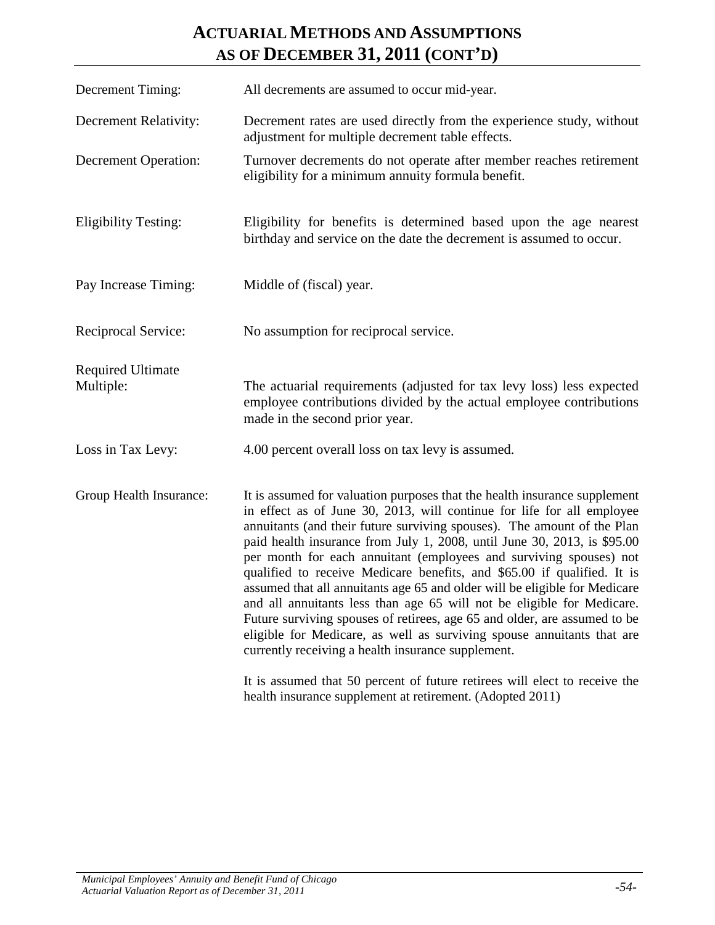### **ACTUARIAL METHODS AND ASSUMPTIONS AS OF DECEMBER 31, 2011 (CONT'D)**

| Decrement Timing:                     | All decrements are assumed to occur mid-year.                                                                                                                                                                                                                                                                                                                                                                                                                                                                                                                                                                                                                                                                                                                                                                                                                                                                  |
|---------------------------------------|----------------------------------------------------------------------------------------------------------------------------------------------------------------------------------------------------------------------------------------------------------------------------------------------------------------------------------------------------------------------------------------------------------------------------------------------------------------------------------------------------------------------------------------------------------------------------------------------------------------------------------------------------------------------------------------------------------------------------------------------------------------------------------------------------------------------------------------------------------------------------------------------------------------|
| Decrement Relativity:                 | Decrement rates are used directly from the experience study, without<br>adjustment for multiple decrement table effects.                                                                                                                                                                                                                                                                                                                                                                                                                                                                                                                                                                                                                                                                                                                                                                                       |
| <b>Decrement Operation:</b>           | Turnover decrements do not operate after member reaches retirement<br>eligibility for a minimum annuity formula benefit.                                                                                                                                                                                                                                                                                                                                                                                                                                                                                                                                                                                                                                                                                                                                                                                       |
| <b>Eligibility Testing:</b>           | Eligibility for benefits is determined based upon the age nearest<br>birthday and service on the date the decrement is assumed to occur.                                                                                                                                                                                                                                                                                                                                                                                                                                                                                                                                                                                                                                                                                                                                                                       |
| Pay Increase Timing:                  | Middle of (fiscal) year.                                                                                                                                                                                                                                                                                                                                                                                                                                                                                                                                                                                                                                                                                                                                                                                                                                                                                       |
| Reciprocal Service:                   | No assumption for reciprocal service.                                                                                                                                                                                                                                                                                                                                                                                                                                                                                                                                                                                                                                                                                                                                                                                                                                                                          |
| <b>Required Ultimate</b><br>Multiple: | The actuarial requirements (adjusted for tax levy loss) less expected<br>employee contributions divided by the actual employee contributions<br>made in the second prior year.                                                                                                                                                                                                                                                                                                                                                                                                                                                                                                                                                                                                                                                                                                                                 |
| Loss in Tax Levy:                     | 4.00 percent overall loss on tax levy is assumed.                                                                                                                                                                                                                                                                                                                                                                                                                                                                                                                                                                                                                                                                                                                                                                                                                                                              |
| Group Health Insurance:               | It is assumed for valuation purposes that the health insurance supplement<br>in effect as of June 30, 2013, will continue for life for all employee<br>annuitants (and their future surviving spouses). The amount of the Plan<br>paid health insurance from July 1, 2008, until June 30, 2013, is \$95.00<br>per month for each annuitant (employees and surviving spouses) not<br>qualified to receive Medicare benefits, and \$65.00 if qualified. It is<br>assumed that all annuitants age 65 and older will be eligible for Medicare<br>and all annuitants less than age 65 will not be eligible for Medicare.<br>Future surviving spouses of retirees, age 65 and older, are assumed to be<br>eligible for Medicare, as well as surviving spouse annuitants that are<br>currently receiving a health insurance supplement.<br>It is assumed that 50 percent of future retirees will elect to receive the |
|                                       | health insurance supplement at retirement. (Adopted 2011)                                                                                                                                                                                                                                                                                                                                                                                                                                                                                                                                                                                                                                                                                                                                                                                                                                                      |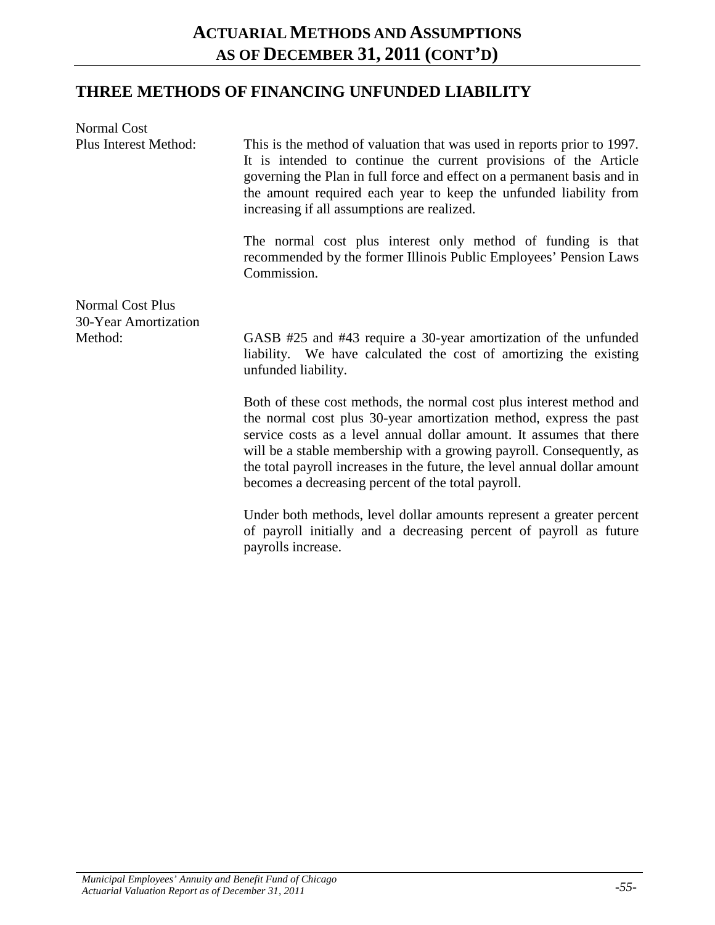#### **THREE METHODS OF FINANCING UNFUNDED LIABILITY**

| Normal Cost                                     |                                                                                                                                                                                                                                                                                                                                                                                                                               |
|-------------------------------------------------|-------------------------------------------------------------------------------------------------------------------------------------------------------------------------------------------------------------------------------------------------------------------------------------------------------------------------------------------------------------------------------------------------------------------------------|
| Plus Interest Method:                           | This is the method of valuation that was used in reports prior to 1997.<br>It is intended to continue the current provisions of the Article<br>governing the Plan in full force and effect on a permanent basis and in<br>the amount required each year to keep the unfunded liability from<br>increasing if all assumptions are realized.                                                                                    |
|                                                 | The normal cost plus interest only method of funding is that<br>recommended by the former Illinois Public Employees' Pension Laws<br>Commission.                                                                                                                                                                                                                                                                              |
| <b>Normal Cost Plus</b><br>30-Year Amortization |                                                                                                                                                                                                                                                                                                                                                                                                                               |
| Method:                                         | GASB #25 and #43 require a 30-year amortization of the unfunded<br>liability. We have calculated the cost of amortizing the existing<br>unfunded liability.                                                                                                                                                                                                                                                                   |
|                                                 | Both of these cost methods, the normal cost plus interest method and<br>the normal cost plus 30-year amortization method, express the past<br>service costs as a level annual dollar amount. It assumes that there<br>will be a stable membership with a growing payroll. Consequently, as<br>the total payroll increases in the future, the level annual dollar amount<br>becomes a decreasing percent of the total payroll. |
|                                                 | Under both methods, level dollar amounts represent a greater percent<br>of payroll initially and a decreasing percent of payroll as future<br>payrolls increase.                                                                                                                                                                                                                                                              |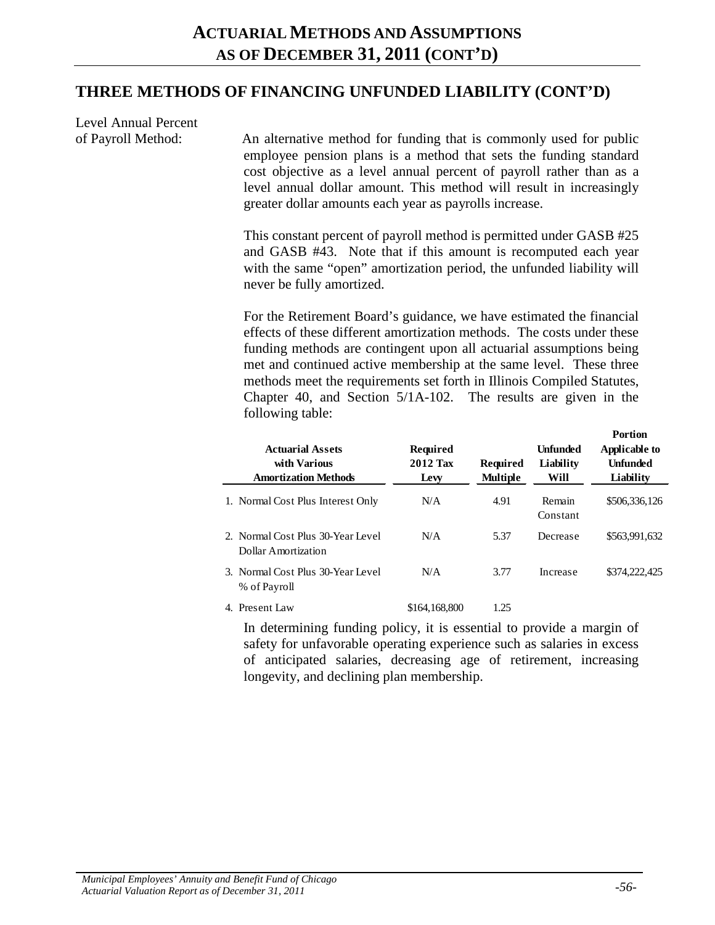#### **THREE METHODS OF FINANCING UNFUNDED LIABILITY (CONT'D)**

Level Annual Percent

of Payroll Method: An alternative method for funding that is commonly used for public employee pension plans is a method that sets the funding standard cost objective as a level annual percent of payroll rather than as a level annual dollar amount. This method will result in increasingly greater dollar amounts each year as payrolls increase.

> This constant percent of payroll method is permitted under GASB #25 and GASB #43. Note that if this amount is recomputed each year with the same "open" amortization period, the unfunded liability will never be fully amortized.

> For the Retirement Board's guidance, we have estimated the financial effects of these different amortization methods. The costs under these funding methods are contingent upon all actuarial assumptions being met and continued active membership at the same level. These three methods meet the requirements set forth in Illinois Compiled Statutes, Chapter 40, and Section 5/1A-102. The results are given in the following table:

| <b>Actuarial Assets</b><br>with Various<br><b>Amortization Methods</b> | <b>Required</b><br>2012 Tax<br>Lew | Required<br><b>Multiple</b> | <b>Unfunded</b><br>Liability<br>Will | <b>Portion</b><br>Applicable to<br><b>Unfunded</b><br>Liability |
|------------------------------------------------------------------------|------------------------------------|-----------------------------|--------------------------------------|-----------------------------------------------------------------|
| 1. Normal Cost Plus Interest Only                                      | N/A                                | 4.91                        | Remain<br>Constant                   | \$506,336,126                                                   |
| 2. Normal Cost Plus 30-Year Level<br>Dollar Amortization               | N/A                                | 5.37                        | Decrease                             | \$563,991,632                                                   |
| 3. Normal Cost Plus 30-Year Level<br>% of Payroll                      | N/A                                | 3.77                        | Increase                             | \$374,222,425                                                   |
| 4. Present Law                                                         | \$164,168,800                      | 1.25                        |                                      |                                                                 |

In determining funding policy, it is essential to provide a margin of safety for unfavorable operating experience such as salaries in excess of anticipated salaries, decreasing age of retirement, increasing longevity, and declining plan membership.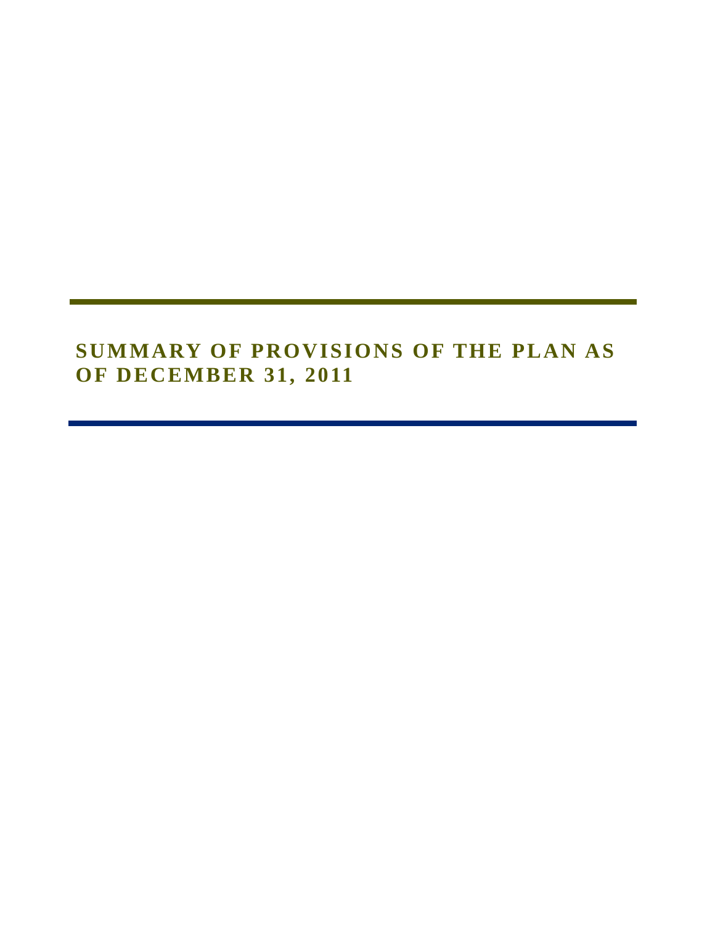# **SUMMARY OF PROVISIONS OF THE PLAN AS OF DECEMBER 31, 2011**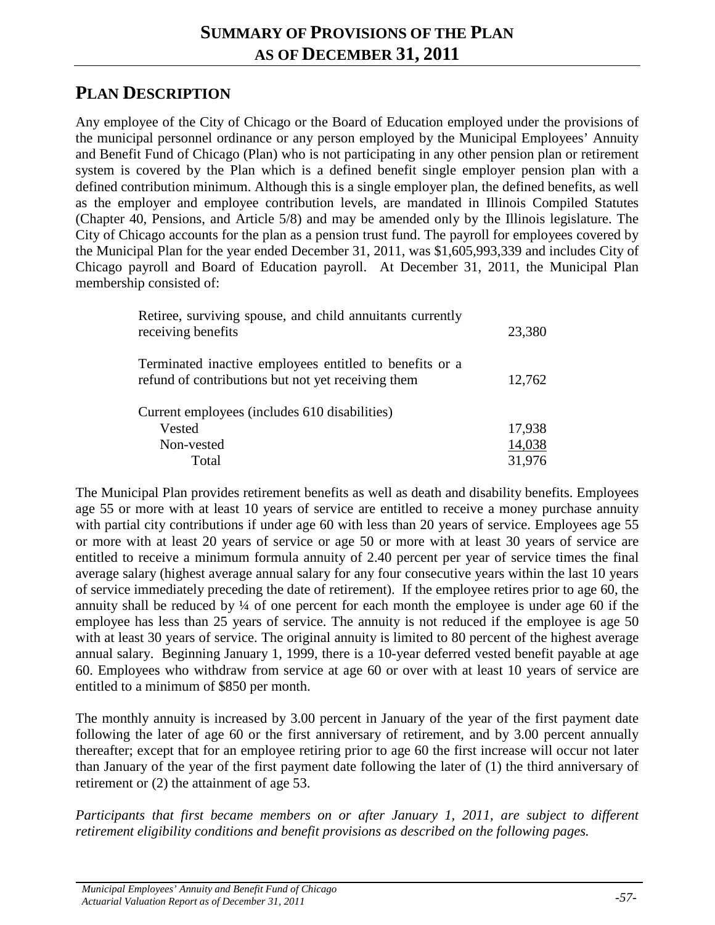## **PLAN DESCRIPTION**

Any employee of the City of Chicago or the Board of Education employed under the provisions of the municipal personnel ordinance or any person employed by the Municipal Employees' Annuity and Benefit Fund of Chicago (Plan) who is not participating in any other pension plan or retirement system is covered by the Plan which is a defined benefit single employer pension plan with a defined contribution minimum. Although this is a single employer plan, the defined benefits, as well as the employer and employee contribution levels, are mandated in Illinois Compiled Statutes (Chapter 40, Pensions, and Article 5/8) and may be amended only by the Illinois legislature. The City of Chicago accounts for the plan as a pension trust fund. The payroll for employees covered by the Municipal Plan for the year ended December 31, 2011, was \$1,605,993,339 and includes City of Chicago payroll and Board of Education payroll. At December 31, 2011, the Municipal Plan membership consisted of:

| Retiree, surviving spouse, and child annuitants currently<br>receiving benefits                               | 23,380 |
|---------------------------------------------------------------------------------------------------------------|--------|
| Terminated inactive employees entitled to benefits or a<br>refund of contributions but not yet receiving them | 12,762 |
| Current employees (includes 610 disabilities)                                                                 |        |
| Vested                                                                                                        | 17,938 |
| Non-vested                                                                                                    | 14,038 |
| Total                                                                                                         | 31,976 |

The Municipal Plan provides retirement benefits as well as death and disability benefits. Employees age 55 or more with at least 10 years of service are entitled to receive a money purchase annuity with partial city contributions if under age 60 with less than 20 years of service. Employees age 55 or more with at least 20 years of service or age 50 or more with at least 30 years of service are entitled to receive a minimum formula annuity of 2.40 percent per year of service times the final average salary (highest average annual salary for any four consecutive years within the last 10 years of service immediately preceding the date of retirement). If the employee retires prior to age 60, the annuity shall be reduced by ¼ of one percent for each month the employee is under age 60 if the employee has less than 25 years of service. The annuity is not reduced if the employee is age 50 with at least 30 years of service. The original annuity is limited to 80 percent of the highest average annual salary. Beginning January 1, 1999, there is a 10-year deferred vested benefit payable at age 60. Employees who withdraw from service at age 60 or over with at least 10 years of service are entitled to a minimum of \$850 per month.

The monthly annuity is increased by 3.00 percent in January of the year of the first payment date following the later of age 60 or the first anniversary of retirement, and by 3.00 percent annually thereafter; except that for an employee retiring prior to age 60 the first increase will occur not later than January of the year of the first payment date following the later of (1) the third anniversary of retirement or (2) the attainment of age 53.

*Participants that first became members on or after January 1, 2011, are subject to different retirement eligibility conditions and benefit provisions as described on the following pages.*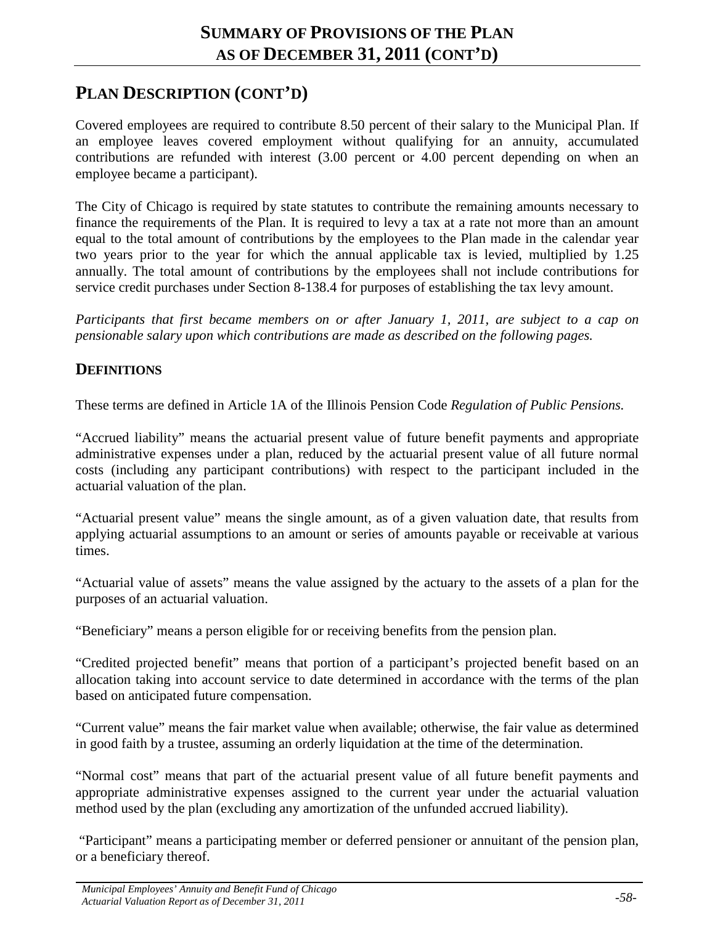### **PLAN DESCRIPTION (CONT'D)**

Covered employees are required to contribute 8.50 percent of their salary to the Municipal Plan. If an employee leaves covered employment without qualifying for an annuity, accumulated contributions are refunded with interest (3.00 percent or 4.00 percent depending on when an employee became a participant).

The City of Chicago is required by state statutes to contribute the remaining amounts necessary to finance the requirements of the Plan. It is required to levy a tax at a rate not more than an amount equal to the total amount of contributions by the employees to the Plan made in the calendar year two years prior to the year for which the annual applicable tax is levied, multiplied by 1.25 annually. The total amount of contributions by the employees shall not include contributions for service credit purchases under Section 8-138.4 for purposes of establishing the tax levy amount.

*Participants that first became members on or after January 1, 2011, are subject to a cap on pensionable salary upon which contributions are made as described on the following pages.*

#### **DEFINITIONS**

These terms are defined in Article 1A of the Illinois Pension Code *Regulation of Public Pensions.*

"Accrued liability" means the actuarial present value of future benefit payments and appropriate administrative expenses under a plan, reduced by the actuarial present value of all future normal costs (including any participant contributions) with respect to the participant included in the actuarial valuation of the plan.

"Actuarial present value" means the single amount, as of a given valuation date, that results from applying actuarial assumptions to an amount or series of amounts payable or receivable at various times.

"Actuarial value of assets" means the value assigned by the actuary to the assets of a plan for the purposes of an actuarial valuation.

"Beneficiary" means a person eligible for or receiving benefits from the pension plan.

"Credited projected benefit" means that portion of a participant's projected benefit based on an allocation taking into account service to date determined in accordance with the terms of the plan based on anticipated future compensation.

"Current value" means the fair market value when available; otherwise, the fair value as determined in good faith by a trustee, assuming an orderly liquidation at the time of the determination.

"Normal cost" means that part of the actuarial present value of all future benefit payments and appropriate administrative expenses assigned to the current year under the actuarial valuation method used by the plan (excluding any amortization of the unfunded accrued liability).

"Participant" means a participating member or deferred pensioner or annuitant of the pension plan, or a beneficiary thereof.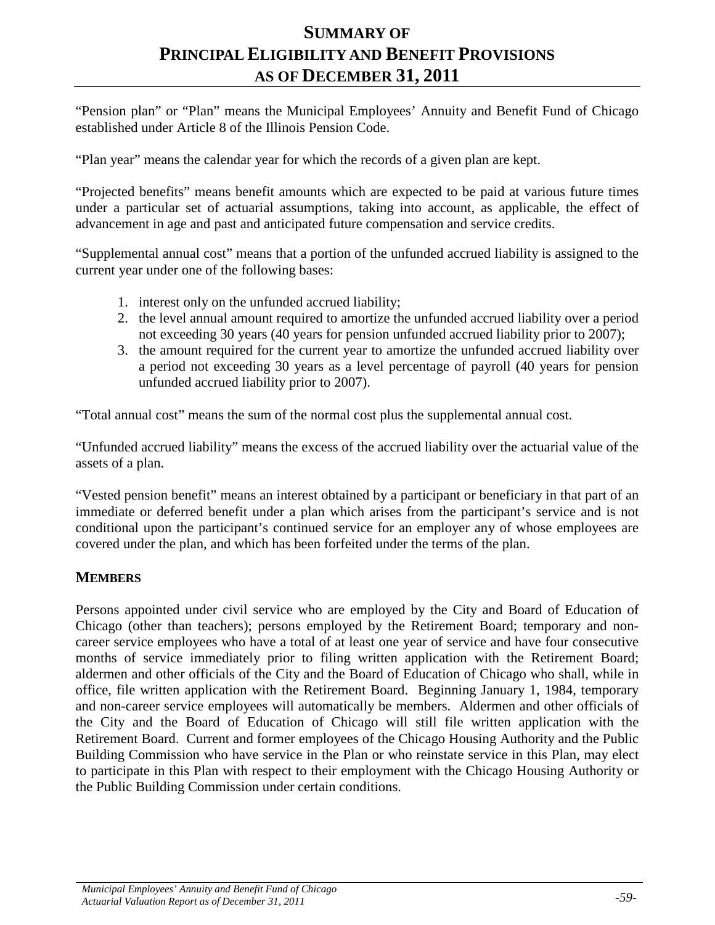### **SUMMARY OF PRINCIPAL ELIGIBILITY AND BENEFIT PROVISIONS AS OF DECEMBER 31, 2011**

"Pension plan" or "Plan" means the Municipal Employees' Annuity and Benefit Fund of Chicago established under Article 8 of the Illinois Pension Code.

"Plan year" means the calendar year for which the records of a given plan are kept.

"Projected benefits" means benefit amounts which are expected to be paid at various future times under a particular set of actuarial assumptions, taking into account, as applicable, the effect of advancement in age and past and anticipated future compensation and service credits.

"Supplemental annual cost" means that a portion of the unfunded accrued liability is assigned to the current year under one of the following bases:

- 1. interest only on the unfunded accrued liability;
- 2. the level annual amount required to amortize the unfunded accrued liability over a period not exceeding 30 years (40 years for pension unfunded accrued liability prior to 2007);
- 3. the amount required for the current year to amortize the unfunded accrued liability over a period not exceeding 30 years as a level percentage of payroll (40 years for pension unfunded accrued liability prior to 2007).

"Total annual cost" means the sum of the normal cost plus the supplemental annual cost.

"Unfunded accrued liability" means the excess of the accrued liability over the actuarial value of the assets of a plan.

"Vested pension benefit" means an interest obtained by a participant or beneficiary in that part of an immediate or deferred benefit under a plan which arises from the participant's service and is not conditional upon the participant's continued service for an employer any of whose employees are covered under the plan, and which has been forfeited under the terms of the plan.

#### **MEMBERS**

Persons appointed under civil service who are employed by the City and Board of Education of Chicago (other than teachers); persons employed by the Retirement Board; temporary and noncareer service employees who have a total of at least one year of service and have four consecutive months of service immediately prior to filing written application with the Retirement Board; aldermen and other officials of the City and the Board of Education of Chicago who shall, while in office, file written application with the Retirement Board. Beginning January 1, 1984, temporary and non-career service employees will automatically be members. Aldermen and other officials of the City and the Board of Education of Chicago will still file written application with the Retirement Board. Current and former employees of the Chicago Housing Authority and the Public Building Commission who have service in the Plan or who reinstate service in this Plan, may elect to participate in this Plan with respect to their employment with the Chicago Housing Authority or the Public Building Commission under certain conditions.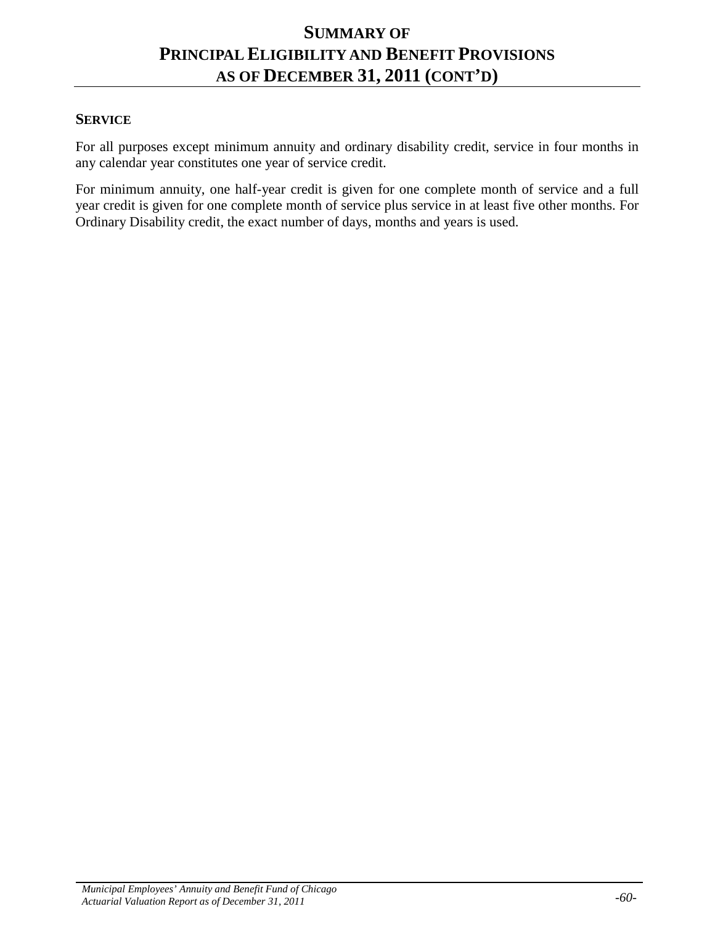#### **SUMMARY OF PRINCIPAL ELIGIBILITY AND BENEFIT PROVISIONS AS OF DECEMBER 31, 2011 (CONT'D)**

#### **SERVICE**

For all purposes except minimum annuity and ordinary disability credit, service in four months in any calendar year constitutes one year of service credit.

For minimum annuity, one half-year credit is given for one complete month of service and a full year credit is given for one complete month of service plus service in at least five other months. For Ordinary Disability credit, the exact number of days, months and years is used.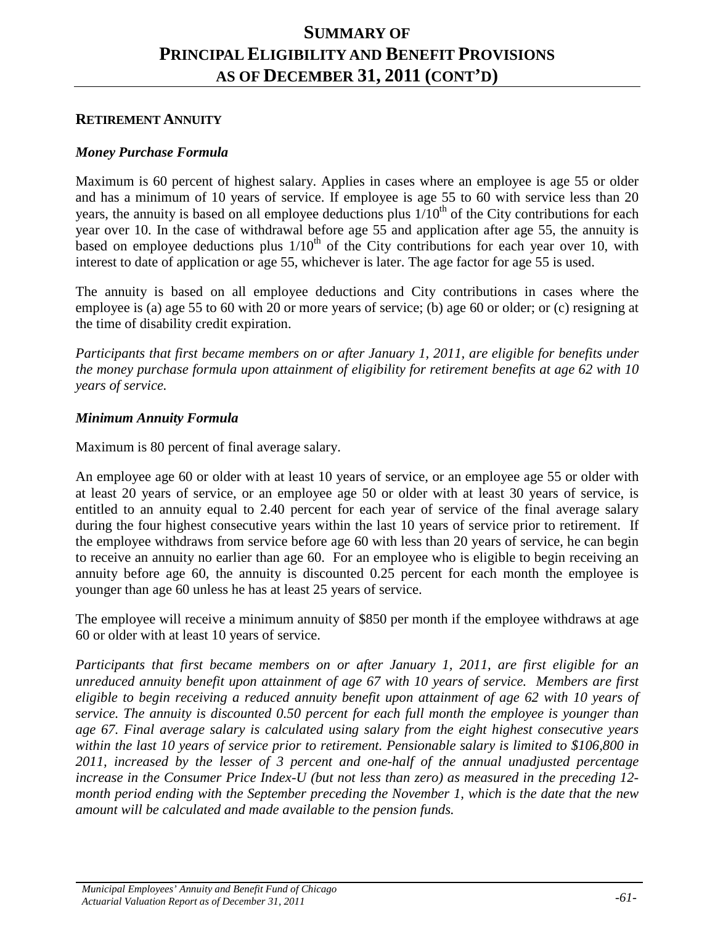#### **RETIREMENT ANNUITY**

#### *Money Purchase Formula*

Maximum is 60 percent of highest salary. Applies in cases where an employee is age 55 or older and has a minimum of 10 years of service. If employee is age 55 to 60 with service less than 20 years, the annuity is based on all employee deductions plus  $1/10<sup>th</sup>$  of the City contributions for each year over 10. In the case of withdrawal before age 55 and application after age 55, the annuity is based on employee deductions plus  $1/10<sup>th</sup>$  of the City contributions for each year over 10, with interest to date of application or age 55, whichever is later. The age factor for age 55 is used.

The annuity is based on all employee deductions and City contributions in cases where the employee is (a) age 55 to 60 with 20 or more years of service; (b) age 60 or older; or (c) resigning at the time of disability credit expiration.

*Participants that first became members on or after January 1, 2011, are eligible for benefits under the money purchase formula upon attainment of eligibility for retirement benefits at age 62 with 10 years of service.*

#### *Minimum Annuity Formula*

Maximum is 80 percent of final average salary.

An employee age 60 or older with at least 10 years of service, or an employee age 55 or older with at least 20 years of service, or an employee age 50 or older with at least 30 years of service, is entitled to an annuity equal to 2.40 percent for each year of service of the final average salary during the four highest consecutive years within the last 10 years of service prior to retirement. If the employee withdraws from service before age 60 with less than 20 years of service, he can begin to receive an annuity no earlier than age 60. For an employee who is eligible to begin receiving an annuity before age 60, the annuity is discounted 0.25 percent for each month the employee is younger than age 60 unless he has at least 25 years of service.

The employee will receive a minimum annuity of \$850 per month if the employee withdraws at age 60 or older with at least 10 years of service.

*Participants that first became members on or after January 1, 2011, are first eligible for an unreduced annuity benefit upon attainment of age 67 with 10 years of service. Members are first eligible to begin receiving a reduced annuity benefit upon attainment of age 62 with 10 years of service. The annuity is discounted 0.50 percent for each full month the employee is younger than age 67. Final average salary is calculated using salary from the eight highest consecutive years within the last 10 years of service prior to retirement. Pensionable salary is limited to \$106,800 in 2011, increased by the lesser of 3 percent and one-half of the annual unadjusted percentage increase in the Consumer Price Index-U (but not less than zero) as measured in the preceding 12 month period ending with the September preceding the November 1, which is the date that the new amount will be calculated and made available to the pension funds.*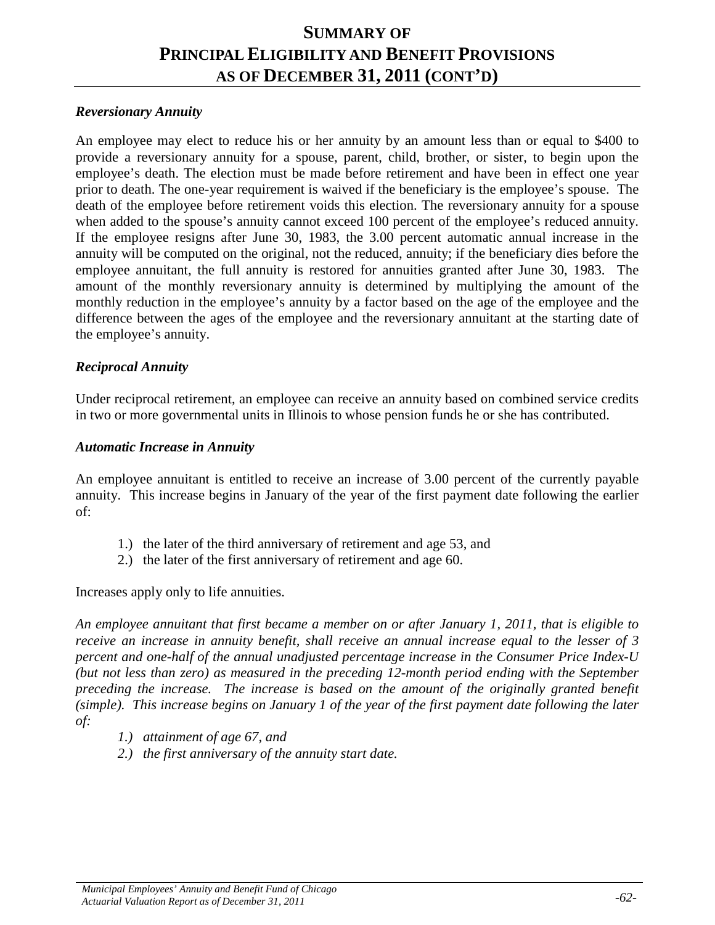#### *Reversionary Annuity*

An employee may elect to reduce his or her annuity by an amount less than or equal to \$400 to provide a reversionary annuity for a spouse, parent, child, brother, or sister, to begin upon the employee's death. The election must be made before retirement and have been in effect one year prior to death. The one-year requirement is waived if the beneficiary is the employee's spouse. The death of the employee before retirement voids this election. The reversionary annuity for a spouse when added to the spouse's annuity cannot exceed 100 percent of the employee's reduced annuity. If the employee resigns after June 30, 1983, the 3.00 percent automatic annual increase in the annuity will be computed on the original, not the reduced, annuity; if the beneficiary dies before the employee annuitant, the full annuity is restored for annuities granted after June 30, 1983. The amount of the monthly reversionary annuity is determined by multiplying the amount of the monthly reduction in the employee's annuity by a factor based on the age of the employee and the difference between the ages of the employee and the reversionary annuitant at the starting date of the employee's annuity.

#### *Reciprocal Annuity*

Under reciprocal retirement, an employee can receive an annuity based on combined service credits in two or more governmental units in Illinois to whose pension funds he or she has contributed.

#### *Automatic Increase in Annuity*

An employee annuitant is entitled to receive an increase of 3.00 percent of the currently payable annuity. This increase begins in January of the year of the first payment date following the earlier of:

- 1.) the later of the third anniversary of retirement and age 53, and
- 2.) the later of the first anniversary of retirement and age 60.

Increases apply only to life annuities.

*An employee annuitant that first became a member on or after January 1, 2011, that is eligible to receive an increase in annuity benefit, shall receive an annual increase equal to the lesser of 3 percent and one-half of the annual unadjusted percentage increase in the Consumer Price Index-U (but not less than zero) as measured in the preceding 12-month period ending with the September preceding the increase. The increase is based on the amount of the originally granted benefit (simple). This increase begins on January 1 of the year of the first payment date following the later of:*

- *1.) attainment of age 67, and*
- *2.) the first anniversary of the annuity start date.*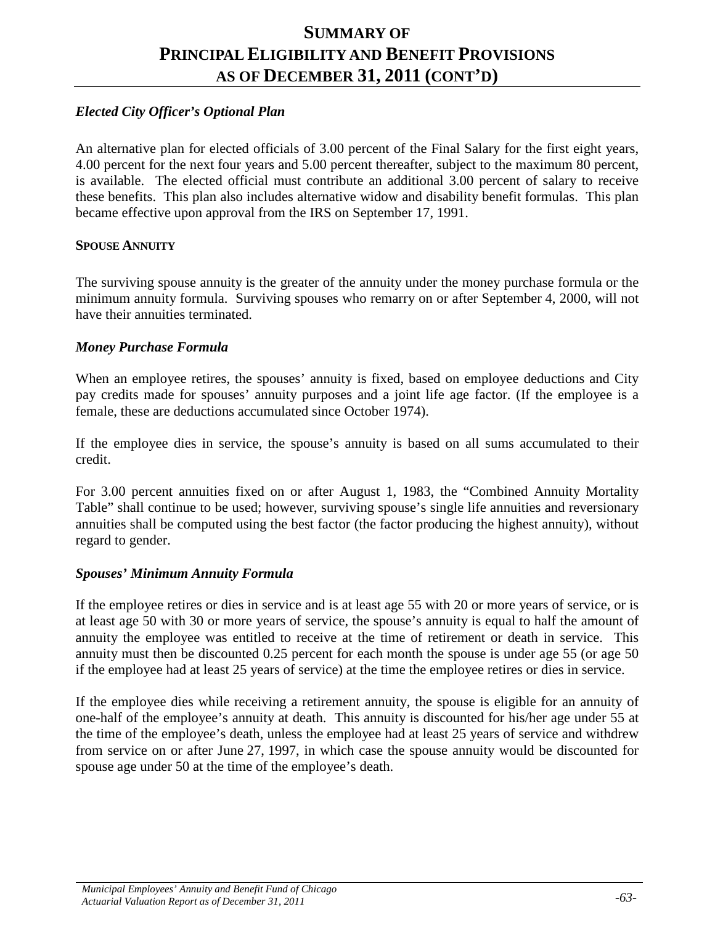## *Elected City Officer's Optional Plan*

An alternative plan for elected officials of 3.00 percent of the Final Salary for the first eight years, 4.00 percent for the next four years and 5.00 percent thereafter, subject to the maximum 80 percent, is available. The elected official must contribute an additional 3.00 percent of salary to receive these benefits. This plan also includes alternative widow and disability benefit formulas. This plan became effective upon approval from the IRS on September 17, 1991.

#### **SPOUSE ANNUITY**

The surviving spouse annuity is the greater of the annuity under the money purchase formula or the minimum annuity formula. Surviving spouses who remarry on or after September 4, 2000, will not have their annuities terminated.

#### *Money Purchase Formula*

When an employee retires, the spouses' annuity is fixed, based on employee deductions and City pay credits made for spouses' annuity purposes and a joint life age factor. (If the employee is a female, these are deductions accumulated since October 1974).

If the employee dies in service, the spouse's annuity is based on all sums accumulated to their credit.

For 3.00 percent annuities fixed on or after August 1, 1983, the "Combined Annuity Mortality Table" shall continue to be used; however, surviving spouse's single life annuities and reversionary annuities shall be computed using the best factor (the factor producing the highest annuity), without regard to gender.

#### *Spouses' Minimum Annuity Formula*

If the employee retires or dies in service and is at least age 55 with 20 or more years of service, or is at least age 50 with 30 or more years of service, the spouse's annuity is equal to half the amount of annuity the employee was entitled to receive at the time of retirement or death in service. This annuity must then be discounted 0.25 percent for each month the spouse is under age 55 (or age 50 if the employee had at least 25 years of service) at the time the employee retires or dies in service.

If the employee dies while receiving a retirement annuity, the spouse is eligible for an annuity of one-half of the employee's annuity at death. This annuity is discounted for his/her age under 55 at the time of the employee's death, unless the employee had at least 25 years of service and withdrew from service on or after June 27, 1997, in which case the spouse annuity would be discounted for spouse age under 50 at the time of the employee's death.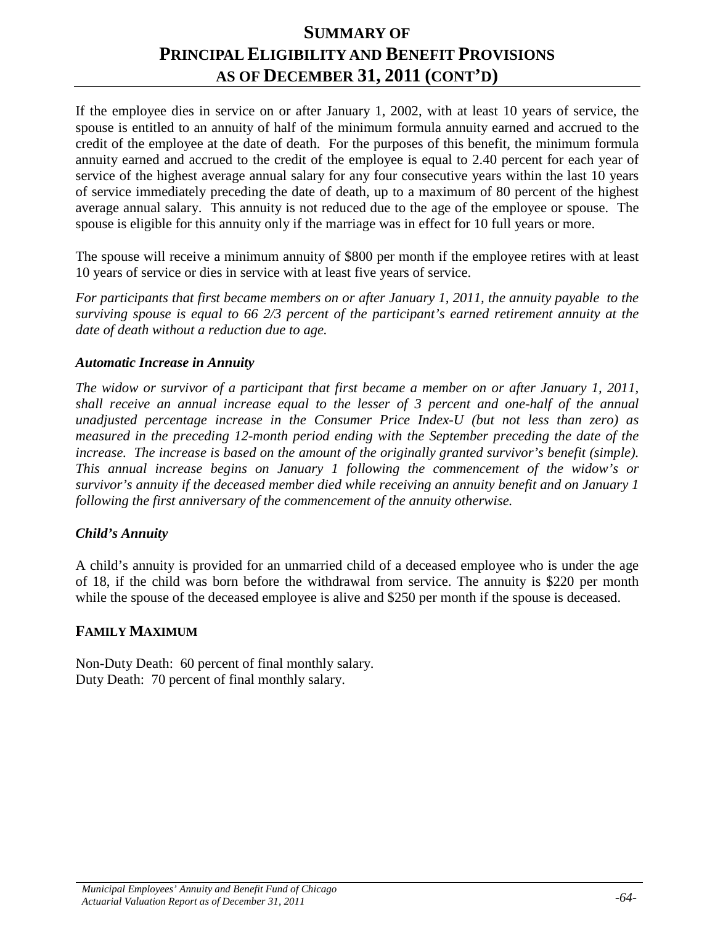If the employee dies in service on or after January 1, 2002, with at least 10 years of service, the spouse is entitled to an annuity of half of the minimum formula annuity earned and accrued to the credit of the employee at the date of death. For the purposes of this benefit, the minimum formula annuity earned and accrued to the credit of the employee is equal to 2.40 percent for each year of service of the highest average annual salary for any four consecutive years within the last 10 years of service immediately preceding the date of death, up to a maximum of 80 percent of the highest average annual salary. This annuity is not reduced due to the age of the employee or spouse. The spouse is eligible for this annuity only if the marriage was in effect for 10 full years or more.

The spouse will receive a minimum annuity of \$800 per month if the employee retires with at least 10 years of service or dies in service with at least five years of service.

*For participants that first became members on or after January 1, 2011, the annuity payable to the surviving spouse is equal to 66 2/3 percent of the participant's earned retirement annuity at the date of death without a reduction due to age.*

#### *Automatic Increase in Annuity*

*The widow or survivor of a participant that first became a member on or after January 1, 2011, shall receive an annual increase equal to the lesser of 3 percent and one-half of the annual unadjusted percentage increase in the Consumer Price Index-U (but not less than zero) as measured in the preceding 12-month period ending with the September preceding the date of the increase. The increase is based on the amount of the originally granted survivor's benefit (simple). This annual increase begins on January 1 following the commencement of the widow's or survivor's annuity if the deceased member died while receiving an annuity benefit and on January 1 following the first anniversary of the commencement of the annuity otherwise.*

## *Child's Annuity*

A child's annuity is provided for an unmarried child of a deceased employee who is under the age of 18, if the child was born before the withdrawal from service. The annuity is \$220 per month while the spouse of the deceased employee is alive and \$250 per month if the spouse is deceased.

## **FAMILY MAXIMUM**

Non-Duty Death: 60 percent of final monthly salary. Duty Death: 70 percent of final monthly salary.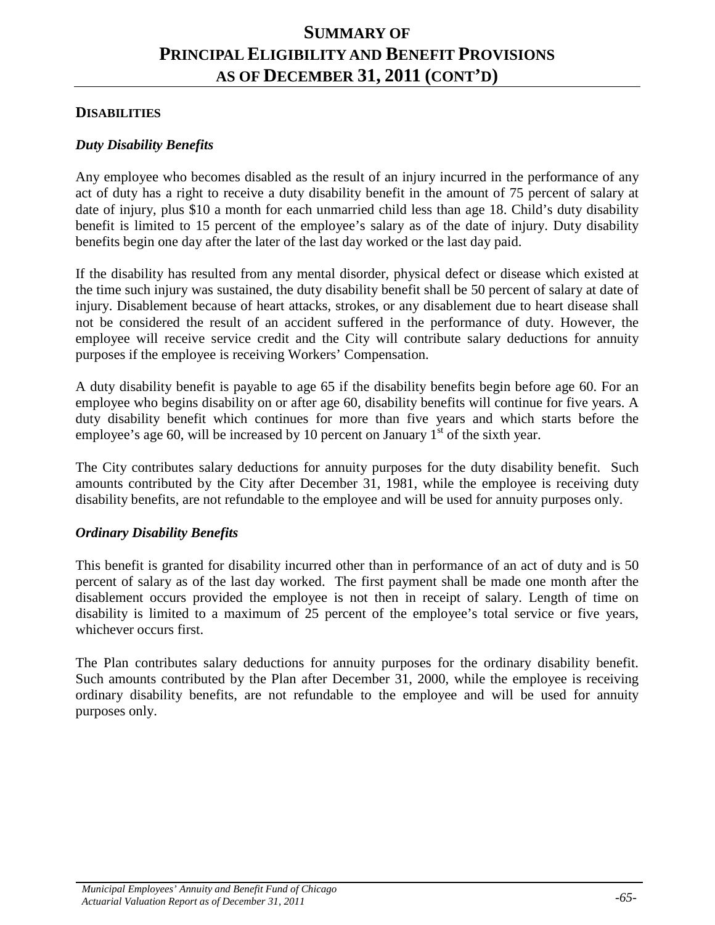#### **DISABILITIES**

#### *Duty Disability Benefits*

Any employee who becomes disabled as the result of an injury incurred in the performance of any act of duty has a right to receive a duty disability benefit in the amount of 75 percent of salary at date of injury, plus \$10 a month for each unmarried child less than age 18. Child's duty disability benefit is limited to 15 percent of the employee's salary as of the date of injury. Duty disability benefits begin one day after the later of the last day worked or the last day paid.

If the disability has resulted from any mental disorder, physical defect or disease which existed at the time such injury was sustained, the duty disability benefit shall be 50 percent of salary at date of injury. Disablement because of heart attacks, strokes, or any disablement due to heart disease shall not be considered the result of an accident suffered in the performance of duty. However, the employee will receive service credit and the City will contribute salary deductions for annuity purposes if the employee is receiving Workers' Compensation.

A duty disability benefit is payable to age 65 if the disability benefits begin before age 60. For an employee who begins disability on or after age 60, disability benefits will continue for five years. A duty disability benefit which continues for more than five years and which starts before the employee's age 60, will be increased by 10 percent on January  $1<sup>st</sup>$  of the sixth year.

The City contributes salary deductions for annuity purposes for the duty disability benefit. Such amounts contributed by the City after December 31, 1981, while the employee is receiving duty disability benefits, are not refundable to the employee and will be used for annuity purposes only.

#### *Ordinary Disability Benefits*

This benefit is granted for disability incurred other than in performance of an act of duty and is 50 percent of salary as of the last day worked. The first payment shall be made one month after the disablement occurs provided the employee is not then in receipt of salary. Length of time on disability is limited to a maximum of 25 percent of the employee's total service or five years, whichever occurs first.

The Plan contributes salary deductions for annuity purposes for the ordinary disability benefit. Such amounts contributed by the Plan after December 31, 2000, while the employee is receiving ordinary disability benefits, are not refundable to the employee and will be used for annuity purposes only.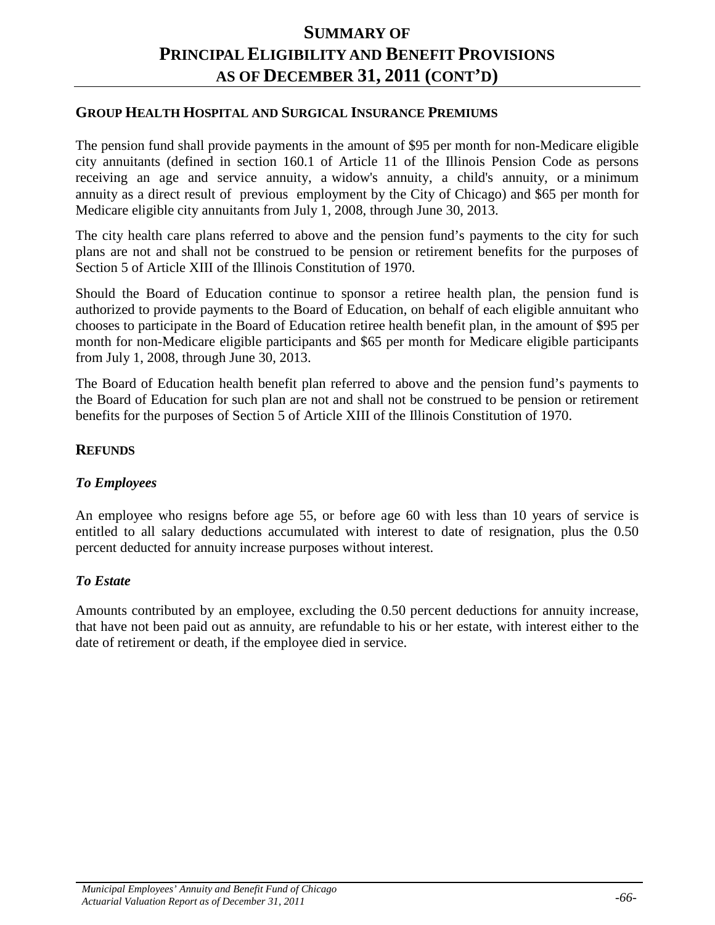#### **GROUP HEALTH HOSPITAL AND SURGICAL INSURANCE PREMIUMS**

The pension fund shall provide payments in the amount of \$95 per month for non-Medicare eligible city annuitants (defined in section 160.1 of Article 11 of the Illinois Pension Code as persons receiving an age and service annuity, a widow's annuity, a child's annuity, or a minimum annuity as a direct result of previous employment by the City of Chicago) and \$65 per month for Medicare eligible city annuitants from July 1, 2008, through June 30, 2013.

The city health care plans referred to above and the pension fund's payments to the city for such plans are not and shall not be construed to be pension or retirement benefits for the purposes of Section 5 of Article XIII of the Illinois Constitution of 1970.

Should the Board of Education continue to sponsor a retiree health plan, the pension fund is authorized to provide payments to the Board of Education, on behalf of each eligible annuitant who chooses to participate in the Board of Education retiree health benefit plan, in the amount of \$95 per month for non-Medicare eligible participants and \$65 per month for Medicare eligible participants from July 1, 2008, through June 30, 2013.

The Board of Education health benefit plan referred to above and the pension fund's payments to the Board of Education for such plan are not and shall not be construed to be pension or retirement benefits for the purposes of Section 5 of Article XIII of the Illinois Constitution of 1970.

#### **REFUNDS**

#### *To Employees*

An employee who resigns before age 55, or before age 60 with less than 10 years of service is entitled to all salary deductions accumulated with interest to date of resignation, plus the 0.50 percent deducted for annuity increase purposes without interest.

#### *To Estate*

Amounts contributed by an employee, excluding the 0.50 percent deductions for annuity increase, that have not been paid out as annuity, are refundable to his or her estate, with interest either to the date of retirement or death, if the employee died in service.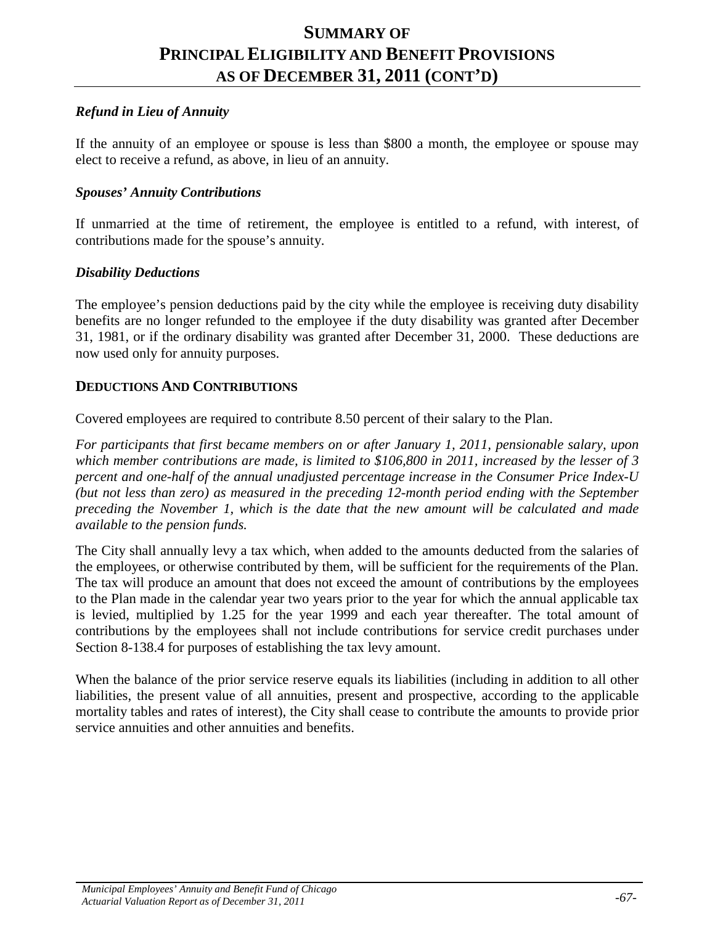### *Refund in Lieu of Annuity*

If the annuity of an employee or spouse is less than \$800 a month, the employee or spouse may elect to receive a refund, as above, in lieu of an annuity.

#### *Spouses' Annuity Contributions*

If unmarried at the time of retirement, the employee is entitled to a refund, with interest, of contributions made for the spouse's annuity.

#### *Disability Deductions*

The employee's pension deductions paid by the city while the employee is receiving duty disability benefits are no longer refunded to the employee if the duty disability was granted after December 31, 1981, or if the ordinary disability was granted after December 31, 2000. These deductions are now used only for annuity purposes.

#### **DEDUCTIONS AND CONTRIBUTIONS**

Covered employees are required to contribute 8.50 percent of their salary to the Plan.

*For participants that first became members on or after January 1, 2011, pensionable salary, upon which member contributions are made, is limited to \$106,800 in 2011, increased by the lesser of 3 percent and one-half of the annual unadjusted percentage increase in the Consumer Price Index-U (but not less than zero) as measured in the preceding 12-month period ending with the September preceding the November 1, which is the date that the new amount will be calculated and made available to the pension funds.*

The City shall annually levy a tax which, when added to the amounts deducted from the salaries of the employees, or otherwise contributed by them, will be sufficient for the requirements of the Plan. The tax will produce an amount that does not exceed the amount of contributions by the employees to the Plan made in the calendar year two years prior to the year for which the annual applicable tax is levied, multiplied by 1.25 for the year 1999 and each year thereafter. The total amount of contributions by the employees shall not include contributions for service credit purchases under Section 8-138.4 for purposes of establishing the tax levy amount.

When the balance of the prior service reserve equals its liabilities (including in addition to all other liabilities, the present value of all annuities, present and prospective, according to the applicable mortality tables and rates of interest), the City shall cease to contribute the amounts to provide prior service annuities and other annuities and benefits.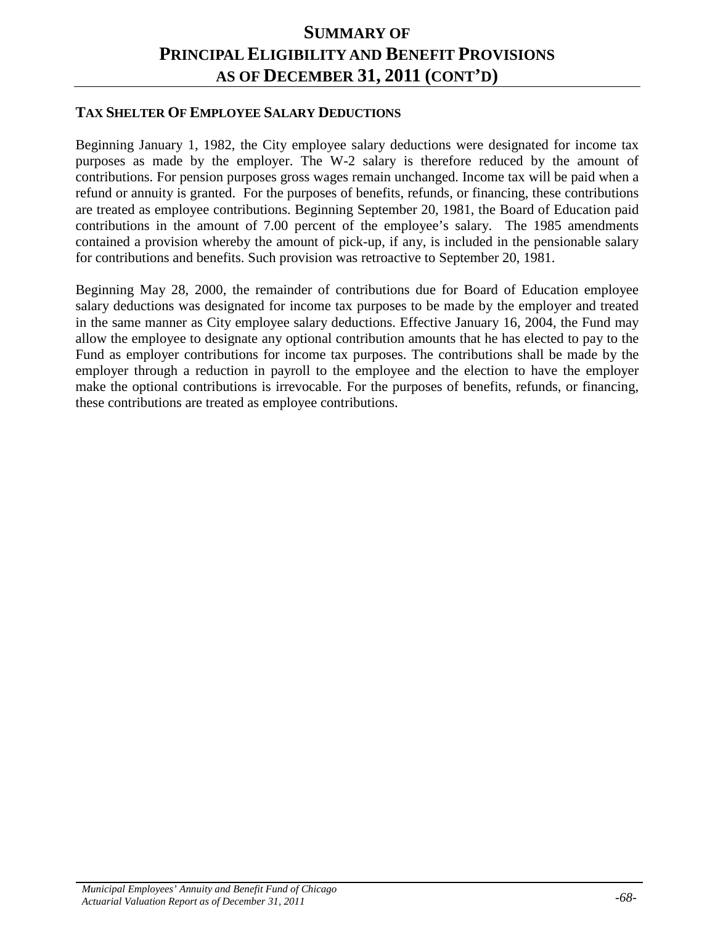## **TAX SHELTER OF EMPLOYEE SALARY DEDUCTIONS**

Beginning January 1, 1982, the City employee salary deductions were designated for income tax purposes as made by the employer. The W-2 salary is therefore reduced by the amount of contributions. For pension purposes gross wages remain unchanged. Income tax will be paid when a refund or annuity is granted. For the purposes of benefits, refunds, or financing, these contributions are treated as employee contributions. Beginning September 20, 1981, the Board of Education paid contributions in the amount of 7.00 percent of the employee's salary. The 1985 amendments contained a provision whereby the amount of pick-up, if any, is included in the pensionable salary for contributions and benefits. Such provision was retroactive to September 20, 1981.

Beginning May 28, 2000, the remainder of contributions due for Board of Education employee salary deductions was designated for income tax purposes to be made by the employer and treated in the same manner as City employee salary deductions. Effective January 16, 2004, the Fund may allow the employee to designate any optional contribution amounts that he has elected to pay to the Fund as employer contributions for income tax purposes. The contributions shall be made by the employer through a reduction in payroll to the employee and the election to have the employer make the optional contributions is irrevocable. For the purposes of benefits, refunds, or financing, these contributions are treated as employee contributions.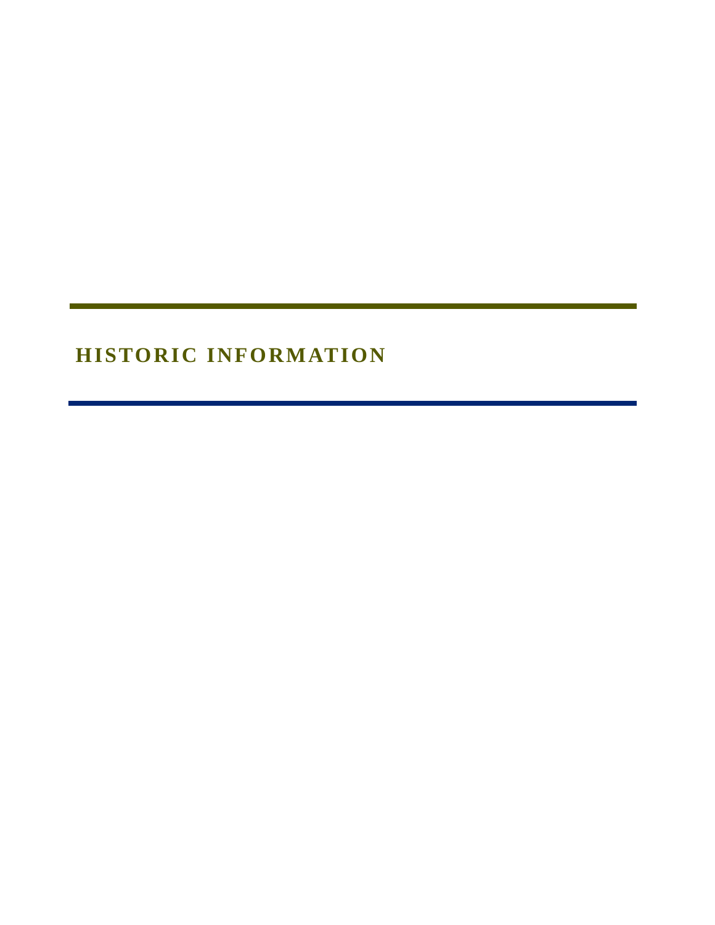# **HISTORIC INFORMATION**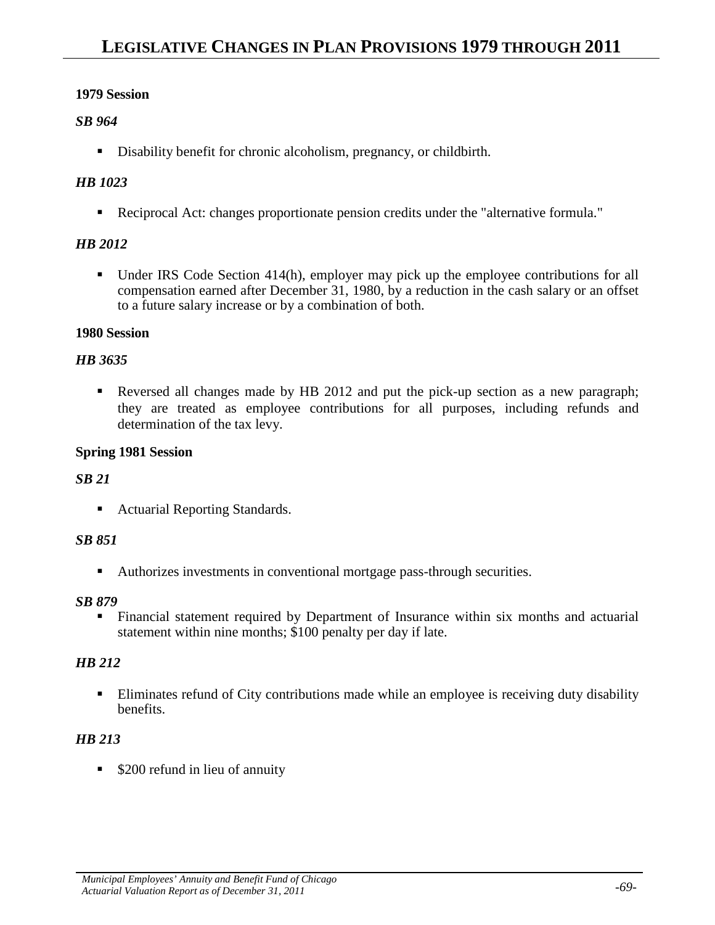## *SB 964*

Disability benefit for chronic alcoholism, pregnancy, or childbirth.

## *HB 1023*

Reciprocal Act: changes proportionate pension credits under the "alternative formula."

## *HB 2012*

■ Under IRS Code Section 414(h), employer may pick up the employee contributions for all compensation earned after December 31, 1980, by a reduction in the cash salary or an offset to a future salary increase or by a combination of both.

### **1980 Session**

### *HB 3635*

Reversed all changes made by HB 2012 and put the pick-up section as a new paragraph; they are treated as employee contributions for all purposes, including refunds and determination of the tax levy.

### **Spring 1981 Session**

## *SB 21*

■ Actuarial Reporting Standards.

## *SB 851*

Authorizes investments in conventional mortgage pass-through securities.

#### *SB 879*

 Financial statement required by Department of Insurance within six months and actuarial statement within nine months; \$100 penalty per day if late.

## *HB 212*

 Eliminates refund of City contributions made while an employee is receiving duty disability benefits.

## *HB 213*

**S200** refund in lieu of annuity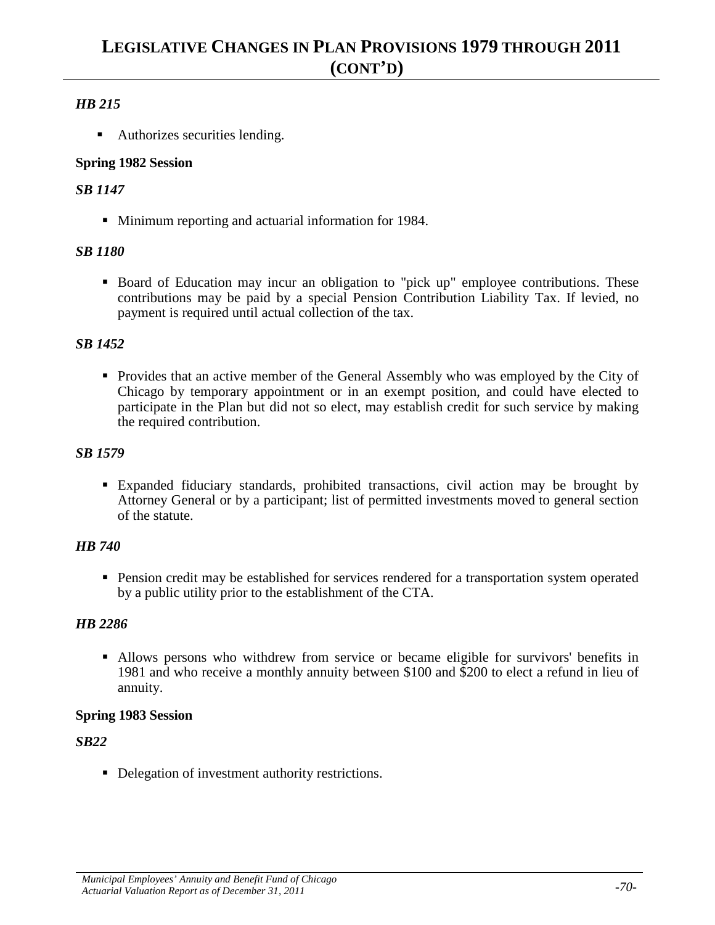## *HB 215*

• Authorizes securities lending.

## **Spring 1982 Session**

## *SB 1147*

**Minimum reporting and actuarial information for 1984.** 

## *SB 1180*

 Board of Education may incur an obligation to "pick up" employee contributions. These contributions may be paid by a special Pension Contribution Liability Tax. If levied, no payment is required until actual collection of the tax.

## *SB 1452*

 Provides that an active member of the General Assembly who was employed by the City of Chicago by temporary appointment or in an exempt position, and could have elected to participate in the Plan but did not so elect, may establish credit for such service by making the required contribution.

## *SB 1579*

 Expanded fiduciary standards, prohibited transactions, civil action may be brought by Attorney General or by a participant; list of permitted investments moved to general section of the statute.

## *HB 740*

**Pension credit may be established for services rendered for a transportation system operated** by a public utility prior to the establishment of the CTA.

## *HB 2286*

 Allows persons who withdrew from service or became eligible for survivors' benefits in 1981 and who receive a monthly annuity between \$100 and \$200 to elect a refund in lieu of annuity.

## **Spring 1983 Session**

## *SB22*

Delegation of investment authority restrictions.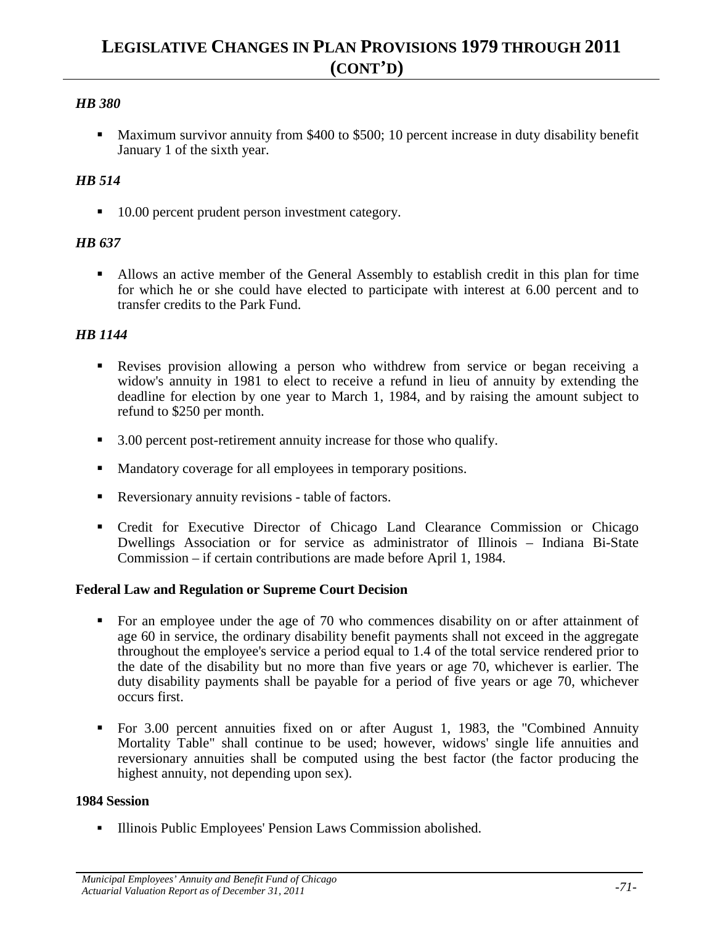## *HB 380*

**Maximum survivor annuity from \$400 to \$500; 10 percent increase in duty disability benefit** January 1 of the sixth year.

## *HB 514*

■ 10.00 percent prudent person investment category.

### *HB 637*

 Allows an active member of the General Assembly to establish credit in this plan for time for which he or she could have elected to participate with interest at 6.00 percent and to transfer credits to the Park Fund.

## *HB 1144*

- Revises provision allowing a person who withdrew from service or began receiving a widow's annuity in 1981 to elect to receive a refund in lieu of annuity by extending the deadline for election by one year to March 1, 1984, and by raising the amount subject to refund to \$250 per month.
- 3.00 percent post-retirement annuity increase for those who qualify.
- Mandatory coverage for all employees in temporary positions.
- Reversionary annuity revisions table of factors.
- Credit for Executive Director of Chicago Land Clearance Commission or Chicago Dwellings Association or for service as administrator of Illinois – Indiana Bi-State Commission – if certain contributions are made before April 1, 1984.

#### **Federal Law and Regulation or Supreme Court Decision**

- For an employee under the age of 70 who commences disability on or after attainment of age 60 in service, the ordinary disability benefit payments shall not exceed in the aggregate throughout the employee's service a period equal to 1.4 of the total service rendered prior to the date of the disability but no more than five years or age 70, whichever is earlier. The duty disability payments shall be payable for a period of five years or age 70, whichever occurs first.
- For 3.00 percent annuities fixed on or after August 1, 1983, the "Combined Annuity Mortality Table" shall continue to be used; however, widows' single life annuities and reversionary annuities shall be computed using the best factor (the factor producing the highest annuity, not depending upon sex).

## **1984 Session**

**Illinois Public Employees' Pension Laws Commission abolished.**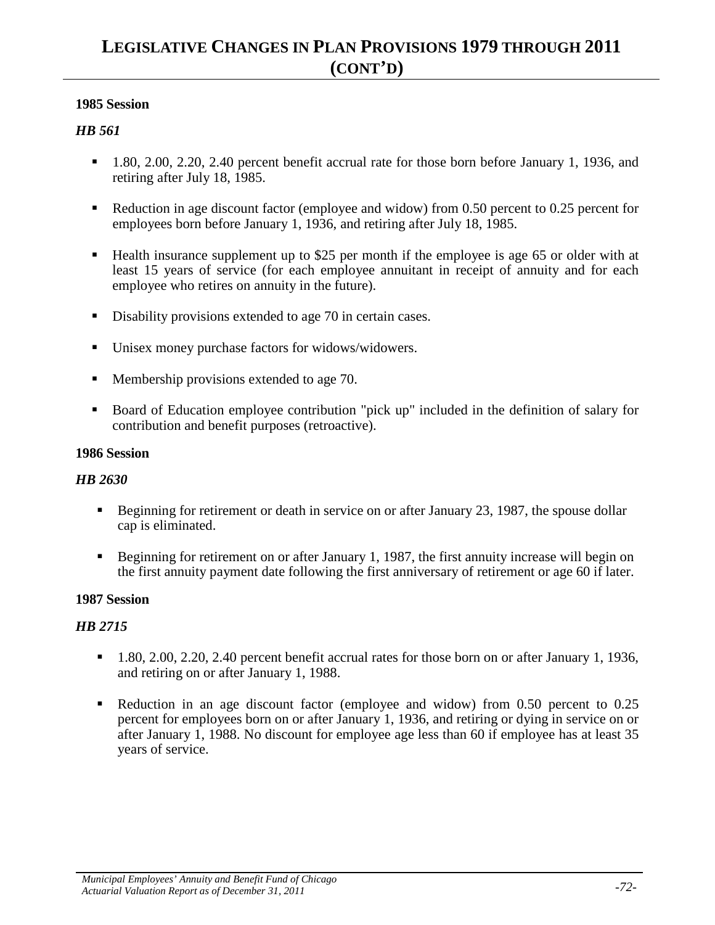#### **1985 Session**

#### *HB 561*

- 1.80, 2.00, 2.20, 2.40 percent benefit accrual rate for those born before January 1, 1936, and retiring after July 18, 1985.
- Reduction in age discount factor (employee and widow) from 0.50 percent to 0.25 percent for employees born before January 1, 1936, and retiring after July 18, 1985.
- Health insurance supplement up to \$25 per month if the employee is age 65 or older with at least 15 years of service (for each employee annuitant in receipt of annuity and for each employee who retires on annuity in the future).
- Disability provisions extended to age 70 in certain cases.
- Unisex money purchase factors for widows/widowers.
- **Membership provisions extended to age 70.**
- Board of Education employee contribution "pick up" included in the definition of salary for contribution and benefit purposes (retroactive).

#### **1986 Session**

#### *HB 2630*

- Beginning for retirement or death in service on or after January 23, 1987, the spouse dollar cap is eliminated.
- Beginning for retirement on or after January 1, 1987, the first annuity increase will begin on the first annuity payment date following the first anniversary of retirement or age 60 if later.

#### **1987 Session**

- $1.80, 2.00, 2.20, 2.40$  percent benefit accrual rates for those born on or after January 1, 1936, and retiring on or after January 1, 1988.
- Reduction in an age discount factor (employee and widow) from 0.50 percent to 0.25 percent for employees born on or after January 1, 1936, and retiring or dying in service on or after January 1, 1988. No discount for employee age less than 60 if employee has at least 35 years of service.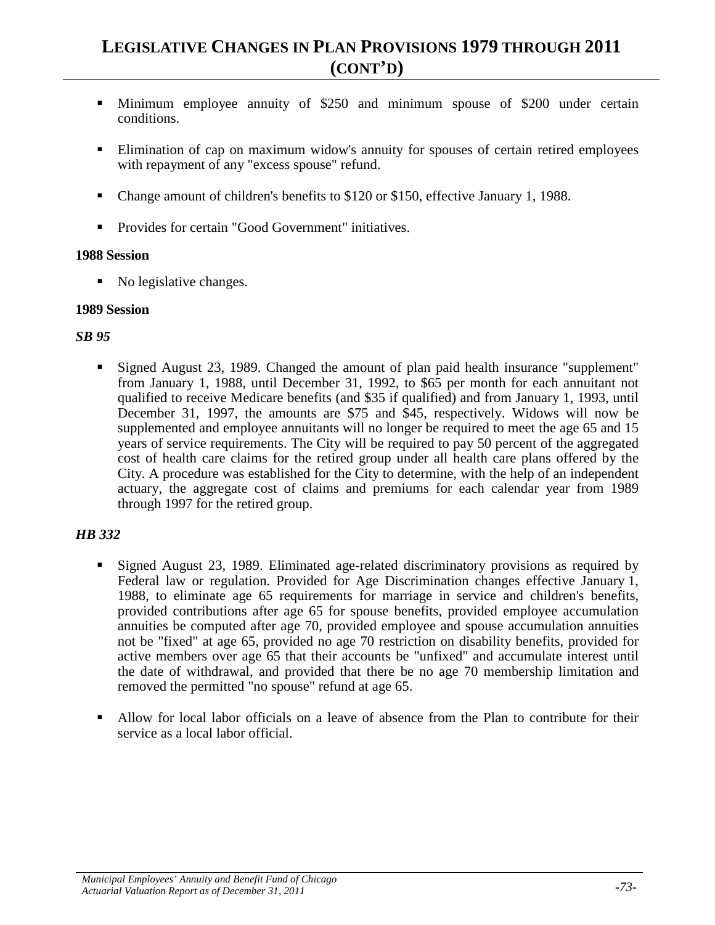- Minimum employee annuity of \$250 and minimum spouse of \$200 under certain conditions.
- **Elimination of cap on maximum widow's annuity for spouses of certain retired employees** with repayment of any "excess spouse" refund.
- Change amount of children's benefits to \$120 or \$150, effective January 1, 1988.
- Provides for certain "Good Government" initiatives.

• No legislative changes.

#### **1989 Session**

#### *SB 95*

 Signed August 23, 1989. Changed the amount of plan paid health insurance "supplement" from January 1, 1988, until December 31, 1992, to \$65 per month for each annuitant not qualified to receive Medicare benefits (and \$35 if qualified) and from January 1, 1993, until December 31, 1997, the amounts are \$75 and \$45, respectively. Widows will now be supplemented and employee annuitants will no longer be required to meet the age 65 and 15 years of service requirements. The City will be required to pay 50 percent of the aggregated cost of health care claims for the retired group under all health care plans offered by the City. A procedure was established for the City to determine, with the help of an independent actuary, the aggregate cost of claims and premiums for each calendar year from 1989 through 1997 for the retired group.

- Signed August 23, 1989. Eliminated age-related discriminatory provisions as required by Federal law or regulation. Provided for Age Discrimination changes effective January 1, 1988, to eliminate age 65 requirements for marriage in service and children's benefits, provided contributions after age 65 for spouse benefits, provided employee accumulation annuities be computed after age 70, provided employee and spouse accumulation annuities not be "fixed" at age 65, provided no age 70 restriction on disability benefits, provided for active members over age 65 that their accounts be "unfixed" and accumulate interest until the date of withdrawal, and provided that there be no age 70 membership limitation and removed the permitted "no spouse" refund at age 65.
- Allow for local labor officials on a leave of absence from the Plan to contribute for their service as a local labor official.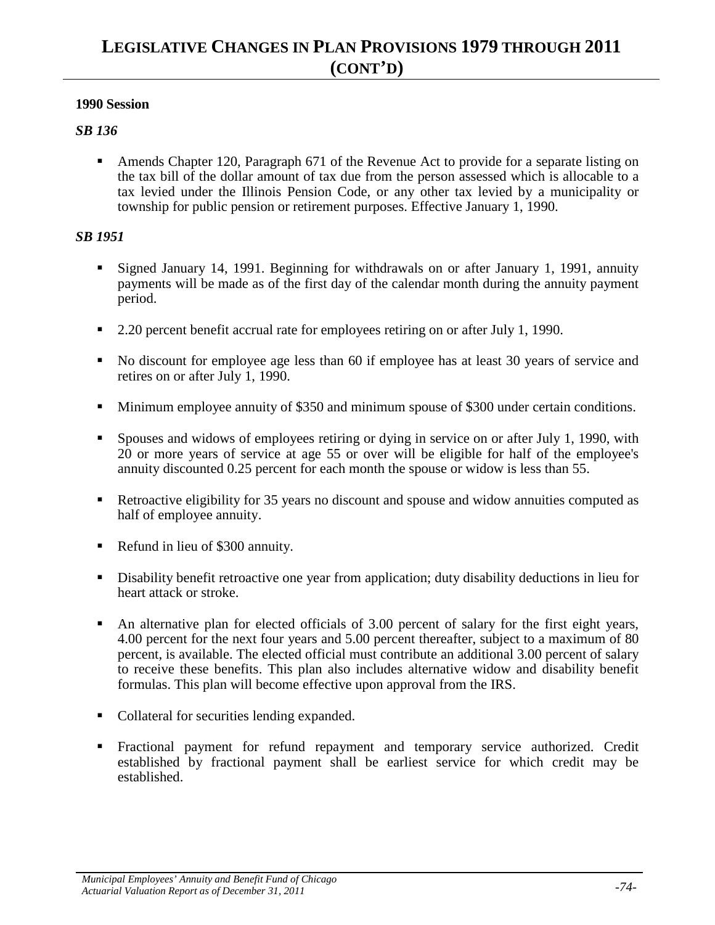### *SB 136*

 Amends Chapter 120, Paragraph 671 of the Revenue Act to provide for a separate listing on the tax bill of the dollar amount of tax due from the person assessed which is allocable to a tax levied under the Illinois Pension Code, or any other tax levied by a municipality or township for public pension or retirement purposes. Effective January 1, 1990.

- Signed January 14, 1991. Beginning for withdrawals on or after January 1, 1991, annuity payments will be made as of the first day of the calendar month during the annuity payment period.
- 2.20 percent benefit accrual rate for employees retiring on or after July 1, 1990.
- No discount for employee age less than 60 if employee has at least 30 years of service and retires on or after July 1, 1990.
- Minimum employee annuity of \$350 and minimum spouse of \$300 under certain conditions.
- Spouses and widows of employees retiring or dying in service on or after July 1, 1990, with 20 or more years of service at age 55 or over will be eligible for half of the employee's annuity discounted 0.25 percent for each month the spouse or widow is less than 55.
- Retroactive eligibility for 35 years no discount and spouse and widow annuities computed as half of employee annuity.
- Refund in lieu of \$300 annuity.
- Disability benefit retroactive one year from application; duty disability deductions in lieu for heart attack or stroke.
- An alternative plan for elected officials of 3.00 percent of salary for the first eight years, 4.00 percent for the next four years and 5.00 percent thereafter, subject to a maximum of 80 percent, is available. The elected official must contribute an additional 3.00 percent of salary to receive these benefits. This plan also includes alternative widow and disability benefit formulas. This plan will become effective upon approval from the IRS.
- Collateral for securities lending expanded.
- Fractional payment for refund repayment and temporary service authorized. Credit established by fractional payment shall be earliest service for which credit may be established.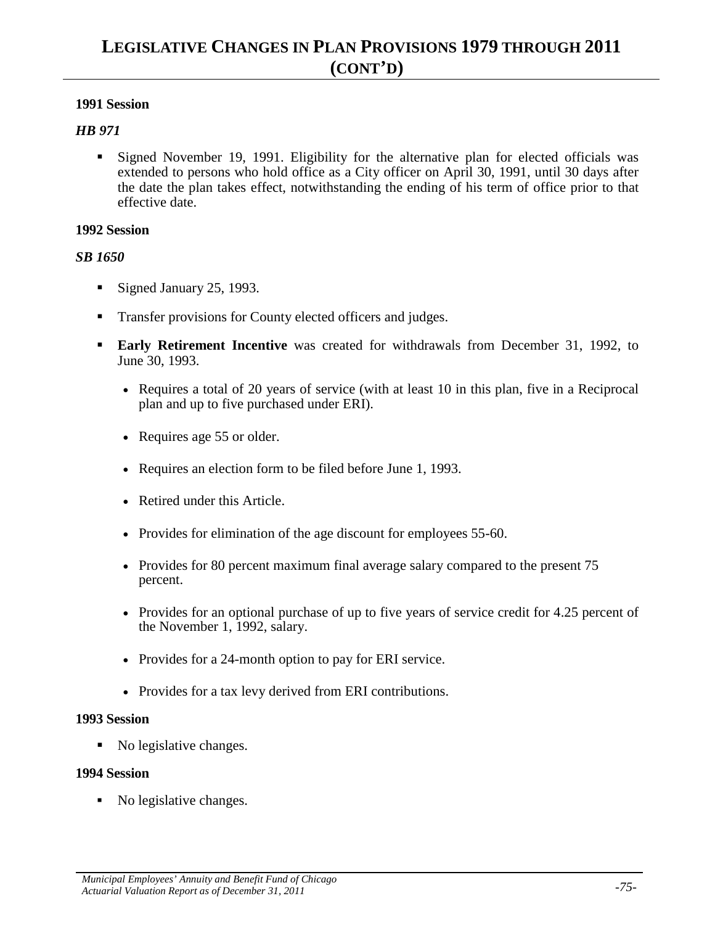#### *HB 971*

 Signed November 19, 1991. Eligibility for the alternative plan for elected officials was extended to persons who hold office as a City officer on April 30, 1991, until 30 days after the date the plan takes effect, notwithstanding the ending of his term of office prior to that effective date.

#### **1992 Session**

#### *SB 1650*

- Signed January 25, 1993.
- Transfer provisions for County elected officers and judges.
- **Early Retirement Incentive** was created for withdrawals from December 31, 1992, to June 30, 1993.
	- Requires a total of 20 years of service (with at least 10 in this plan, five in a Reciprocal plan and up to five purchased under ERI).
	- Requires age 55 or older.
	- Requires an election form to be filed before June 1, 1993.
	- Retired under this Article.
	- Provides for elimination of the age discount for employees 55-60.
	- Provides for 80 percent maximum final average salary compared to the present 75 percent.
	- Provides for an optional purchase of up to five years of service credit for 4.25 percent of the November 1, 1992, salary.
	- Provides for a 24-month option to pay for ERI service.
	- Provides for a tax levy derived from ERI contributions.

#### **1993 Session**

• No legislative changes.

#### **1994 Session**

• No legislative changes.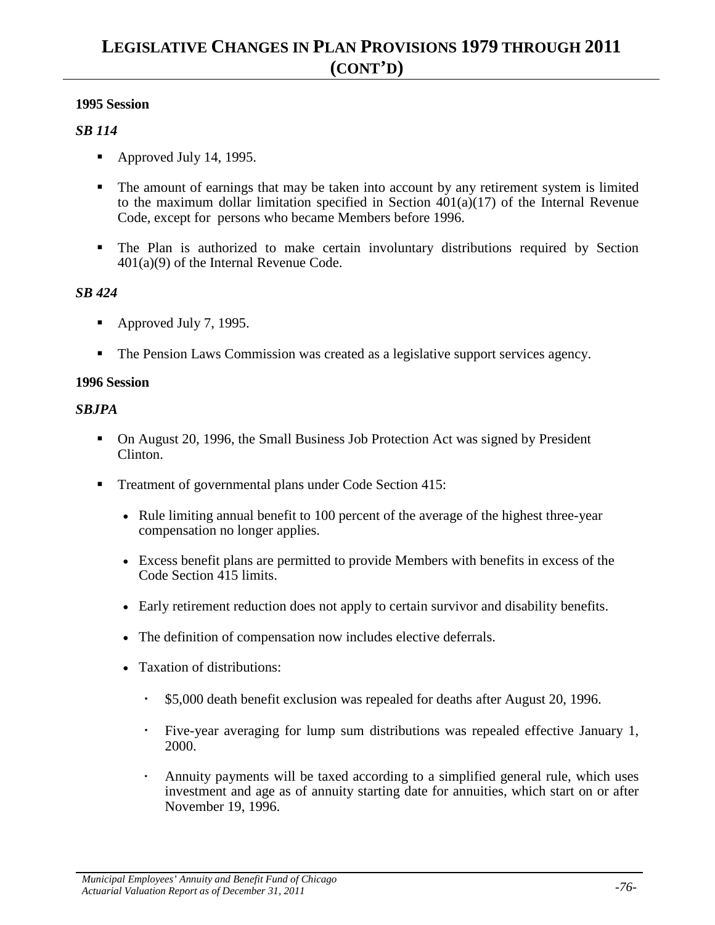## *SB 114*

- Approved July 14, 1995.
- The amount of earnings that may be taken into account by any retirement system is limited to the maximum dollar limitation specified in Section  $401(a)(17)$  of the Internal Revenue Code, except for persons who became Members before 1996.
- The Plan is authorized to make certain involuntary distributions required by Section 401(a)(9) of the Internal Revenue Code.

### *SB 424*

- Approved July 7, 1995.
- The Pension Laws Commission was created as a legislative support services agency.

#### **1996 Session**

#### *SBJPA*

- On August 20, 1996, the Small Business Job Protection Act was signed by President Clinton.
- Treatment of governmental plans under Code Section 415:
	- Rule limiting annual benefit to 100 percent of the average of the highest three-year compensation no longer applies.
	- Excess benefit plans are permitted to provide Members with benefits in excess of the Code Section 415 limits.
	- Early retirement reduction does not apply to certain survivor and disability benefits.
	- The definition of compensation now includes elective deferrals.
	- Taxation of distributions:
		- \$5,000 death benefit exclusion was repealed for deaths after August 20, 1996.
		- Five-year averaging for lump sum distributions was repealed effective January 1, 2000.
		- Annuity payments will be taxed according to a simplified general rule, which uses investment and age as of annuity starting date for annuities, which start on or after November 19, 1996.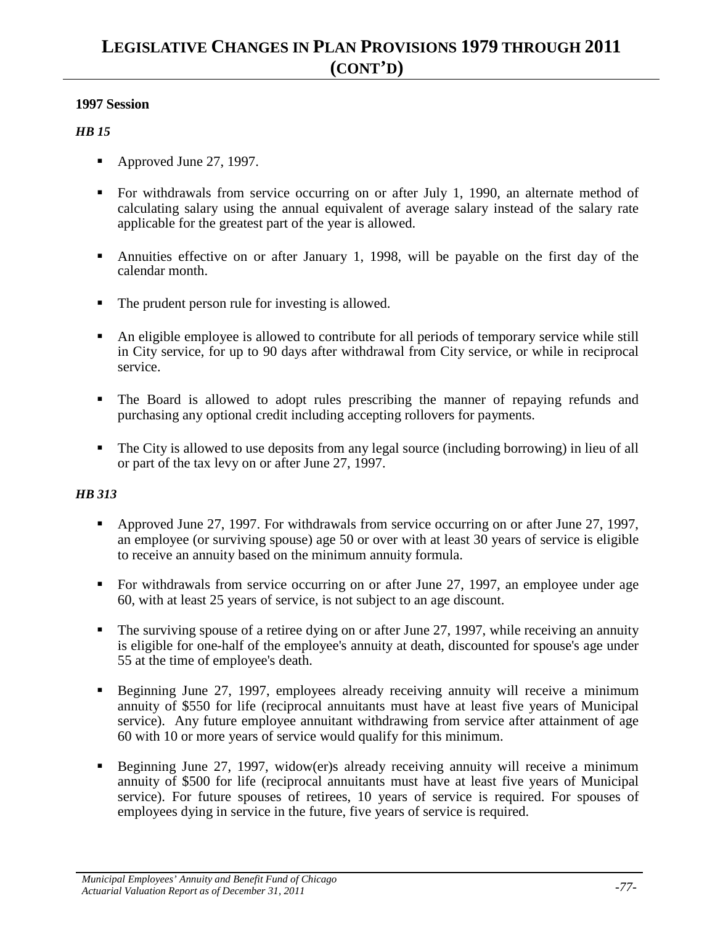#### *HB 15*

- Approved June 27, 1997.
- For withdrawals from service occurring on or after July 1, 1990, an alternate method of calculating salary using the annual equivalent of average salary instead of the salary rate applicable for the greatest part of the year is allowed.
- Annuities effective on or after January 1, 1998, will be payable on the first day of the calendar month.
- The prudent person rule for investing is allowed.
- An eligible employee is allowed to contribute for all periods of temporary service while still in City service, for up to 90 days after withdrawal from City service, or while in reciprocal service.
- The Board is allowed to adopt rules prescribing the manner of repaying refunds and purchasing any optional credit including accepting rollovers for payments.
- The City is allowed to use deposits from any legal source (including borrowing) in lieu of all or part of the tax levy on or after June 27, 1997.

- Approved June 27, 1997. For withdrawals from service occurring on or after June 27, 1997, an employee (or surviving spouse) age 50 or over with at least 30 years of service is eligible to receive an annuity based on the minimum annuity formula.
- For withdrawals from service occurring on or after June 27, 1997, an employee under age 60, with at least 25 years of service, is not subject to an age discount.
- $\blacksquare$  The surviving spouse of a retiree dying on or after June 27, 1997, while receiving an annuity is eligible for one-half of the employee's annuity at death, discounted for spouse's age under 55 at the time of employee's death.
- Beginning June 27, 1997, employees already receiving annuity will receive a minimum annuity of \$550 for life (reciprocal annuitants must have at least five years of Municipal service). Any future employee annuitant withdrawing from service after attainment of age 60 with 10 or more years of service would qualify for this minimum.
- Beginning June 27, 1997, widow(er)s already receiving annuity will receive a minimum annuity of \$500 for life (reciprocal annuitants must have at least five years of Municipal service). For future spouses of retirees, 10 years of service is required. For spouses of employees dying in service in the future, five years of service is required.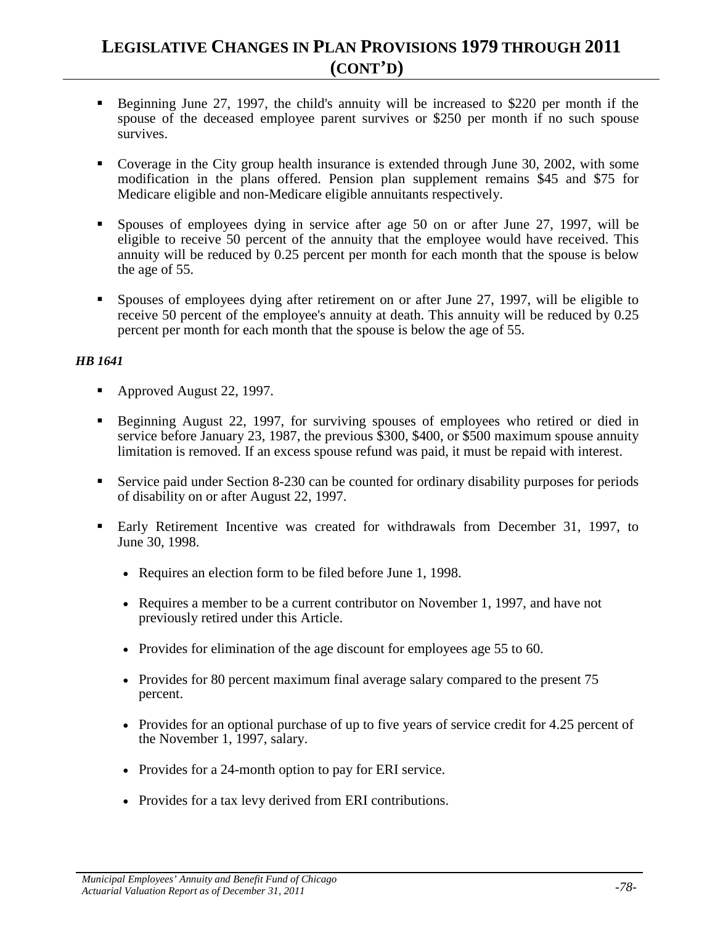- Beginning June 27, 1997, the child's annuity will be increased to \$220 per month if the spouse of the deceased employee parent survives or \$250 per month if no such spouse survives.
- Coverage in the City group health insurance is extended through June 30, 2002, with some modification in the plans offered. Pension plan supplement remains \$45 and \$75 for Medicare eligible and non-Medicare eligible annuitants respectively.
- Spouses of employees dying in service after age 50 on or after June 27, 1997, will be eligible to receive 50 percent of the annuity that the employee would have received. This annuity will be reduced by 0.25 percent per month for each month that the spouse is below the age of 55.
- Spouses of employees dying after retirement on or after June 27, 1997, will be eligible to receive 50 percent of the employee's annuity at death. This annuity will be reduced by 0.25 percent per month for each month that the spouse is below the age of 55.

- Approved August 22, 1997.
- Beginning August 22, 1997, for surviving spouses of employees who retired or died in service before January 23, 1987, the previous \$300, \$400, or \$500 maximum spouse annuity limitation is removed. If an excess spouse refund was paid, it must be repaid with interest.
- Service paid under Section 8-230 can be counted for ordinary disability purposes for periods of disability on or after August 22, 1997.
- Early Retirement Incentive was created for withdrawals from December 31, 1997, to June 30, 1998.
	- Requires an election form to be filed before June 1, 1998.
	- Requires a member to be a current contributor on November 1, 1997, and have not previously retired under this Article.
	- Provides for elimination of the age discount for employees age 55 to 60.
	- Provides for 80 percent maximum final average salary compared to the present 75 percent.
	- Provides for an optional purchase of up to five years of service credit for 4.25 percent of the November 1, 1997, salary.
	- Provides for a 24-month option to pay for ERI service.
	- Provides for a tax levy derived from ERI contributions.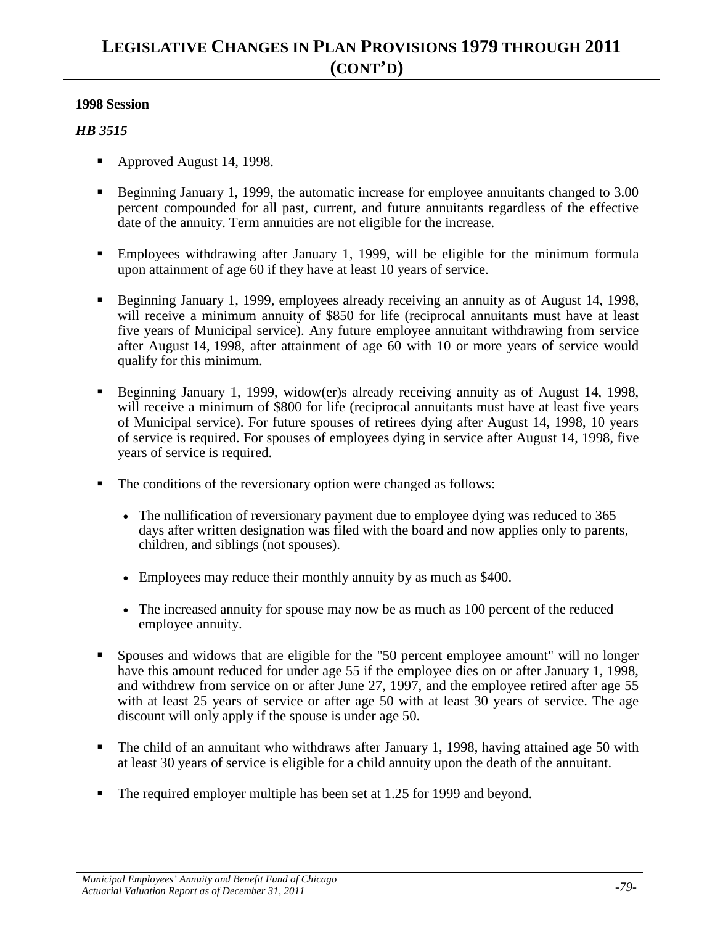- Approved August 14, 1998.
- Beginning January 1, 1999, the automatic increase for employee annuitants changed to 3.00 percent compounded for all past, current, and future annuitants regardless of the effective date of the annuity. Term annuities are not eligible for the increase.
- Employees withdrawing after January 1, 1999, will be eligible for the minimum formula upon attainment of age 60 if they have at least 10 years of service.
- Beginning January 1, 1999, employees already receiving an annuity as of August 14, 1998, will receive a minimum annuity of \$850 for life (reciprocal annuitants must have at least five years of Municipal service). Any future employee annuitant withdrawing from service after August 14, 1998, after attainment of age 60 with 10 or more years of service would qualify for this minimum.
- Beginning January 1, 1999, widow(er)s already receiving annuity as of August 14, 1998, will receive a minimum of \$800 for life (reciprocal annuitants must have at least five years of Municipal service). For future spouses of retirees dying after August 14, 1998, 10 years of service is required. For spouses of employees dying in service after August 14, 1998, five years of service is required.
- The conditions of the reversionary option were changed as follows:
	- The nullification of reversionary payment due to employee dying was reduced to 365 days after written designation was filed with the board and now applies only to parents, children, and siblings (not spouses).
	- Employees may reduce their monthly annuity by as much as \$400.
	- The increased annuity for spouse may now be as much as 100 percent of the reduced employee annuity.
- Spouses and widows that are eligible for the "50 percent employee amount" will no longer have this amount reduced for under age 55 if the employee dies on or after January 1, 1998, and withdrew from service on or after June 27, 1997, and the employee retired after age 55 with at least 25 years of service or after age 50 with at least 30 years of service. The age discount will only apply if the spouse is under age 50.
- The child of an annuitant who withdraws after January 1, 1998, having attained age 50 with at least 30 years of service is eligible for a child annuity upon the death of the annuitant.
- The required employer multiple has been set at 1.25 for 1999 and beyond.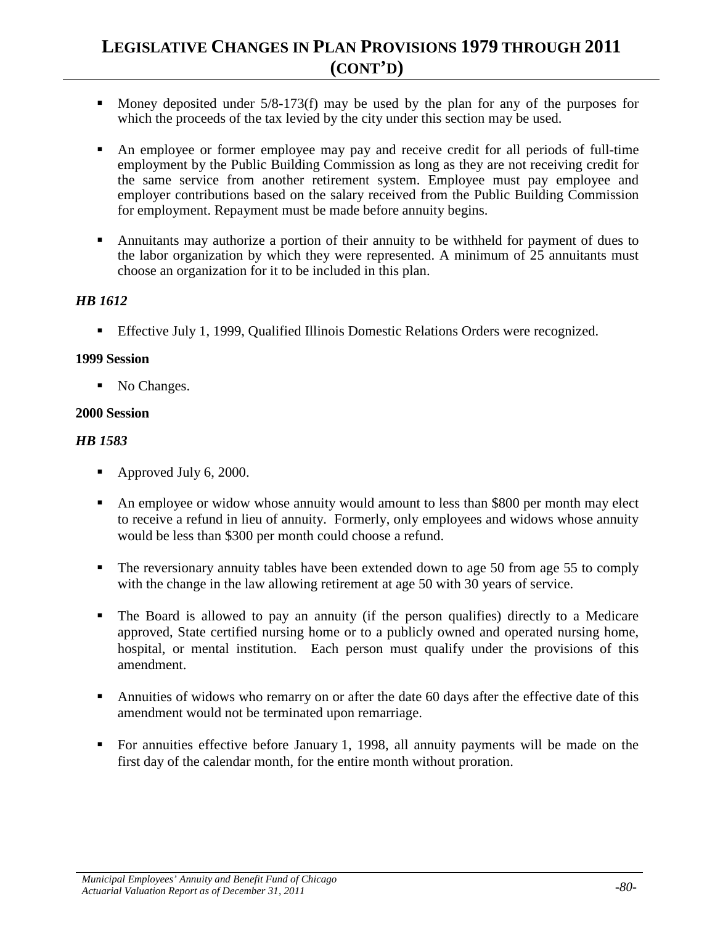- Money deposited under  $5/8-173(f)$  may be used by the plan for any of the purposes for which the proceeds of the tax levied by the city under this section may be used.
- An employee or former employee may pay and receive credit for all periods of full-time employment by the Public Building Commission as long as they are not receiving credit for the same service from another retirement system. Employee must pay employee and employer contributions based on the salary received from the Public Building Commission for employment. Repayment must be made before annuity begins.
- Annuitants may authorize a portion of their annuity to be withheld for payment of dues to the labor organization by which they were represented. A minimum of 25 annuitants must choose an organization for it to be included in this plan.

### *HB 1612*

Effective July 1, 1999, Qualified Illinois Domestic Relations Orders were recognized.

### **1999 Session**

• No Changes.

## **2000 Session**

- Approved July 6, 2000.
- An employee or widow whose annuity would amount to less than \$800 per month may elect to receive a refund in lieu of annuity. Formerly, only employees and widows whose annuity would be less than \$300 per month could choose a refund.
- The reversionary annuity tables have been extended down to age 50 from age 55 to comply with the change in the law allowing retirement at age 50 with 30 years of service.
- The Board is allowed to pay an annuity (if the person qualifies) directly to a Medicare approved, State certified nursing home or to a publicly owned and operated nursing home, hospital, or mental institution. Each person must qualify under the provisions of this amendment.
- Annuities of widows who remarry on or after the date 60 days after the effective date of this amendment would not be terminated upon remarriage.
- For annuities effective before January 1, 1998, all annuity payments will be made on the first day of the calendar month, for the entire month without proration.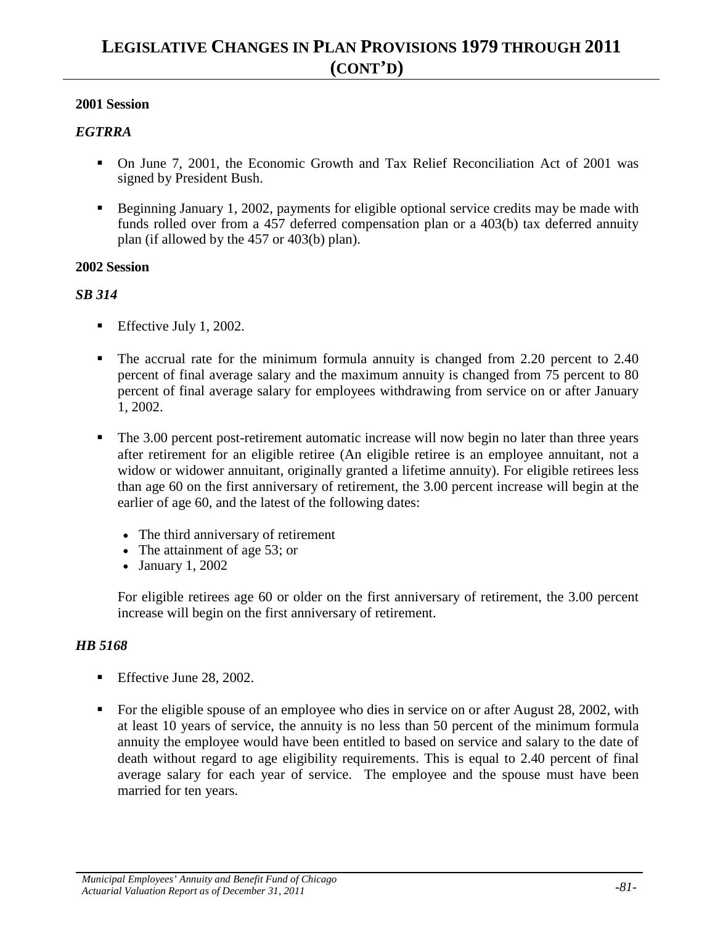#### *EGTRRA*

- On June 7, 2001, the Economic Growth and Tax Relief Reconciliation Act of 2001 was signed by President Bush.
- Beginning January 1, 2002, payments for eligible optional service credits may be made with funds rolled over from a 457 deferred compensation plan or a 403(b) tax deferred annuity plan (if allowed by the 457 or 403(b) plan).

#### **2002 Session**

#### *SB 314*

- Effective July 1, 2002.
- The accrual rate for the minimum formula annuity is changed from 2.20 percent to 2.40 percent of final average salary and the maximum annuity is changed from 75 percent to 80 percent of final average salary for employees withdrawing from service on or after January 1, 2002.
- The 3.00 percent post-retirement automatic increase will now begin no later than three years after retirement for an eligible retiree (An eligible retiree is an employee annuitant, not a widow or widower annuitant, originally granted a lifetime annuity). For eligible retirees less than age 60 on the first anniversary of retirement, the 3.00 percent increase will begin at the earlier of age 60, and the latest of the following dates:
	- The third anniversary of retirement
	- The attainment of age 53; or
	- January 1, 2002

For eligible retirees age 60 or older on the first anniversary of retirement, the 3.00 percent increase will begin on the first anniversary of retirement.

- Effective June 28, 2002.
- For the eligible spouse of an employee who dies in service on or after August 28, 2002, with at least 10 years of service, the annuity is no less than 50 percent of the minimum formula annuity the employee would have been entitled to based on service and salary to the date of death without regard to age eligibility requirements. This is equal to 2.40 percent of final average salary for each year of service. The employee and the spouse must have been married for ten years.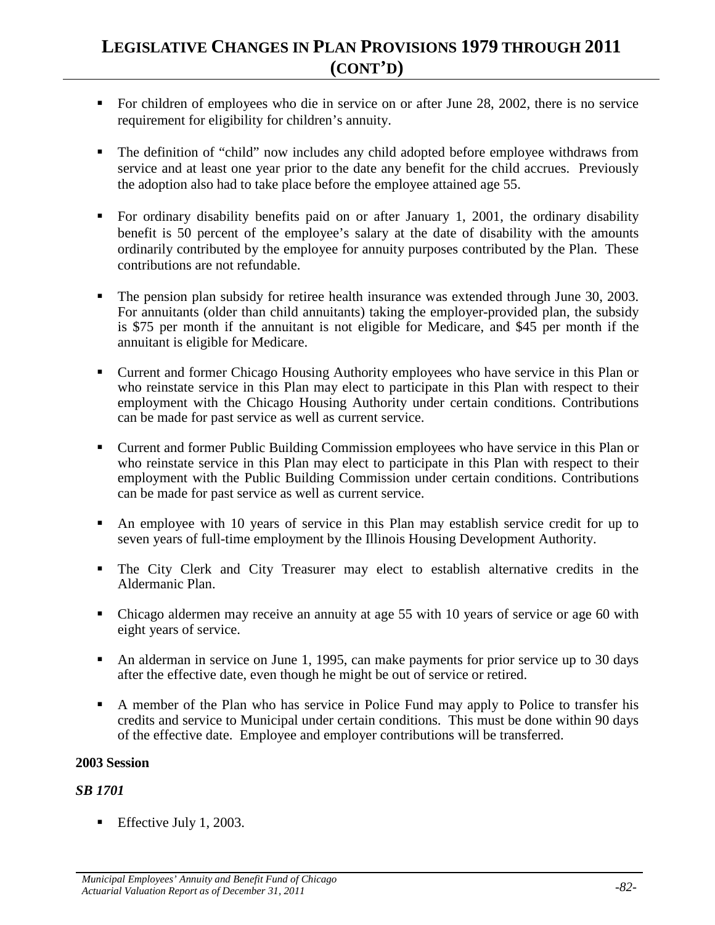- For children of employees who die in service on or after June 28, 2002, there is no service requirement for eligibility for children's annuity.
- The definition of "child" now includes any child adopted before employee withdraws from service and at least one year prior to the date any benefit for the child accrues. Previously the adoption also had to take place before the employee attained age 55.
- For ordinary disability benefits paid on or after January 1, 2001, the ordinary disability benefit is 50 percent of the employee's salary at the date of disability with the amounts ordinarily contributed by the employee for annuity purposes contributed by the Plan. These contributions are not refundable.
- The pension plan subsidy for retiree health insurance was extended through June 30, 2003. For annuitants (older than child annuitants) taking the employer-provided plan, the subsidy is \$75 per month if the annuitant is not eligible for Medicare, and \$45 per month if the annuitant is eligible for Medicare.
- Current and former Chicago Housing Authority employees who have service in this Plan or who reinstate service in this Plan may elect to participate in this Plan with respect to their employment with the Chicago Housing Authority under certain conditions. Contributions can be made for past service as well as current service.
- Current and former Public Building Commission employees who have service in this Plan or who reinstate service in this Plan may elect to participate in this Plan with respect to their employment with the Public Building Commission under certain conditions. Contributions can be made for past service as well as current service.
- An employee with 10 years of service in this Plan may establish service credit for up to seven years of full-time employment by the Illinois Housing Development Authority.
- The City Clerk and City Treasurer may elect to establish alternative credits in the Aldermanic Plan.
- Chicago aldermen may receive an annuity at age 55 with 10 years of service or age 60 with eight years of service.
- An alderman in service on June 1, 1995, can make payments for prior service up to 30 days after the effective date, even though he might be out of service or retired.
- A member of the Plan who has service in Police Fund may apply to Police to transfer his credits and service to Municipal under certain conditions. This must be done within 90 days of the effective date. Employee and employer contributions will be transferred.

#### **2003 Session**

#### *SB 1701*

**Effective July 1, 2003.**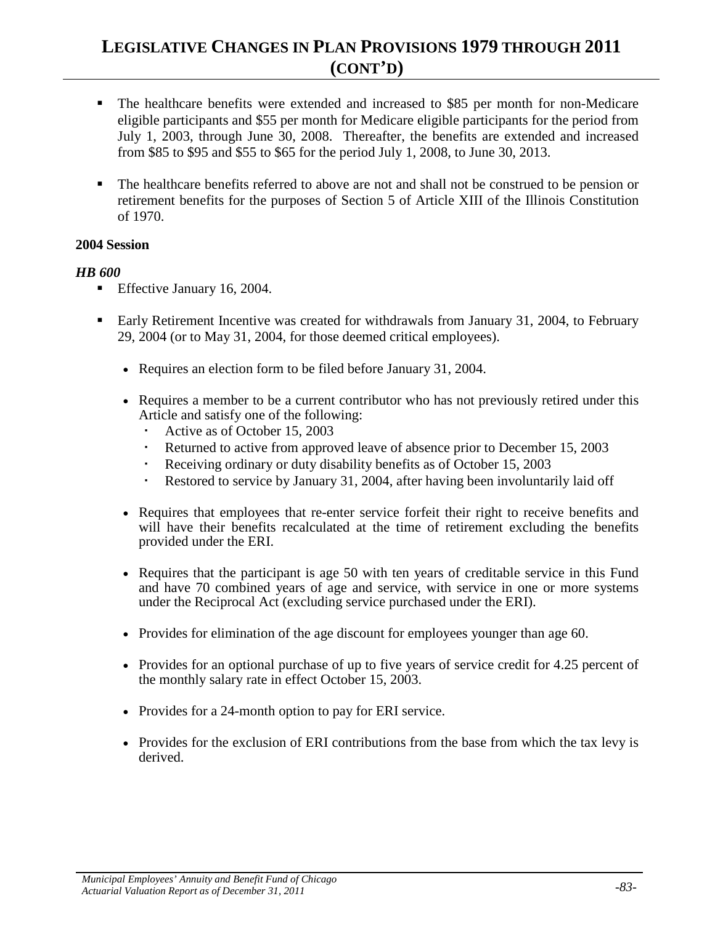- The healthcare benefits were extended and increased to \$85 per month for non-Medicare eligible participants and \$55 per month for Medicare eligible participants for the period from July 1, 2003, through June 30, 2008. Thereafter, the benefits are extended and increased from \$85 to \$95 and \$55 to \$65 for the period July 1, 2008, to June 30, 2013.
- The healthcare benefits referred to above are not and shall not be construed to be pension or retirement benefits for the purposes of Section 5 of Article XIII of the Illinois Constitution of 1970.

#### **2004 Session**

- Effective January 16, 2004.
- **Early Retirement Incentive was created for withdrawals from January 31, 2004, to February** 29, 2004 (or to May 31, 2004, for those deemed critical employees).
	- Requires an election form to be filed before January 31, 2004.
	- Requires a member to be a current contributor who has not previously retired under this Article and satisfy one of the following:
		- Active as of October 15, 2003
		- Returned to active from approved leave of absence prior to December 15, 2003
		- Receiving ordinary or duty disability benefits as of October 15, 2003
		- Restored to service by January 31, 2004, after having been involuntarily laid off
	- Requires that employees that re-enter service forfeit their right to receive benefits and will have their benefits recalculated at the time of retirement excluding the benefits provided under the ERI.
	- Requires that the participant is age 50 with ten years of creditable service in this Fund and have 70 combined years of age and service, with service in one or more systems under the Reciprocal Act (excluding service purchased under the ERI).
	- Provides for elimination of the age discount for employees younger than age 60.
	- Provides for an optional purchase of up to five years of service credit for 4.25 percent of the monthly salary rate in effect October 15, 2003.
	- Provides for a 24-month option to pay for ERI service.
	- Provides for the exclusion of ERI contributions from the base from which the tax levy is derived.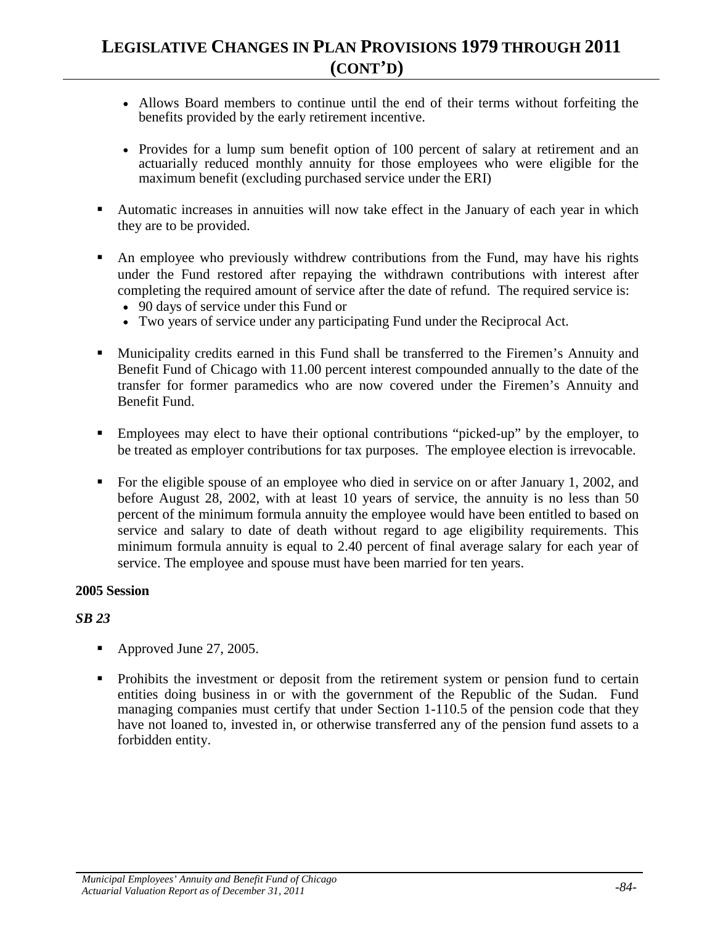- Allows Board members to continue until the end of their terms without forfeiting the benefits provided by the early retirement incentive.
- Provides for a lump sum benefit option of 100 percent of salary at retirement and an actuarially reduced monthly annuity for those employees who were eligible for the maximum benefit (excluding purchased service under the ERI)
- Automatic increases in annuities will now take effect in the January of each year in which they are to be provided.
- An employee who previously withdrew contributions from the Fund, may have his rights under the Fund restored after repaying the withdrawn contributions with interest after completing the required amount of service after the date of refund. The required service is:
	- 90 days of service under this Fund or
	- Two years of service under any participating Fund under the Reciprocal Act.
- **Municipality credits earned in this Fund shall be transferred to the Firemen's Annuity and** Benefit Fund of Chicago with 11.00 percent interest compounded annually to the date of the transfer for former paramedics who are now covered under the Firemen's Annuity and Benefit Fund.
- Employees may elect to have their optional contributions "picked-up" by the employer, to be treated as employer contributions for tax purposes. The employee election is irrevocable.
- For the eligible spouse of an employee who died in service on or after January 1, 2002, and before August 28, 2002, with at least 10 years of service, the annuity is no less than 50 percent of the minimum formula annuity the employee would have been entitled to based on service and salary to date of death without regard to age eligibility requirements. This minimum formula annuity is equal to 2.40 percent of final average salary for each year of service. The employee and spouse must have been married for ten years.

#### **2005 Session**

- Approved June 27, 2005.
- Prohibits the investment or deposit from the retirement system or pension fund to certain entities doing business in or with the government of the Republic of the Sudan. Fund managing companies must certify that under Section 1-110.5 of the pension code that they have not loaned to, invested in, or otherwise transferred any of the pension fund assets to a forbidden entity.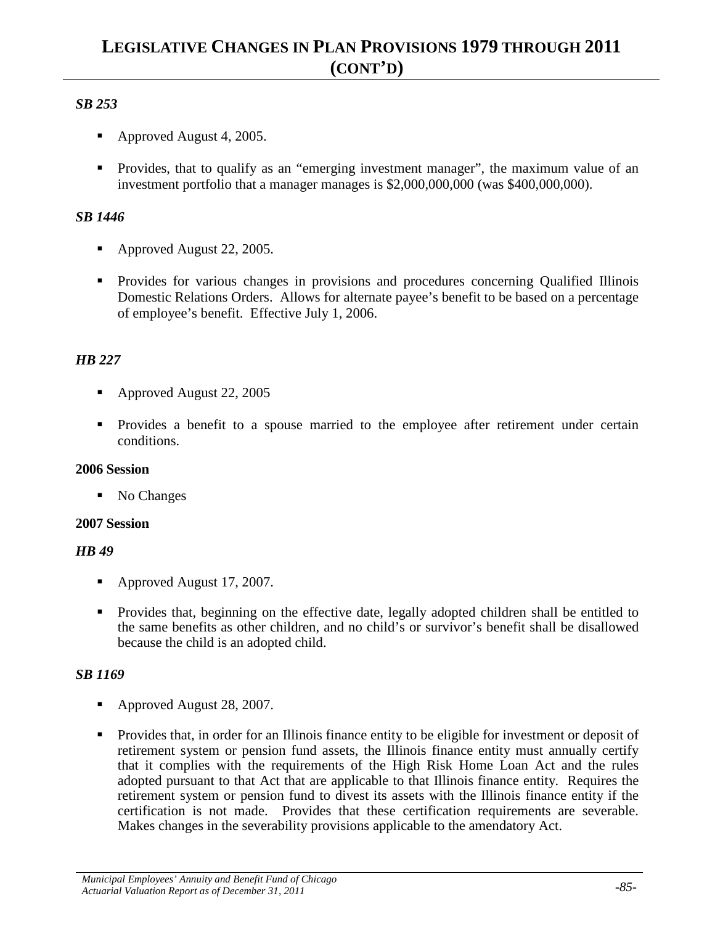## *SB 253*

- Approved August 4, 2005.
- **Provides, that to qualify as an "emerging investment manager", the maximum value of an** investment portfolio that a manager manages is \$2,000,000,000 (was \$400,000,000).

## *SB 1446*

- Approved August 22, 2005.
- Provides for various changes in provisions and procedures concerning Qualified Illinois Domestic Relations Orders. Allows for alternate payee's benefit to be based on a percentage of employee's benefit. Effective July 1, 2006.

## *HB 227*

- Approved August 22, 2005
- Provides a benefit to a spouse married to the employee after retirement under certain conditions.

## **2006 Session**

• No Changes

## **2007 Session**

## *HB 49*

- Approved August 17, 2007.
- **Provides that, beginning on the effective date, legally adopted children shall be entitled to** the same benefits as other children, and no child's or survivor's benefit shall be disallowed because the child is an adopted child.

- Approved August 28, 2007.
- Provides that, in order for an Illinois finance entity to be eligible for investment or deposit of retirement system or pension fund assets, the Illinois finance entity must annually certify that it complies with the requirements of the High Risk Home Loan Act and the rules adopted pursuant to that Act that are applicable to that Illinois finance entity. Requires the retirement system or pension fund to divest its assets with the Illinois finance entity if the certification is not made. Provides that these certification requirements are severable. Makes changes in the severability provisions applicable to the amendatory Act.

*Municipal Employees' Annuity and Benefit Fund of Chicago Actuarial Valuation Report as of December 31, 2011 -85-*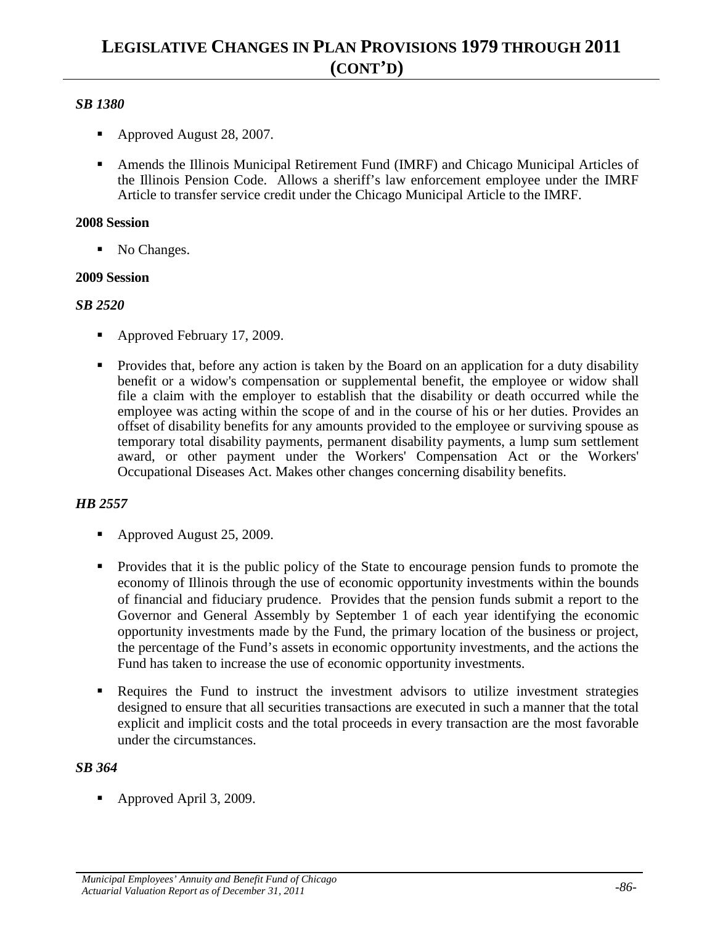## *SB 1380*

- Approved August 28, 2007.
- Amends the Illinois Municipal Retirement Fund (IMRF) and Chicago Municipal Articles of the Illinois Pension Code. Allows a sheriff's law enforcement employee under the IMRF Article to transfer service credit under the Chicago Municipal Article to the IMRF.

#### **2008 Session**

• No Changes.

### **2009 Session**

### *SB 2520*

- Approved February 17, 2009.
- Provides that, before any action is taken by the Board on an application for a duty disability benefit or a widow's compensation or supplemental benefit, the employee or widow shall file a claim with the employer to establish that the disability or death occurred while the employee was acting within the scope of and in the course of his or her duties. Provides an offset of disability benefits for any amounts provided to the employee or surviving spouse as temporary total disability payments, permanent disability payments, a lump sum settlement award, or other payment under the Workers' Compensation Act or the Workers' Occupational Diseases Act. Makes other changes concerning disability benefits.

## *HB 2557*

- Approved August 25, 2009.
- Provides that it is the public policy of the State to encourage pension funds to promote the economy of Illinois through the use of economic opportunity investments within the bounds of financial and fiduciary prudence. Provides that the pension funds submit a report to the Governor and General Assembly by September 1 of each year identifying the economic opportunity investments made by the Fund, the primary location of the business or project, the percentage of the Fund's assets in economic opportunity investments, and the actions the Fund has taken to increase the use of economic opportunity investments.
- **Requires the Fund to instruct the investment advisors to utilize investment strategies** designed to ensure that all securities transactions are executed in such a manner that the total explicit and implicit costs and the total proceeds in every transaction are the most favorable under the circumstances.

## *SB 364*

• Approved April 3, 2009.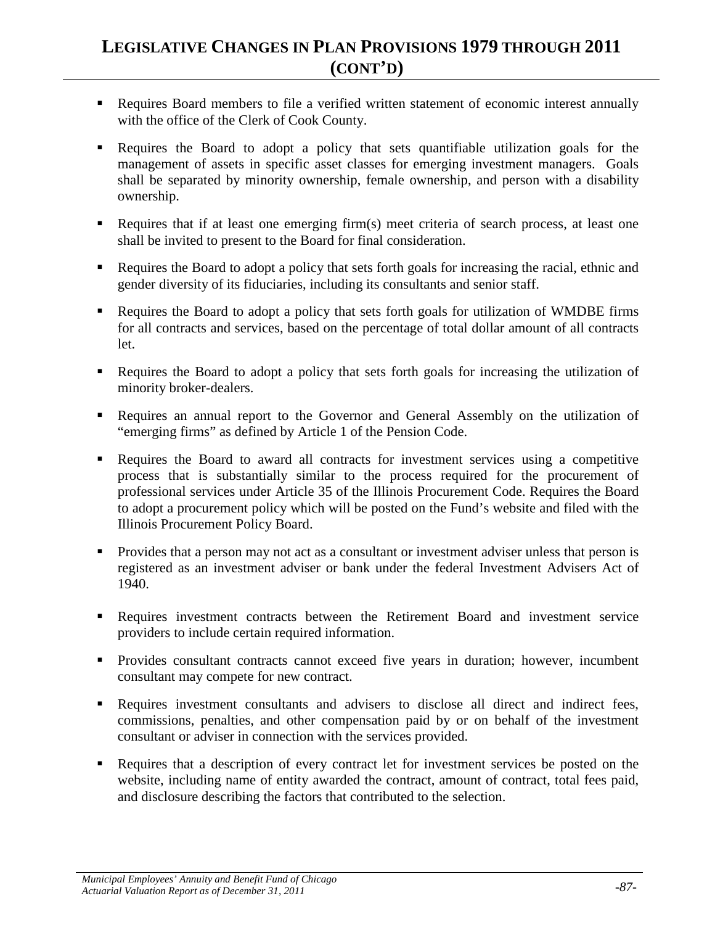- Requires Board members to file a verified written statement of economic interest annually with the office of the Clerk of Cook County.
- Requires the Board to adopt a policy that sets quantifiable utilization goals for the management of assets in specific asset classes for emerging investment managers. Goals shall be separated by minority ownership, female ownership, and person with a disability ownership.
- Requires that if at least one emerging firm(s) meet criteria of search process, at least one shall be invited to present to the Board for final consideration.
- Requires the Board to adopt a policy that sets forth goals for increasing the racial, ethnic and gender diversity of its fiduciaries, including its consultants and senior staff.
- Requires the Board to adopt a policy that sets forth goals for utilization of WMDBE firms for all contracts and services, based on the percentage of total dollar amount of all contracts let.
- Requires the Board to adopt a policy that sets forth goals for increasing the utilization of minority broker-dealers.
- Requires an annual report to the Governor and General Assembly on the utilization of "emerging firms" as defined by Article 1 of the Pension Code.
- Requires the Board to award all contracts for investment services using a competitive process that is substantially similar to the process required for the procurement of professional services under Article 35 of the Illinois Procurement Code. Requires the Board to adopt a procurement policy which will be posted on the Fund's website and filed with the Illinois Procurement Policy Board.
- **Provides that a person may not act as a consultant or investment adviser unless that person is** registered as an investment adviser or bank under the federal Investment Advisers Act of 1940.
- Requires investment contracts between the Retirement Board and investment service providers to include certain required information.
- Provides consultant contracts cannot exceed five years in duration; however, incumbent consultant may compete for new contract.
- Requires investment consultants and advisers to disclose all direct and indirect fees, commissions, penalties, and other compensation paid by or on behalf of the investment consultant or adviser in connection with the services provided.
- Requires that a description of every contract let for investment services be posted on the website, including name of entity awarded the contract, amount of contract, total fees paid, and disclosure describing the factors that contributed to the selection.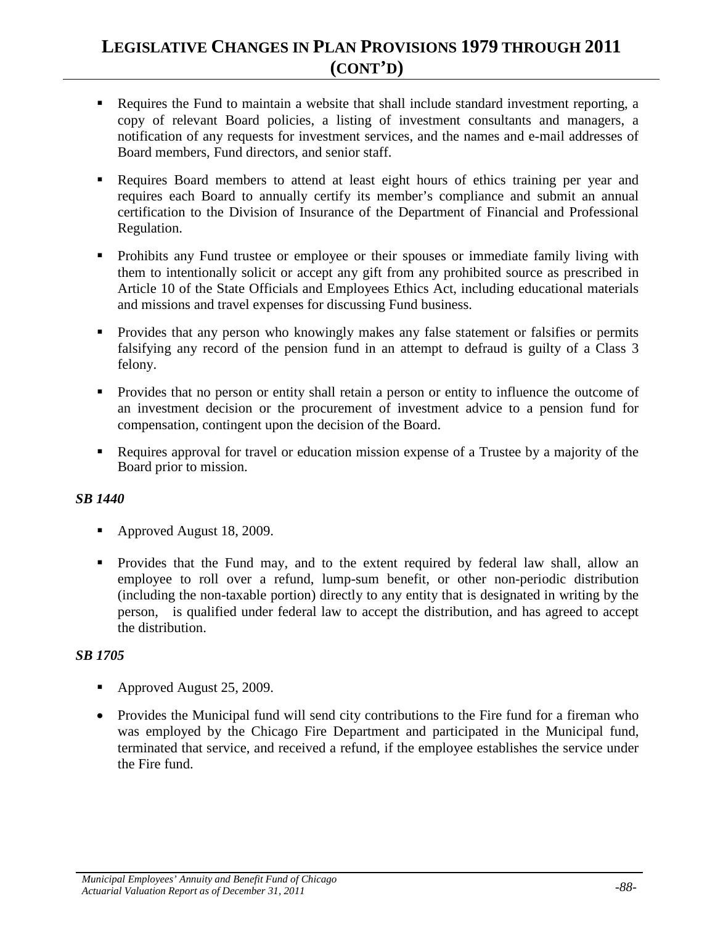- Requires the Fund to maintain a website that shall include standard investment reporting, a copy of relevant Board policies, a listing of investment consultants and managers, a notification of any requests for investment services, and the names and e-mail addresses of Board members, Fund directors, and senior staff.
- Requires Board members to attend at least eight hours of ethics training per year and requires each Board to annually certify its member's compliance and submit an annual certification to the Division of Insurance of the Department of Financial and Professional Regulation.
- **•** Prohibits any Fund trustee or employee or their spouses or immediate family living with them to intentionally solicit or accept any gift from any prohibited source as prescribed in Article 10 of the State Officials and Employees Ethics Act, including educational materials and missions and travel expenses for discussing Fund business.
- Provides that any person who knowingly makes any false statement or falsifies or permits falsifying any record of the pension fund in an attempt to defraud is guilty of a Class 3 felony.
- Provides that no person or entity shall retain a person or entity to influence the outcome of an investment decision or the procurement of investment advice to a pension fund for compensation, contingent upon the decision of the Board.
- Requires approval for travel or education mission expense of a Trustee by a majority of the Board prior to mission.

## *SB 1440*

- Approved August 18, 2009.
- Provides that the Fund may, and to the extent required by federal law shall, allow an employee to roll over a refund, lump-sum benefit, or other non-periodic distribution (including the non-taxable portion) directly to any entity that is designated in writing by the person, is qualified under federal law to accept the distribution, and has agreed to accept the distribution.

- Approved August 25, 2009.
- Provides the Municipal fund will send city contributions to the Fire fund for a fireman who was employed by the Chicago Fire Department and participated in the Municipal fund, terminated that service, and received a refund, if the employee establishes the service under the Fire fund.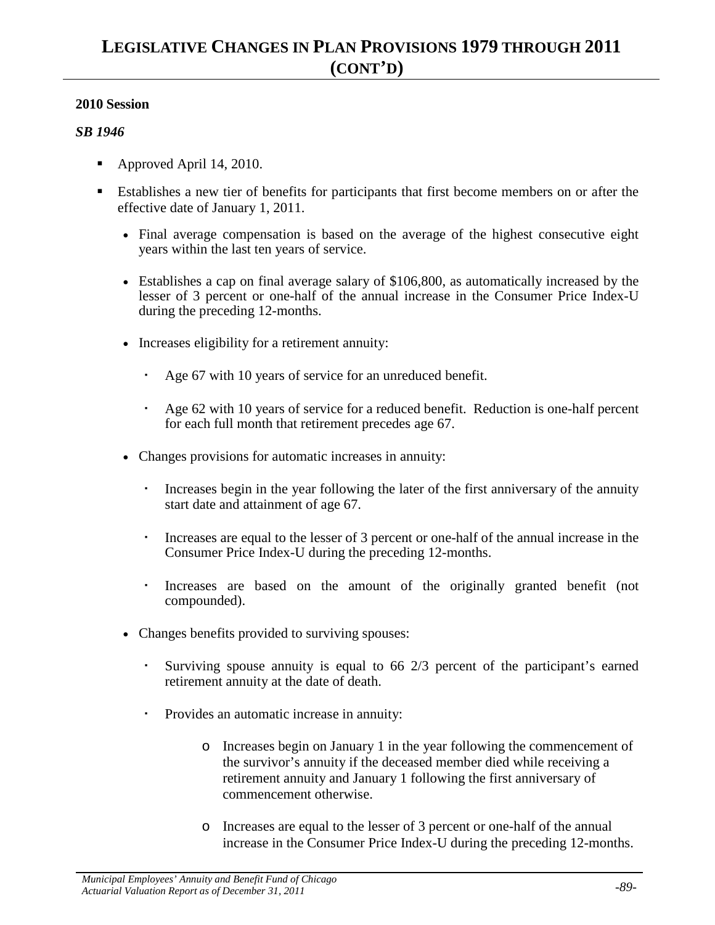- Approved April 14, 2010.
- Establishes a new tier of benefits for participants that first become members on or after the effective date of January 1, 2011.
	- Final average compensation is based on the average of the highest consecutive eight years within the last ten years of service.
	- Establishes a cap on final average salary of \$106,800, as automatically increased by the lesser of 3 percent or one-half of the annual increase in the Consumer Price Index-U during the preceding 12-months.
	- Increases eligibility for a retirement annuity:
		- Age 67 with 10 years of service for an unreduced benefit.
		- Age 62 with 10 years of service for a reduced benefit. Reduction is one-half percent for each full month that retirement precedes age 67.
	- Changes provisions for automatic increases in annuity:
		- Increases begin in the year following the later of the first anniversary of the annuity start date and attainment of age 67.
		- Increases are equal to the lesser of 3 percent or one-half of the annual increase in the Consumer Price Index-U during the preceding 12-months.
		- Increases are based on the amount of the originally granted benefit (not compounded).
	- Changes benefits provided to surviving spouses:
		- Surviving spouse annuity is equal to 66 2/3 percent of the participant's earned retirement annuity at the date of death.
		- Provides an automatic increase in annuity:
			- o Increases begin on January 1 in the year following the commencement of the survivor's annuity if the deceased member died while receiving a retirement annuity and January 1 following the first anniversary of commencement otherwise.
			- o Increases are equal to the lesser of 3 percent or one-half of the annual increase in the Consumer Price Index-U during the preceding 12-months.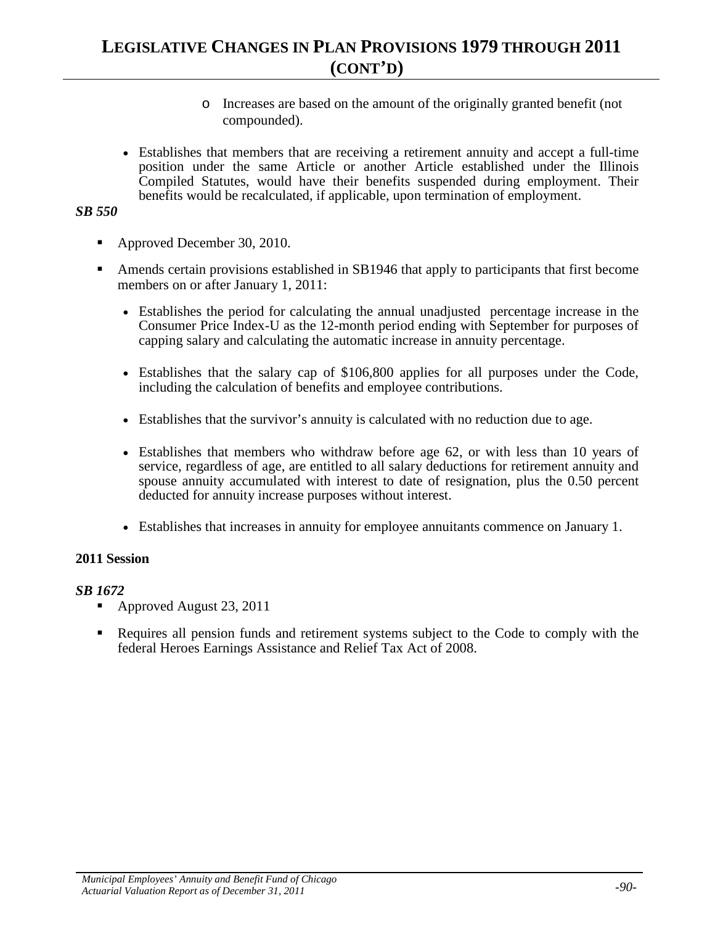- o Increases are based on the amount of the originally granted benefit (not compounded).
- Establishes that members that are receiving a retirement annuity and accept a full-time position under the same Article or another Article established under the Illinois Compiled Statutes, would have their benefits suspended during employment. Their benefits would be recalculated, if applicable, upon termination of employment.

#### *SB 550*

- Approved December 30, 2010.
- Amends certain provisions established in SB1946 that apply to participants that first become members on or after January 1, 2011:
	- Establishes the period for calculating the annual unadjusted percentage increase in the Consumer Price Index-U as the 12-month period ending with September for purposes of capping salary and calculating the automatic increase in annuity percentage.
	- Establishes that the salary cap of \$106,800 applies for all purposes under the Code, including the calculation of benefits and employee contributions.
	- Establishes that the survivor's annuity is calculated with no reduction due to age.
	- Establishes that members who withdraw before age 62, or with less than 10 years of service, regardless of age, are entitled to all salary deductions for retirement annuity and spouse annuity accumulated with interest to date of resignation, plus the 0.50 percent deducted for annuity increase purposes without interest.
	- Establishes that increases in annuity for employee annuitants commence on January 1.

#### **2011 Session**

- Approved August 23, 2011
- Requires all pension funds and retirement systems subject to the Code to comply with the federal Heroes Earnings Assistance and Relief Tax Act of 2008.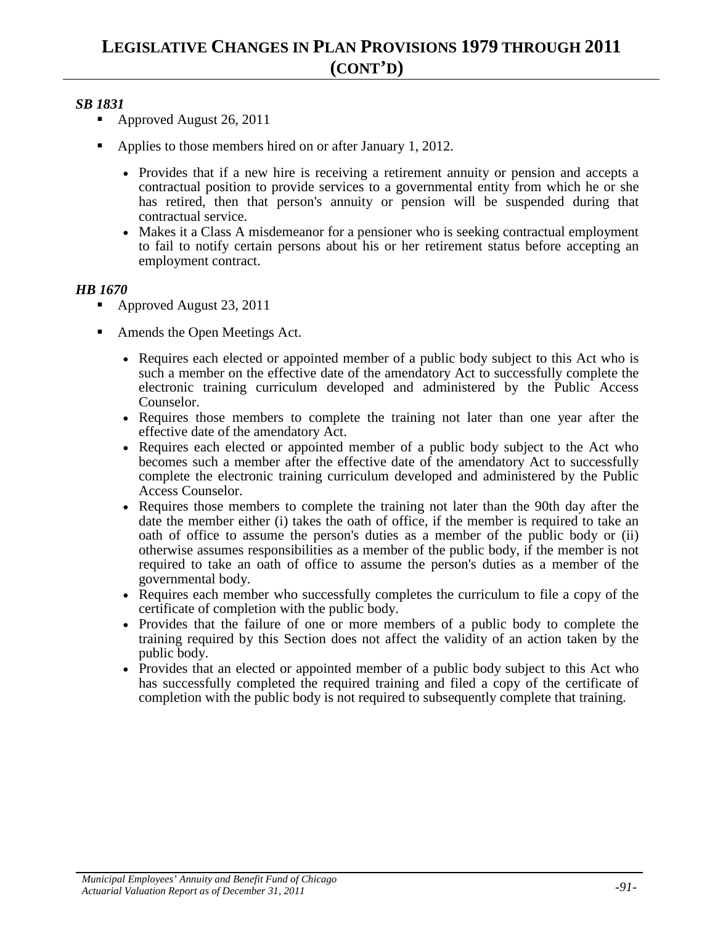## *SB 1831*

- Approved August 26, 2011
- Applies to those members hired on or after January 1, 2012.
	- Provides that if a new hire is receiving a retirement annuity or pension and accepts a contractual position to provide services to a governmental entity from which he or she has retired, then that person's annuity or pension will be suspended during that contractual service.
	- Makes it a Class A misdemeanor for a pensioner who is seeking contractual employment to fail to notify certain persons about his or her retirement status before accepting an employment contract.

- Approved August 23, 2011
- Amends the Open Meetings Act.
	- Requires each elected or appointed member of a public body subject to this Act who is such a member on the effective date of the amendatory Act to successfully complete the electronic training curriculum developed and administered by the Public Access Counselor.
	- Requires those members to complete the training not later than one year after the effective date of the amendatory Act.
	- Requires each elected or appointed member of a public body subject to the Act who becomes such a member after the effective date of the amendatory Act to successfully complete the electronic training curriculum developed and administered by the Public Access Counselor.
	- Requires those members to complete the training not later than the 90th day after the date the member either (i) takes the oath of office, if the member is required to take an oath of office to assume the person's duties as a member of the public body or (ii) otherwise assumes responsibilities as a member of the public body, if the member is not required to take an oath of office to assume the person's duties as a member of the governmental body.
	- Requires each member who successfully completes the curriculum to file a copy of the certificate of completion with the public body.
	- Provides that the failure of one or more members of a public body to complete the training required by this Section does not affect the validity of an action taken by the public body.
	- Provides that an elected or appointed member of a public body subject to this Act who has successfully completed the required training and filed a copy of the certificate of completion with the public body is not required to subsequently complete that training.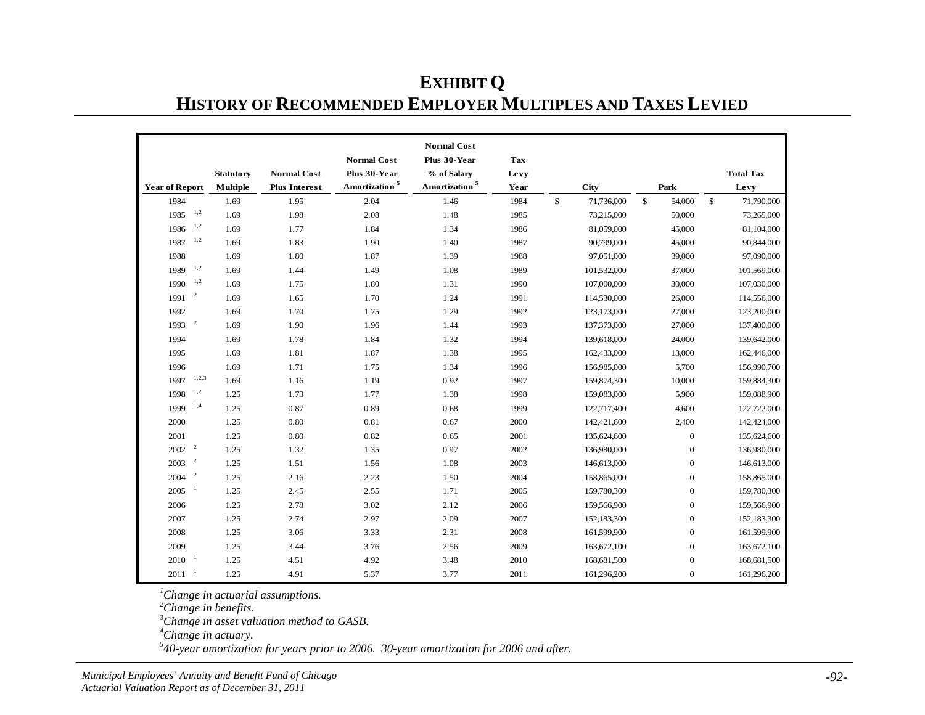| <b>EXHIBIT O</b>                                                  |
|-------------------------------------------------------------------|
| <b>HISTORY OF RECOMMENDED EMPLOYER MULTIPLES AND TAXES LEVIED</b> |

|                                  |                  |                      |                           | <b>Normal Cost</b>        |      |              |             |              |                  |                  |
|----------------------------------|------------------|----------------------|---------------------------|---------------------------|------|--------------|-------------|--------------|------------------|------------------|
|                                  |                  |                      | <b>Normal Cost</b>        | Plus 30-Year              | Tax  |              |             |              |                  |                  |
|                                  | <b>Statutory</b> | <b>Normal Cost</b>   | Plus 30-Year              | % of Salary               | Levy |              |             |              |                  | <b>Total Tax</b> |
| <b>Year of Report</b>            | <b>Multiple</b>  | <b>Plus Interest</b> | Amortization <sup>5</sup> | Amortization <sup>5</sup> | Year |              | <b>City</b> |              | Park             | Levy             |
| 1984                             | 1.69             | 1.95                 | 2.04                      | 1.46                      | 1984 | $\mathbb{S}$ | 71,736,000  | $\mathbb{S}$ | 54,000           | \$<br>71,790,000 |
| 1,2<br>1985                      | 1.69             | 1.98                 | 2.08                      | 1.48                      | 1985 |              | 73,215,000  |              | 50,000           | 73,265,000       |
| 1,2<br>1986                      | 1.69             | 1.77                 | 1.84                      | 1.34                      | 1986 |              | 81,059,000  |              | 45,000           | 81,104,000       |
| 1,2<br>1987                      | 1.69             | 1.83                 | 1.90                      | 1.40                      | 1987 |              | 90,799,000  |              | 45,000           | 90,844,000       |
| 1988                             | 1.69             | 1.80                 | 1.87                      | 1.39                      | 1988 |              | 97,051,000  |              | 39,000           | 97,090,000       |
| 1,2<br>1989                      | 1.69             | 1.44                 | 1.49                      | 1.08                      | 1989 |              | 101,532,000 |              | 37,000           | 101,569,000      |
| 1,2<br>1990                      | 1.69             | 1.75                 | 1.80                      | 1.31                      | 1990 |              | 107,000,000 |              | 30,000           | 107,030,000      |
| $\overline{\phantom{a}}$<br>1991 | 1.69             | 1.65                 | 1.70                      | 1.24                      | 1991 |              | 114,530,000 |              | 26,000           | 114,556,000      |
| 1992                             | 1.69             | 1.70                 | 1.75                      | 1.29                      | 1992 |              | 123,173,000 |              | 27,000           | 123,200,000      |
| $1993$ <sup>2</sup>              | 1.69             | 1.90                 | 1.96                      | 1.44                      | 1993 |              | 137,373,000 |              | 27,000           | 137,400,000      |
| 1994                             | 1.69             | 1.78                 | 1.84                      | 1.32                      | 1994 |              | 139,618,000 |              | 24,000           | 139,642,000      |
| 1995                             | 1.69             | 1.81                 | 1.87                      | 1.38                      | 1995 |              | 162,433,000 |              | 13,000           | 162,446,000      |
| 1996                             | 1.69             | 1.71                 | 1.75                      | 1.34                      | 1996 |              | 156,985,000 |              | 5,700            | 156,990,700      |
| 1, 2, 3<br>1997                  | 1.69             | 1.16                 | 1.19                      | 0.92                      | 1997 |              | 159,874,300 |              | 10,000           | 159,884,300      |
| 1,2<br>1998                      | 1.25             | 1.73                 | 1.77                      | 1.38                      | 1998 |              | 159,083,000 |              | 5,900            | 159,088,900      |
| 1,4<br>1999                      | 1.25             | 0.87                 | 0.89                      | 0.68                      | 1999 |              | 122,717,400 |              | 4,600            | 122,722,000      |
| 2000                             | 1.25             | 0.80                 | 0.81                      | 0.67                      | 2000 |              | 142,421,600 |              | 2,400            | 142,424,000      |
| 2001                             | 1.25             | 0.80                 | 0.82                      | 0.65                      | 2001 |              | 135,624,600 |              | $\boldsymbol{0}$ | 135,624,600      |
| $2002$ $^{\circ}$ $^{\circ}$     | 1.25             | 1.32                 | 1.35                      | 0.97                      | 2002 |              | 136,980,000 |              | $\boldsymbol{0}$ | 136,980,000      |
| $\overline{\phantom{a}}$<br>2003 | 1.25             | 1.51                 | 1.56                      | 1.08                      | 2003 |              | 146,613,000 |              | $\boldsymbol{0}$ | 146,613,000      |
| $\overline{\phantom{a}}$<br>2004 | 1.25             | 2.16                 | 2.23                      | 1.50                      | 2004 |              | 158,865,000 |              | $\boldsymbol{0}$ | 158,865,000      |
| $\mathbf{1}$<br>2005             | 1.25             | 2.45                 | 2.55                      | 1.71                      | 2005 |              | 159,780,300 |              | $\boldsymbol{0}$ | 159,780,300      |
| 2006                             | 1.25             | 2.78                 | 3.02                      | 2.12                      | 2006 |              | 159,566,900 |              | $\mathbf{0}$     | 159,566,900      |
| 2007                             | 1.25             | 2.74                 | 2.97                      | 2.09                      | 2007 |              | 152,183,300 |              | $\mathbf{0}$     | 152,183,300      |
| 2008                             | 1.25             | 3.06                 | 3.33                      | 2.31                      | 2008 |              | 161,599,900 |              | $\mathbf{0}$     | 161,599,900      |
| 2009                             | 1.25             | 3.44                 | 3.76                      | 2.56                      | 2009 |              | 163,672,100 |              | $\mathbf{0}$     | 163,672,100      |
| $2010^{-1}$                      | 1.25             | 4.51                 | 4.92                      | 3.48                      | 2010 |              | 168,681,500 |              | $\mathbf{0}$     | 168,681,500      |
| $\mathbf{1}$<br>2011             | 1.25             | 4.91                 | 5.37                      | 3.77                      | 2011 |              | 161,296,200 |              | $\mathbf{0}$     | 161,296,200      |

*Change in actuarial assumptions. 2 Change in benefits. 3 Change in asset valuation method to GASB.*

*Change in actuary.*

*40-year amortization for years prior to 2006. 30-year amortization for 2006 and after.*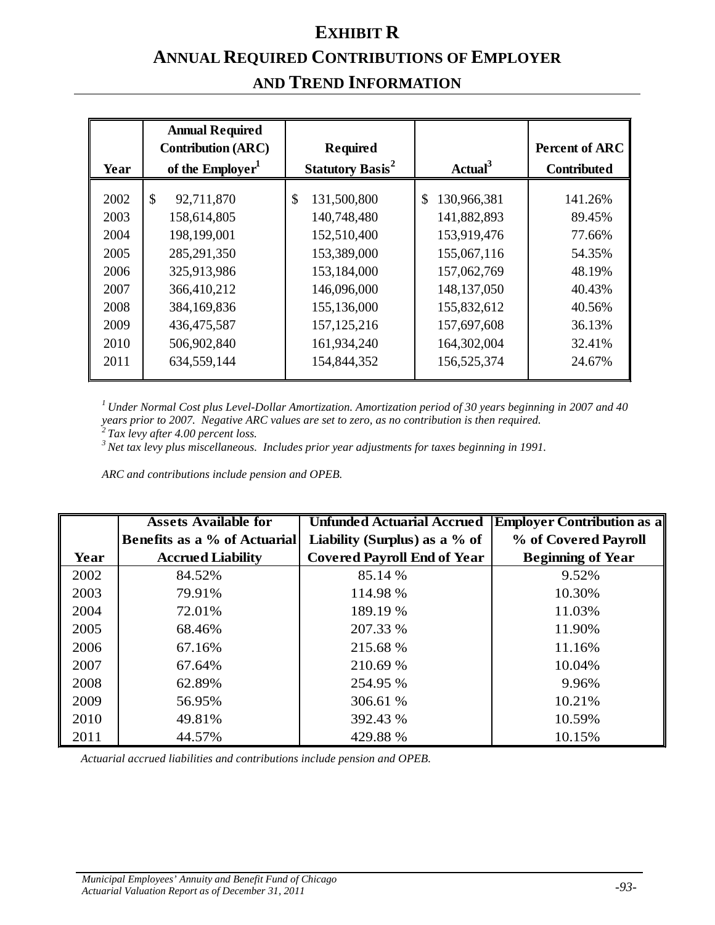## **EXHIBIT R ANNUAL REQUIRED CONTRIBUTIONS OF EMPLOYER AND TREND INFORMATION**

| Year                                                                 | <b>Annual Required</b><br><b>Contribution (ARC)</b><br>of the Employer <sup>1</sup>                                                                     | <b>Required</b><br><b>Statutory Basis<sup>2</sup></b>                                                                                       | Actual <sup>3</sup>                                                                                                                                   | <b>Percent of ARC</b><br><b>Contributed</b>                                             |  |
|----------------------------------------------------------------------|---------------------------------------------------------------------------------------------------------------------------------------------------------|---------------------------------------------------------------------------------------------------------------------------------------------|-------------------------------------------------------------------------------------------------------------------------------------------------------|-----------------------------------------------------------------------------------------|--|
| 2002<br>2003<br>2004<br>2005<br>2006<br>2007<br>2008<br>2009<br>2010 | $\mathcal{S}$<br>92,711,870<br>158,614,805<br>198,199,001<br>285, 291, 350<br>325,913,986<br>366,410,212<br>384,169,836<br>436, 475, 587<br>506,902,840 | \$<br>131,500,800<br>140,748,480<br>152,510,400<br>153,389,000<br>153,184,000<br>146,096,000<br>155,136,000<br>157, 125, 216<br>161,934,240 | $\mathbb{S}$<br>130,966,381<br>141,882,893<br>153,919,476<br>155,067,116<br>157,062,769<br>148, 137, 050<br>155,832,612<br>157,697,608<br>164,302,004 | 141.26%<br>89.45%<br>77.66%<br>54.35%<br>48.19%<br>40.43%<br>40.56%<br>36.13%<br>32.41% |  |
| 2011                                                                 | 634,559,144                                                                                                                                             | 154,844,352                                                                                                                                 | 156,525,374                                                                                                                                           | 24.67%                                                                                  |  |

*1 Under Normal Cost plus Level-Dollar Amortization. Amortization period of 30 years beginning in 2007 and 40 years prior to 2007. Negative ARC values are set to zero, as no contribution is then required.*

*2 Tax levy after 4.00 percent loss.*

*3 Net tax levy plus miscellaneous. Includes prior year adjustments for taxes beginning in 1991.*

*ARC and contributions include pension and OPEB.*

|      | <b>Assets Available for</b>         | <b>Unfunded Actuarial Accrued</b>  | <b>Employer Contribution as a</b> |  |  |
|------|-------------------------------------|------------------------------------|-----------------------------------|--|--|
|      | <b>Benefits as a % of Actuarial</b> | Liability (Surplus) as a $%$ of    | % of Covered Payroll              |  |  |
| Year | <b>Accrued Liability</b>            | <b>Covered Payroll End of Year</b> | <b>Beginning of Year</b>          |  |  |
| 2002 | 84.52%                              | 85.14 %                            | 9.52%                             |  |  |
| 2003 | 79.91%                              | 114.98 %                           | 10.30%                            |  |  |
| 2004 | 72.01%                              | 189.19 %                           | 11.03%                            |  |  |
| 2005 | 68.46%                              | 207.33 %                           | 11.90%                            |  |  |
| 2006 | 67.16%                              | 215.68 %                           | 11.16%                            |  |  |
| 2007 | 67.64%                              | 210.69 %                           | 10.04%                            |  |  |
| 2008 | 62.89%                              | 254.95 %                           | 9.96%                             |  |  |
| 2009 | 56.95%                              | 306.61 %                           | 10.21%                            |  |  |
| 2010 | 49.81%                              | 392.43 %                           | 10.59%                            |  |  |
| 2011 | 44.57%                              | 429.88 %                           | 10.15%                            |  |  |

*Actuarial accrued liabilities and contributions include pension and OPEB.*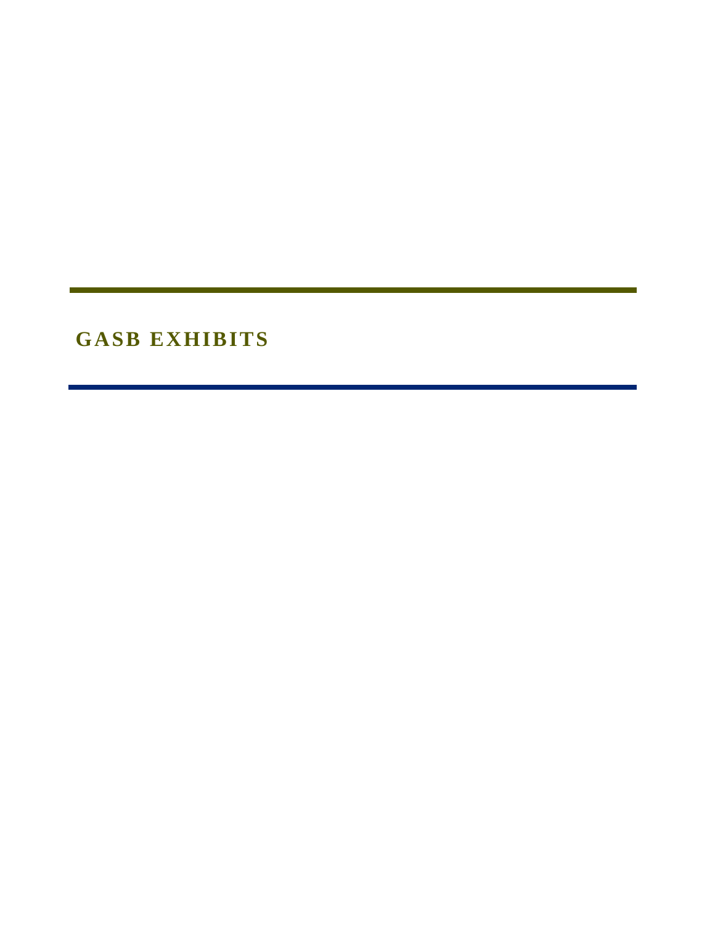**GASB EXHIBITS**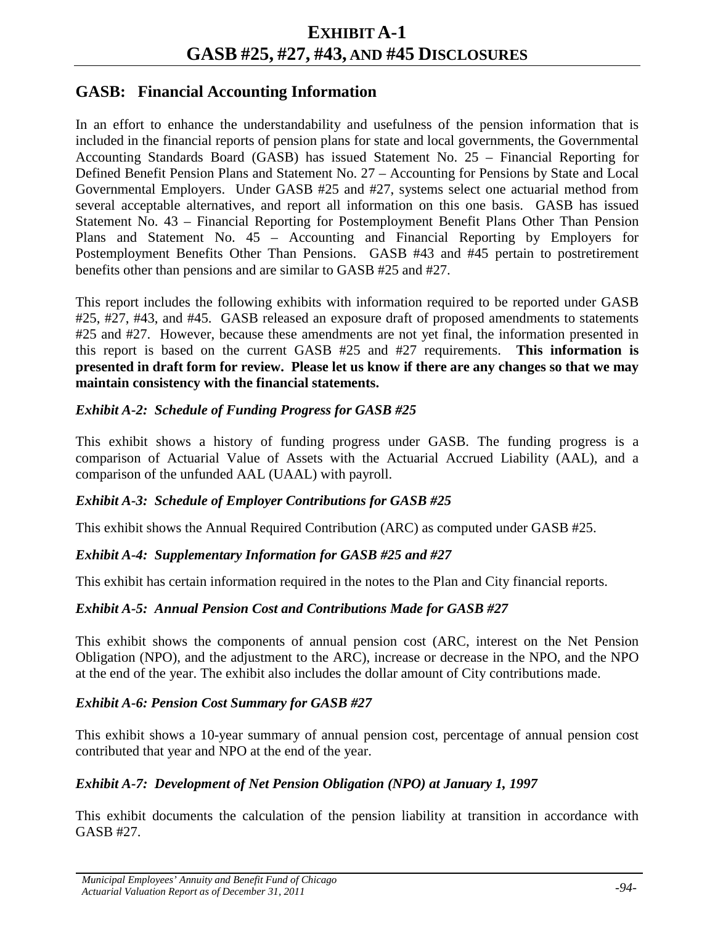## **EXHIBIT A-1 GASB #25, #27, #43, AND #45 DISCLOSURES**

## **GASB: Financial Accounting Information**

In an effort to enhance the understandability and usefulness of the pension information that is included in the financial reports of pension plans for state and local governments, the Governmental Accounting Standards Board (GASB) has issued Statement No. 25 – Financial Reporting for Defined Benefit Pension Plans and Statement No. 27 – Accounting for Pensions by State and Local Governmental Employers. Under GASB #25 and #27, systems select one actuarial method from several acceptable alternatives, and report all information on this one basis. GASB has issued Statement No. 43 – Financial Reporting for Postemployment Benefit Plans Other Than Pension Plans and Statement No. 45 – Accounting and Financial Reporting by Employers for Postemployment Benefits Other Than Pensions. GASB #43 and #45 pertain to postretirement benefits other than pensions and are similar to GASB #25 and #27.

This report includes the following exhibits with information required to be reported under GASB #25, #27, #43, and #45. GASB released an exposure draft of proposed amendments to statements #25 and #27. However, because these amendments are not yet final, the information presented in this report is based on the current GASB #25 and #27 requirements. **This information is presented in draft form for review. Please let us know if there are any changes so that we may maintain consistency with the financial statements.**

### *Exhibit A-2: Schedule of Funding Progress for GASB #25*

This exhibit shows a history of funding progress under GASB. The funding progress is a comparison of Actuarial Value of Assets with the Actuarial Accrued Liability (AAL), and a comparison of the unfunded AAL (UAAL) with payroll.

#### *Exhibit A-3: Schedule of Employer Contributions for GASB #25*

This exhibit shows the Annual Required Contribution (ARC) as computed under GASB #25.

#### *Exhibit A-4: Supplementary Information for GASB #25 and #27*

This exhibit has certain information required in the notes to the Plan and City financial reports.

#### *Exhibit A-5: Annual Pension Cost and Contributions Made for GASB #27*

This exhibit shows the components of annual pension cost (ARC, interest on the Net Pension Obligation (NPO), and the adjustment to the ARC), increase or decrease in the NPO, and the NPO at the end of the year. The exhibit also includes the dollar amount of City contributions made.

#### *Exhibit A-6: Pension Cost Summary for GASB #27*

This exhibit shows a 10-year summary of annual pension cost, percentage of annual pension cost contributed that year and NPO at the end of the year.

## *Exhibit A-7: Development of Net Pension Obligation (NPO) at January 1, 1997*

This exhibit documents the calculation of the pension liability at transition in accordance with GASB #27.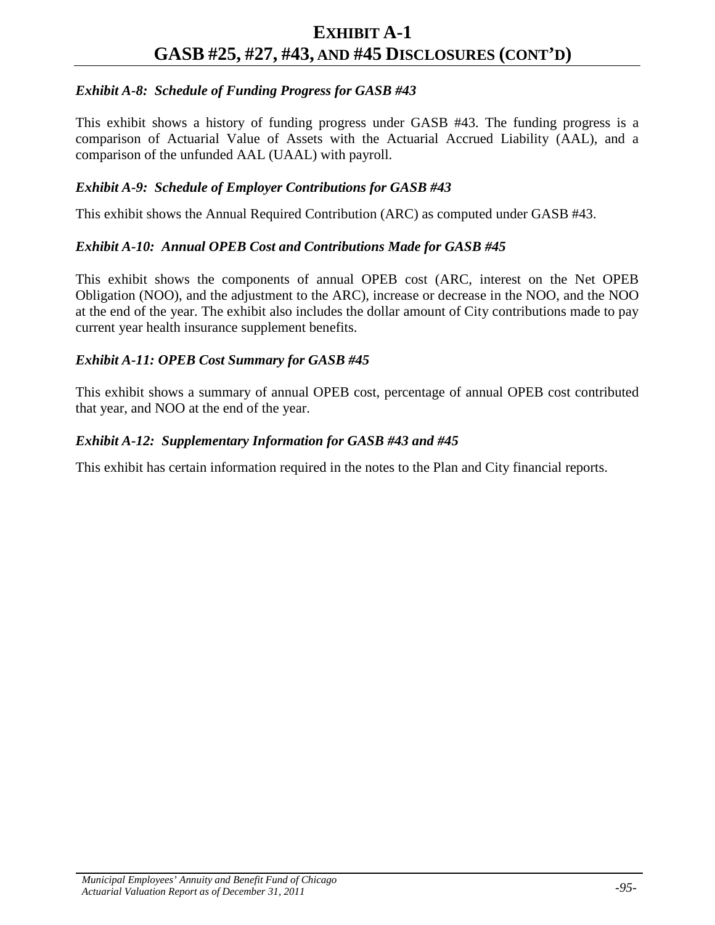### *Exhibit A-8: Schedule of Funding Progress for GASB #43*

This exhibit shows a history of funding progress under GASB #43. The funding progress is a comparison of Actuarial Value of Assets with the Actuarial Accrued Liability (AAL), and a comparison of the unfunded AAL (UAAL) with payroll.

#### *Exhibit A-9: Schedule of Employer Contributions for GASB #43*

This exhibit shows the Annual Required Contribution (ARC) as computed under GASB #43.

#### *Exhibit A-10: Annual OPEB Cost and Contributions Made for GASB #45*

This exhibit shows the components of annual OPEB cost (ARC, interest on the Net OPEB Obligation (NOO), and the adjustment to the ARC), increase or decrease in the NOO, and the NOO at the end of the year. The exhibit also includes the dollar amount of City contributions made to pay current year health insurance supplement benefits.

#### *Exhibit A-11: OPEB Cost Summary for GASB #45*

This exhibit shows a summary of annual OPEB cost, percentage of annual OPEB cost contributed that year, and NOO at the end of the year.

#### *Exhibit A-12: Supplementary Information for GASB #43 and #45*

This exhibit has certain information required in the notes to the Plan and City financial reports.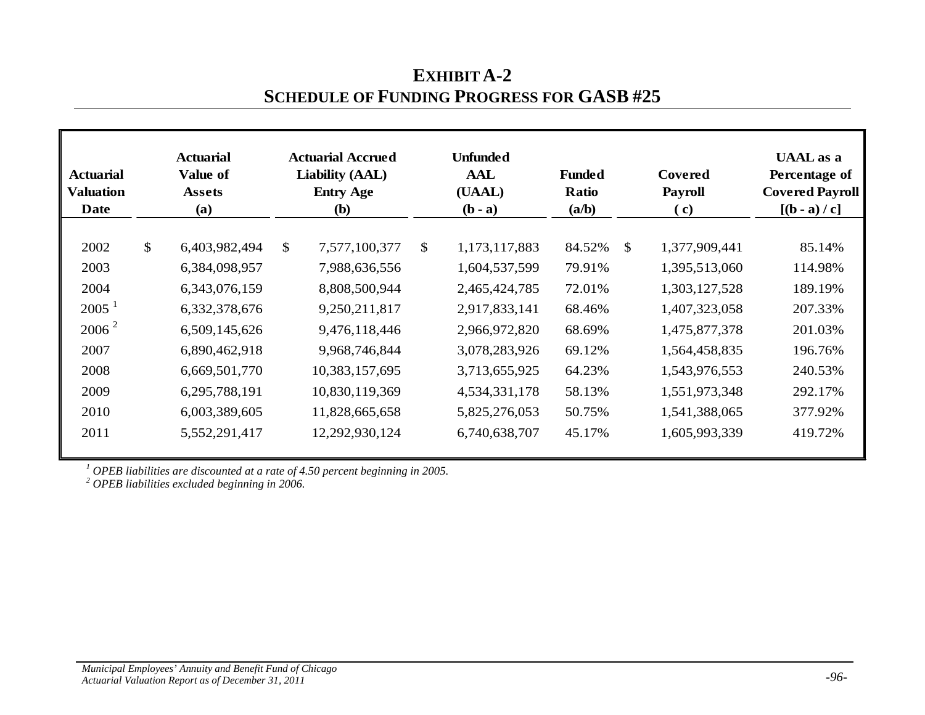| <b>Actuarial</b><br><b>Valuation</b><br>Date | <b>Actuarial</b><br>Value of<br><b>Assets</b><br>(a) |               |              | <b>Actuarial Accrued</b><br><b>Liability (AAL)</b><br><b>Entry Age</b><br><b>(b)</b> |              | <b>Unfunded</b><br><b>AAL</b><br>(UAAL)<br>$(b - a)$ | <b>Funded</b><br>Ratio<br>(a/b) |               | Covered<br><b>Payroll</b><br>$\mathbf{c}$ | <b>UAAL</b> as a<br>Percentage of<br><b>Covered Payroll</b><br>$[(b - a) / c]$ |
|----------------------------------------------|------------------------------------------------------|---------------|--------------|--------------------------------------------------------------------------------------|--------------|------------------------------------------------------|---------------------------------|---------------|-------------------------------------------|--------------------------------------------------------------------------------|
| 2002                                         | \$                                                   | 6,403,982,494 | $\mathbb{S}$ | 7,577,100,377                                                                        | $\mathbb{S}$ | 1,173,117,883                                        | 84.52%                          | $\mathcal{S}$ | 1,377,909,441                             | 85.14%                                                                         |
| 2003                                         |                                                      | 6,384,098,957 |              | 7,988,636,556                                                                        |              | 1,604,537,599                                        | 79.91%                          |               | 1,395,513,060                             | 114.98%                                                                        |
| 2004                                         |                                                      | 6,343,076,159 |              | 8,808,500,944                                                                        |              | 2,465,424,785                                        | 72.01%                          |               | 1,303,127,528                             | 189.19%                                                                        |
| $2005$ <sup>1</sup>                          |                                                      | 6,332,378,676 |              | 9,250,211,817                                                                        |              | 2,917,833,141                                        | 68.46%                          |               | 1,407,323,058                             | 207.33%                                                                        |
| $2006^2$                                     |                                                      | 6,509,145,626 |              | 9,476,118,446                                                                        |              | 2,966,972,820                                        | 68.69%                          |               | 1,475,877,378                             | 201.03%                                                                        |
| 2007                                         |                                                      | 6,890,462,918 |              | 9,968,746,844                                                                        |              | 3,078,283,926                                        | 69.12%                          |               | 1,564,458,835                             | 196.76%                                                                        |
| 2008                                         |                                                      | 6,669,501,770 |              | 10,383,157,695                                                                       |              | 3,713,655,925                                        | 64.23%                          |               | 1,543,976,553                             | 240.53%                                                                        |
| 2009                                         |                                                      | 6,295,788,191 |              | 10,830,119,369                                                                       |              | 4,534,331,178                                        | 58.13%                          |               | 1,551,973,348                             | 292.17%                                                                        |
| 2010                                         |                                                      | 6,003,389,605 |              | 11,828,665,658                                                                       |              | 5,825,276,053                                        | 50.75%                          |               | 1,541,388,065                             | 377.92%                                                                        |
| 2011                                         |                                                      | 5,552,291,417 |              | 12,292,930,124                                                                       |              | 6,740,638,707                                        | 45.17%                          |               | 1,605,993,339                             | 419.72%                                                                        |
|                                              |                                                      |               |              |                                                                                      |              |                                                      |                                 |               |                                           |                                                                                |

**EXHIBIT A-2 SCHEDULE OF FUNDING PROGRESS FOR GASB #25**

*<sup>1</sup> OPEB liabilities are discounted at a rate of 4.50 percent beginning in 2005.*

*<sup>2</sup> OPEB liabilities excluded beginning in 2006.*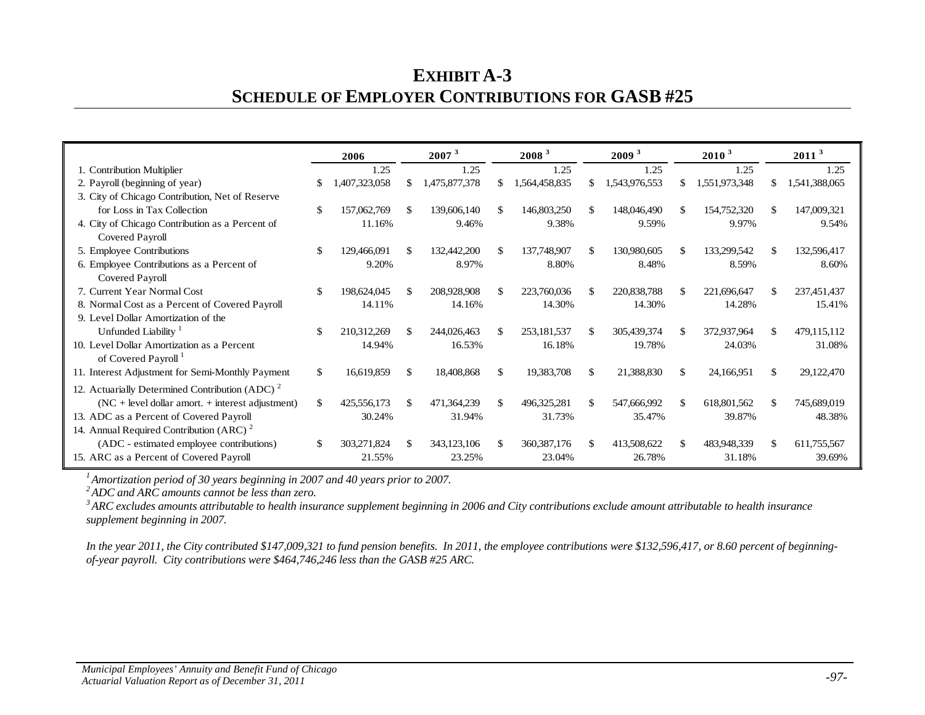## **EXHIBIT A-3 SCHEDULE OF EMPLOYER CONTRIBUTIONS FOR GASB #25**

|                                                            |               | 2006         |     | 2007 <sup>3</sup> |    | 2008 <sup>3</sup> |               | 2009 <sup>3</sup> |     | 2010 <sup>3</sup> |    | 2011 <sup>3</sup> |
|------------------------------------------------------------|---------------|--------------|-----|-------------------|----|-------------------|---------------|-------------------|-----|-------------------|----|-------------------|
| 1. Contribution Multiplier                                 |               | 1.25         |     | 1.25              |    | 1.25              |               | 1.25              |     | 1.25              |    | 1.25              |
| 2. Payroll (beginning of year)                             |               | ,407,323,058 | S.  | 1,475,877,378     |    | 1,564,458,835     | \$            | 1,543,976,553     | S.  | 1,551,973,348     |    | 1,541,388,065     |
| 3. City of Chicago Contribution, Net of Reserve            |               |              |     |                   |    |                   |               |                   |     |                   |    |                   |
| for Loss in Tax Collection                                 | $\mathcal{S}$ | 157,062,769  | \$. | 139,606,140       | S. | 146,803,250       | \$.           | 148,046,490       | \$. | 154,752,320       | S. | 147,009,321       |
| 4. City of Chicago Contribution as a Percent of            |               | 11.16%       |     | 9.46%             |    | 9.38%             |               | 9.59%             |     | 9.97%             |    | 9.54%             |
| Covered Payroll                                            |               |              |     |                   |    |                   |               |                   |     |                   |    |                   |
| 5. Employee Contributions                                  | \$            | 129,466,091  | \$. | 132,442,200       |    | 137,748,907       | \$.           | 130,980,605       | \$  | 133,299,542       |    | 132,596,417       |
| 6. Employee Contributions as a Percent of                  |               | 9.20%        |     | 8.97%             |    | 8.80%             |               | 8.48%             |     | 8.59%             |    | 8.60%             |
| Covered Payroll                                            |               |              |     |                   |    |                   |               |                   |     |                   |    |                   |
| 7. Current Year Normal Cost                                | $\mathcal{S}$ | 198,624,045  |     | 208,928,908       |    | 223,760,036       | \$.           | 220,838,788       | £.  | 221,696,647       |    | 237,451,437       |
| 8. Normal Cost as a Percent of Covered Payroll             |               | 14.11%       |     | 14.16%            |    | 14.30%            |               | 14.30%            |     | 14.28%            |    | 15.41%            |
| 9. Level Dollar Amortization of the                        |               |              |     |                   |    |                   |               |                   |     |                   |    |                   |
| Unfunded Liability <sup>1</sup>                            | \$            | 210,312,269  | \$. | 244,026,463       |    | 253,181,537       | $\mathcal{S}$ | 305,439,374       | \$. | 372,937,964       | -S | 479,115,112       |
| 10. Level Dollar Amortization as a Percent                 |               | 14.94%       |     | 16.53%            |    | 16.18%            |               | 19.78%            |     | 24.03%            |    | 31.08%            |
| of Covered Payroll <sup>1</sup>                            |               |              |     |                   |    |                   |               |                   |     |                   |    |                   |
| 11. Interest Adjustment for Semi-Monthly Payment           | $\mathbb{S}$  | 16,619,859   | \$  | 18,408,868        | £. | 19,383,708        | \$.           | 21,388,830        | \$  | 24,166,951        |    | 29,122,470        |
| 12. Actuarially Determined Contribution (ADC) <sup>2</sup> |               |              |     |                   |    |                   |               |                   |     |                   |    |                   |
| $(NC + level$ dollar amort. $+$ interest adjustment)       | $\mathcal{S}$ | 425,556,173  | \$  | 471,364,239       |    | 496,325,281       | $\mathcal{S}$ | 547,666,992       | S.  | 618,801,562       | £. | 745,689,019       |
| 13. ADC as a Percent of Covered Payroll                    |               | 30.24%       |     | 31.94%            |    | 31.73%            |               | 35.47%            |     | 39.87%            |    | 48.38%            |
| 14. Annual Required Contribution (ARC) $2^{\circ}$         |               |              |     |                   |    |                   |               |                   |     |                   |    |                   |
| (ADC - estimated employee contributions)                   |               | 303,271,824  | \$. | 343,123,106       |    | 360, 387, 176     | $\mathcal{S}$ | 413,508,622       |     | 483,948,339       |    | 611,755,567       |
| 15. ARC as a Percent of Covered Payroll                    |               | 21.55%       |     | 23.25%            |    | 23.04%            |               | 26.78%            |     | 31.18%            |    | 39.69%            |

*1 Amortization period of 30 years beginning in 2007 and 40 years prior to 2007.*

<sup>3</sup> ARC excludes amounts attributable to health insurance supplement beginning in 2006 and City contributions exclude amount attributable to health insurance *supplement beginning in 2007.*

*In the year 2011, the City contributed \$147,009,321 to fund pension benefits. In 2011, the employee contributions were \$132,596,417, or 8.60 percent of beginningof-year payroll. City contributions were \$464,746,246 less than the GASB #25 ARC.*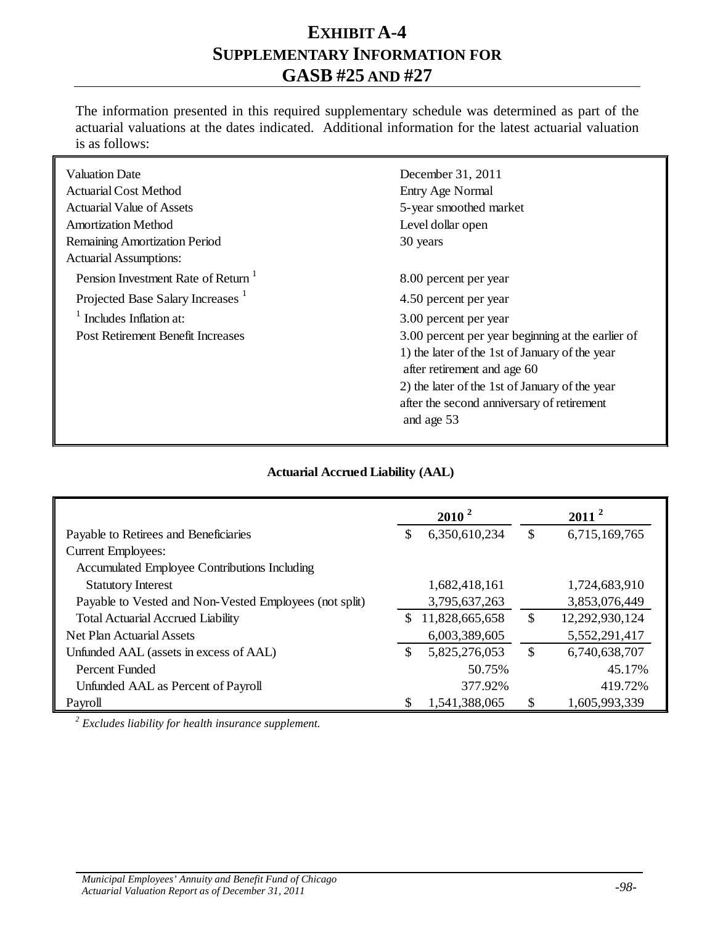### **EXHIBIT A-4 SUPPLEMENTARY INFORMATION FOR GASB #25 AND #27**

The information presented in this required supplementary schedule was determined as part of the actuarial valuations at the dates indicated. Additional information for the latest actuarial valuation is as follows:

| <b>Valuation Date</b>                          | December 31, 2011                                 |
|------------------------------------------------|---------------------------------------------------|
| Actuarial Cost Method                          | Entry Age Normal                                  |
| <b>Actuarial Value of Assets</b>               | 5-year smoothed market                            |
| <b>Amortization Method</b>                     | Level dollar open                                 |
| <b>Remaining Amortization Period</b>           | 30 years                                          |
| <b>Actuarial Assumptions:</b>                  |                                                   |
| Pension Investment Rate of Return <sup>1</sup> | 8.00 percent per year                             |
| Projected Base Salary Increases <sup>1</sup>   | 4.50 percent per year                             |
| Includes Inflation at:                         | 3.00 percent per year                             |
| Post Retirement Benefit Increases              | 3.00 percent per year beginning at the earlier of |
|                                                | 1) the later of the 1st of January of the year    |
|                                                | after retirement and age 60                       |
|                                                | 2) the later of the 1st of January of the year    |
|                                                | after the second anniversary of retirement        |
|                                                | and age 53                                        |
|                                                |                                                   |

#### **Actuarial Accrued Liability (AAL)**

|                                                        |     | $2010^2$       | $2011^2$             |
|--------------------------------------------------------|-----|----------------|----------------------|
| Payable to Retirees and Beneficiaries                  | \$  | 6,350,610,234  | \$<br>6,715,169,765  |
| <b>Current Employees:</b>                              |     |                |                      |
| Accumulated Employee Contributions Including           |     |                |                      |
| <b>Statutory Interest</b>                              |     | 1,682,418,161  | 1,724,683,910        |
| Payable to Vested and Non-Vested Employees (not split) |     | 3,795,637,263  | 3,853,076,449        |
| <b>Total Actuarial Accrued Liability</b>               | \$. | 11,828,665,658 | \$<br>12,292,930,124 |
| Net Plan Actuarial Assets                              |     | 6,003,389,605  | 5,552,291,417        |
| Unfunded AAL (assets in excess of AAL)                 | \$  | 5,825,276,053  | \$<br>6,740,638,707  |
| Percent Funded                                         |     | 50.75%         | 45.17%               |
| Unfunded AAL as Percent of Payroll                     |     | 377.92%        | 419.72%              |
| Payroll                                                |     | 1,541,388,065  | \$<br>1,605,993,339  |

*<sup>2</sup> Excludes liability for health insurance supplement.*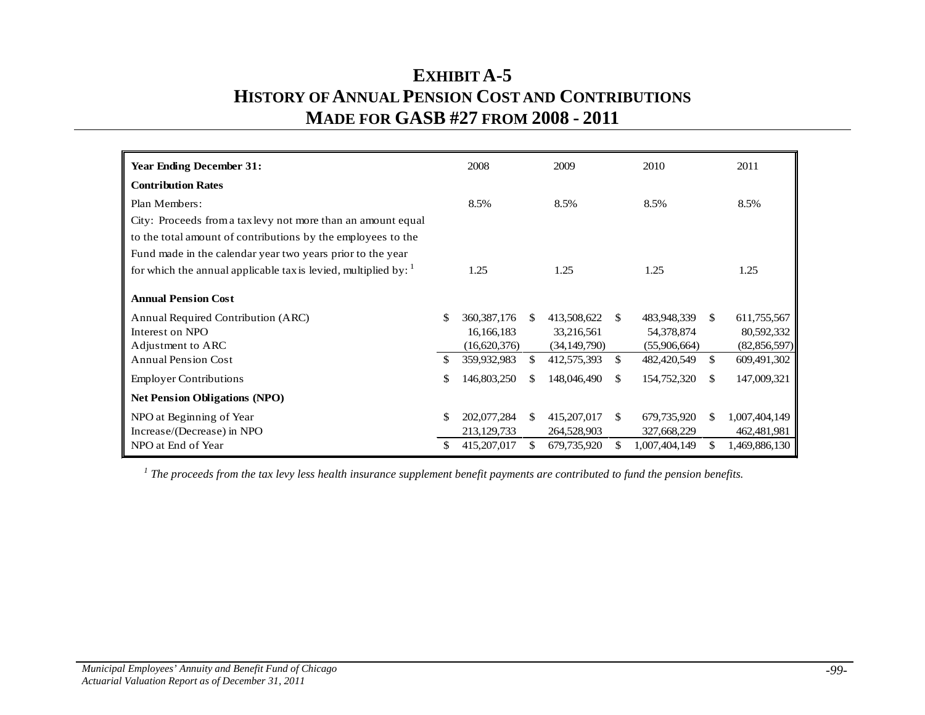## **EXHIBIT A-5 HISTORY OF ANNUAL PENSION COST AND CONTRIBUTIONS MADE FOR GASB #27 FROM 2008 - 2011**

| <b>Year Ending December 31:</b>                                             | 2008                |     | 2009           |               | 2010          |     | 2011           |
|-----------------------------------------------------------------------------|---------------------|-----|----------------|---------------|---------------|-----|----------------|
| <b>Contribution Rates</b>                                                   |                     |     |                |               |               |     |                |
| Plan Members:                                                               | 8.5%                |     | 8.5%           |               | 8.5%          |     | 8.5%           |
| City: Proceeds from a tax levy not more than an amount equal                |                     |     |                |               |               |     |                |
| to the total amount of contributions by the employees to the                |                     |     |                |               |               |     |                |
| Fund made in the calendar year two years prior to the year                  |                     |     |                |               |               |     |                |
| for which the annual applicable tax is levied, multiplied by: $\frac{1}{1}$ | 1.25                |     | 1.25           |               | 1.25          |     | 1.25           |
| <b>Annual Pension Cost</b>                                                  |                     |     |                |               |               |     |                |
| Annual Required Contribution (ARC)                                          | \$<br>360, 387, 176 | \$. | 413,508,622    | <sup>\$</sup> | 483,948,339   | \$. | 611,755,567    |
| Interest on NPO                                                             | 16,166,183          |     | 33,216,561     |               | 54,378,874    |     | 80,592,332     |
| Adjustment to ARC                                                           | (16,620,376)        |     | (34, 149, 790) |               | (55,906,664)  |     | (82, 856, 597) |
| <b>Annual Pension Cost</b>                                                  | \$<br>359,932,983   | \$. | 412,575,393    | \$            | 482,420,549   | \$  | 609,491,302    |
| <b>Employer Contributions</b>                                               | \$<br>146,803,250   | \$. | 148,046,490    | \$.           | 154,752,320   | \$  | 147,009,321    |
| <b>Net Pension Obligations (NPO)</b>                                        |                     |     |                |               |               |     |                |
| NPO at Beginning of Year                                                    | \$<br>202,077,284   | \$. | 415,207,017    | S.            | 679,735,920   | \$. | 1,007,404,149  |
| Increase/(Decrease) in NPO                                                  | 213, 129, 733       |     | 264,528,903    |               | 327,668,229   |     | 462,481,981    |
| NPO at End of Year                                                          | 415,207,017         | S.  | 679,735,920    | \$.           | 1,007,404,149 | \$. | 1,469,886,130  |

*<sup>1</sup> The proceeds from the tax levy less health insurance supplement benefit payments are contributed to fund the pension benefits.*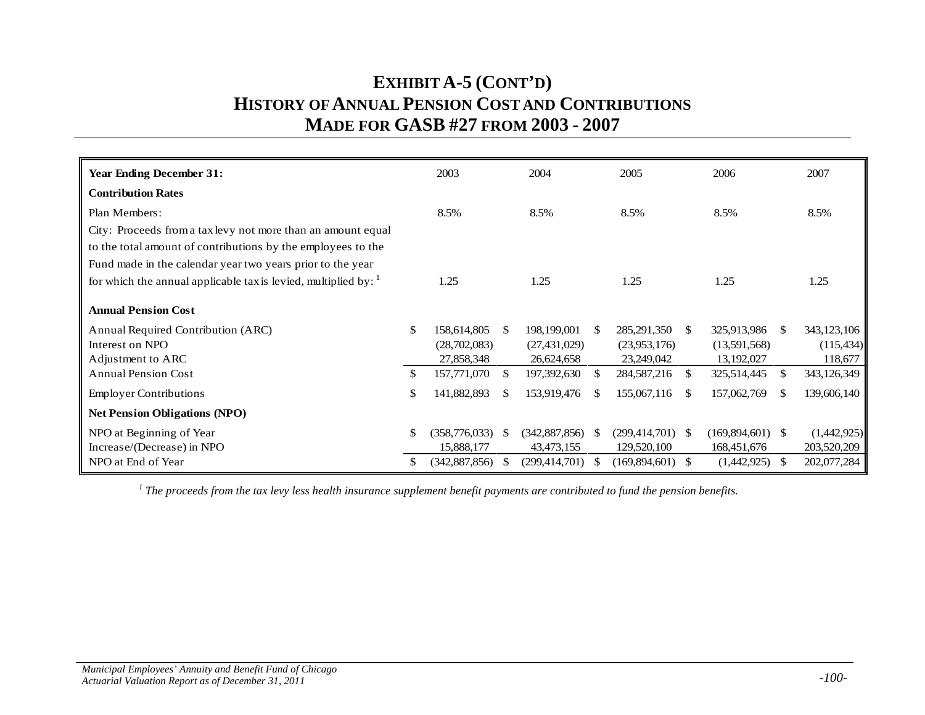### **EXHIBIT A-5 (CONT'D) HISTORY OF ANNUAL PENSION COST AND CONTRIBUTIONS MADE FOR GASB #27 FROM 2003 - 2007**

| <b>Year Ending December 31:</b>                                             |    | 2003            |               | 2004                 |              | 2005                 |               | 2006               |     | 2007        |
|-----------------------------------------------------------------------------|----|-----------------|---------------|----------------------|--------------|----------------------|---------------|--------------------|-----|-------------|
| <b>Contribution Rates</b>                                                   |    |                 |               |                      |              |                      |               |                    |     |             |
| Plan Members:                                                               |    | 8.5%            |               | 8.5%                 |              | 8.5%                 |               | 8.5%               |     | 8.5%        |
| City: Proceeds from a tax levy not more than an amount equal                |    |                 |               |                      |              |                      |               |                    |     |             |
| to the total amount of contributions by the employees to the                |    |                 |               |                      |              |                      |               |                    |     |             |
| Fund made in the calendar year two years prior to the year                  |    |                 |               |                      |              |                      |               |                    |     |             |
| for which the annual applicable tax is levied, multiplied by: $\frac{1}{1}$ |    | 1.25            |               | 1.25                 |              | 1.25                 |               | 1.25               |     | 1.25        |
| <b>Annual Pension Cost</b>                                                  |    |                 |               |                      |              |                      |               |                    |     |             |
| Annual Required Contribution (ARC)                                          | \$ | 158,614,805     | <sup>\$</sup> | 198,199,001          | <sup>S</sup> | 285, 291, 350        | <sup>S</sup>  | 325,913,986        |     | 343,123,106 |
| Interest on NPO                                                             |    | (28,702,083)    |               | (27, 431, 029)       |              | (23,953,176)         |               | (13,591,568)       |     | (115, 434)  |
| Adjustment to ARC                                                           |    | 27,858,348      |               | 26,624,658           |              | 23,249,042           |               | 13,192,027         |     | 118,677     |
| <b>Annual Pension Cost</b>                                                  | \$ | 157,771,070     | <sup>\$</sup> | 197,392,630          | S.           | 284,587,216          | <sup>S</sup>  | 325,514,445        |     | 343,126,349 |
| <b>Employer Contributions</b>                                               | \$ | 141,882,893     | <sup>\$</sup> | 153,919,476          | \$.          | 155,067,116          | <sup>\$</sup> | 157,062,769        | \$. | 139,606,140 |
| <b>Net Pension Obligations (NPO)</b>                                        |    |                 |               |                      |              |                      |               |                    |     |             |
| NPO at Beginning of Year                                                    | \$ | (358, 776, 033) | -SS           | (342, 887, 856)      | -S           | $(299, 414, 701)$ \$ |               | $(169,894,601)$ \$ |     | (1,442,925) |
| Increase/(Decrease) in NPO                                                  |    | 15,888,177      |               | 43, 473, 155         |              | 129,520,100          |               | 168,451,676        |     | 203,520,209 |
| NPO at End of Year                                                          | S  | (342, 887, 856) | <sup>S</sup>  | $(299, 414, 701)$ \$ |              | $(169,894,601)$ \$   |               | $(1,442,925)$ \$   |     | 202,077,284 |

*<sup>1</sup> The proceeds from the tax levy less health insurance supplement benefit payments are contributed to fund the pension benefits.*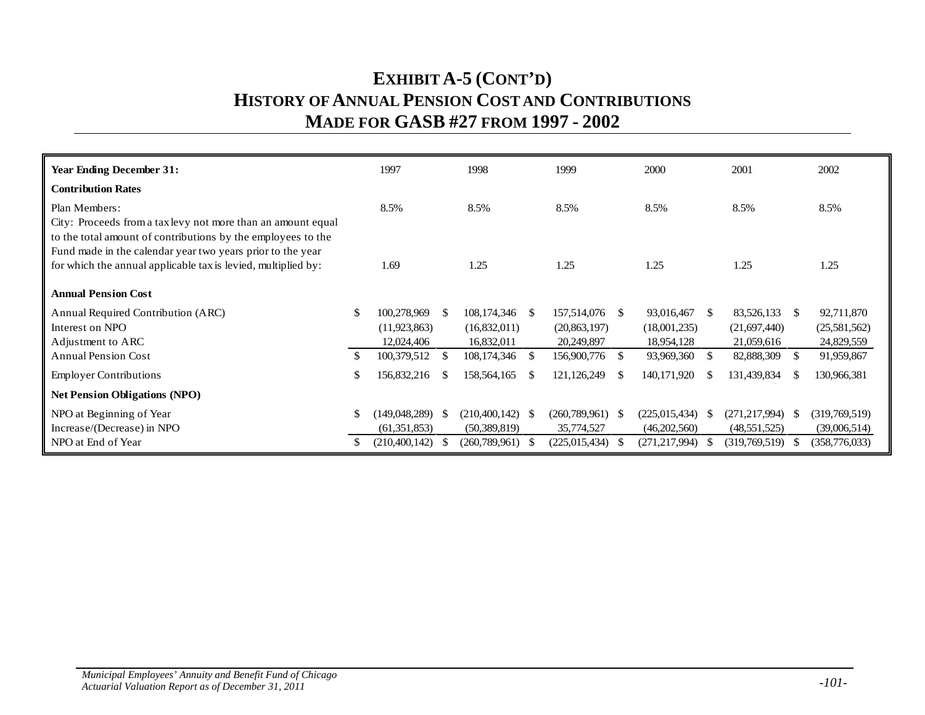## **EXHIBIT A-5 (CONT'D) HISTORY OF ANNUAL PENSION COST AND CONTRIBUTIONS MADE FOR GASB #27 FROM 1997 - 2002**

| <b>Year Ending December 31:</b>                                                                                            |               | 1997               |     | 1998                  | 1999               |      | 2000            |     | 2001                 |     | 2002            |
|----------------------------------------------------------------------------------------------------------------------------|---------------|--------------------|-----|-----------------------|--------------------|------|-----------------|-----|----------------------|-----|-----------------|
| <b>Contribution Rates</b>                                                                                                  |               |                    |     |                       |                    |      |                 |     |                      |     |                 |
| Plan Members:                                                                                                              |               | 8.5%               |     | 8.5%                  | 8.5%               |      | 8.5%            |     | 8.5%                 |     | 8.5%            |
| City: Proceeds from a tax levy not more than an amount equal                                                               |               |                    |     |                       |                    |      |                 |     |                      |     |                 |
| to the total amount of contributions by the employees to the<br>Fund made in the calendar year two years prior to the year |               |                    |     |                       |                    |      |                 |     |                      |     |                 |
| for which the annual applicable tax is levied, multiplied by:                                                              |               | 1.69               |     | 1.25                  | 1.25               |      | 1.25            |     | 1.25                 |     | 1.25            |
|                                                                                                                            |               |                    |     |                       |                    |      |                 |     |                      |     |                 |
| <b>Annual Pension Cost</b>                                                                                                 |               |                    |     |                       |                    |      |                 |     |                      |     |                 |
| Annual Required Contribution (ARC)                                                                                         | <sup>\$</sup> | 100,278,969        | - S | 108, 174, 346<br>- \$ | 157,514,076        | -S   | 93,016,467      | -S  | 83,526,133 \$        |     | 92,711,870      |
| Interest on NPO                                                                                                            |               | (11, 923, 863)     |     | (16,832,011)          | (20, 863, 197)     |      | (18,001,235)    |     | (21,697,440)         |     | (25,581,562)    |
| Adjustment to ARC                                                                                                          |               | 12,024,406         |     | 16,832,011            | 20,249,897         |      | 18,954,128      |     | 21,059,616           |     | 24,829,559      |
| <b>Annual Pension Cost</b>                                                                                                 |               | 100,379,512        | -S  | 108, 174, 346<br>-S   | 156,900,776        | -S   | 93,969,360      | -S  | 82,888,309           | -SS | 91,959,867      |
| <b>Employer Contributions</b>                                                                                              | \$            | 156,832,216        | -S  | 158,564,165<br>\$.    | 121, 126, 249      | -S   | 140, 171, 920   | \$. | 131,439,834          | S.  | 130,966,381     |
| <b>Net Pension Obligations (NPO)</b>                                                                                       |               |                    |     |                       |                    |      |                 |     |                      |     |                 |
| NPO at Beginning of Year                                                                                                   |               | $(149,048,289)$ \$ |     | (210, 400, 142)<br>-S | $(260,789,961)$ \$ |      | (225,015,434)   | -8  | $(271, 217, 994)$ \$ |     | (319,769,519)   |
| Increase/(Decrease) in NPO                                                                                                 |               | (61, 351, 853)     |     | (50, 389, 819)        | 35,774,527         |      | (46,202,560)    |     | (48, 551, 525)       |     | (39,006,514)    |
| NPO at End of Year                                                                                                         |               | (210, 400, 142)    | -86 | (260,789,961)<br>-S   | (225, 015, 434)    | - 75 | (271, 217, 994) | -SS | (319,769,519)        |     | (358, 776, 033) |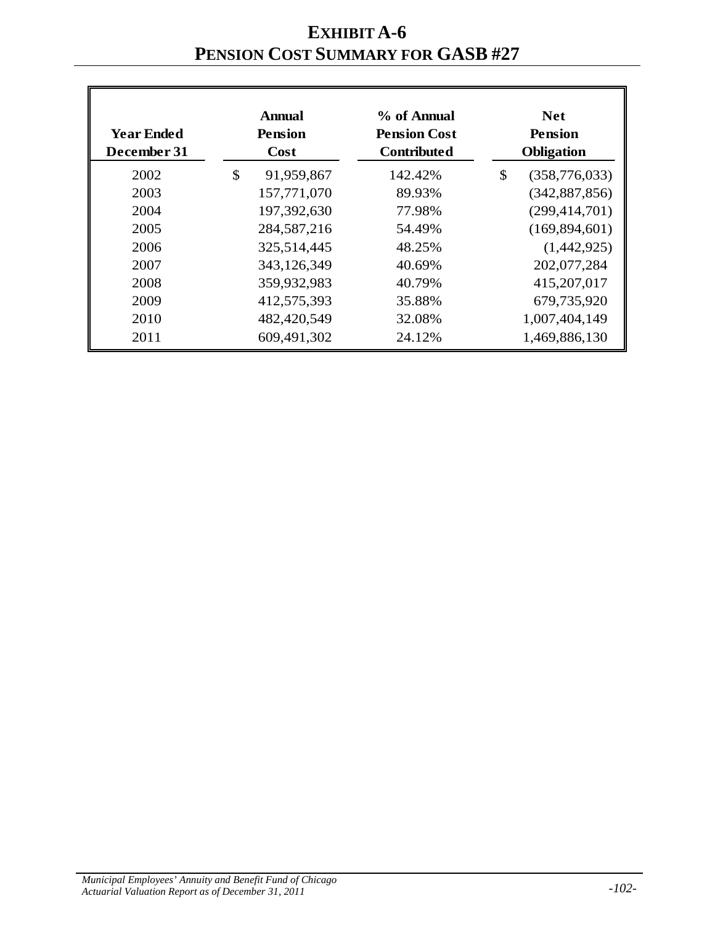## **EXHIBIT A-6 PENSION COST SUMMARY FOR GASB #27**

| <b>Year Ended</b><br>December 31 | <b>Annual</b><br><b>Pension</b><br>Cost | % of Annual<br><b>Pension Cost</b><br><b>Contributed</b> | <b>Net</b><br><b>Pension</b><br><b>Obligation</b> |
|----------------------------------|-----------------------------------------|----------------------------------------------------------|---------------------------------------------------|
| 2002                             | \$<br>91,959,867                        | 142.42%                                                  | \$<br>(358, 776, 033)                             |
| 2003                             | 157,771,070                             | 89.93%                                                   | (342, 887, 856)                                   |
| 2004                             | 197,392,630                             | 77.98%                                                   | (299, 414, 701)                                   |
| 2005                             | 284, 587, 216                           | 54.49%                                                   | (169, 894, 601)                                   |
| 2006                             | 325,514,445                             | 48.25%                                                   | (1,442,925)                                       |
| 2007                             | 343,126,349                             | 40.69%                                                   | 202,077,284                                       |
| 2008                             | 359,932,983                             | 40.79%                                                   | 415,207,017                                       |
| 2009                             | 412,575,393                             | 35.88%                                                   | 679,735,920                                       |
| 2010                             | 482,420,549                             | 32.08%                                                   | 1,007,404,149                                     |
| 2011                             | 609,491,302                             | 24.12%                                                   | 1,469,886,130                                     |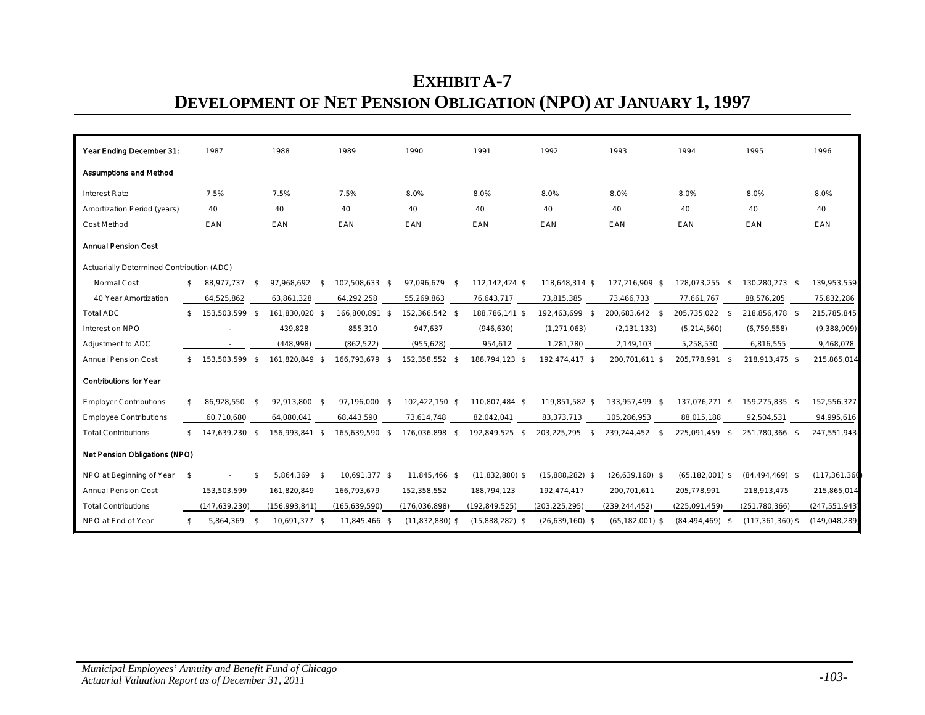# **EXHIBIT A-7 DEVELOPMENT OF NET PENSION OBLIGATION (NPO) AT JANUARY 1, 1997**

| Year Ending December 31:                  | 1987                 |               | 1988            | 1989            | 1990              | 1991              | 1992              | 1993                | 1994                | 1995                 | 1996            |
|-------------------------------------------|----------------------|---------------|-----------------|-----------------|-------------------|-------------------|-------------------|---------------------|---------------------|----------------------|-----------------|
| <b>Assumptions and Method</b>             |                      |               |                 |                 |                   |                   |                   |                     |                     |                      |                 |
| <b>Interest Rate</b>                      | 7.5%                 |               | 7.5%            | 7.5%            | 8.0%              | 8.0%              | 8.0%              | 8.0%                | 8.0%                | 8.0%                 | 8.0%            |
| Amortization Period (years)               | 40                   |               | 40              | 40              | 40                | 40                | 40                | 40                  | 40                  | 40                   | 40              |
| Cost Method                               | EAN                  |               | EAN             | EAN             | EAN               | EAN               | EAN               | EAN                 | EAN                 | EAN                  | EAN             |
| <b>Annual Pension Cost</b>                |                      |               |                 |                 |                   |                   |                   |                     |                     |                      |                 |
| Actuarially Determined Contribution (ADC) |                      |               |                 |                 |                   |                   |                   |                     |                     |                      |                 |
| Normal Cost                               | \$<br>88,977,737     | -\$           | 97,968,692 \$   | 102,508,633 \$  | 97,096,679 \$     | 112,142,424 \$    | 118,648,314 \$    | 127,216,909 \$      | 128,073,255 \$      | 130,280,273 \$       | 139,953,559     |
| 40 Year Amortization                      | 64,525,862           |               | 63,861,328      | 64,292,258      | 55,269,863        | 76,643,717        | 73,815,385        | 73,466,733          | 77,661,767          | 88,576,205           | 75,832,286      |
| <b>Total ADC</b>                          | 153,503,599 \$       |               | 161,830,020 \$  | 166,800,891 \$  | 152,366,542 \$    | 188,786,141 \$    | 192,463,699 \$    | 200,683,642 \$      | 205,735,022 \$      | 218,856,478 \$       | 215,785,845     |
| Interest on NPO                           |                      |               | 439,828         | 855,310         | 947,637           | (946, 630)        | (1, 271, 063)     | (2, 131, 133)       | (5, 214, 560)       | (6, 759, 558)        | (9,388,909)     |
| Adjustment to ADC                         |                      |               | (448,998)       | (862, 522)      | (955, 628)        | 954,612           | 1,281,780         | 2,149,103           | 5,258,530           | 6,816,555            | 9,468,078       |
| <b>Annual Pension Cost</b>                | \$<br>153,503,599 \$ |               | 161,820,849 \$  | 166,793,679 \$  | 152,358,552 \$    | 188,794,123 \$    | 192,474,417 \$    | 200,701,611 \$      | 205,778,991 \$      | 218,913,475 \$       | 215,865,014     |
| <b>Contributions for Year</b>             |                      |               |                 |                 |                   |                   |                   |                     |                     |                      |                 |
| <b>Employer Contributions</b>             | 86,928,550           | $\mathsf{\$}$ | 92,913,800 \$   | 97,196,000 \$   | 102,422,150 \$    | 110,807,484 \$    | 119,851,582 \$    | 133,957,499 \$      | 137,076,271 \$      | 159,275,835 \$       | 152,556,327     |
| <b>Employee Contributions</b>             | 60,710,680           |               | 64,080,041      | 68,443,590      | 73,614,748        | 82,042,041        | 83,373,713        | 105,286,953         | 88,015,188          | 92,504,531           | 94,995,616      |
| <b>Total Contributions</b>                | \$<br>147.639.230 \$ |               | 156,993,841 \$  | 165,639,590 \$  | 176,036,898 \$    | 192,849,525 \$    | 203,225,295<br>\$ | 239,244,452 \$      | 225,091,459 \$      | 251,780,366 \$       | 247,551,943     |
| Net Pension Obligations (NPO)             |                      |               |                 |                 |                   |                   |                   |                     |                     |                      |                 |
| NPO at Beginning of Year \$               |                      | \$            | 5,864,369 \$    | 10,691,377 \$   | 11,845,466 \$     | $(11,832,880)$ \$ | $(15,888,282)$ \$ | $(26,639,160)$ \$   | $(65, 182, 001)$ \$ | $(84, 494, 469)$ \$  | (117, 361, 360) |
| <b>Annual Pension Cost</b>                | 153,503,599          |               | 161,820,849     | 166,793,679     | 152,358,552       | 188,794,123       | 192,474,417       | 200,701,611         | 205,778,991         | 218,913,475          | 215,865,014     |
| <b>Total Contributions</b>                | (147, 639, 230)      |               | (156, 993, 841) | (165, 639, 590) | (176, 036, 898)   | (192, 849, 525)   | (203, 225, 295)   | (239, 244, 452)     | (225,091,459)       | (251, 780, 366)      | (247, 551, 943) |
| NPO at End of Year                        | \$<br>5,864,369 \$   |               | 10,691,377 \$   | 11,845,466 \$   | $(11,832,880)$ \$ | $(15,888,282)$ \$ | $(26,639,160)$ \$ | $(65, 182, 001)$ \$ | $(84, 494, 469)$ \$ | $(117, 361, 360)$ \$ | (149, 048, 289) |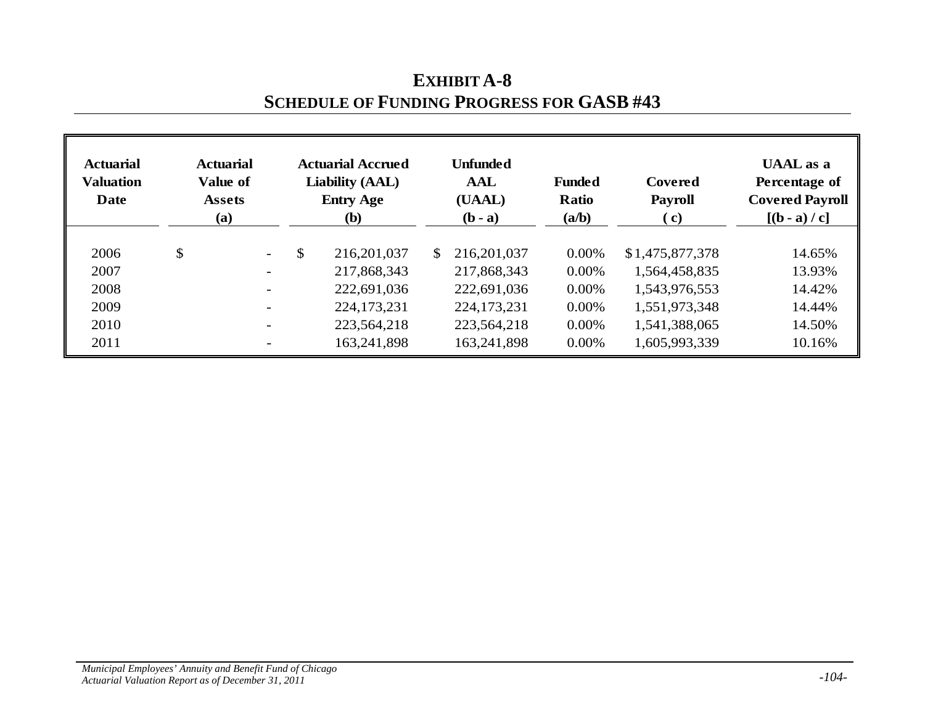| <b>Actuarial</b><br><b>Valuation</b><br>Date | <b>Actuarial</b><br>Value of<br><b>Assets</b><br>(a) | <b>Actuarial Accrued</b><br><b>Liability (AAL)</b><br><b>Entry Age</b><br><b>(b)</b> |               |               |               | <b>Funded</b><br><b>Ratio</b><br>(a/b) | Covered<br><b>Payroll</b><br>( c) | <b>UAAL</b> as a<br>Percentage of<br><b>Covered Payroll</b><br>$[(b - a)/c]$ |
|----------------------------------------------|------------------------------------------------------|--------------------------------------------------------------------------------------|---------------|---------------|---------------|----------------------------------------|-----------------------------------|------------------------------------------------------------------------------|
| 2006                                         | \$<br>$\sim$                                         | \$                                                                                   | 216, 201, 037 | <sup>\$</sup> | 216, 201, 037 | $0.00\%$                               | \$1,475,877,378                   | 14.65%                                                                       |
| 2007                                         | $\overline{\phantom{0}}$                             |                                                                                      | 217,868,343   |               | 217,868,343   | $0.00\%$                               | 1,564,458,835                     | 13.93%                                                                       |
| 2008                                         |                                                      |                                                                                      | 222,691,036   |               | 222,691,036   | $0.00\%$                               | 1,543,976,553                     | 14.42%                                                                       |
| 2009                                         |                                                      |                                                                                      | 224, 173, 231 |               | 224, 173, 231 | $0.00\%$                               | 1,551,973,348                     | 14.44%                                                                       |
| 2010                                         |                                                      |                                                                                      | 223,564,218   |               | 223,564,218   | $0.00\%$                               | 1,541,388,065                     | 14.50%                                                                       |
| 2011                                         |                                                      |                                                                                      | 163,241,898   |               | 163,241,898   | $0.00\%$                               | 1,605,993,339                     | 10.16%                                                                       |

## **EXHIBIT A-8 SCHEDULE OF FUNDING PROGRESS FOR GASB #43**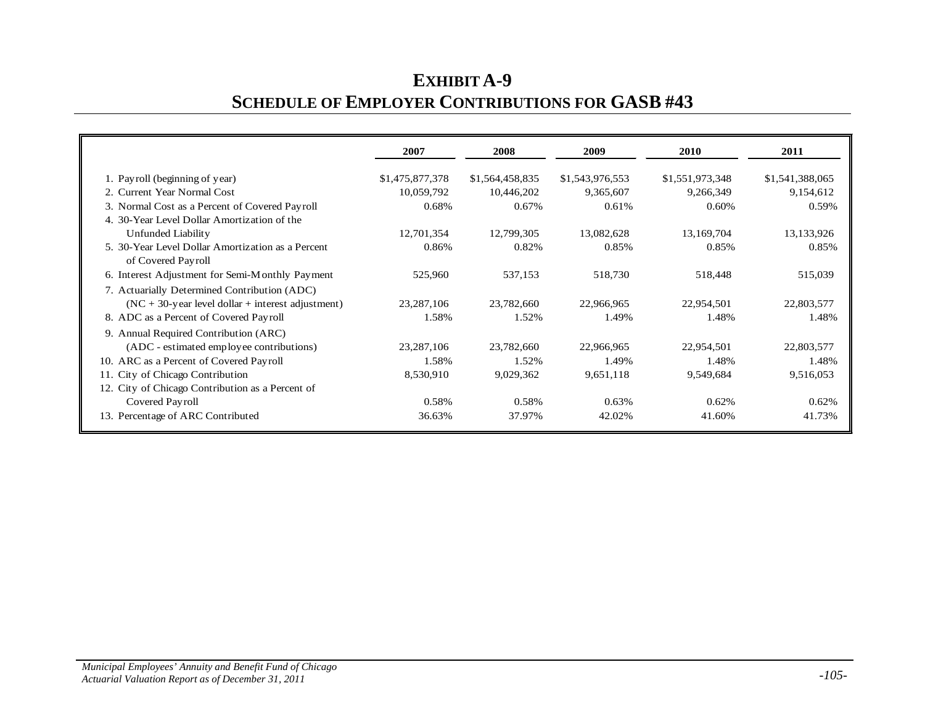# **EXHIBIT A-9 SCHEDULE OF EMPLOYER CONTRIBUTIONS FOR GASB #43**

|                                                                         | 2007            | 2008            | 2009            | 2010            | 2011            |
|-------------------------------------------------------------------------|-----------------|-----------------|-----------------|-----------------|-----------------|
| 1. Payroll (beginning of year)                                          | \$1,475,877,378 | \$1,564,458,835 | \$1,543,976,553 | \$1,551,973,348 | \$1,541,388,065 |
| 2. Current Year Normal Cost                                             | 10,059,792      | 10,446,202      | 9,365,607       | 9,266,349       | 9,154,612       |
| 3. Normal Cost as a Percent of Covered Payroll                          | 0.68%           | 0.67%           | 0.61%           | 0.60%           | 0.59%           |
| 4. 30-Year Level Dollar Amortization of the                             |                 |                 |                 |                 |                 |
| Unfunded Liability                                                      | 12,701,354      | 12,799,305      | 13,082,628      | 13,169,704      | 13,133,926      |
| 5. 30-Year Level Dollar Amortization as a Percent<br>of Covered Payroll | 0.86%           | 0.82%           | 0.85%           | 0.85%           | 0.85%           |
| 6. Interest Adjustment for Semi-Monthly Payment                         | 525,960         | 537,153         | 518,730         | 518,448         | 515,039         |
| 7. Actuarially Determined Contribution (ADC)                            |                 |                 |                 |                 |                 |
| $(NC + 30$ -year level dollar + interest adjustment)                    | 23, 287, 106    | 23,782,660      | 22,966,965      | 22,954,501      | 22,803,577      |
| 8. ADC as a Percent of Covered Payroll                                  | 1.58%           | 1.52%           | 1.49%           | 1.48%           | 1.48%           |
| 9. Annual Required Contribution (ARC)                                   |                 |                 |                 |                 |                 |
| (ADC - estimated employee contributions)                                | 23, 287, 106    | 23,782,660      | 22,966,965      | 22,954,501      | 22,803,577      |
| 10. ARC as a Percent of Covered Payroll                                 | 1.58%           | 1.52%           | 1.49%           | 1.48%           | 1.48%           |
| 11. City of Chicago Contribution                                        | 8,530,910       | 9,029,362       | 9,651,118       | 9,549,684       | 9,516,053       |
| 12. City of Chicago Contribution as a Percent of                        |                 |                 |                 |                 |                 |
| Covered Payroll                                                         | 0.58%           | 0.58%           | 0.63%           | 0.62%           | 0.62%           |
| 13. Percentage of ARC Contributed                                       | 36.63%          | 37.97%          | 42.02%          | 41.60%          | 41.73%          |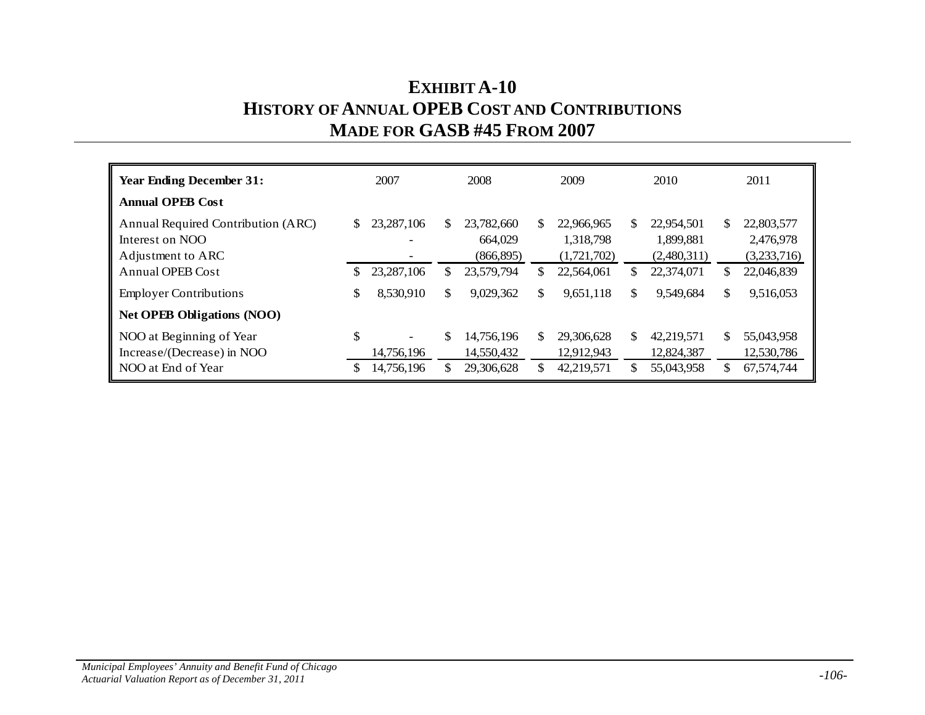## **EXHIBIT A-10 HISTORY OF ANNUAL OPEB COST AND CONTRIBUTIONS MADE FOR GASB #45 FROM 2007**

|    | 2007         |            | 2008                     |                          | 2009                     |                           | 2010                     |                           | 2011                                   |
|----|--------------|------------|--------------------------|--------------------------|--------------------------|---------------------------|--------------------------|---------------------------|----------------------------------------|
|    |              |            |                          |                          |                          |                           |                          |                           |                                        |
| \$ | 23, 287, 106 | S.         | 23,782,660<br>664,029    | <sup>\$</sup>            | 22,966,965<br>1,318,798  | S.                        | 22,954,501<br>1,899,881  | \$                        | 22,803,577<br>2,476,978<br>(3,233,716) |
| S  | 23, 287, 106 | S.         | 23,579,794               | \$                       | 22,564,061               | S                         | 22,374,071               | \$                        | 22,046,839                             |
| \$ | 8,530,910    | \$         | 9,029,362                | \$                       | 9,651,118                | \$                        | 9,549,684                | \$                        | 9,516,053                              |
|    |              |            |                          |                          |                          |                           |                          |                           |                                        |
| \$ | 14,756,196   | \$         | 14,756,196<br>14,550,432 | \$.                      | 29,306,628<br>12,912,943 | \$.                       | 42.219.571<br>12,824,387 | \$.                       | 55,043,958<br>12,530,786<br>67,574,744 |
|    | S            | 14,756,196 |                          | (866, 895)<br>29,306,628 |                          | (1,721,702)<br>42,219,571 |                          | (2,480,311)<br>55,043,958 | \$                                     |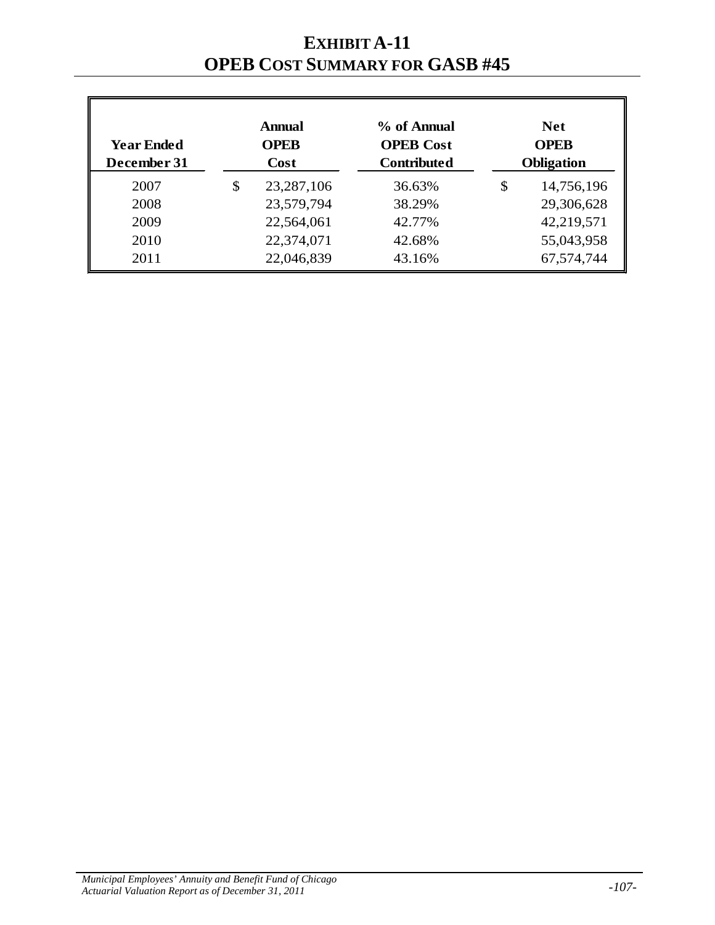**EXHIBIT A-11 OPEB COST SUMMARY FOR GASB #45**

| <b>Year Ended</b><br>December 31 | <b>Annual</b><br><b>OPEB</b><br><b>Cost</b> |              | % of Annual<br><b>OPEB</b> Cost<br><b>Contributed</b> | <b>Net</b><br><b>OPEB</b><br><b>Obligation</b> |  |
|----------------------------------|---------------------------------------------|--------------|-------------------------------------------------------|------------------------------------------------|--|
| 2007                             | \$                                          | 23, 287, 106 | 36.63%                                                | \$<br>14,756,196                               |  |
| 2008                             |                                             | 23,579,794   | 38.29%                                                | 29,306,628                                     |  |
| 2009                             |                                             | 22,564,061   | 42.77%                                                | 42,219,571                                     |  |
| 2010                             |                                             | 22,374,071   | 42.68%                                                | 55,043,958                                     |  |
| 2011                             |                                             | 22,046,839   | 43.16%                                                | 67,574,744                                     |  |